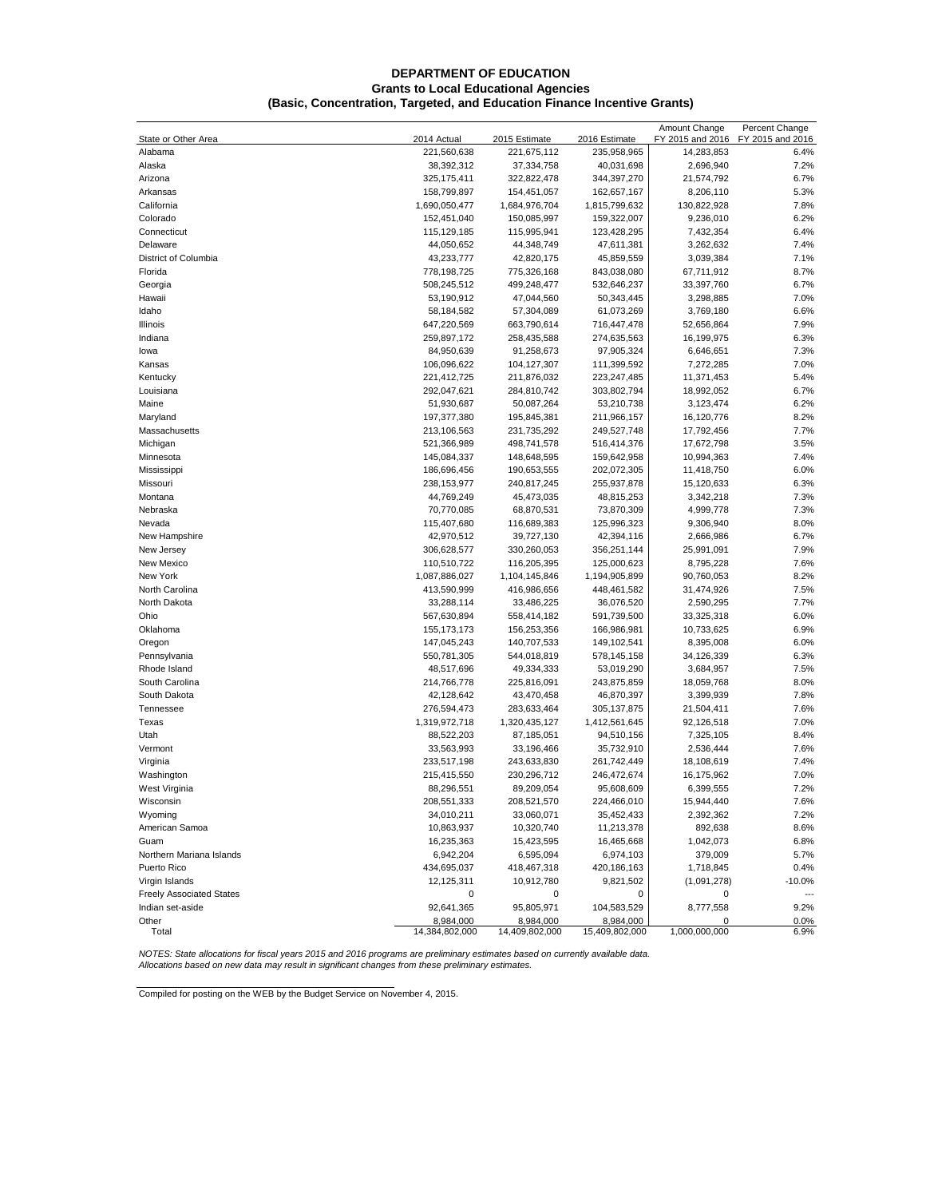#### **DEPARTMENT OF EDUCATION Grants to Local Educational Agencies (Basic, Concentration, Targeted, and Education Finance Incentive Grants)**

|                                 |                              |                |                | Amount Change           | Percent Change   |
|---------------------------------|------------------------------|----------------|----------------|-------------------------|------------------|
| State or Other Area             | 2014 Actual                  | 2015 Estimate  | 2016 Estimate  | FY 2015 and 2016        | FY 2015 and 2016 |
| Alabama                         | 221,560,638                  | 221,675,112    | 235,958,965    | 14,283,853              | 6.4%             |
| Alaska                          | 38,392,312                   | 37,334,758     | 40,031,698     | 2,696,940               | 7.2%             |
| Arizona                         | 325,175,411                  | 322,822,478    | 344,397,270    | 21,574,792              | 6.7%             |
| Arkansas                        | 158,799,897                  | 154,451,057    | 162,657,167    | 8,206,110               | 5.3%             |
| California                      | 1,690,050,477                | 1,684,976,704  | 1,815,799,632  | 130,822,928             | 7.8%             |
| Colorado                        | 152,451,040                  | 150,085,997    | 159,322,007    | 9,236,010               | 6.2%             |
| Connecticut                     | 115,129,185                  | 115,995,941    | 123,428,295    | 7,432,354               | 6.4%             |
| Delaware                        | 44,050,652                   | 44,348,749     | 47,611,381     | 3,262,632               | 7.4%             |
| District of Columbia            | 43,233,777                   | 42,820,175     | 45,859,559     | 3,039,384               | 7.1%             |
| Florida                         | 778,198,725                  | 775,326,168    | 843,038,080    | 67,711,912              | 8.7%             |
| Georgia                         | 508,245,512                  | 499,248,477    | 532,646,237    | 33,397,760              | 6.7%             |
| Hawaii                          | 53,190,912                   | 47,044,560     | 50,343,445     | 3,298,885               | 7.0%             |
| Idaho                           | 58,184,582                   | 57,304,089     | 61,073,269     | 3,769,180               | 6.6%             |
| Illinois                        | 647,220,569                  | 663,790,614    | 716,447,478    | 52,656,864              | 7.9%             |
| Indiana                         | 259,897,172                  | 258,435,588    | 274,635,563    | 16,199,975              | 6.3%             |
| lowa                            | 84,950,639                   | 91,258,673     | 97,905,324     | 6,646,651               | 7.3%             |
| Kansas                          | 106,096,622                  | 104,127,307    | 111,399,592    | 7,272,285               | 7.0%             |
| Kentucky                        | 221,412,725                  | 211,876,032    | 223,247,485    | 11,371,453              | 5.4%             |
| Louisiana                       | 292,047,621                  | 284,810,742    | 303,802,794    | 18,992,052              | 6.7%             |
| Maine                           | 51,930,687                   | 50,087,264     | 53,210,738     | 3,123,474               | 6.2%             |
| Maryland                        | 197, 377, 380                | 195,845,381    | 211,966,157    | 16,120,776              | 8.2%             |
| Massachusetts                   | 213,106,563                  | 231,735,292    | 249,527,748    | 17,792,456              | 7.7%             |
| Michigan                        | 521,366,989                  | 498,741,578    | 516,414,376    | 17,672,798              | 3.5%             |
| Minnesota                       | 145,084,337                  | 148,648,595    | 159,642,958    | 10,994,363              | 7.4%             |
| Mississippi                     | 186,696,456                  | 190,653,555    | 202,072,305    | 11,418,750              | 6.0%             |
| Missouri                        | 238,153,977                  | 240,817,245    | 255,937,878    | 15,120,633              | 6.3%             |
| Montana                         | 44,769,249                   | 45,473,035     | 48,815,253     | 3,342,218               | 7.3%             |
| Nebraska                        | 70,770,085                   | 68,870,531     | 73,870,309     | 4,999,778               | 7.3%             |
| Nevada                          | 115,407,680                  | 116,689,383    | 125,996,323    | 9,306,940               | 8.0%             |
| New Hampshire                   | 42,970,512                   | 39,727,130     | 42,394,116     | 2,666,986               | 6.7%             |
| New Jersey                      | 306,628,577                  | 330,260,053    | 356,251,144    | 25,991,091              | 7.9%             |
|                                 |                              |                |                |                         | 7.6%             |
| New Mexico<br>New York          | 110,510,722<br>1,087,886,027 | 116,205,395    | 125,000,623    | 8,795,228<br>90,760,053 | 8.2%             |
|                                 |                              | 1,104,145,846  | 1,194,905,899  |                         |                  |
| North Carolina                  | 413,590,999                  | 416,986,656    | 448,461,582    | 31,474,926              | 7.5%             |
| North Dakota                    | 33,288,114                   | 33,486,225     | 36,076,520     | 2,590,295               | 7.7%             |
| Ohio                            | 567,630,894                  | 558,414,182    | 591,739,500    | 33,325,318              | 6.0%             |
| Oklahoma                        | 155, 173, 173                | 156,253,356    | 166,986,981    | 10,733,625              | 6.9%             |
| Oregon                          | 147,045,243                  | 140,707,533    | 149,102,541    | 8,395,008               | 6.0%             |
| Pennsylvania                    | 550,781,305                  | 544,018,819    | 578,145,158    | 34,126,339              | 6.3%             |
| Rhode Island                    | 48,517,696                   | 49,334,333     | 53,019,290     | 3,684,957               | 7.5%             |
| South Carolina                  | 214,766,778                  | 225,816,091    | 243,875,859    | 18,059,768              | 8.0%             |
| South Dakota                    | 42,128,642                   | 43,470,458     | 46,870,397     | 3,399,939               | 7.8%             |
| Tennessee                       | 276,594,473                  | 283,633,464    | 305, 137, 875  | 21,504,411              | 7.6%             |
| Texas                           | 1,319,972,718                | 1,320,435,127  | 1,412,561,645  | 92,126,518              | 7.0%             |
| Utah                            | 88,522,203                   | 87,185,051     | 94,510,156     | 7,325,105               | 8.4%             |
| Vermont                         | 33,563,993                   | 33,196,466     | 35,732,910     | 2,536,444               | 7.6%             |
| Virginia                        | 233,517,198                  | 243,633,830    | 261,742,449    | 18,108,619              | 7.4%             |
| Washington                      | 215,415,550                  | 230,296,712    | 246,472,674    | 16,175,962              | 7.0%             |
| West Virginia                   | 88,296,551                   | 89,209,054     | 95,608,609     | 6,399,555               | 7.2%             |
| Wisconsin                       | 208,551,333                  | 208,521,570    | 224,466,010    | 15,944,440              | 7.6%             |
| Wyoming                         | 34,010,211                   | 33,060,071     | 35,452,433     | 2,392,362               | 7.2%             |
| American Samoa                  | 10,863,937                   | 10,320,740     | 11,213,378     | 892,638                 | 8.6%             |
| Guam                            | 16,235,363                   | 15,423,595     | 16,465,668     | 1,042,073               | 6.8%             |
| Northern Mariana Islands        | 6,942,204                    | 6,595,094      | 6,974,103      | 379,009                 | 5.7%             |
| Puerto Rico                     | 434,695,037                  | 418,467,318    | 420,186,163    | 1,718,845               | 0.4%             |
| Virgin Islands                  | 12,125,311                   | 10,912,780     | 9,821,502      | (1,091,278)             | $-10.0%$         |
| <b>Freely Associated States</b> | 0                            | 0              | 0              | 0                       | ---              |
| Indian set-aside                | 92,641,365                   | 95,805,971     | 104,583,529    | 8,777,558               | 9.2%             |
| Other                           | 8,984,000                    | 8,984,000      | 8,984,000      |                         | 0.0%             |
| Total                           | 14,384,802,000               | 14,409,802,000 | 15,409,802,000 | 1,000,000,000           | 6.9%             |

<span id="page-0-0"></span>NOTES: State allocations for fiscal years 2015 and 2016 programs are preliminary estimates based on currently available data.<br>Allocations based on new data may result in significant changes from these preliminary estimates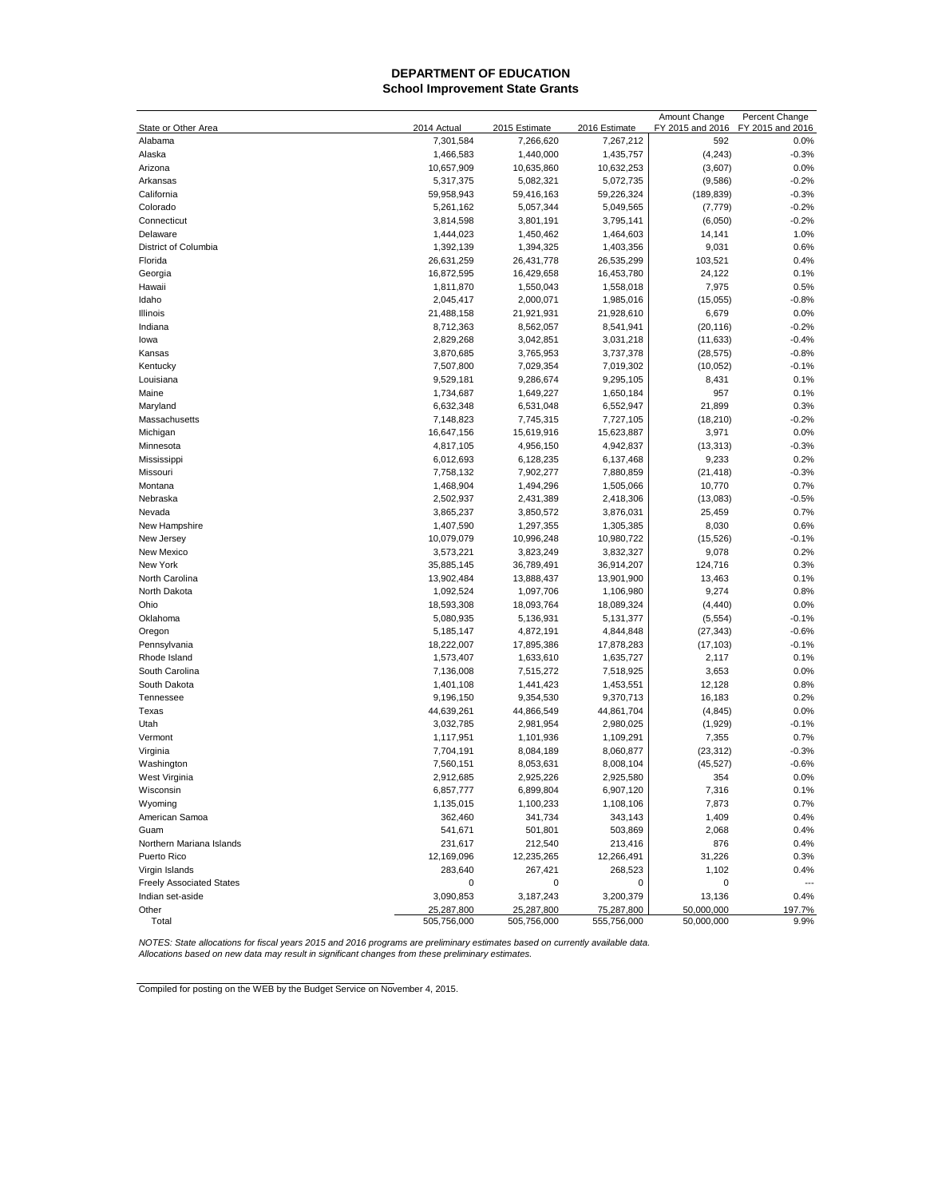## **[DEPARTMENT OF EDUCATION](#page-0-0) School Improvement State Grants**

|                                 |                          |                            |                            | Amount Change           | Percent Change           |
|---------------------------------|--------------------------|----------------------------|----------------------------|-------------------------|--------------------------|
| State or Other Area<br>Alabama  | 2014 Actual<br>7,301,584 | 2015 Estimate<br>7,266,620 | 2016 Estimate<br>7,267,212 | FY 2015 and 2016<br>592 | FY 2015 and 2016<br>0.0% |
| Alaska                          | 1,466,583                | 1,440,000                  | 1,435,757                  | (4, 243)                | $-0.3%$                  |
| Arizona                         | 10,657,909               | 10,635,860                 | 10,632,253                 | (3,607)                 | 0.0%                     |
| Arkansas                        | 5,317,375                | 5,082,321                  | 5,072,735                  | (9,586)                 | $-0.2%$                  |
| California                      | 59,958,943               | 59,416,163                 | 59,226,324                 | (189, 839)              | $-0.3%$                  |
| Colorado                        | 5,261,162                | 5,057,344                  | 5,049,565                  | (7, 779)                | $-0.2%$                  |
| Connecticut                     | 3,814,598                | 3,801,191                  | 3,795,141                  | (6,050)                 | $-0.2%$                  |
| Delaware                        | 1,444,023                | 1,450,462                  | 1,464,603                  | 14,141                  | 1.0%                     |
| District of Columbia            | 1,392,139                | 1,394,325                  | 1,403,356                  | 9,031                   | 0.6%                     |
| Florida                         | 26,631,259               | 26,431,778                 | 26,535,299                 | 103,521                 | 0.4%                     |
| Georgia                         | 16,872,595               | 16,429,658                 | 16,453,780                 | 24,122                  | 0.1%                     |
| Hawaii                          | 1,811,870                | 1,550,043                  | 1,558,018                  | 7,975                   | 0.5%                     |
| Idaho                           | 2,045,417                | 2,000,071                  | 1,985,016                  | (15,055)                | $-0.8%$                  |
| Illinois                        | 21,488,158               | 21,921,931                 | 21,928,610                 | 6,679                   | 0.0%                     |
| Indiana                         | 8,712,363                | 8,562,057                  | 8,541,941                  | (20, 116)               | $-0.2%$                  |
| lowa                            | 2,829,268                | 3,042,851                  | 3,031,218                  | (11, 633)               | $-0.4%$                  |
| Kansas                          | 3,870,685                | 3,765,953                  | 3,737,378                  | (28, 575)               | $-0.8%$                  |
| Kentucky                        | 7,507,800                | 7,029,354                  | 7,019,302                  | (10, 052)               | $-0.1%$                  |
| Louisiana                       | 9,529,181                | 9,286,674                  | 9,295,105                  | 8,431                   | 0.1%                     |
| Maine                           | 1,734,687                | 1,649,227                  | 1,650,184                  | 957                     | 0.1%                     |
| Maryland                        | 6,632,348                | 6,531,048                  | 6,552,947                  | 21,899                  | 0.3%                     |
| Massachusetts                   | 7,148,823                | 7,745,315                  | 7,727,105                  | (18, 210)               | $-0.2%$                  |
| Michigan                        | 16,647,156               | 15,619,916                 | 15,623,887                 | 3,971                   | 0.0%                     |
| Minnesota                       | 4,817,105                | 4,956,150                  | 4,942,837                  | (13, 313)               | $-0.3%$                  |
| Mississippi                     | 6,012,693                | 6,128,235                  | 6,137,468                  | 9,233                   | 0.2%                     |
| Missouri                        | 7,758,132                | 7,902,277                  | 7,880,859                  | (21, 418)               | $-0.3%$                  |
| Montana                         | 1,468,904                | 1,494,296                  | 1,505,066                  | 10,770                  | 0.7%                     |
| Nebraska                        | 2,502,937                | 2,431,389                  | 2,418,306                  | (13,083)                | $-0.5%$                  |
| Nevada                          | 3,865,237                | 3,850,572                  | 3,876,031                  | 25,459                  | 0.7%                     |
| New Hampshire                   | 1,407,590                | 1,297,355                  | 1,305,385                  | 8,030                   | 0.6%                     |
| New Jersey                      | 10,079,079               | 10,996,248                 | 10,980,722                 | (15, 526)               | $-0.1%$                  |
| New Mexico                      | 3,573,221                | 3,823,249                  | 3,832,327                  | 9,078                   | 0.2%                     |
| New York                        | 35,885,145               | 36,789,491                 | 36,914,207                 | 124,716                 | 0.3%                     |
| North Carolina                  | 13,902,484               | 13,888,437                 | 13,901,900                 | 13,463                  | 0.1%                     |
| North Dakota                    | 1,092,524                | 1,097,706                  | 1,106,980                  | 9,274                   | 0.8%                     |
| Ohio                            | 18,593,308               | 18,093,764                 | 18,089,324                 | (4, 440)                | 0.0%                     |
| Oklahoma                        | 5,080,935                | 5,136,931                  | 5,131,377                  | (5, 554)                | $-0.1%$                  |
| Oregon                          | 5,185,147                | 4,872,191                  | 4,844,848                  | (27, 343)               | $-0.6%$                  |
| Pennsylvania                    | 18,222,007               | 17,895,386                 | 17,878,283                 | (17, 103)               | $-0.1%$                  |
| Rhode Island                    | 1,573,407                | 1,633,610                  | 1,635,727                  | 2,117                   | 0.1%                     |
| South Carolina                  | 7,136,008                | 7,515,272                  | 7,518,925                  | 3,653                   | 0.0%                     |
| South Dakota<br>Tennessee       | 1,401,108                | 1,441,423                  | 1,453,551                  | 12,128                  | 0.8%<br>0.2%             |
|                                 | 9,196,150                | 9,354,530                  | 9,370,713                  | 16,183                  |                          |
| Texas<br>Utah                   | 44,639,261               | 44,866,549<br>2,981,954    | 44,861,704                 | (4, 845)                | 0.0%<br>$-0.1%$          |
| Vermont                         | 3,032,785                |                            | 2,980,025<br>1,109,291     | (1,929)                 | 0.7%                     |
| Virginia                        | 1,117,951<br>7,704,191   | 1,101,936<br>8,084,189     | 8,060,877                  | 7,355<br>(23, 312)      | $-0.3%$                  |
| Washington                      | 7,560,151                | 8,053,631                  | 8,008,104                  | (45, 527)               | $-0.6%$                  |
| West Virginia                   | 2,912,685                | 2,925,226                  | 2,925,580                  | 354                     | 0.0%                     |
| Wisconsin                       |                          |                            |                            |                         | 0.1%                     |
| Wyoming                         | 6,857,777<br>1,135,015   | 6,899,804<br>1,100,233     | 6,907,120<br>1,108,106     | 7,316<br>7,873          | 0.7%                     |
| American Samoa                  | 362,460                  | 341,734                    | 343,143                    | 1,409                   | 0.4%                     |
| Guam                            | 541,671                  | 501,801                    | 503,869                    | 2,068                   | 0.4%                     |
| Northern Mariana Islands        | 231,617                  | 212,540                    | 213,416                    | 876                     | 0.4%                     |
| Puerto Rico                     | 12,169,096               | 12,235,265                 | 12,266,491                 | 31,226                  | 0.3%                     |
| Virgin Islands                  | 283,640                  | 267,421                    | 268,523                    | 1,102                   | 0.4%                     |
| <b>Freely Associated States</b> | 0                        | 0                          | 0                          | 0                       |                          |
| Indian set-aside                | 3,090,853                | 3,187,243                  | 3,200,379                  | 13,136                  | 0.4%                     |
| Other                           | 25,287,800               | 25,287,800                 | 75,287,800                 | 50,000,000              | 197.7%                   |
| Total                           | 505,756,000              | 505,756,000                | 555,756,000                | 50,000,000              | 9.9%                     |

<span id="page-1-0"></span>NOTES: State allocations for fiscal years 2015 and 2016 programs are preliminary estimates based on currently available data.<br>Allocations based on new data may result in significant changes from these preliminary estimates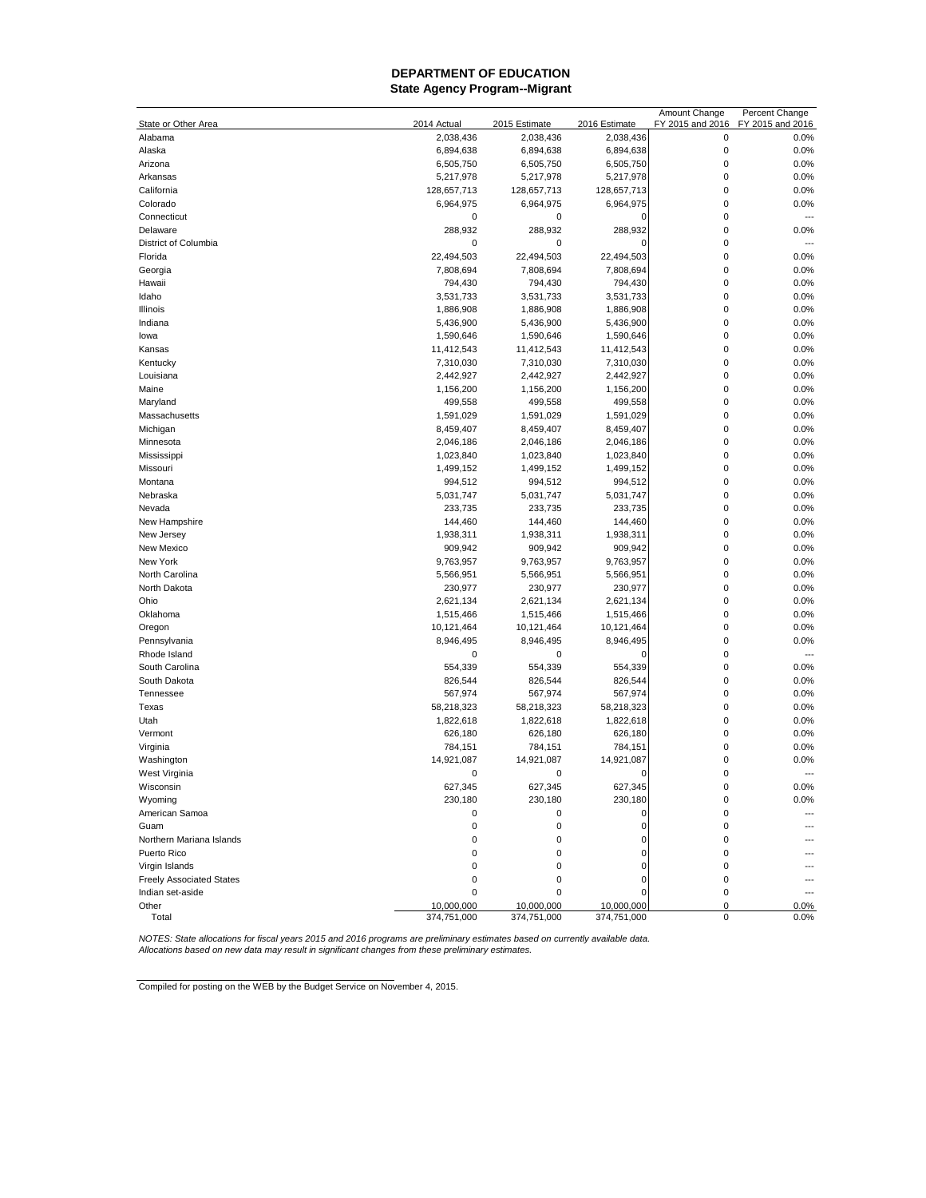## **DEPARTMENT OF EDUCATION State Agency Program--Migrant**

|                                 |             |               |               | Amount Change    | Percent Change   |
|---------------------------------|-------------|---------------|---------------|------------------|------------------|
| State or Other Area             | 2014 Actual | 2015 Estimate | 2016 Estimate | FY 2015 and 2016 | FY 2015 and 2016 |
| Alabama                         | 2,038,436   | 2,038,436     | 2,038,436     | $\mathbf 0$      | 0.0%             |
| Alaska                          | 6,894,638   | 6,894,638     | 6,894,638     | $\mathbf 0$      | 0.0%             |
| Arizona                         | 6,505,750   | 6,505,750     | 6,505,750     | $\mathbf 0$      | 0.0%             |
| Arkansas                        | 5,217,978   | 5,217,978     | 5,217,978     | $\mathbf 0$      | 0.0%             |
| California                      | 128,657,713 | 128,657,713   | 128,657,713   | $\mathbf 0$      | 0.0%             |
| Colorado                        | 6,964,975   | 6,964,975     | 6,964,975     | $\mathbf 0$      | 0.0%             |
| Connecticut                     | 0           | 0             | 0             | $\mathbf 0$      | $---$            |
| Delaware                        | 288,932     | 288,932       | 288,932       | $\mathbf 0$      | 0.0%             |
| District of Columbia            | 0           | 0             | $\epsilon$    | $\mathbf 0$      | ---              |
| Florida                         | 22,494,503  | 22,494,503    | 22,494,503    | $\mathbf 0$      | 0.0%             |
| Georgia                         | 7,808,694   | 7,808,694     | 7,808,694     | $\mathbf 0$      | 0.0%             |
| Hawaii                          | 794,430     | 794,430       | 794,430       | $\pmb{0}$        | 0.0%             |
| Idaho                           | 3,531,733   | 3,531,733     | 3,531,733     | $\pmb{0}$        | 0.0%             |
| Illinois                        | 1,886,908   | 1,886,908     | 1,886,908     | $\mathbf 0$      | 0.0%             |
| Indiana                         | 5,436,900   | 5,436,900     | 5,436,900     | $\mathbf 0$      | 0.0%             |
| lowa                            | 1,590,646   | 1,590,646     | 1,590,646     | $\mathbf 0$      | 0.0%             |
| Kansas                          | 11,412,543  | 11,412,543    | 11,412,543    | $\mathbf 0$      | 0.0%             |
| Kentucky                        |             | 7,310,030     | 7,310,030     | $\pmb{0}$        | 0.0%             |
|                                 | 7,310,030   |               |               | $\mathbf 0$      |                  |
| Louisiana                       | 2,442,927   | 2,442,927     | 2,442,927     |                  | 0.0%             |
| Maine                           | 1,156,200   | 1,156,200     | 1,156,200     | $\pmb{0}$        | 0.0%             |
| Maryland                        | 499,558     | 499,558       | 499,558       | $\mathbf 0$      | 0.0%             |
| Massachusetts                   | 1,591,029   | 1,591,029     | 1,591,029     | $\mathbf 0$      | 0.0%             |
| Michigan                        | 8,459,407   | 8,459,407     | 8,459,407     | $\mathbf 0$      | 0.0%             |
| Minnesota                       | 2,046,186   | 2,046,186     | 2,046,186     | $\mathbf 0$      | 0.0%             |
| Mississippi                     | 1,023,840   | 1,023,840     | 1,023,840     | $\mathbf 0$      | 0.0%             |
| Missouri                        | 1,499,152   | 1,499,152     | 1,499,152     | $\mathbf 0$      | 0.0%             |
| Montana                         | 994,512     | 994,512       | 994,512       | $\mathbf 0$      | 0.0%             |
| Nebraska                        | 5,031,747   | 5,031,747     | 5,031,747     | $\mathbf 0$      | 0.0%             |
| Nevada                          | 233,735     | 233,735       | 233,735       | $\mathbf 0$      | 0.0%             |
| New Hampshire                   | 144,460     | 144,460       | 144,460       | $\mathbf 0$      | 0.0%             |
| New Jersey                      | 1,938,311   | 1,938,311     | 1,938,311     | $\pmb{0}$        | 0.0%             |
| New Mexico                      | 909,942     | 909,942       | 909,942       | $\mathbf 0$      | 0.0%             |
| New York                        | 9,763,957   | 9,763,957     | 9,763,957     | $\mathbf 0$      | 0.0%             |
| North Carolina                  | 5,566,951   | 5,566,951     | 5,566,951     | $\mathbf 0$      | 0.0%             |
| North Dakota                    | 230,977     | 230,977       | 230,977       | $\mathbf 0$      | 0.0%             |
| Ohio                            | 2,621,134   | 2,621,134     | 2,621,134     | $\mathbf 0$      | 0.0%             |
| Oklahoma                        | 1,515,466   | 1,515,466     | 1,515,466     | $\mathbf 0$      | 0.0%             |
| Oregon                          | 10,121,464  | 10,121,464    | 10,121,464    | $\pmb{0}$        | 0.0%             |
| Pennsylvania                    | 8,946,495   | 8,946,495     | 8,946,495     | $\mathbf 0$      | 0.0%             |
| Rhode Island                    | 0           | 0             | 0             | $\mathbf 0$      | $\overline{a}$   |
| South Carolina                  | 554,339     | 554,339       | 554,339       | $\mathbf 0$      | 0.0%             |
| South Dakota                    | 826,544     | 826,544       | 826,544       | $\mathbf 0$      | 0.0%             |
| Tennessee                       | 567,974     | 567,974       | 567,974       | $\mathbf 0$      | 0.0%             |
| Texas                           | 58,218,323  | 58,218,323    | 58,218,323    | $\pmb{0}$        | 0.0%             |
| Utah                            | 1,822,618   | 1,822,618     | 1,822,618     | $\pmb{0}$        | 0.0%             |
| Vermont                         | 626,180     | 626,180       | 626,180       | $\mathbf 0$      | 0.0%             |
| Virginia                        | 784,151     | 784,151       | 784,151       | $\mathbf 0$      | 0.0%             |
|                                 | 14,921,087  | 14,921,087    | 14,921,087    | $\mathbf 0$      | 0.0%             |
| Washington<br>West Virginia     | 0           | 0             | $\epsilon$    | $\mathbf 0$      |                  |
|                                 |             |               |               | $\mathbf 0$      |                  |
| Wisconsin                       | 627,345     | 627,345       | 627,345       |                  | 0.0%             |
| Wyoming                         | 230,180     | 230,180       | 230,180       | $\pmb{0}$        | 0.0%             |
| American Samoa                  | 0           | 0             | $\mathbf 0$   | 0                | $---$            |
| Guam                            | 0           | 0             | 0             | 0                |                  |
| Northern Mariana Islands        | 0           | 0             | $\mathbf 0$   | $\mathbf 0$      |                  |
| Puerto Rico                     | 0           | 0             | 0             | 0                |                  |
| Virgin Islands                  | 0           | 0             | $\mathbf 0$   | 0                |                  |
| <b>Freely Associated States</b> | 0           | 0             | 0             | 0                |                  |
| Indian set-aside                | 0           | 0             | 0             | 0                | ---              |
| Other                           | 10,000,000  | 10,000,000    | 10,000,000    | $\mathbf 0$      | 0.0%             |
| Total                           | 374,751,000 | 374,751,000   | 374,751,000   | $\mathbf 0$      | 0.0%             |

NOTES: State allocations for fiscal years 2015 and 2016 programs are preliminary estimates based on currently available data.<br>Allocations based on new data may result in significant changes from these preliminary estimates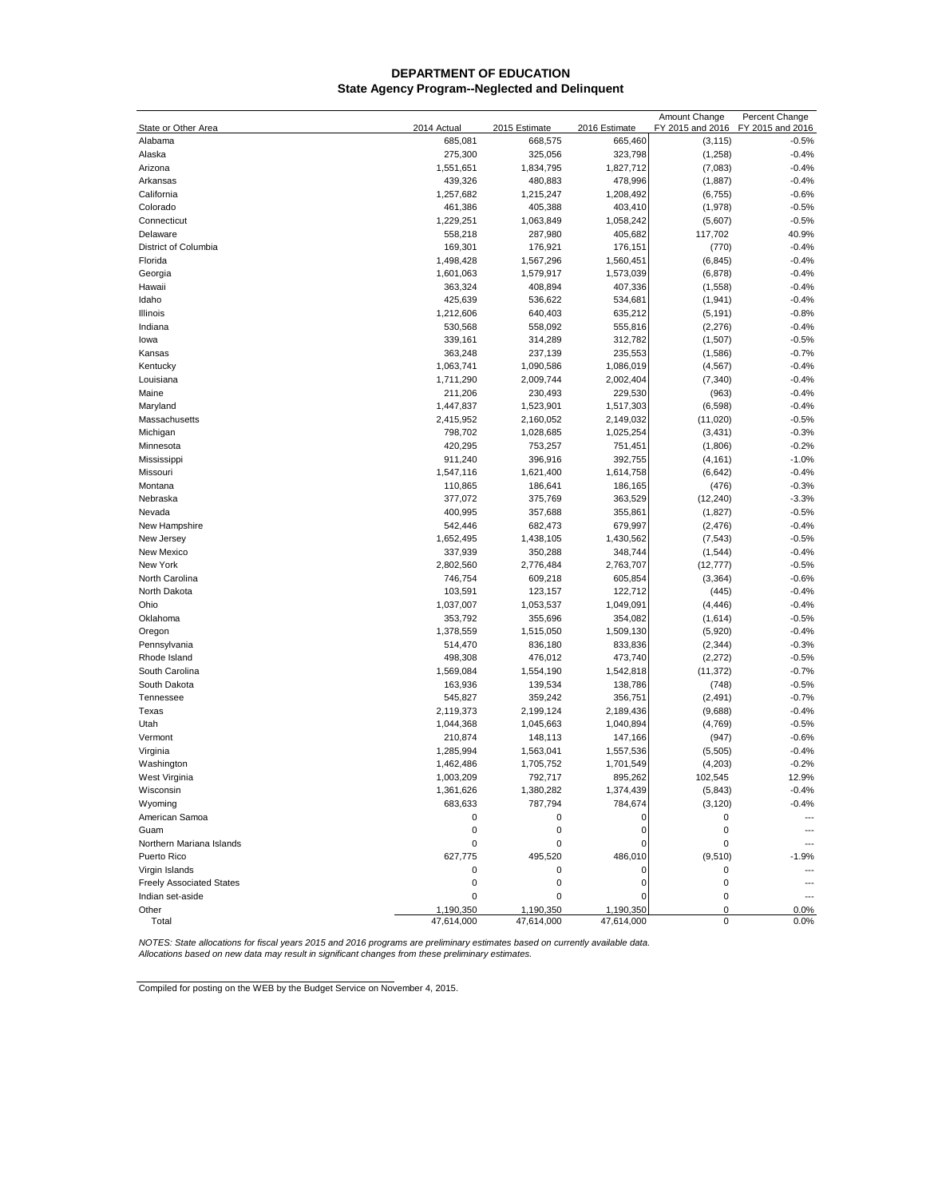## **DEPARTMENT OF EDUCATION State Agency Program--Neglected and Delinquent**

|                                 |                         |                         |                         | Amount Change       | Percent Change     |
|---------------------------------|-------------------------|-------------------------|-------------------------|---------------------|--------------------|
| State or Other Area             | 2014 Actual             | 2015 Estimate           | 2016 Estimate           | FY 2015 and 2016    | FY 2015 and 2016   |
| Alabama<br>Alaska               | 685,081<br>275,300      | 668,575<br>325,056      | 665,460<br>323,798      | (3, 115)<br>(1,258) | $-0.5%$<br>$-0.4%$ |
| Arizona                         | 1,551,651               | 1,834,795               | 1,827,712               | (7,083)             | $-0.4%$            |
| Arkansas                        | 439,326                 | 480,883                 | 478,996                 | (1, 887)            | $-0.4%$            |
| California                      | 1,257,682               | 1,215,247               | 1,208,492               | (6, 755)            | $-0.6%$            |
| Colorado                        | 461,386                 | 405,388                 | 403,410                 | (1,978)             | $-0.5%$            |
| Connecticut                     | 1,229,251               | 1,063,849               | 1,058,242               | (5,607)             | $-0.5%$            |
| Delaware                        | 558,218                 | 287,980                 | 405,682                 | 117,702             | 40.9%              |
| District of Columbia            | 169,301                 | 176,921                 | 176,151                 | (770)               | $-0.4%$            |
| Florida                         | 1,498,428               | 1,567,296               | 1,560,451               | (6, 845)            | $-0.4%$            |
| Georgia                         | 1,601,063               | 1,579,917               | 1,573,039               | (6, 878)            | $-0.4%$            |
| Hawaii                          | 363,324                 | 408,894                 | 407,336                 | (1, 558)            | $-0.4%$            |
| Idaho                           | 425,639                 | 536,622                 | 534,681                 | (1, 941)            | $-0.4%$            |
| Illinois                        | 1,212,606               | 640,403                 | 635,212                 | (5, 191)            | $-0.8%$            |
| Indiana                         | 530,568                 | 558,092                 | 555,816                 | (2, 276)            | $-0.4%$            |
| lowa                            | 339,161                 | 314,289                 | 312,782                 | (1,507)             | $-0.5%$            |
| Kansas                          | 363,248                 | 237,139                 | 235,553                 | (1,586)             | $-0.7%$            |
| Kentucky                        | 1,063,741               | 1,090,586               | 1,086,019               | (4, 567)            | $-0.4%$            |
| Louisiana                       | 1,711,290               | 2,009,744               | 2,002,404               | (7, 340)            | $-0.4%$            |
| Maine                           | 211,206                 | 230,493                 | 229,530                 | (963)               | $-0.4%$            |
| Maryland                        | 1,447,837               | 1,523,901               | 1,517,303               | (6, 598)            | $-0.4%$            |
| Massachusetts                   | 2,415,952               | 2,160,052               | 2,149,032               | (11,020)            | $-0.5%$            |
| Michigan                        | 798,702                 | 1,028,685               | 1,025,254               | (3, 431)            | $-0.3%$            |
| Minnesota                       | 420,295                 | 753,257                 | 751,451                 | (1,806)             | $-0.2%$            |
| Mississippi                     | 911,240                 | 396,916                 | 392,755                 | (4, 161)            | $-1.0%$            |
| Missouri                        | 1,547,116               | 1,621,400               | 1,614,758               | (6, 642)            | $-0.4%$            |
| Montana                         | 110,865                 | 186,641                 | 186,165                 | (476)               | $-0.3%$            |
| Nebraska                        | 377,072                 | 375,769                 | 363,529                 | (12, 240)           | $-3.3%$            |
| Nevada                          | 400,995                 | 357,688                 | 355,861                 | (1,827)             | $-0.5%$            |
| New Hampshire                   | 542,446                 | 682,473                 | 679,997                 | (2, 476)            | $-0.4%$            |
| New Jersey                      | 1,652,495               | 1,438,105               | 1,430,562               | (7, 543)            | $-0.5%$            |
| New Mexico                      | 337,939                 | 350,288                 | 348,744                 | (1, 544)            | $-0.4%$            |
| New York                        | 2,802,560               | 2,776,484               | 2,763,707               | (12, 777)           | $-0.5%$            |
| North Carolina                  | 746,754                 | 609,218                 | 605,854                 | (3, 364)            | $-0.6%$            |
| North Dakota                    | 103,591                 | 123,157                 | 122,712                 | (445)               | $-0.4%$            |
| Ohio                            | 1,037,007               | 1,053,537               | 1,049,091               | (4, 446)            | $-0.4%$            |
| Oklahoma                        | 353,792                 | 355,696                 | 354,082                 | (1,614)             | $-0.5%$            |
| Oregon                          | 1,378,559               | 1,515,050               | 1,509,130               | (5,920)             | $-0.4%$            |
| Pennsylvania                    | 514,470                 | 836,180                 | 833,836                 | (2, 344)            | $-0.3%$            |
| Rhode Island                    | 498,308                 | 476,012                 | 473,740                 | (2,272)             | $-0.5%$            |
| South Carolina                  | 1,569,084               | 1,554,190               | 1,542,818               | (11, 372)           | $-0.7%$            |
| South Dakota                    | 163,936                 | 139,534                 | 138,786                 | (748)               | $-0.5%$            |
| Tennessee                       | 545,827                 | 359,242                 | 356,751                 | (2, 491)            | $-0.7%$            |
| Texas                           | 2,119,373               | 2,199,124               | 2,189,436               | (9,688)             | $-0.4%$            |
| Utah                            | 1,044,368               | 1,045,663               | 1,040,894               | (4,769)             | $-0.5%$            |
| Vermont                         | 210,874                 | 148,113                 | 147,166                 | (947)               | $-0.6%$            |
| Virginia                        | 1,285,994               | 1,563,041               | 1,557,536               | (5,505)             | $-0.4%$            |
| Washington                      | 1,462,486               | 1,705,752               | 1,701,549               | (4,203)             | $-0.2%$            |
| West Virginia                   | 1,003,209               | 792,717                 | 895,262                 | 102,545             | 12.9%              |
| Wisconsin                       | 1,361,626               | 1,380,282               | 1,374,439               | (5,843)             | -0.4%              |
| Wyoming                         | 683,633                 | 787,794                 | 784,674                 | (3, 120)            | $-0.4%$            |
| American Samoa                  | 0                       | 0                       | O                       | 0                   | $\overline{a}$     |
| Guam                            | 0                       | 0                       | 0                       | 0                   |                    |
| Northern Mariana Islands        | 0                       | 0                       | $\Omega$                | 0                   |                    |
| Puerto Rico                     | 627,775                 | 495,520                 | 486,010                 | (9, 510)            | $-1.9%$            |
| Virgin Islands                  | 0                       | 0                       |                         | 0                   | ---                |
| <b>Freely Associated States</b> | 0                       | 0                       | 0                       | $\mathbf 0$         |                    |
| Indian set-aside                | 0                       | 0                       | 0                       | $\mathbf 0$         | ---                |
| Other<br>Total                  | 1,190,350<br>47,614,000 | 1,190,350<br>47,614,000 | 1,190,350<br>47,614,000 | 0<br>0              | 0.0%<br>0.0%       |
|                                 |                         |                         |                         |                     |                    |

NOTES: State allocations for fiscal years 2015 and 2016 programs are preliminary estimates based on currently available data.<br>Allocations based on new data may result in significant changes from these preliminary estimates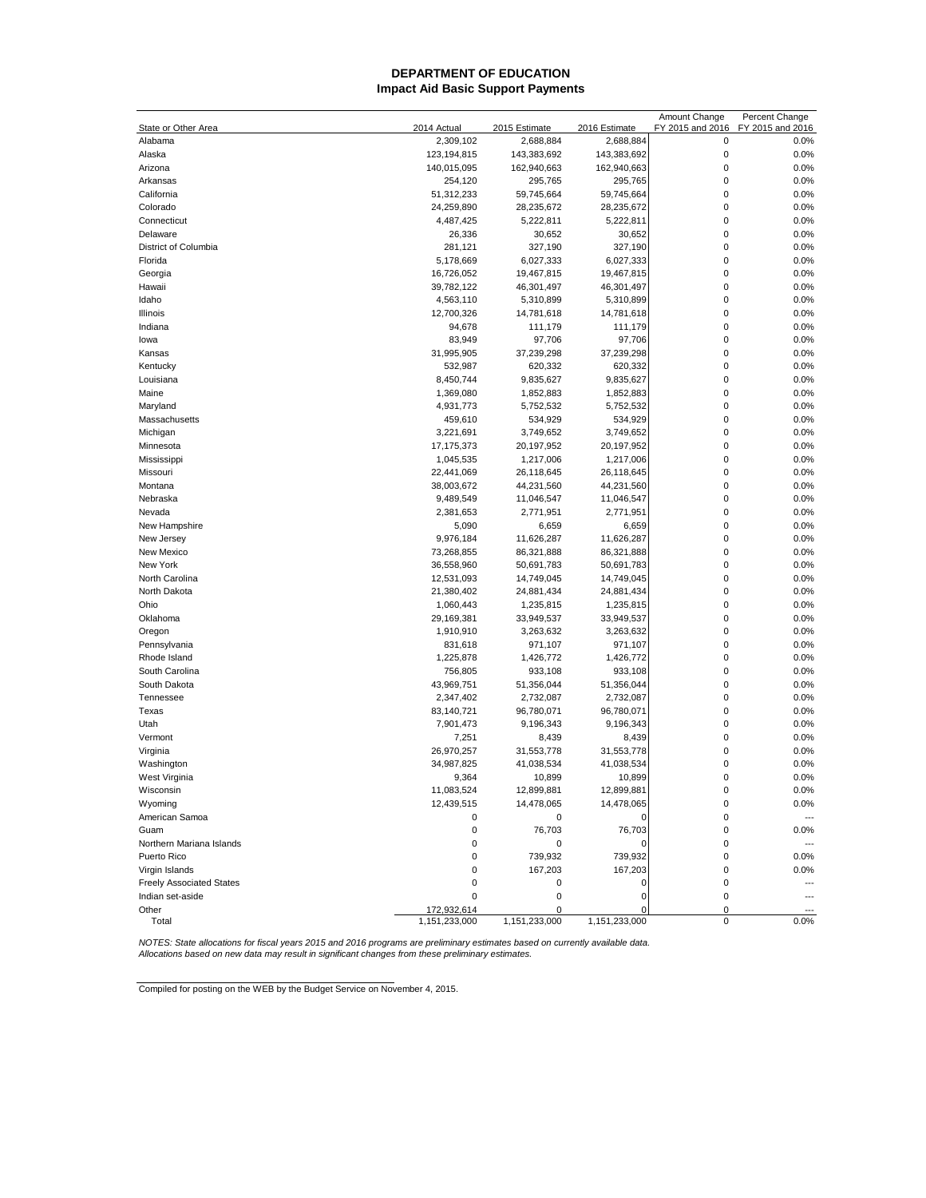## **DEPARTMENT OF EDUCATION Impact Aid Basic Support Payments**

|                                 |                        |                          |                          | Amount Change    | Percent Change   |
|---------------------------------|------------------------|--------------------------|--------------------------|------------------|------------------|
| State or Other Area             | 2014 Actual            | 2015 Estimate            | 2016 Estimate            | FY 2015 and 2016 | FY 2015 and 2016 |
| Alabama<br>Alaska               | 2,309,102              | 2,688,884<br>143,383,692 | 2,688,884<br>143,383,692 | 0<br>$\mathbf 0$ | 0.0%<br>0.0%     |
| Arizona                         | 123, 194, 815          |                          |                          | $\mathbf 0$      | 0.0%             |
| Arkansas                        | 140,015,095<br>254,120 | 162,940,663<br>295,765   | 162,940,663<br>295,765   | $\mathbf 0$      | 0.0%             |
| California                      | 51,312,233             | 59,745,664               | 59,745,664               | $\mathbf 0$      | 0.0%             |
| Colorado                        | 24,259,890             | 28,235,672               | 28,235,672               | 0                | 0.0%             |
| Connecticut                     | 4,487,425              | 5,222,811                | 5,222,811                | $\mathbf{0}$     | 0.0%             |
| Delaware                        | 26,336                 | 30,652                   | 30,652                   | $\mathbf 0$      | 0.0%             |
| District of Columbia            | 281,121                | 327,190                  | 327,190                  | $\mathbf 0$      | 0.0%             |
| Florida                         | 5,178,669              | 6,027,333                | 6,027,333                | $\mathbf 0$      | 0.0%             |
| Georgia                         | 16,726,052             | 19,467,815               | 19,467,815               | 0                | 0.0%             |
| Hawaii                          | 39,782,122             | 46,301,497               | 46,301,497               | 0                | 0.0%             |
| Idaho                           | 4,563,110              | 5,310,899                | 5,310,899                | $\mathbf{0}$     | 0.0%             |
| Illinois                        | 12,700,326             | 14,781,618               | 14,781,618               | $\mathbf{0}$     | 0.0%             |
| Indiana                         | 94,678                 | 111,179                  | 111,179                  | 0                | 0.0%             |
| lowa                            | 83,949                 | 97,706                   | 97,706                   | 0                | 0.0%             |
| Kansas                          | 31,995,905             | 37,239,298               | 37,239,298               | 0                | 0.0%             |
| Kentucky                        | 532,987                | 620,332                  | 620,332                  | $\mathbf 0$      | 0.0%             |
| Louisiana                       | 8,450,744              | 9,835,627                | 9,835,627                | $\mathbf{0}$     | 0.0%             |
| Maine                           | 1,369,080              | 1,852,883                | 1,852,883                | $\mathbf 0$      | 0.0%             |
| Maryland                        | 4,931,773              | 5,752,532                | 5,752,532                | $\mathbf 0$      | 0.0%             |
| Massachusetts                   | 459,610                | 534,929                  | 534,929                  | $\mathbf 0$      | 0.0%             |
| Michigan                        | 3,221,691              | 3,749,652                | 3,749,652                | $\mathbf 0$      | 0.0%             |
| Minnesota                       | 17,175,373             | 20,197,952               | 20,197,952               | 0                | 0.0%             |
| Mississippi                     | 1,045,535              | 1,217,006                | 1,217,006                | 0                | 0.0%             |
| Missouri                        | 22,441,069             | 26,118,645               | 26,118,645               | 0                | 0.0%             |
| Montana                         | 38,003,672             | 44,231,560               | 44,231,560               | $\mathbf 0$      | 0.0%             |
| Nebraska                        | 9,489,549              | 11,046,547               | 11,046,547               | $\mathbf{0}$     | 0.0%             |
| Nevada                          | 2,381,653              | 2,771,951                | 2,771,951                | $\mathbf 0$      | 0.0%             |
| New Hampshire                   | 5,090                  | 6,659                    | 6,659                    | 0                | 0.0%             |
| New Jersey                      | 9,976,184              | 11,626,287               | 11,626,287               | $\mathbf 0$      | 0.0%             |
| New Mexico                      | 73,268,855             | 86,321,888               | 86,321,888               | $\mathbf{0}$     | 0.0%             |
| New York                        | 36,558,960             | 50,691,783               | 50,691,783               | $\mathbf 0$      | 0.0%             |
| North Carolina                  | 12,531,093             | 14,749,045               | 14,749,045               | $\mathbf 0$      | 0.0%             |
| North Dakota                    | 21,380,402             | 24,881,434               | 24,881,434               | $\mathbf 0$      | 0.0%             |
| Ohio                            | 1,060,443              | 1,235,815                | 1,235,815                | $\mathbf 0$      | 0.0%             |
| Oklahoma                        | 29,169,381             | 33,949,537               | 33,949,537               | 0                | 0.0%             |
| Oregon                          | 1,910,910              | 3,263,632                | 3,263,632                | $\mathbf 0$      | 0.0%             |
| Pennsylvania                    | 831,618                | 971,107                  | 971,107                  | 0                | 0.0%             |
| Rhode Island                    | 1,225,878              | 1,426,772                | 1,426,772                | $\mathbf{0}$     | 0.0%             |
| South Carolina                  | 756,805                | 933,108                  | 933,108                  | $\mathbf{0}$     | 0.0%             |
| South Dakota                    | 43,969,751             | 51,356,044               | 51,356,044               | 0                | 0.0%             |
| Tennessee                       | 2,347,402              | 2,732,087                | 2,732,087                | 0                | 0.0%             |
| Texas                           | 83,140,721             | 96,780,071               | 96,780,071               | $\mathbf 0$      | 0.0%             |
| Utah                            | 7,901,473              | 9,196,343                | 9,196,343                | 0                | 0.0%             |
| Vermont                         | 7,251                  | 8,439                    | 8,439                    | $\mathbf 0$      | 0.0%             |
| Virginia                        | 26,970,257             | 31,553,778               | 31,553,778               | $\mathbf{0}$     | 0.0%             |
| Washington                      | 34,987,825             | 41,038,534               | 41,038,534               | 0                | 0.0%             |
| West Virginia                   | 9,364                  | 10,899                   | 10,899                   | 0                | 0.0%             |
| Wisconsin                       | 11,083,524             | 12,899,881               | 12,899,881               |                  | 0.0%             |
| Wyoming                         | 12,439,515             | 14,478,065               | 14,478,065               | 0                | 0.0%             |
| American Samoa                  | 0                      | 0                        | 0                        | 0                | ---              |
| Guam                            | 0                      | 76,703                   | 76,703                   | 0                | 0.0%             |
| Northern Mariana Islands        | 0                      | 0                        |                          | 0                | $\overline{a}$   |
| Puerto Rico                     | 0                      | 739,932                  | 739,932                  | 0                | 0.0%             |
| Virgin Islands                  | 0                      | 167,203                  | 167,203                  | 0                | 0.0%             |
| <b>Freely Associated States</b> | 0                      | 0                        | 0                        | 0                | $\overline{a}$   |
| Indian set-aside                | 0                      | 0                        | 0                        | 0                | $\overline{a}$   |
| Other                           | 172,932,614            | 0                        | C                        | 0                |                  |
| Total                           | 1,151,233,000          | 1,151,233,000            | 1,151,233,000            | $\mathbf 0$      | 0.0%             |

NOTES: State allocations for fiscal years 2015 and 2016 programs are preliminary estimates based on currently available data.<br>Allocations based on new data may result in significant changes from these preliminary estimates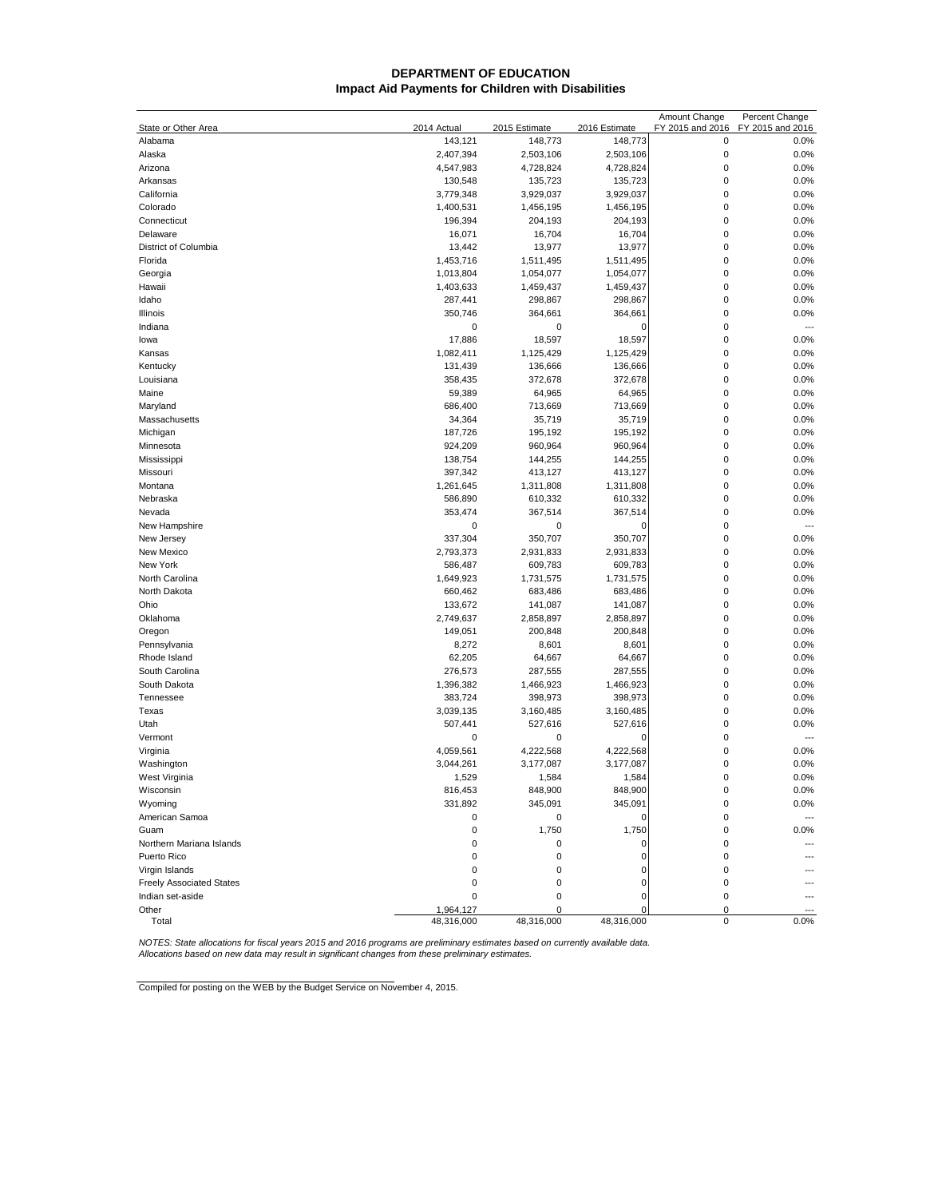## **DEPARTMENT OF EDUCATION Impact Aid Payments for Children with Disabilities**

|                                 |                        |                          |                          | Amount Change                   | Percent Change           |
|---------------------------------|------------------------|--------------------------|--------------------------|---------------------------------|--------------------------|
| State or Other Area<br>Alabama  | 2014 Actual<br>143,121 | 2015 Estimate<br>148,773 | 2016 Estimate<br>148,773 | FY 2015 and 2016<br>$\mathbf 0$ | FY 2015 and 2016<br>0.0% |
| Alaska                          | 2,407,394              | 2,503,106                | 2,503,106                | $\mathbf 0$                     | 0.0%                     |
| Arizona                         | 4,547,983              | 4,728,824                | 4,728,824                | $\mathbf 0$                     | 0.0%                     |
| Arkansas                        | 130,548                | 135,723                  | 135,723                  | $\mathbf 0$                     | 0.0%                     |
| California                      | 3,779,348              | 3,929,037                | 3,929,037                | $\mathbf 0$                     | 0.0%                     |
| Colorado                        | 1,400,531              | 1,456,195                | 1,456,195                | $\mathbf 0$                     | 0.0%                     |
| Connecticut                     | 196,394                | 204,193                  | 204,193                  | $\mathbf 0$                     | 0.0%                     |
| Delaware                        | 16,071                 | 16,704                   | 16,704                   | $\mathbf 0$                     | 0.0%                     |
| District of Columbia            | 13,442                 | 13,977                   | 13,977                   | $\mathbf 0$                     | 0.0%                     |
| Florida                         | 1,453,716              | 1,511,495                | 1,511,495                | $\mathbf 0$                     | 0.0%                     |
| Georgia                         | 1,013,804              | 1,054,077                | 1,054,077                | $\mathbf 0$                     | 0.0%                     |
| Hawaii                          | 1,403,633              | 1,459,437                | 1,459,437                | $\mathbf 0$                     | 0.0%                     |
| Idaho                           | 287,441                | 298,867                  | 298,867                  | $\mathbf 0$                     | 0.0%                     |
| Illinois                        | 350,746                | 364,661                  | 364,661                  | $\mathbf 0$                     | 0.0%                     |
| Indiana                         | 0                      | 0                        | 0                        | $\mathbf 0$                     | $\overline{a}$           |
| lowa                            | 17,886                 | 18,597                   | 18,597                   | $\mathbf 0$                     | 0.0%                     |
| Kansas                          | 1,082,411              | 1,125,429                | 1,125,429                | $\mathbf 0$                     | 0.0%                     |
| Kentucky                        | 131,439                | 136,666                  | 136,666                  | $\mathbf 0$                     | 0.0%                     |
| Louisiana                       | 358,435                | 372,678                  | 372,678                  | $\mathbf 0$                     | 0.0%                     |
| Maine                           | 59,389                 | 64,965                   | 64,965                   | $\mathbf 0$                     | 0.0%                     |
| Maryland                        | 686,400                | 713,669                  | 713,669                  | $\mathbf 0$                     | 0.0%                     |
| Massachusetts                   | 34,364                 | 35,719                   | 35,719                   | $\mathbf 0$                     | 0.0%                     |
| Michigan                        | 187,726                | 195,192                  | 195,192                  | $\mathbf 0$                     | 0.0%                     |
| Minnesota                       | 924,209                | 960,964                  | 960,964                  | $\mathbf 0$                     | 0.0%                     |
| Mississippi                     | 138,754                | 144,255                  | 144,255                  | $\mathbf 0$                     | 0.0%                     |
| Missouri                        | 397,342                | 413,127                  | 413,127                  | $\mathbf 0$                     | 0.0%                     |
| Montana                         | 1,261,645              | 1,311,808                | 1,311,808                | $\mathbf 0$                     | 0.0%                     |
| Nebraska                        | 586,890                | 610,332                  | 610,332                  | $\mathbf 0$                     | 0.0%                     |
| Nevada                          | 353,474                | 367,514                  | 367,514                  | $\mathbf 0$                     | 0.0%                     |
| New Hampshire                   | 0                      | 0                        | 0                        | $\mathbf 0$                     | $---$                    |
| New Jersey                      | 337,304                | 350,707                  | 350,707                  | $\mathbf 0$                     | 0.0%                     |
| New Mexico                      | 2,793,373              | 2,931,833                | 2,931,833                | $\mathbf 0$                     | 0.0%                     |
| New York                        | 586,487                | 609,783                  | 609,783                  | $\mathbf 0$                     | 0.0%                     |
| North Carolina                  | 1,649,923              | 1,731,575                | 1,731,575                | $\mathbf 0$                     | 0.0%                     |
| North Dakota                    | 660,462                | 683,486                  | 683,486                  | $\mathbf 0$                     | 0.0%                     |
| Ohio                            | 133,672                | 141,087                  | 141,087                  | $\mathbf 0$                     | 0.0%                     |
| Oklahoma                        | 2,749,637              | 2,858,897                | 2,858,897                | $\mathbf 0$                     | 0.0%                     |
| Oregon                          | 149,051                | 200,848                  | 200,848                  | $\mathbf 0$                     | 0.0%                     |
| Pennsylvania                    | 8,272                  | 8,601                    | 8,601                    | $\mathbf 0$                     | 0.0%                     |
| Rhode Island                    | 62,205                 | 64,667                   | 64,667                   | $\mathbf 0$                     | 0.0%                     |
| South Carolina                  | 276,573                | 287,555                  | 287,555                  | $\mathbf 0$                     | 0.0%                     |
| South Dakota                    | 1,396,382              | 1,466,923                | 1,466,923                | $\mathbf 0$                     | 0.0%                     |
| Tennessee                       | 383,724                | 398,973                  | 398,973                  | $\mathbf 0$                     | 0.0%                     |
| Texas                           | 3,039,135              | 3,160,485                | 3,160,485                | $\mathbf 0$                     | 0.0%                     |
| Utah                            | 507,441                | 527,616                  | 527,616                  | $\mathbf 0$                     | 0.0%                     |
| Vermont                         | 0                      | 0                        | 0                        | $\mathbf 0$                     | $\overline{a}$           |
| Virginia                        | 4,059,561              | 4,222,568                | 4,222,568                | $\mathbf 0$                     | 0.0%                     |
| Washington                      | 3,044,261              | 3,177,087                | 3,177,087                | $\mathbf 0$                     | 0.0%                     |
| West Virginia                   | 1,529                  | 1,584                    | 1,584                    | $\mathbf{0}$                    | 0.0%                     |
| Wisconsin                       | 816,453                | 848,900                  | 848,900                  | 0                               | $0.0\%$                  |
| Wyoming                         | 331,892                | 345,091                  | 345,091                  | $\pmb{0}$                       | 0.0%                     |
| American Samoa                  | 0                      | 0                        | 0                        | $\mathbf 0$                     | $\overline{\phantom{a}}$ |
| Guam                            | 0                      | 1,750                    | 1,750                    | 0                               | 0.0%                     |
| Northern Mariana Islands        | 0                      | 0                        | 0                        | 0                               | ---                      |
| Puerto Rico                     | 0                      | 0                        | $\mathbf 0$              | 0                               |                          |
| Virgin Islands                  | 0                      | 0                        | 0                        | 0                               |                          |
| <b>Freely Associated States</b> | 0                      | 0                        | 0                        | 0                               |                          |
| Indian set-aside                | 0                      | 0                        | 0                        | 0                               |                          |
| Other                           | 1,964,127              | 0                        | 0                        | 0                               |                          |
| Total                           | 48,316,000             | 48,316,000               | 48,316,000               | 0                               | 0.0%                     |

NOTES: State allocations for fiscal years 2015 and 2016 programs are preliminary estimates based on currently available data.<br>Allocations based on new data may result in significant changes from these preliminary estimates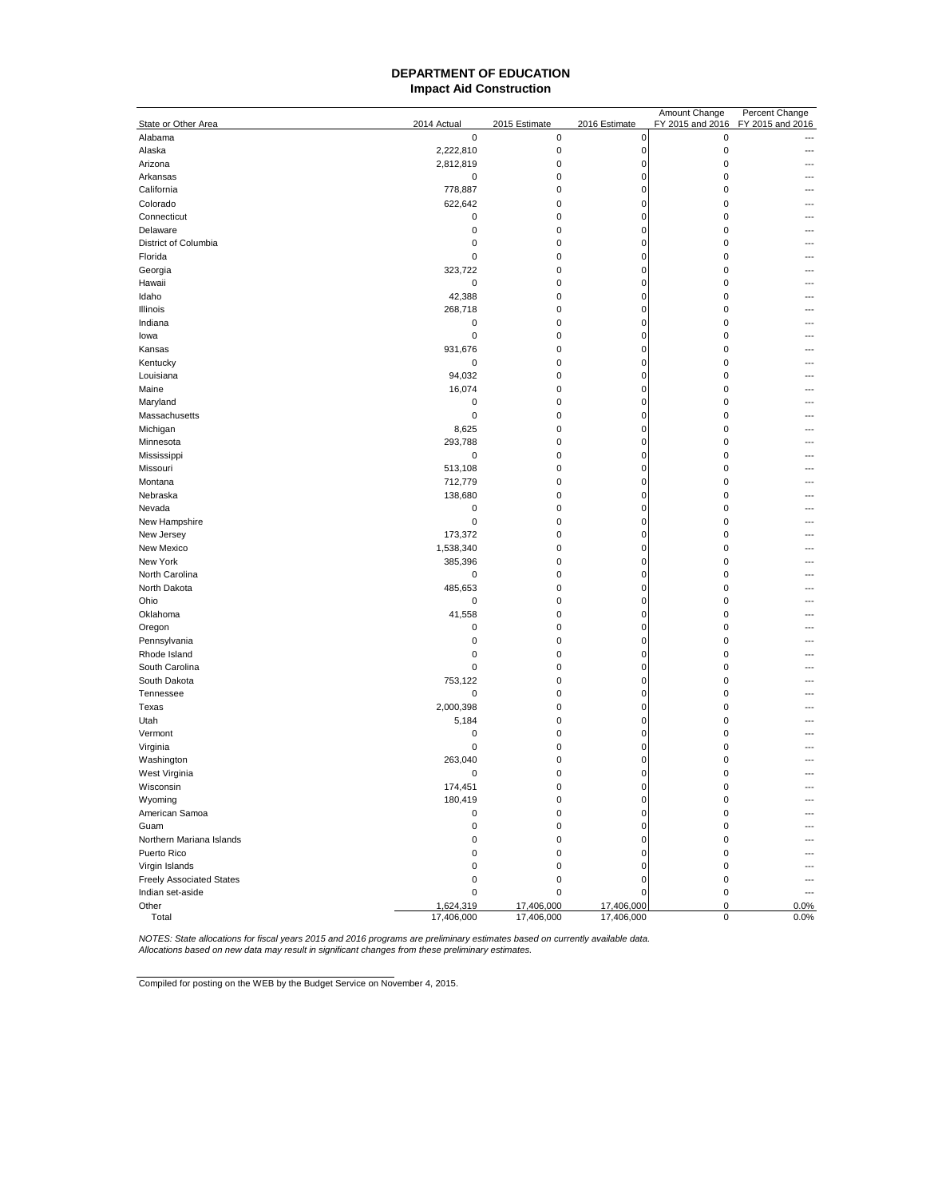#### **DEPARTMENT OF EDUCATION Impact Aid Construction**

|                                 |                      |                        |                            | Amount Change              | Percent Change   |
|---------------------------------|----------------------|------------------------|----------------------------|----------------------------|------------------|
| State or Other Area             | 2014 Actual          | 2015 Estimate          | 2016 Estimate              | FY 2015 and 2016           | FY 2015 and 2016 |
| Alabama                         | $\mathbf 0$          | $\pmb{0}$              | 0                          | $\pmb{0}$                  |                  |
| Alaska                          | 2,222,810            | $\pmb{0}$              | $\pmb{0}$                  | $\pmb{0}$                  |                  |
| Arizona                         | 2,812,819            | $\pmb{0}$              | $\pmb{0}$                  | $\pmb{0}$                  |                  |
| Arkansas                        | 0                    | $\mathsf 0$            | $\mathbf 0$                | $\mathbf 0$                |                  |
| California                      | 778,887              | $\mathsf 0$            | $\mathbf 0$                | $\mathbf 0$                |                  |
| Colorado                        | 622,642              | $\mathsf 0$            | $\mathbf 0$                | $\mathbf 0$                |                  |
| Connecticut                     | 0                    | $\mathsf 0$            | $\pmb{0}$                  | $\pmb{0}$                  |                  |
| Delaware                        | $\mathbf 0$          | $\mathsf 0$            | $\mathbf 0$                | $\mathbf 0$                |                  |
| District of Columbia            | $\mathbf 0$          | $\pmb{0}$              | $\mathbf 0$                | $\mathbf 0$                |                  |
| Florida                         | $\mathbf 0$          | $\pmb{0}$              | $\mathbf 0$                | $\mathbf 0$                |                  |
| Georgia                         | 323,722              | $\pmb{0}$              | $\mathbf 0$                | $\mathbf 0$                |                  |
| Hawaii                          | 0                    | $\pmb{0}$              | $\mathbf 0$                | $\mathbf 0$                |                  |
| Idaho                           | 42,388               | $\pmb{0}$              | 0                          | $\mathbf 0$                |                  |
| Illinois                        | 268,718              | $\pmb{0}$              | 0                          | $\mathbf 0$                |                  |
| Indiana                         | $\pmb{0}$            | $\pmb{0}$              | $\mathbf 0$                | $\pmb{0}$                  |                  |
| lowa                            | $\pmb{0}$            | $\pmb{0}$              | $\mathbf 0$                | $\pmb{0}$                  |                  |
| Kansas                          | 931,676              | $\mathsf 0$            | $\mathbf 0$                | $\mathbf 0$                |                  |
| Kentucky                        | $\mathbf 0$          | $\mathsf 0$            | $\mathbf 0$                | $\mathbf 0$                |                  |
| Louisiana                       | 94,032               | $\mathsf 0$            | $\mathbf 0$                | $\mathbf 0$                |                  |
| Maine                           | 16,074               | $\pmb{0}$              | $\pmb{0}$                  | $\pmb{0}$                  |                  |
| Maryland                        | $\pmb{0}$            | $\pmb{0}$              | 0                          | $\mathbf 0$                |                  |
| Massachusetts                   | 0                    | $\pmb{0}$<br>$\pmb{0}$ | $\mathbf 0$<br>0           | $\mathbf 0$<br>$\mathbf 0$ |                  |
| Michigan                        | 8,625                |                        |                            |                            |                  |
| Minnesota                       | 293,788<br>0         | $\pmb{0}$<br>$\pmb{0}$ | $\mathbf 0$<br>$\mathbf 0$ | $\mathbf 0$<br>$\mathbf 0$ |                  |
| Mississippi<br>Missouri         | 513,108              | $\pmb{0}$              | 0                          | $\pmb{0}$                  |                  |
| Montana                         |                      | $\pmb{0}$              | 0                          | $\pmb{0}$                  |                  |
| Nebraska                        | 712,779              | $\pmb{0}$              | $\mathbf 0$                | $\pmb{0}$                  |                  |
| Nevada                          | 138,680<br>0         | $\mathsf 0$            | $\mathbf 0$                | $\mathbf 0$                |                  |
|                                 | $\pmb{0}$            | $\mathsf 0$            | $\mathbf 0$                | $\mathbf 0$                |                  |
| New Hampshire                   | 173,372              | $\mathsf 0$            | $\mathbf 0$                | $\mathbf 0$                |                  |
| New Jersey<br>New Mexico        |                      | $\mathsf 0$            | $\mathbf 0$                | $\mathbf 0$                |                  |
| New York                        | 1,538,340<br>385,396 | $\mathsf 0$            | $\pmb{0}$                  | $\mathbf 0$                |                  |
| North Carolina                  | 0                    | $\pmb{0}$              | $\mathbf 0$                | $\mathbf 0$                | ---              |
| North Dakota                    | 485,653              | $\pmb{0}$              | $\mathbf 0$                | $\mathbf 0$                |                  |
| Ohio                            | 0                    | $\pmb{0}$              | 0                          | $\mathbf 0$                |                  |
| Oklahoma                        | 41,558               | $\pmb{0}$              | 0                          | $\mathbf 0$                |                  |
| Oregon                          | $\mathbf 0$          | $\mathsf 0$            | $\mathbf 0$                | $\mathbf 0$                |                  |
| Pennsylvania                    | $\pmb{0}$            | $\pmb{0}$              | 0                          | $\pmb{0}$                  |                  |
| Rhode Island                    | $\pmb{0}$            | $\pmb{0}$              | 0                          | $\mathbf 0$                |                  |
| South Carolina                  | $\pmb{0}$            | $\pmb{0}$              | $\mathbf 0$                | $\pmb{0}$                  |                  |
| South Dakota                    | 753,122              | $\pmb{0}$              | $\mathbf 0$                | $\mathbf 0$                |                  |
| Tennessee                       | $\pmb{0}$            | $\mathsf 0$            | $\mathbf 0$                | $\mathbf 0$                |                  |
| Texas                           | 2,000,398            | $\mathsf 0$            | $\mathbf 0$                | $\mathbf 0$                |                  |
| Utah                            | 5,184                | $\mathsf 0$            | $\mathbf 0$                | $\mathbf 0$                |                  |
| Vermont                         | $\pmb{0}$            | $\mathsf 0$            | 0                          | 0                          |                  |
| Virginia                        | $\mathbf 0$          | $\pmb{0}$              | 0                          | 0                          |                  |
| Washington                      | 263,040              | $\pmb{0}$              | $\mathbf 0$                | 0                          |                  |
| West Virginia                   | 0                    | $\mathbf 0$            | $\mathbf 0$                | $\mathbf 0$                |                  |
| Wisconsin                       | 174,451              |                        | $\mathcal{L}$              | 0                          |                  |
| Wyoming                         | 180,419              | 0                      | $\pmb{0}$                  | $\pmb{0}$                  |                  |
| American Samoa                  | 0                    | $\pmb{0}$              | 0                          | $\pmb{0}$                  |                  |
| Guam                            | $\pmb{0}$            | 0                      | 0                          | $\pmb{0}$                  |                  |
| Northern Mariana Islands        | $\pmb{0}$            | 0                      | 0                          | $\pmb{0}$                  |                  |
| Puerto Rico                     | $\pmb{0}$            | 0                      | $\mathbf 0$                | $\mathbf 0$                |                  |
| Virgin Islands                  | $\pmb{0}$            | 0                      | 0                          | $\mathbf 0$                |                  |
| <b>Freely Associated States</b> | $\pmb{0}$            | $\pmb{0}$              | $\pmb{0}$                  | $\pmb{0}$                  | ---              |
| Indian set-aside                | $\pmb{0}$            | $\pmb{0}$              | $\mathbf 0$                | $\pmb{0}$                  | $\overline{a}$   |
| Other                           | 1,624,319            | 17,406,000             | 17,406,000                 | 0                          | 0.0%             |
| Total                           | 17,406,000           | 17,406,000             | 17,406,000                 | $\pmb{0}$                  | 0.0%             |

NOTES: State allocations for fiscal years 2015 and 2016 programs are preliminary estimates based on currently available data.<br>Allocations based on new data may result in significant changes from these preliminary estimates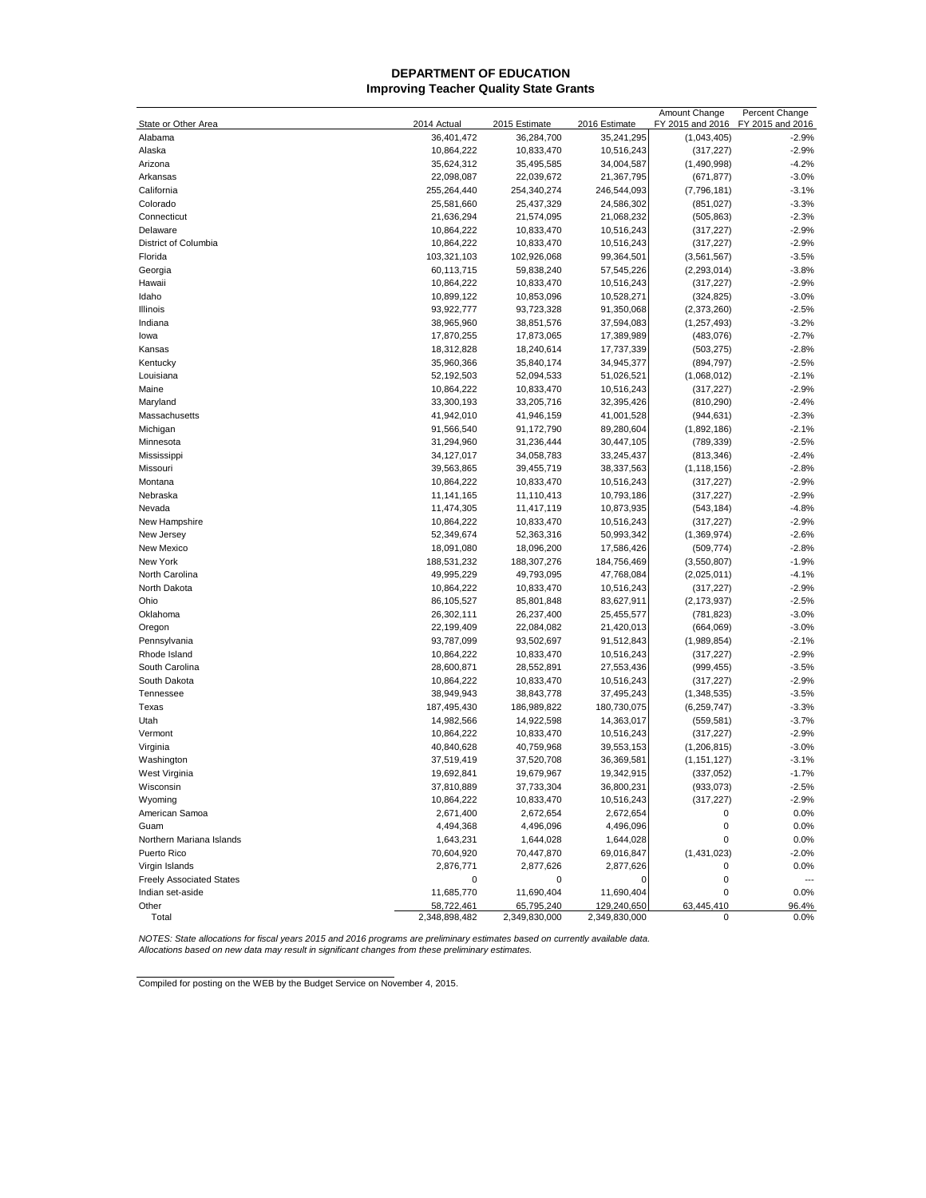## **DEPARTMENT OF EDUCATION Improving Teacher Quality State Grants**

|                                 |               |               |               | Amount Change    | Percent Change   |
|---------------------------------|---------------|---------------|---------------|------------------|------------------|
| State or Other Area             | 2014 Actual   | 2015 Estimate | 2016 Estimate | FY 2015 and 2016 | FY 2015 and 2016 |
| Alabama                         | 36,401,472    | 36,284,700    | 35,241,295    | (1,043,405)      | $-2.9%$          |
| Alaska                          | 10,864,222    | 10,833,470    | 10,516,243    | (317, 227)       | $-2.9%$          |
| Arizona                         | 35,624,312    | 35,495,585    | 34,004,587    | (1,490,998)      | $-4.2%$          |
| Arkansas                        | 22,098,087    | 22,039,672    | 21,367,795    | (671, 877)       | $-3.0%$          |
| California                      | 255,264,440   | 254,340,274   | 246,544,093   | (7,796,181)      | $-3.1%$          |
| Colorado                        | 25,581,660    | 25,437,329    | 24,586,302    | (851, 027)       | $-3.3%$          |
| Connecticut                     | 21,636,294    | 21,574,095    | 21,068,232    | (505, 863)       | $-2.3%$          |
| Delaware                        | 10,864,222    | 10,833,470    | 10,516,243    | (317, 227)       | $-2.9%$          |
| District of Columbia            | 10,864,222    | 10,833,470    | 10,516,243    | (317, 227)       | $-2.9%$          |
| Florida                         | 103,321,103   | 102,926,068   | 99,364,501    | (3,561,567)      | $-3.5%$          |
| Georgia                         | 60,113,715    | 59,838,240    | 57,545,226    | (2, 293, 014)    | $-3.8%$          |
| Hawaii                          | 10,864,222    | 10,833,470    | 10,516,243    | (317, 227)       | $-2.9%$          |
| Idaho                           | 10,899,122    | 10,853,096    | 10,528,271    | (324, 825)       | $-3.0%$          |
| Illinois                        | 93,922,777    | 93,723,328    | 91,350,068    | (2,373,260)      | $-2.5%$          |
| Indiana                         | 38,965,960    | 38,851,576    | 37,594,083    | (1, 257, 493)    | $-3.2%$          |
| lowa                            | 17,870,255    | 17,873,065    | 17,389,989    | (483, 076)       | $-2.7%$          |
| Kansas                          | 18,312,828    | 18,240,614    | 17,737,339    | (503, 275)       | $-2.8%$          |
| Kentucky                        | 35,960,366    | 35,840,174    | 34,945,377    | (894, 797)       | $-2.5%$          |
| Louisiana                       | 52,192,503    | 52,094,533    | 51,026,521    | (1,068,012)      | $-2.1%$          |
| Maine                           | 10,864,222    | 10,833,470    | 10,516,243    | (317, 227)       | $-2.9%$          |
| Maryland                        | 33,300,193    | 33,205,716    | 32,395,426    | (810, 290)       | $-2.4%$          |
| Massachusetts                   | 41,942,010    | 41,946,159    | 41,001,528    | (944, 631)       | $-2.3%$          |
| Michigan                        | 91,566,540    | 91,172,790    | 89,280,604    | (1,892,186)      | $-2.1%$          |
| Minnesota                       | 31,294,960    | 31,236,444    | 30,447,105    | (789, 339)       | $-2.5%$          |
| Mississippi                     | 34,127,017    | 34,058,783    | 33,245,437    | (813, 346)       | $-2.4%$          |
| Missouri                        | 39,563,865    | 39,455,719    | 38,337,563    | (1, 118, 156)    | $-2.8%$          |
| Montana                         | 10,864,222    | 10,833,470    | 10,516,243    | (317, 227)       | $-2.9%$          |
| Nebraska                        | 11,141,165    | 11,110,413    | 10,793,186    | (317, 227)       | $-2.9%$          |
| Nevada                          | 11,474,305    | 11,417,119    | 10,873,935    | (543, 184)       | $-4.8%$          |
| New Hampshire                   | 10,864,222    | 10,833,470    | 10,516,243    | (317, 227)       | $-2.9%$          |
| New Jersey                      | 52,349,674    | 52,363,316    | 50,993,342    | (1,369,974)      | $-2.6%$          |
| New Mexico                      | 18,091,080    | 18,096,200    | 17,586,426    | (509, 774)       | $-2.8%$          |
| New York                        | 188,531,232   | 188,307,276   | 184,756,469   | (3,550,807)      | $-1.9%$          |
| North Carolina                  | 49,995,229    | 49,793,095    | 47,768,084    | (2,025,011)      | $-4.1%$          |
| North Dakota                    | 10,864,222    | 10,833,470    | 10,516,243    | (317, 227)       | $-2.9%$          |
| Ohio                            | 86,105,527    | 85,801,848    | 83,627,911    | (2, 173, 937)    | $-2.5%$          |
| Oklahoma                        | 26,302,111    | 26,237,400    | 25,455,577    | (781, 823)       | $-3.0%$          |
| Oregon                          | 22,199,409    | 22,084,082    | 21,420,013    | (664,069)        | $-3.0%$          |
| Pennsylvania                    | 93,787,099    | 93,502,697    | 91,512,843    | (1,989,854)      | $-2.1%$          |
| Rhode Island                    | 10,864,222    | 10,833,470    | 10,516,243    | (317, 227)       | $-2.9%$          |
| South Carolina                  | 28,600,871    | 28,552,891    | 27,553,436    | (999, 455)       | $-3.5%$          |
| South Dakota                    | 10,864,222    | 10,833,470    | 10,516,243    | (317, 227)       | $-2.9%$          |
| Tennessee                       | 38,949,943    | 38,843,778    | 37,495,243    | (1,348,535)      | $-3.5%$          |
| Texas                           | 187,495,430   | 186,989,822   | 180,730,075   | (6,259,747)      | $-3.3%$          |
| Utah                            | 14,982,566    | 14,922,598    | 14,363,017    | (559, 581)       | $-3.7%$          |
| Vermont                         | 10,864,222    | 10,833,470    | 10,516,243    | (317, 227)       | $-2.9%$          |
| Virginia                        | 40,840,628    | 40,759,968    | 39,553,153    | (1, 206, 815)    | $-3.0%$          |
| Washington                      | 37,519,419    | 37,520,708    | 36,369,581    | (1, 151, 127)    | $-3.1%$          |
| West Virginia                   | 19,692,841    | 19,679,967    | 19,342,915    | (337, 052)       | $-1.7%$          |
| Wisconsin                       | 37,810,889    | 37,733,304    | 36,800,231    | (933, 073)       | 2.5%             |
| Wyoming                         | 10,864,222    | 10,833,470    | 10,516,243    | (317, 227)       | $-2.9%$          |
| American Samoa                  | 2,671,400     | 2,672,654     | 2,672,654     | 0                | 0.0%             |
| Guam                            | 4,494,368     | 4,496,096     | 4,496,096     | 0                | 0.0%             |
| Northern Mariana Islands        | 1,643,231     | 1,644,028     | 1,644,028     | 0                | 0.0%             |
| Puerto Rico                     | 70,604,920    | 70,447,870    | 69,016,847    | (1,431,023)      | $-2.0%$          |
| Virgin Islands                  | 2,876,771     | 2,877,626     | 2,877,626     | 0                | 0.0%             |
| <b>Freely Associated States</b> | 0             | 0             | 0             | 0                | $\overline{a}$   |
| Indian set-aside                | 11,685,770    | 11,690,404    | 11,690,404    | 0                | 0.0%             |
| Other                           | 58,722,461    | 65,795,240    | 129,240,650   | 63,445,410       | 96.4%            |
| Total                           | 2,348,898,482 | 2,349,830,000 | 2,349,830,000 | 0                | 0.0%             |

NOTES: State allocations for fiscal years 2015 and 2016 programs are preliminary estimates based on currently available data.<br>Allocations based on new data may result in significant changes from these preliminary estimates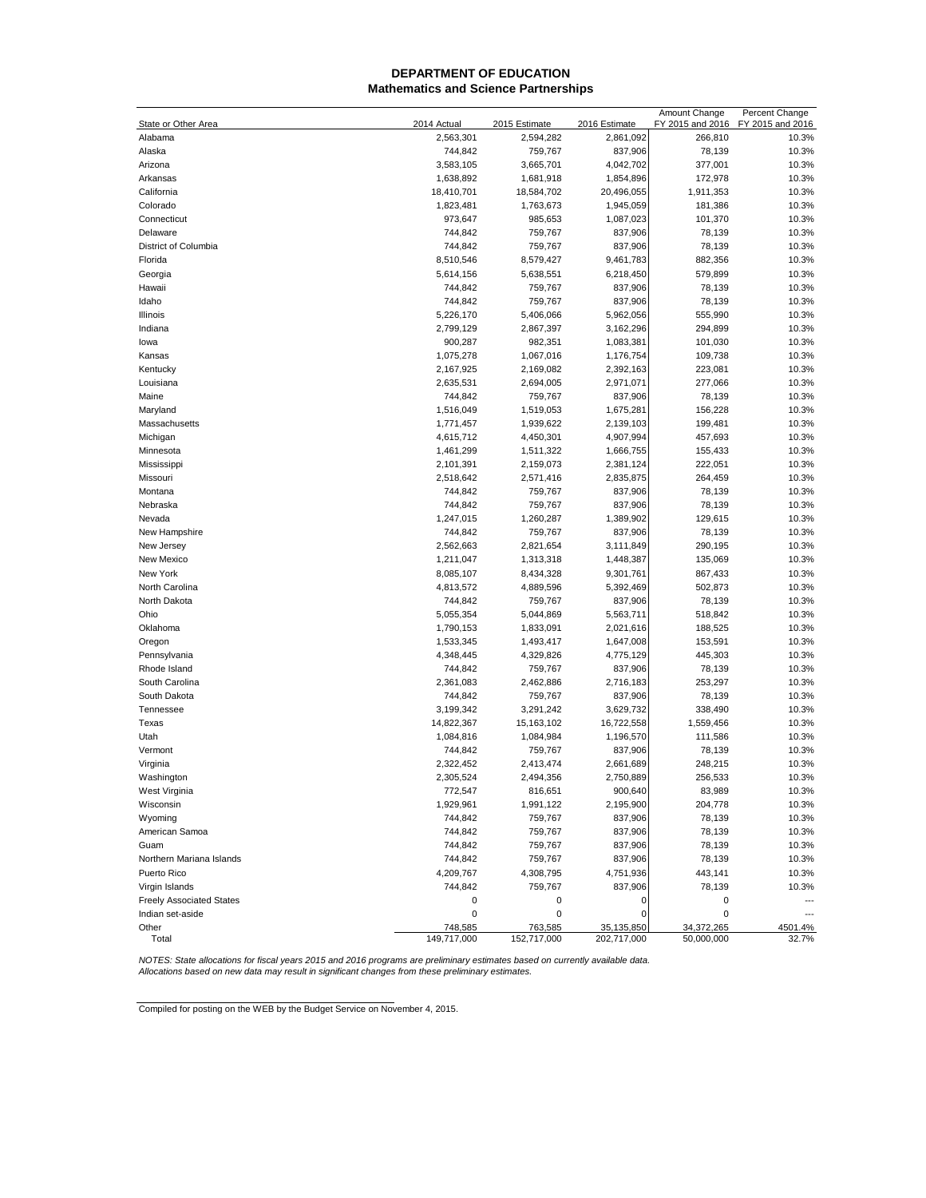## **Mathematics and Science Partnerships DEPARTMENT OF EDUCATION**

|                                 |             |               |               | Amount Change    | Percent Change   |
|---------------------------------|-------------|---------------|---------------|------------------|------------------|
| State or Other Area             | 2014 Actual | 2015 Estimate | 2016 Estimate | FY 2015 and 2016 | FY 2015 and 2016 |
| Alabama                         | 2,563,301   | 2,594,282     | 2,861,092     | 266,810          | 10.3%            |
| Alaska                          | 744,842     | 759,767       | 837,906       | 78,139           | 10.3%            |
| Arizona                         | 3,583,105   | 3,665,701     | 4,042,702     | 377,001          | 10.3%            |
| Arkansas                        | 1,638,892   | 1,681,918     | 1,854,896     | 172,978          | 10.3%            |
| California                      | 18,410,701  | 18,584,702    | 20,496,055    | 1,911,353        | 10.3%            |
| Colorado                        | 1,823,481   | 1,763,673     | 1,945,059     | 181,386          | 10.3%            |
| Connecticut                     | 973,647     | 985,653       | 1,087,023     | 101,370          | 10.3%            |
| Delaware                        | 744,842     | 759,767       | 837,906       | 78,139           | 10.3%            |
| District of Columbia            | 744,842     | 759,767       | 837,906       | 78,139           | 10.3%            |
| Florida                         | 8,510,546   | 8,579,427     | 9,461,783     | 882,356          | 10.3%            |
| Georgia                         | 5,614,156   | 5,638,551     | 6,218,450     | 579,899          | 10.3%            |
| Hawaii                          | 744,842     | 759,767       | 837,906       | 78,139           | 10.3%            |
| Idaho                           | 744,842     | 759,767       | 837,906       | 78,139           | 10.3%            |
| Illinois                        | 5,226,170   | 5,406,066     | 5,962,056     | 555,990          | 10.3%            |
| Indiana                         | 2,799,129   |               | 3,162,296     | 294,899          | 10.3%            |
|                                 |             | 2,867,397     |               |                  |                  |
| lowa                            | 900,287     | 982,351       | 1,083,381     | 101,030          | 10.3%            |
| Kansas                          | 1,075,278   | 1,067,016     | 1,176,754     | 109,738          | 10.3%            |
| Kentucky                        | 2,167,925   | 2,169,082     | 2,392,163     | 223,081          | 10.3%            |
| Louisiana                       | 2,635,531   | 2,694,005     | 2,971,071     | 277,066          | 10.3%            |
| Maine                           | 744,842     | 759,767       | 837,906       | 78,139           | 10.3%            |
| Maryland                        | 1,516,049   | 1,519,053     | 1,675,281     | 156,228          | 10.3%            |
| Massachusetts                   | 1,771,457   | 1,939,622     | 2,139,103     | 199,481          | 10.3%            |
| Michigan                        | 4,615,712   | 4,450,301     | 4,907,994     | 457,693          | 10.3%            |
| Minnesota                       | 1,461,299   | 1,511,322     | 1,666,755     | 155,433          | 10.3%            |
| Mississippi                     | 2,101,391   | 2,159,073     | 2,381,124     | 222,051          | 10.3%            |
| Missouri                        | 2,518,642   | 2,571,416     | 2,835,875     | 264,459          | 10.3%            |
| Montana                         | 744,842     | 759,767       | 837,906       | 78,139           | 10.3%            |
| Nebraska                        | 744,842     | 759,767       | 837,906       | 78,139           | 10.3%            |
| Nevada                          | 1,247,015   | 1,260,287     | 1,389,902     | 129,615          | 10.3%            |
| New Hampshire                   | 744,842     | 759,767       | 837,906       | 78,139           | 10.3%            |
| New Jersey                      | 2,562,663   | 2,821,654     | 3,111,849     | 290,195          | 10.3%            |
| New Mexico                      | 1,211,047   | 1,313,318     | 1,448,387     | 135,069          | 10.3%            |
| New York                        | 8,085,107   | 8,434,328     | 9,301,761     | 867,433          | 10.3%            |
| North Carolina                  | 4,813,572   | 4,889,596     | 5,392,469     | 502,873          | 10.3%            |
| North Dakota                    | 744,842     | 759,767       | 837,906       | 78,139           | 10.3%            |
| Ohio                            | 5,055,354   | 5,044,869     | 5,563,711     | 518,842          | 10.3%            |
| Oklahoma                        | 1,790,153   | 1,833,091     | 2,021,616     | 188,525          | 10.3%            |
| Oregon                          | 1,533,345   | 1,493,417     | 1,647,008     | 153,591          | 10.3%            |
| Pennsylvania                    | 4,348,445   | 4,329,826     | 4,775,129     | 445,303          | 10.3%            |
| Rhode Island                    | 744,842     | 759,767       | 837,906       | 78,139           | 10.3%            |
| South Carolina                  | 2,361,083   | 2,462,886     | 2,716,183     | 253,297          | 10.3%            |
| South Dakota                    | 744,842     | 759,767       | 837,906       | 78,139           | 10.3%            |
| Tennessee                       | 3,199,342   | 3,291,242     | 3,629,732     | 338,490          | 10.3%            |
| Texas                           | 14,822,367  | 15,163,102    | 16,722,558    | 1,559,456        | 10.3%            |
| Utah                            |             |               |               |                  | 10.3%            |
|                                 | 1,084,816   | 1,084,984     | 1,196,570     | 111,586          |                  |
| Vermont                         | 744,842     | 759,767       | 837,906       | 78,139           | 10.3%            |
| Virginia                        | 2,322,452   | 2,413,474     | 2,661,689     | 248,215          | 10.3%            |
| Washington                      | 2,305,524   | 2,494,356     | 2,750,889     | 256,533          | 10.3%            |
| West Virginia                   | 772,547     | 816,651       | 900,640       | 83,989           | 10.3%            |
| Wisconsin                       | 1,929,961   | 1,991,122     | 2,195,900     | 204,778          | 10.3%            |
| Wyoming                         | 744,842     | 759,767       | 837,906       | 78,139           | 10.3%            |
| American Samoa                  | 744,842     | 759,767       | 837,906       | 78,139           | 10.3%            |
| Guam                            | 744,842     | 759,767       | 837,906       | 78,139           | 10.3%            |
| Northern Mariana Islands        | 744,842     | 759,767       | 837,906       | 78,139           | 10.3%            |
| Puerto Rico                     | 4,209,767   | 4,308,795     | 4,751,936     | 443,141          | 10.3%            |
| Virgin Islands                  | 744,842     | 759,767       | 837,906       | 78,139           | 10.3%            |
| <b>Freely Associated States</b> | 0           | 0             | 0             | 0                |                  |
| Indian set-aside                | 0           | 0             | 0             | 0                |                  |
| Other                           | 748,585     | 763,585       | 35, 135, 850  | 34,372,265       | 4501.4%          |
| Total                           | 149,717,000 | 152,717,000   | 202,717,000   | 50,000,000       | 32.7%            |

NOTES: State allocations for fiscal years 2015 and 2016 programs are preliminary estimates based on currently available data.<br>Allocations based on new data may result in significant changes from these preliminary estimates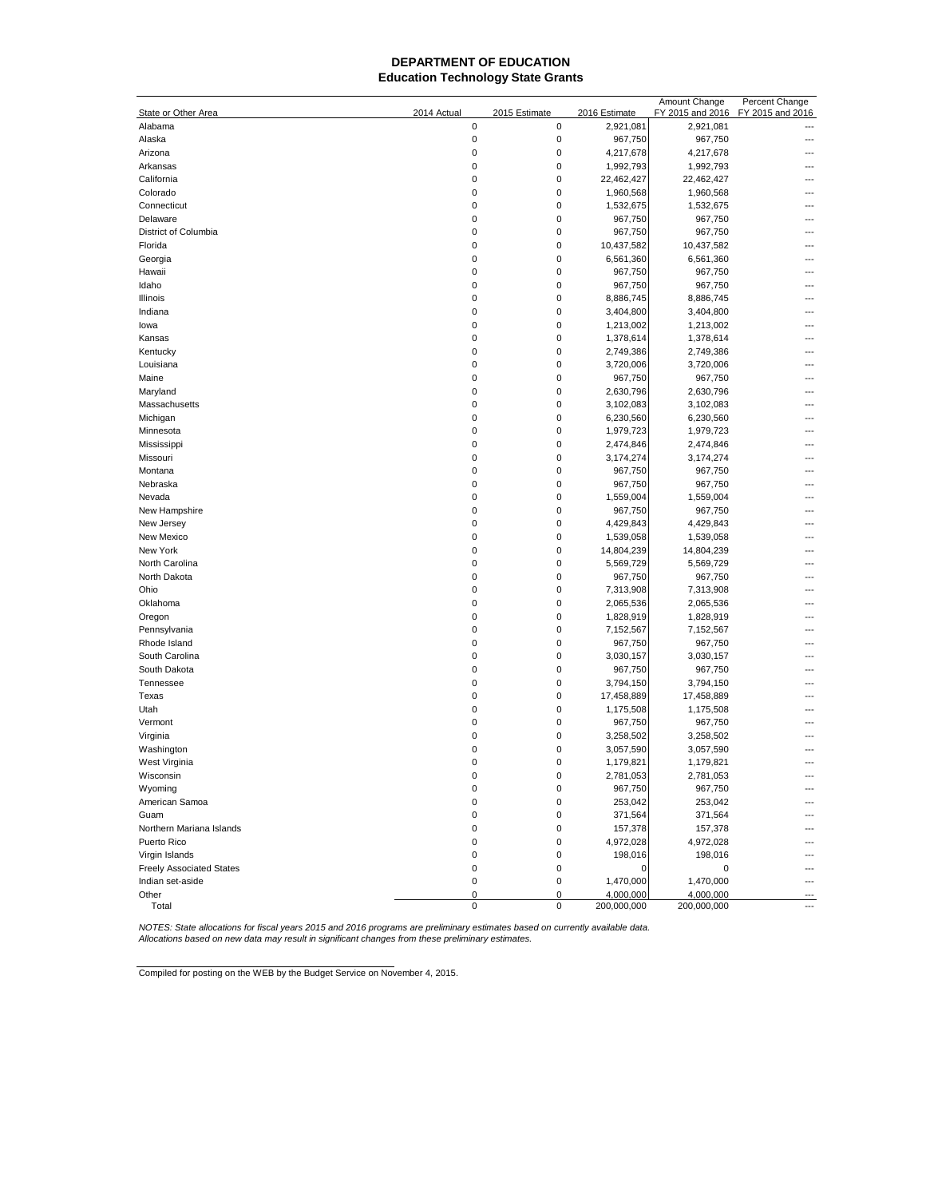# **Education Technology State Grants DEPARTMENT OF EDUCATION**

|                                 |                  |                            |                       | Amount Change         | Percent Change   |
|---------------------------------|------------------|----------------------------|-----------------------|-----------------------|------------------|
| State or Other Area<br>Alabama  | 2014 Actual<br>0 | 2015 Estimate<br>$\pmb{0}$ | 2016 Estimate         | FY 2015 and 2016      | FY 2015 and 2016 |
| Alaska                          | 0                | 0                          | 2,921,081<br>967,750  | 2,921,081<br>967,750  |                  |
| Arizona                         | 0                | 0                          |                       |                       |                  |
|                                 | 0                | 0                          | 4,217,678             | 4,217,678             |                  |
| Arkansas<br>California          | 0                | 0                          | 1,992,793             | 1,992,793             |                  |
| Colorado                        | 0                | $\pmb{0}$                  | 22,462,427            | 22,462,427            |                  |
| Connecticut                     | 0                | 0                          | 1,960,568             | 1,960,568             |                  |
| Delaware                        | 0                | 0                          | 1,532,675<br>967,750  | 1,532,675<br>967,750  |                  |
| District of Columbia            | 0                | 0                          |                       |                       |                  |
| Florida                         | 0                | 0                          | 967,750<br>10,437,582 | 967,750<br>10,437,582 |                  |
| Georgia                         | 0                | 0                          | 6,561,360             | 6,561,360             |                  |
| Hawaii                          | 0                | 0                          | 967,750               | 967,750               |                  |
| Idaho                           | 0                | 0                          | 967,750               | 967,750               |                  |
| Illinois                        | 0                | 0                          | 8,886,745             | 8,886,745             |                  |
| Indiana                         | 0                | 0                          | 3,404,800             | 3,404,800             |                  |
| lowa                            | 0                | 0                          | 1,213,002             | 1,213,002             |                  |
| Kansas                          | 0                | $\pmb{0}$                  | 1,378,614             | 1,378,614             |                  |
| Kentucky                        | 0                | 0                          | 2,749,386             | 2,749,386             |                  |
| Louisiana                       | 0                | 0                          | 3,720,006             | 3,720,006             |                  |
| Maine                           | 0                | 0                          | 967,750               | 967,750               |                  |
| Maryland                        | 0                | 0                          | 2,630,796             | 2,630,796             |                  |
| Massachusetts                   | 0                | 0                          | 3,102,083             | 3,102,083             | ---              |
| Michigan                        | 0                | 0                          | 6,230,560             | 6,230,560             |                  |
| Minnesota                       | 0                | 0                          | 1,979,723             | 1,979,723             |                  |
| Mississippi                     | 0                | 0                          | 2,474,846             | 2,474,846             |                  |
| Missouri                        | 0                | 0                          | 3,174,274             | 3,174,274             |                  |
| Montana                         | 0                | 0                          | 967,750               | 967,750               |                  |
| Nebraska                        | 0                | 0                          | 967,750               | 967,750               |                  |
| Nevada                          | 0                | 0                          | 1,559,004             | 1,559,004             |                  |
| New Hampshire                   | 0                | 0                          | 967,750               | 967,750               |                  |
| New Jersey                      | 0                | 0                          | 4,429,843             | 4,429,843             |                  |
| New Mexico                      | 0                | 0                          | 1,539,058             | 1,539,058             |                  |
| New York                        | 0                | 0                          | 14,804,239            | 14,804,239            |                  |
| North Carolina                  | 0                | 0                          | 5,569,729             | 5,569,729             |                  |
| North Dakota                    | 0                | 0                          | 967,750               | 967,750               |                  |
| Ohio                            | 0                | 0                          | 7,313,908             | 7,313,908             |                  |
| Oklahoma                        | 0                | 0                          | 2,065,536             | 2,065,536             |                  |
| Oregon                          | 0                | 0                          | 1,828,919             | 1,828,919             |                  |
| Pennsylvania                    | 0                | 0                          | 7,152,567             | 7,152,567             |                  |
| Rhode Island                    | 0                | 0                          | 967,750               | 967,750               |                  |
| South Carolina                  | 0                | 0                          | 3,030,157             | 3,030,157             |                  |
| South Dakota                    | 0                | 0                          | 967,750               | 967,750               |                  |
| Tennessee                       | 0                | 0                          | 3,794,150             | 3,794,150             |                  |
| Texas                           | 0                | 0                          | 17,458,889            | 17,458,889            |                  |
| Utah                            | 0                | 0                          | 1,175,508             | 1,175,508             |                  |
| Vermont                         | 0                | 0                          | 967,750               | 967,750               |                  |
| Virginia                        | 0                | 0                          | 3,258,502             | 3,258,502             |                  |
| Washington                      | 0                | 0                          | 3,057,590             | 3,057,590             |                  |
| West Virginia                   | 0                | 0                          | 1,179,821             | 1,179,821             |                  |
| Wisconsın                       | 0                |                            | 2,781,053             | 2,781,053             |                  |
| Wyoming                         | 0                | $\pmb{0}$                  | 967,750               | 967,750               |                  |
| American Samoa                  | 0                | 0                          | 253,042               | 253,042               |                  |
| Guam                            | 0                | 0                          | 371,564               | 371,564               |                  |
| Northern Mariana Islands        | 0                | $\pmb{0}$                  | 157,378               | 157,378               |                  |
| Puerto Rico                     | 0                | 0                          | 4,972,028             | 4,972,028             |                  |
| Virgin Islands                  | 0                | 0                          | 198,016               | 198,016               |                  |
| <b>Freely Associated States</b> | 0                | 0                          | 0                     | 0                     |                  |
| Indian set-aside                | 0                | $\pmb{0}$                  | 1,470,000             | 1,470,000             | ---              |
| Other                           | 0                | 0                          | 4,000,000             | 4,000,000             | $---$            |
| Total                           | $\pmb{0}$        | $\pmb{0}$                  | 200,000,000           | 200,000,000           | ---              |

NOTES: State allocations for fiscal years 2015 and 2016 programs are preliminary estimates based on currently available data.<br>Allocations based on new data may result in significant changes from these preliminary estimates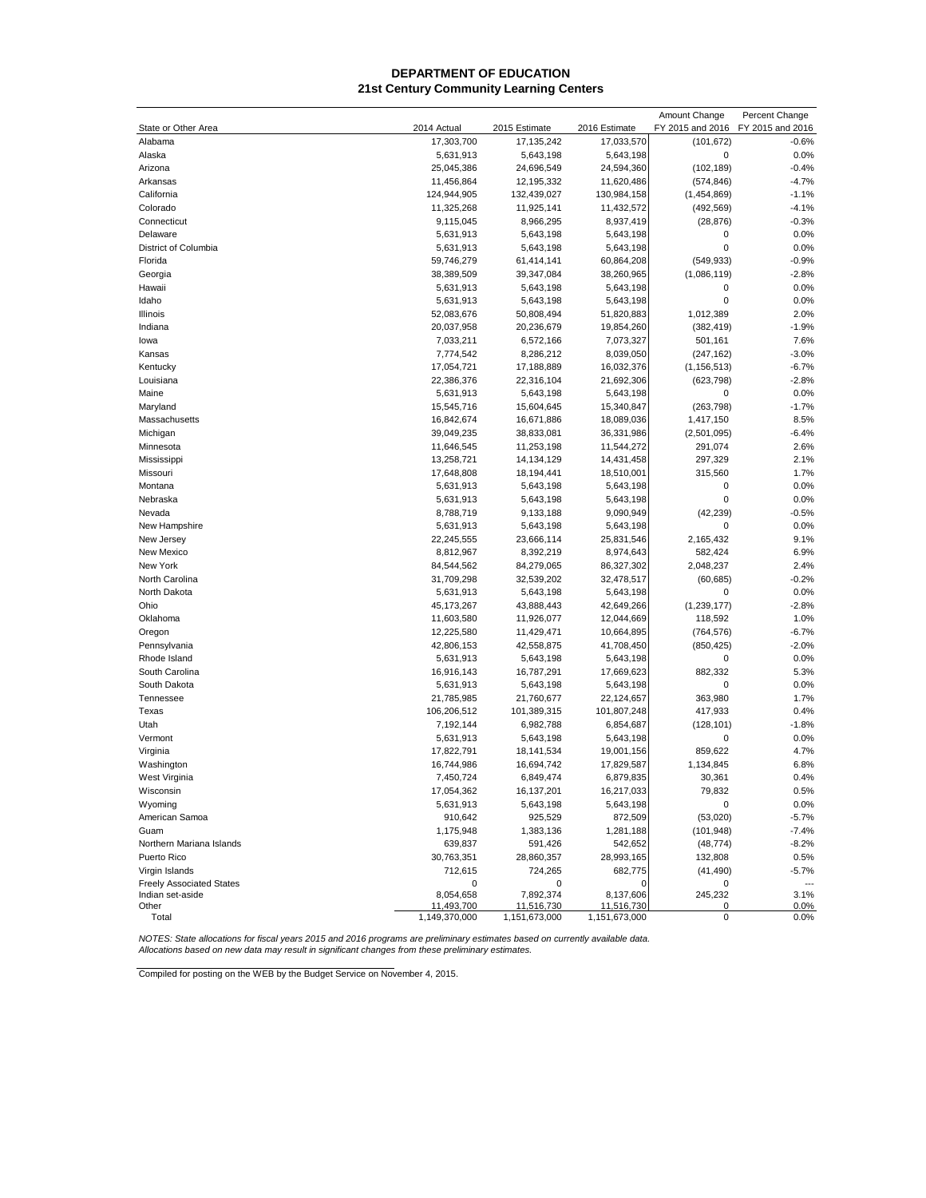## **DEPARTMENT OF EDUCATION 21st Century Community Learning Centers**

|                                 |                         |                         |                        | Amount Change      | Percent Change   |
|---------------------------------|-------------------------|-------------------------|------------------------|--------------------|------------------|
| State or Other Area             | 2014 Actual             | 2015 Estimate           | 2016 Estimate          | FY 2015 and 2016   | FY 2015 and 2016 |
| Alabama                         | 17,303,700              | 17, 135, 242            | 17,033,570             | (101, 672)         | $-0.6%$          |
| Alaska                          | 5,631,913               | 5,643,198               | 5,643,198              | $\mathbf 0$        | 0.0%             |
| Arizona                         | 25,045,386              | 24,696,549              | 24,594,360             | (102, 189)         | $-0.4%$          |
| Arkansas                        | 11,456,864              | 12,195,332              | 11,620,486             | (574, 846)         | $-4.7%$          |
| California                      | 124,944,905             | 132,439,027             | 130,984,158            | (1,454,869)        | $-1.1%$          |
| Colorado                        | 11,325,268              | 11,925,141              | 11,432,572             | (492, 569)         | $-4.1%$          |
| Connecticut                     | 9,115,045               | 8,966,295               | 8,937,419              | (28, 876)          | $-0.3%$          |
| Delaware                        | 5,631,913               | 5,643,198               | 5,643,198              | 0                  | 0.0%             |
| District of Columbia            | 5,631,913               | 5,643,198               | 5,643,198              | $\mathbf 0$        | 0.0%             |
| Florida                         | 59,746,279              | 61,414,141              | 60,864,208             | (549, 933)         | $-0.9%$          |
| Georgia                         | 38,389,509              | 39,347,084              | 38,260,965             | (1,086,119)        | $-2.8%$          |
| Hawaii                          | 5,631,913               | 5,643,198               | 5,643,198              | 0                  | 0.0%             |
| Idaho                           | 5,631,913               | 5,643,198               | 5,643,198              | $\mathbf 0$        | 0.0%             |
| Illinois                        | 52,083,676              | 50,808,494              | 51,820,883             | 1,012,389          | 2.0%             |
| Indiana                         | 20,037,958              | 20,236,679              | 19,854,260             | (382, 419)         | $-1.9%$          |
| lowa                            | 7,033,211               | 6,572,166               | 7,073,327              | 501,161            | 7.6%             |
| Kansas                          | 7,774,542               | 8,286,212               | 8,039,050              | (247, 162)         | $-3.0%$          |
| Kentucky                        | 17,054,721              | 17,188,889              | 16,032,376             | (1, 156, 513)      | $-6.7%$          |
| Louisiana                       | 22,386,376              | 22,316,104              | 21,692,306             | (623, 798)         | $-2.8%$          |
| Maine                           | 5,631,913               | 5,643,198               | 5,643,198              | 0                  | 0.0%             |
| Maryland                        | 15,545,716              | 15,604,645              | 15,340,847             | (263, 798)         | $-1.7%$          |
| Massachusetts                   | 16,842,674              | 16,671,886              | 18,089,036             | 1,417,150          | 8.5%             |
| Michigan                        | 39,049,235              | 38,833,081              | 36,331,986             | (2,501,095)        | $-6.4%$          |
| Minnesota                       | 11,646,545              | 11,253,198              | 11,544,272             | 291,074            | 2.6%             |
| Mississippi                     | 13,258,721              | 14,134,129              | 14,431,458             |                    | 2.1%             |
| Missouri                        |                         |                         |                        | 297,329<br>315,560 | 1.7%             |
| Montana                         | 17,648,808<br>5,631,913 | 18,194,441<br>5,643,198 | 18,510,001             | 0                  | 0.0%             |
|                                 |                         |                         | 5,643,198              | $\mathbf 0$        | 0.0%             |
| Nebraska<br>Nevada              | 5,631,913               | 5,643,198               | 5,643,198<br>9,090,949 | (42, 239)          | $-0.5%$          |
|                                 | 8,788,719               | 9,133,188               |                        |                    |                  |
| New Hampshire                   | 5,631,913               | 5,643,198               | 5,643,198              | $\mathbf 0$        | 0.0%             |
| New Jersey                      | 22,245,555              | 23,666,114              | 25,831,546             | 2,165,432          | 9.1%             |
| New Mexico                      | 8,812,967               | 8,392,219               | 8,974,643              | 582,424            | 6.9%             |
| New York                        | 84,544,562              | 84,279,065              | 86,327,302             | 2,048,237          | 2.4%             |
| North Carolina                  | 31,709,298              | 32,539,202              | 32,478,517             | (60, 685)          | $-0.2%$          |
| North Dakota                    | 5,631,913               | 5,643,198               | 5,643,198              | 0                  | 0.0%             |
| Ohio                            | 45,173,267              | 43,888,443              | 42,649,266             | (1, 239, 177)      | $-2.8%$          |
| Oklahoma                        | 11,603,580              | 11,926,077              | 12,044,669             | 118,592            | 1.0%             |
| Oregon                          | 12,225,580              | 11,429,471              | 10,664,895             | (764, 576)         | $-6.7%$          |
| Pennsylvania                    | 42,806,153              | 42,558,875              | 41,708,450             | (850, 425)         | $-2.0%$          |
| Rhode Island                    | 5,631,913               | 5,643,198               | 5,643,198              | 0                  | 0.0%             |
| South Carolina                  | 16,916,143              | 16,787,291              | 17,669,623             | 882,332            | 5.3%             |
| South Dakota                    | 5,631,913               | 5,643,198               | 5,643,198              | 0                  | 0.0%             |
| Tennessee                       | 21,785,985              | 21,760,677              | 22,124,657             | 363,980            | 1.7%             |
| Texas                           | 106,206,512             | 101,389,315             | 101,807,248            | 417,933            | 0.4%             |
| Utah                            | 7,192,144               | 6,982,788               | 6,854,687              | (128, 101)         | $-1.8%$          |
| Vermont                         | 5,631,913               | 5,643,198               | 5,643,198              | 0                  | 0.0%             |
| Virginia                        | 17,822,791              | 18,141,534              | 19,001,156             | 859,622            | 4.7%             |
| Washington                      | 16,744,986              | 16,694,742              | 17,829,587             | 1,134,845          | 6.8%             |
| West Virginia                   | 7,450,724               | 6,849,474               | 6,879,835              | 30,361             | 0.4%             |
| Wisconsin                       | 17,054,362              | 16,137,201              | 16,217,033             | 79,832             | 0.5%             |
| Wyoming                         | 5,631,913               | 5,643,198               | 5,643,198              | 0                  | 0.0%             |
| American Samoa                  | 910,642                 | 925,529                 | 872,509                | (53,020)           | $-5.7%$          |
| Guam                            | 1,175,948               | 1,383,136               | 1,281,188              | (101, 948)         | $-7.4%$          |
| Northern Mariana Islands        | 639,837                 | 591,426                 | 542,652                | (48, 774)          | $-8.2%$          |
| Puerto Rico                     | 30,763,351              | 28,860,357              | 28,993,165             | 132,808            | 0.5%             |
| Virgin Islands                  | 712,615                 | 724,265                 | 682,775                | (41, 490)          | $-5.7%$          |
| <b>Freely Associated States</b> | 0                       | 0                       | 0                      | 0                  | $\overline{a}$   |
| Indian set-aside                | 8,054,658               | 7,892,374               | 8,137,606              | 245,232            | 3.1%             |
| Other                           | 11,493,700              | 11,516,730              | 11,516,730             | 0                  | 0.0%             |
| Total                           | 1,149,370,000           | 1,151,673,000           | 1,151,673,000          | 0                  | 0.0%             |

NOTES: State allocations for fiscal years 2015 and 2016 programs are preliminary estimates based on currently available data.<br>Allocations based on new data may result in significant changes from these preliminary estimates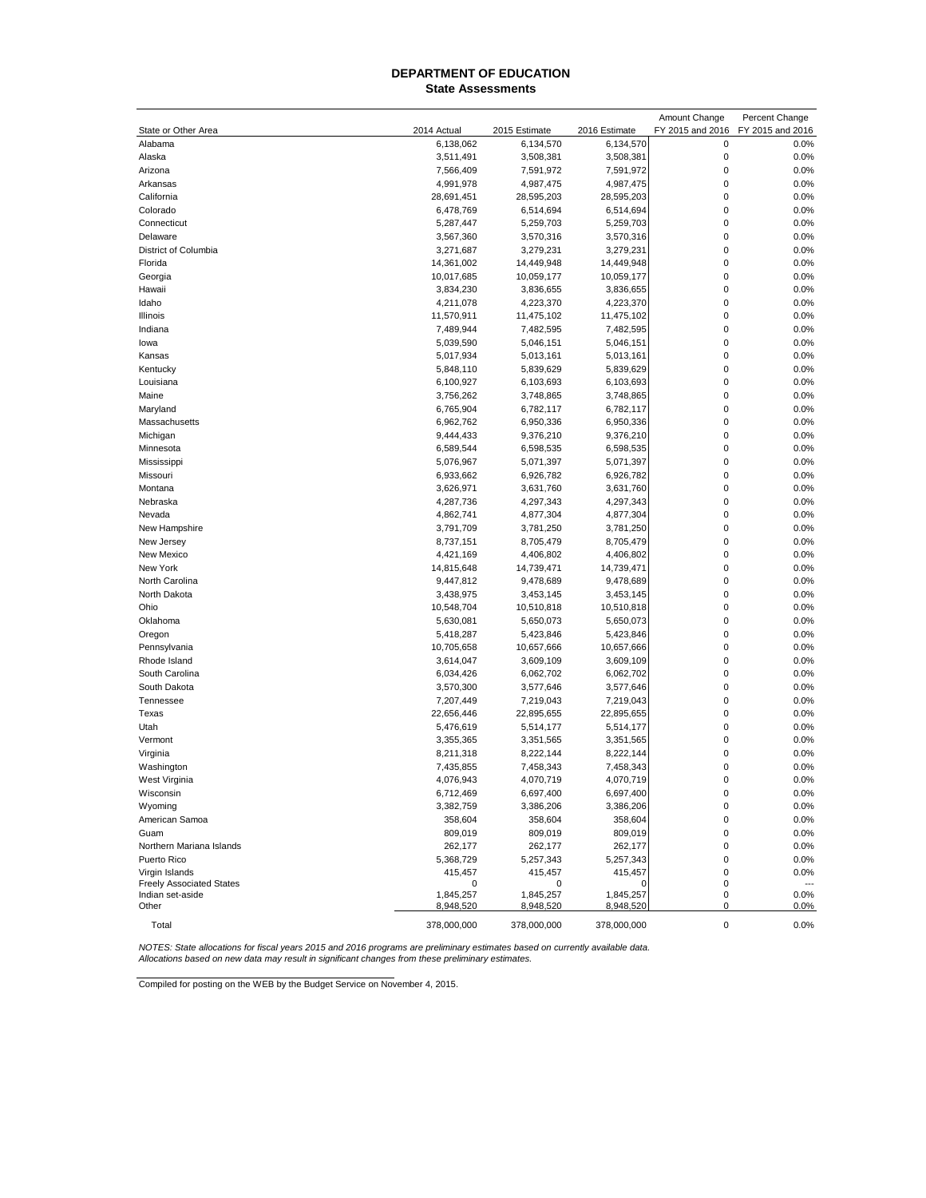#### **State Assessments DEPARTMENT OF EDUCATION**

| State or Other Area<br>2014 Actual<br>2015 Estimate<br>2016 Estimate<br>FY 2015 and 2016<br>FY 2015 and 2016<br>Alabama<br>6,138,062<br>6,134,570<br>6,134,570<br>0<br>0.0%<br>$\mathbf 0$<br>0.0%<br>Alaska<br>3,508,381<br>3,508,381<br>3,511,491<br>$\pmb{0}$<br>0.0%<br>Arizona<br>7,566,409<br>7,591,972<br>7,591,972<br>$\mathbf 0$<br>0.0%<br>Arkansas<br>4,991,978<br>4,987,475<br>4,987,475<br>$\mathbf 0$<br>0.0%<br>California<br>28,691,451<br>28,595,203<br>28,595,203<br>$\mathbf 0$<br>0.0%<br>Colorado<br>6,478,769<br>6,514,694<br>6,514,694<br>$\mathbf 0$<br>0.0%<br>Connecticut<br>5,287,447<br>5,259,703<br>5,259,703<br>$\mathbf 0$<br>0.0%<br>3,570,316<br>3,570,316<br>Delaware<br>3,567,360<br>$\mathbf 0$<br>0.0%<br>District of Columbia<br>3,271,687<br>3,279,231<br>3,279,231<br>$\mathbf 0$<br>0.0%<br>Florida<br>14,361,002<br>14,449,948<br>14,449,948<br>$\mathbf 0$<br>0.0%<br>Georgia<br>10,017,685<br>10,059,177<br>10,059,177<br>$\mathbf 0$<br>0.0%<br>Hawaii<br>3,834,230<br>3,836,655<br>3,836,655<br>$\mathbf 0$<br>0.0%<br>Idaho<br>4,211,078<br>4,223,370<br>4,223,370<br>$\mathbf 0$<br>0.0%<br>Illinois<br>11,570,911<br>11,475,102<br>11,475,102<br>$\mathbf 0$<br>0.0%<br>7,489,944<br>7,482,595<br>7,482,595<br>Indiana<br>$\mathbf 0$<br>0.0%<br>5,039,590<br>5,046,151<br>5,046,151<br>lowa<br>$\mathbf 0$<br>0.0%<br>5,017,934<br>5,013,161<br>5,013,161<br>Kansas<br>$\mathbf 0$<br>0.0%<br>Kentucky<br>5,848,110<br>5,839,629<br>5,839,629<br>$\mathbf 0$<br>0.0%<br>Louisiana<br>6,100,927<br>6,103,693<br>6,103,693<br>$\mathbf 0$<br>0.0%<br>Maine<br>3,756,262<br>3,748,865<br>3,748,865<br>$\mathbf 0$<br>0.0%<br>Maryland<br>6,765,904<br>6,782,117<br>6,782,117<br>$\mathbf 0$<br>0.0%<br>Massachusetts<br>6,962,762<br>6,950,336<br>6,950,336<br>$\mathbf 0$<br>0.0%<br>Michigan<br>9,376,210<br>9,376,210<br>9,444,433<br>$\pmb{0}$<br>0.0%<br>Minnesota<br>6,589,544<br>6,598,535<br>6,598,535<br>$\mathbf 0$<br>0.0%<br>5,076,967<br>5,071,397<br>5,071,397<br>Mississippi<br>$\mathbf 0$<br>0.0%<br>Missouri<br>6,933,662<br>6,926,782<br>6,926,782<br>$\mathbf 0$<br>0.0%<br>Montana<br>3,626,971<br>3,631,760<br>3,631,760<br>$\mathbf 0$<br>0.0%<br>Nebraska<br>4,287,736<br>4,297,343<br>4,297,343<br>$\mathbf 0$<br>0.0%<br>Nevada<br>4,862,741<br>4,877,304<br>4,877,304<br>$\mathbf 0$<br>0.0%<br>New Hampshire<br>3,791,709<br>3,781,250<br>3,781,250<br>$\mathbf 0$<br>0.0%<br>New Jersey<br>8,737,151<br>8,705,479<br>8,705,479<br>$\mathbf 0$<br>0.0%<br>New Mexico<br>4,421,169<br>4,406,802<br>4,406,802<br>$\mathbf 0$<br>New York<br>0.0%<br>14,815,648<br>14,739,471<br>14,739,471<br>$\mathbf 0$<br>0.0%<br>North Carolina<br>9,447,812<br>9,478,689<br>9,478,689<br>$\mathbf 0$<br>0.0%<br>North Dakota<br>3,438,975<br>3,453,145<br>3,453,145<br>$\mathbf 0$<br>0.0%<br>Ohio<br>10,548,704<br>10,510,818<br>10,510,818<br>$\mathbf 0$<br>0.0%<br>Oklahoma<br>5,630,081<br>5,650,073<br>5,650,073<br>$\mathbf 0$<br>0.0%<br>Oregon<br>5,418,287<br>5,423,846<br>5,423,846<br>$\mathbf 0$<br>0.0%<br>Pennsylvania<br>10,705,658<br>10,657,666<br>10,657,666<br>$\mathbf 0$<br>0.0%<br>Rhode Island<br>3,614,047<br>3,609,109<br>3,609,109<br>$\mathbf 0$<br>0.0%<br>South Carolina<br>6,062,702<br>6,062,702<br>6,034,426<br>$\mathbf 0$<br>0.0%<br>South Dakota<br>3,570,300<br>3,577,646<br>3,577,646<br>$\mathbf 0$<br>0.0%<br>Tennessee<br>7,207,449<br>7,219,043<br>7,219,043<br>$\mathbf 0$<br>0.0%<br>Texas<br>22,656,446<br>22,895,655<br>22,895,655<br>$\mathbf 0$<br>0.0%<br>Utah<br>5,476,619<br>5,514,177<br>5,514,177<br>$\mathbf 0$<br>0.0%<br>Vermont<br>3,355,365<br>3,351,565<br>3,351,565<br>$\mathbf 0$<br>0.0%<br>Virginia<br>8,211,318<br>8,222,144<br>8,222,144<br>$\mathbf 0$<br>0.0%<br>Washington<br>7,435,855<br>7,458,343<br>7,458,343<br>$\mathbf 0$<br>0.0%<br>West Virginia<br>4,076,943<br>4,070,719<br>4,070,719<br>Wisconsin<br>6,712,469<br>6,697,400<br>6,697,400<br>0<br>0.0%<br>3,386,206<br>$\pmb{0}$<br>0.0%<br>Wyoming<br>3,382,759<br>3,386,206<br>0.0%<br>American Samoa<br>358,604<br>358,604<br>358,604<br>$\mathbf 0$<br>809,019<br>809,019<br>809,019<br>$\mathbf 0$<br>0.0%<br>Guam<br>262,177<br>$\pmb{0}$<br>0.0%<br>Northern Mariana Islands<br>262,177<br>262,177<br>5,257,343<br>$\mathbf 0$<br>0.0%<br>Puerto Rico<br>5,368,729<br>5,257,343<br>415,457<br>0.0%<br>Virgin Islands<br>415,457<br>415,457<br>0<br><b>Freely Associated States</b><br>0<br>0<br>0<br>O<br>Indian set-aside<br>1,845,257<br>1,845,257<br>1,845,257<br>0<br>0.0%<br>Other<br>8,948,520<br>8,948,520<br>8,948,520<br>0<br>0.0%<br>Total<br>378,000,000<br>378,000,000<br>378,000,000<br>$\pmb{0}$<br>0.0% |  |  | Amount Change | Percent Change |
|----------------------------------------------------------------------------------------------------------------------------------------------------------------------------------------------------------------------------------------------------------------------------------------------------------------------------------------------------------------------------------------------------------------------------------------------------------------------------------------------------------------------------------------------------------------------------------------------------------------------------------------------------------------------------------------------------------------------------------------------------------------------------------------------------------------------------------------------------------------------------------------------------------------------------------------------------------------------------------------------------------------------------------------------------------------------------------------------------------------------------------------------------------------------------------------------------------------------------------------------------------------------------------------------------------------------------------------------------------------------------------------------------------------------------------------------------------------------------------------------------------------------------------------------------------------------------------------------------------------------------------------------------------------------------------------------------------------------------------------------------------------------------------------------------------------------------------------------------------------------------------------------------------------------------------------------------------------------------------------------------------------------------------------------------------------------------------------------------------------------------------------------------------------------------------------------------------------------------------------------------------------------------------------------------------------------------------------------------------------------------------------------------------------------------------------------------------------------------------------------------------------------------------------------------------------------------------------------------------------------------------------------------------------------------------------------------------------------------------------------------------------------------------------------------------------------------------------------------------------------------------------------------------------------------------------------------------------------------------------------------------------------------------------------------------------------------------------------------------------------------------------------------------------------------------------------------------------------------------------------------------------------------------------------------------------------------------------------------------------------------------------------------------------------------------------------------------------------------------------------------------------------------------------------------------------------------------------------------------------------------------------------------------------------------------------------------------------------------------------------------------------------------------------------------------------------------------------------------------------------------------------------------------------------------------------------------------------------------------------------------------------------------------------------------------------------------------------------------------------------------------------------------------------------------------------------------------------------------------------------------------------------------------------------------------------------------------------------------------------------------------------------------------------------------------------------------------------------------------------------------------------------------------------------------------------------------------------------------------------------------------------------------------------------------------------------------------------------------|--|--|---------------|----------------|
|                                                                                                                                                                                                                                                                                                                                                                                                                                                                                                                                                                                                                                                                                                                                                                                                                                                                                                                                                                                                                                                                                                                                                                                                                                                                                                                                                                                                                                                                                                                                                                                                                                                                                                                                                                                                                                                                                                                                                                                                                                                                                                                                                                                                                                                                                                                                                                                                                                                                                                                                                                                                                                                                                                                                                                                                                                                                                                                                                                                                                                                                                                                                                                                                                                                                                                                                                                                                                                                                                                                                                                                                                                                                                                                                                                                                                                                                                                                                                                                                                                                                                                                                                                                                                                                                                                                                                                                                                                                                                                                                                                                                                                                                                                                            |  |  |               |                |
|                                                                                                                                                                                                                                                                                                                                                                                                                                                                                                                                                                                                                                                                                                                                                                                                                                                                                                                                                                                                                                                                                                                                                                                                                                                                                                                                                                                                                                                                                                                                                                                                                                                                                                                                                                                                                                                                                                                                                                                                                                                                                                                                                                                                                                                                                                                                                                                                                                                                                                                                                                                                                                                                                                                                                                                                                                                                                                                                                                                                                                                                                                                                                                                                                                                                                                                                                                                                                                                                                                                                                                                                                                                                                                                                                                                                                                                                                                                                                                                                                                                                                                                                                                                                                                                                                                                                                                                                                                                                                                                                                                                                                                                                                                                            |  |  |               |                |
|                                                                                                                                                                                                                                                                                                                                                                                                                                                                                                                                                                                                                                                                                                                                                                                                                                                                                                                                                                                                                                                                                                                                                                                                                                                                                                                                                                                                                                                                                                                                                                                                                                                                                                                                                                                                                                                                                                                                                                                                                                                                                                                                                                                                                                                                                                                                                                                                                                                                                                                                                                                                                                                                                                                                                                                                                                                                                                                                                                                                                                                                                                                                                                                                                                                                                                                                                                                                                                                                                                                                                                                                                                                                                                                                                                                                                                                                                                                                                                                                                                                                                                                                                                                                                                                                                                                                                                                                                                                                                                                                                                                                                                                                                                                            |  |  |               |                |
|                                                                                                                                                                                                                                                                                                                                                                                                                                                                                                                                                                                                                                                                                                                                                                                                                                                                                                                                                                                                                                                                                                                                                                                                                                                                                                                                                                                                                                                                                                                                                                                                                                                                                                                                                                                                                                                                                                                                                                                                                                                                                                                                                                                                                                                                                                                                                                                                                                                                                                                                                                                                                                                                                                                                                                                                                                                                                                                                                                                                                                                                                                                                                                                                                                                                                                                                                                                                                                                                                                                                                                                                                                                                                                                                                                                                                                                                                                                                                                                                                                                                                                                                                                                                                                                                                                                                                                                                                                                                                                                                                                                                                                                                                                                            |  |  |               |                |
|                                                                                                                                                                                                                                                                                                                                                                                                                                                                                                                                                                                                                                                                                                                                                                                                                                                                                                                                                                                                                                                                                                                                                                                                                                                                                                                                                                                                                                                                                                                                                                                                                                                                                                                                                                                                                                                                                                                                                                                                                                                                                                                                                                                                                                                                                                                                                                                                                                                                                                                                                                                                                                                                                                                                                                                                                                                                                                                                                                                                                                                                                                                                                                                                                                                                                                                                                                                                                                                                                                                                                                                                                                                                                                                                                                                                                                                                                                                                                                                                                                                                                                                                                                                                                                                                                                                                                                                                                                                                                                                                                                                                                                                                                                                            |  |  |               |                |
|                                                                                                                                                                                                                                                                                                                                                                                                                                                                                                                                                                                                                                                                                                                                                                                                                                                                                                                                                                                                                                                                                                                                                                                                                                                                                                                                                                                                                                                                                                                                                                                                                                                                                                                                                                                                                                                                                                                                                                                                                                                                                                                                                                                                                                                                                                                                                                                                                                                                                                                                                                                                                                                                                                                                                                                                                                                                                                                                                                                                                                                                                                                                                                                                                                                                                                                                                                                                                                                                                                                                                                                                                                                                                                                                                                                                                                                                                                                                                                                                                                                                                                                                                                                                                                                                                                                                                                                                                                                                                                                                                                                                                                                                                                                            |  |  |               |                |
|                                                                                                                                                                                                                                                                                                                                                                                                                                                                                                                                                                                                                                                                                                                                                                                                                                                                                                                                                                                                                                                                                                                                                                                                                                                                                                                                                                                                                                                                                                                                                                                                                                                                                                                                                                                                                                                                                                                                                                                                                                                                                                                                                                                                                                                                                                                                                                                                                                                                                                                                                                                                                                                                                                                                                                                                                                                                                                                                                                                                                                                                                                                                                                                                                                                                                                                                                                                                                                                                                                                                                                                                                                                                                                                                                                                                                                                                                                                                                                                                                                                                                                                                                                                                                                                                                                                                                                                                                                                                                                                                                                                                                                                                                                                            |  |  |               |                |
|                                                                                                                                                                                                                                                                                                                                                                                                                                                                                                                                                                                                                                                                                                                                                                                                                                                                                                                                                                                                                                                                                                                                                                                                                                                                                                                                                                                                                                                                                                                                                                                                                                                                                                                                                                                                                                                                                                                                                                                                                                                                                                                                                                                                                                                                                                                                                                                                                                                                                                                                                                                                                                                                                                                                                                                                                                                                                                                                                                                                                                                                                                                                                                                                                                                                                                                                                                                                                                                                                                                                                                                                                                                                                                                                                                                                                                                                                                                                                                                                                                                                                                                                                                                                                                                                                                                                                                                                                                                                                                                                                                                                                                                                                                                            |  |  |               |                |
|                                                                                                                                                                                                                                                                                                                                                                                                                                                                                                                                                                                                                                                                                                                                                                                                                                                                                                                                                                                                                                                                                                                                                                                                                                                                                                                                                                                                                                                                                                                                                                                                                                                                                                                                                                                                                                                                                                                                                                                                                                                                                                                                                                                                                                                                                                                                                                                                                                                                                                                                                                                                                                                                                                                                                                                                                                                                                                                                                                                                                                                                                                                                                                                                                                                                                                                                                                                                                                                                                                                                                                                                                                                                                                                                                                                                                                                                                                                                                                                                                                                                                                                                                                                                                                                                                                                                                                                                                                                                                                                                                                                                                                                                                                                            |  |  |               |                |
|                                                                                                                                                                                                                                                                                                                                                                                                                                                                                                                                                                                                                                                                                                                                                                                                                                                                                                                                                                                                                                                                                                                                                                                                                                                                                                                                                                                                                                                                                                                                                                                                                                                                                                                                                                                                                                                                                                                                                                                                                                                                                                                                                                                                                                                                                                                                                                                                                                                                                                                                                                                                                                                                                                                                                                                                                                                                                                                                                                                                                                                                                                                                                                                                                                                                                                                                                                                                                                                                                                                                                                                                                                                                                                                                                                                                                                                                                                                                                                                                                                                                                                                                                                                                                                                                                                                                                                                                                                                                                                                                                                                                                                                                                                                            |  |  |               |                |
|                                                                                                                                                                                                                                                                                                                                                                                                                                                                                                                                                                                                                                                                                                                                                                                                                                                                                                                                                                                                                                                                                                                                                                                                                                                                                                                                                                                                                                                                                                                                                                                                                                                                                                                                                                                                                                                                                                                                                                                                                                                                                                                                                                                                                                                                                                                                                                                                                                                                                                                                                                                                                                                                                                                                                                                                                                                                                                                                                                                                                                                                                                                                                                                                                                                                                                                                                                                                                                                                                                                                                                                                                                                                                                                                                                                                                                                                                                                                                                                                                                                                                                                                                                                                                                                                                                                                                                                                                                                                                                                                                                                                                                                                                                                            |  |  |               |                |
|                                                                                                                                                                                                                                                                                                                                                                                                                                                                                                                                                                                                                                                                                                                                                                                                                                                                                                                                                                                                                                                                                                                                                                                                                                                                                                                                                                                                                                                                                                                                                                                                                                                                                                                                                                                                                                                                                                                                                                                                                                                                                                                                                                                                                                                                                                                                                                                                                                                                                                                                                                                                                                                                                                                                                                                                                                                                                                                                                                                                                                                                                                                                                                                                                                                                                                                                                                                                                                                                                                                                                                                                                                                                                                                                                                                                                                                                                                                                                                                                                                                                                                                                                                                                                                                                                                                                                                                                                                                                                                                                                                                                                                                                                                                            |  |  |               |                |
|                                                                                                                                                                                                                                                                                                                                                                                                                                                                                                                                                                                                                                                                                                                                                                                                                                                                                                                                                                                                                                                                                                                                                                                                                                                                                                                                                                                                                                                                                                                                                                                                                                                                                                                                                                                                                                                                                                                                                                                                                                                                                                                                                                                                                                                                                                                                                                                                                                                                                                                                                                                                                                                                                                                                                                                                                                                                                                                                                                                                                                                                                                                                                                                                                                                                                                                                                                                                                                                                                                                                                                                                                                                                                                                                                                                                                                                                                                                                                                                                                                                                                                                                                                                                                                                                                                                                                                                                                                                                                                                                                                                                                                                                                                                            |  |  |               |                |
|                                                                                                                                                                                                                                                                                                                                                                                                                                                                                                                                                                                                                                                                                                                                                                                                                                                                                                                                                                                                                                                                                                                                                                                                                                                                                                                                                                                                                                                                                                                                                                                                                                                                                                                                                                                                                                                                                                                                                                                                                                                                                                                                                                                                                                                                                                                                                                                                                                                                                                                                                                                                                                                                                                                                                                                                                                                                                                                                                                                                                                                                                                                                                                                                                                                                                                                                                                                                                                                                                                                                                                                                                                                                                                                                                                                                                                                                                                                                                                                                                                                                                                                                                                                                                                                                                                                                                                                                                                                                                                                                                                                                                                                                                                                            |  |  |               |                |
|                                                                                                                                                                                                                                                                                                                                                                                                                                                                                                                                                                                                                                                                                                                                                                                                                                                                                                                                                                                                                                                                                                                                                                                                                                                                                                                                                                                                                                                                                                                                                                                                                                                                                                                                                                                                                                                                                                                                                                                                                                                                                                                                                                                                                                                                                                                                                                                                                                                                                                                                                                                                                                                                                                                                                                                                                                                                                                                                                                                                                                                                                                                                                                                                                                                                                                                                                                                                                                                                                                                                                                                                                                                                                                                                                                                                                                                                                                                                                                                                                                                                                                                                                                                                                                                                                                                                                                                                                                                                                                                                                                                                                                                                                                                            |  |  |               |                |
|                                                                                                                                                                                                                                                                                                                                                                                                                                                                                                                                                                                                                                                                                                                                                                                                                                                                                                                                                                                                                                                                                                                                                                                                                                                                                                                                                                                                                                                                                                                                                                                                                                                                                                                                                                                                                                                                                                                                                                                                                                                                                                                                                                                                                                                                                                                                                                                                                                                                                                                                                                                                                                                                                                                                                                                                                                                                                                                                                                                                                                                                                                                                                                                                                                                                                                                                                                                                                                                                                                                                                                                                                                                                                                                                                                                                                                                                                                                                                                                                                                                                                                                                                                                                                                                                                                                                                                                                                                                                                                                                                                                                                                                                                                                            |  |  |               |                |
|                                                                                                                                                                                                                                                                                                                                                                                                                                                                                                                                                                                                                                                                                                                                                                                                                                                                                                                                                                                                                                                                                                                                                                                                                                                                                                                                                                                                                                                                                                                                                                                                                                                                                                                                                                                                                                                                                                                                                                                                                                                                                                                                                                                                                                                                                                                                                                                                                                                                                                                                                                                                                                                                                                                                                                                                                                                                                                                                                                                                                                                                                                                                                                                                                                                                                                                                                                                                                                                                                                                                                                                                                                                                                                                                                                                                                                                                                                                                                                                                                                                                                                                                                                                                                                                                                                                                                                                                                                                                                                                                                                                                                                                                                                                            |  |  |               |                |
|                                                                                                                                                                                                                                                                                                                                                                                                                                                                                                                                                                                                                                                                                                                                                                                                                                                                                                                                                                                                                                                                                                                                                                                                                                                                                                                                                                                                                                                                                                                                                                                                                                                                                                                                                                                                                                                                                                                                                                                                                                                                                                                                                                                                                                                                                                                                                                                                                                                                                                                                                                                                                                                                                                                                                                                                                                                                                                                                                                                                                                                                                                                                                                                                                                                                                                                                                                                                                                                                                                                                                                                                                                                                                                                                                                                                                                                                                                                                                                                                                                                                                                                                                                                                                                                                                                                                                                                                                                                                                                                                                                                                                                                                                                                            |  |  |               |                |
|                                                                                                                                                                                                                                                                                                                                                                                                                                                                                                                                                                                                                                                                                                                                                                                                                                                                                                                                                                                                                                                                                                                                                                                                                                                                                                                                                                                                                                                                                                                                                                                                                                                                                                                                                                                                                                                                                                                                                                                                                                                                                                                                                                                                                                                                                                                                                                                                                                                                                                                                                                                                                                                                                                                                                                                                                                                                                                                                                                                                                                                                                                                                                                                                                                                                                                                                                                                                                                                                                                                                                                                                                                                                                                                                                                                                                                                                                                                                                                                                                                                                                                                                                                                                                                                                                                                                                                                                                                                                                                                                                                                                                                                                                                                            |  |  |               |                |
|                                                                                                                                                                                                                                                                                                                                                                                                                                                                                                                                                                                                                                                                                                                                                                                                                                                                                                                                                                                                                                                                                                                                                                                                                                                                                                                                                                                                                                                                                                                                                                                                                                                                                                                                                                                                                                                                                                                                                                                                                                                                                                                                                                                                                                                                                                                                                                                                                                                                                                                                                                                                                                                                                                                                                                                                                                                                                                                                                                                                                                                                                                                                                                                                                                                                                                                                                                                                                                                                                                                                                                                                                                                                                                                                                                                                                                                                                                                                                                                                                                                                                                                                                                                                                                                                                                                                                                                                                                                                                                                                                                                                                                                                                                                            |  |  |               |                |
|                                                                                                                                                                                                                                                                                                                                                                                                                                                                                                                                                                                                                                                                                                                                                                                                                                                                                                                                                                                                                                                                                                                                                                                                                                                                                                                                                                                                                                                                                                                                                                                                                                                                                                                                                                                                                                                                                                                                                                                                                                                                                                                                                                                                                                                                                                                                                                                                                                                                                                                                                                                                                                                                                                                                                                                                                                                                                                                                                                                                                                                                                                                                                                                                                                                                                                                                                                                                                                                                                                                                                                                                                                                                                                                                                                                                                                                                                                                                                                                                                                                                                                                                                                                                                                                                                                                                                                                                                                                                                                                                                                                                                                                                                                                            |  |  |               |                |
|                                                                                                                                                                                                                                                                                                                                                                                                                                                                                                                                                                                                                                                                                                                                                                                                                                                                                                                                                                                                                                                                                                                                                                                                                                                                                                                                                                                                                                                                                                                                                                                                                                                                                                                                                                                                                                                                                                                                                                                                                                                                                                                                                                                                                                                                                                                                                                                                                                                                                                                                                                                                                                                                                                                                                                                                                                                                                                                                                                                                                                                                                                                                                                                                                                                                                                                                                                                                                                                                                                                                                                                                                                                                                                                                                                                                                                                                                                                                                                                                                                                                                                                                                                                                                                                                                                                                                                                                                                                                                                                                                                                                                                                                                                                            |  |  |               |                |
|                                                                                                                                                                                                                                                                                                                                                                                                                                                                                                                                                                                                                                                                                                                                                                                                                                                                                                                                                                                                                                                                                                                                                                                                                                                                                                                                                                                                                                                                                                                                                                                                                                                                                                                                                                                                                                                                                                                                                                                                                                                                                                                                                                                                                                                                                                                                                                                                                                                                                                                                                                                                                                                                                                                                                                                                                                                                                                                                                                                                                                                                                                                                                                                                                                                                                                                                                                                                                                                                                                                                                                                                                                                                                                                                                                                                                                                                                                                                                                                                                                                                                                                                                                                                                                                                                                                                                                                                                                                                                                                                                                                                                                                                                                                            |  |  |               |                |
|                                                                                                                                                                                                                                                                                                                                                                                                                                                                                                                                                                                                                                                                                                                                                                                                                                                                                                                                                                                                                                                                                                                                                                                                                                                                                                                                                                                                                                                                                                                                                                                                                                                                                                                                                                                                                                                                                                                                                                                                                                                                                                                                                                                                                                                                                                                                                                                                                                                                                                                                                                                                                                                                                                                                                                                                                                                                                                                                                                                                                                                                                                                                                                                                                                                                                                                                                                                                                                                                                                                                                                                                                                                                                                                                                                                                                                                                                                                                                                                                                                                                                                                                                                                                                                                                                                                                                                                                                                                                                                                                                                                                                                                                                                                            |  |  |               |                |
|                                                                                                                                                                                                                                                                                                                                                                                                                                                                                                                                                                                                                                                                                                                                                                                                                                                                                                                                                                                                                                                                                                                                                                                                                                                                                                                                                                                                                                                                                                                                                                                                                                                                                                                                                                                                                                                                                                                                                                                                                                                                                                                                                                                                                                                                                                                                                                                                                                                                                                                                                                                                                                                                                                                                                                                                                                                                                                                                                                                                                                                                                                                                                                                                                                                                                                                                                                                                                                                                                                                                                                                                                                                                                                                                                                                                                                                                                                                                                                                                                                                                                                                                                                                                                                                                                                                                                                                                                                                                                                                                                                                                                                                                                                                            |  |  |               |                |
|                                                                                                                                                                                                                                                                                                                                                                                                                                                                                                                                                                                                                                                                                                                                                                                                                                                                                                                                                                                                                                                                                                                                                                                                                                                                                                                                                                                                                                                                                                                                                                                                                                                                                                                                                                                                                                                                                                                                                                                                                                                                                                                                                                                                                                                                                                                                                                                                                                                                                                                                                                                                                                                                                                                                                                                                                                                                                                                                                                                                                                                                                                                                                                                                                                                                                                                                                                                                                                                                                                                                                                                                                                                                                                                                                                                                                                                                                                                                                                                                                                                                                                                                                                                                                                                                                                                                                                                                                                                                                                                                                                                                                                                                                                                            |  |  |               |                |
|                                                                                                                                                                                                                                                                                                                                                                                                                                                                                                                                                                                                                                                                                                                                                                                                                                                                                                                                                                                                                                                                                                                                                                                                                                                                                                                                                                                                                                                                                                                                                                                                                                                                                                                                                                                                                                                                                                                                                                                                                                                                                                                                                                                                                                                                                                                                                                                                                                                                                                                                                                                                                                                                                                                                                                                                                                                                                                                                                                                                                                                                                                                                                                                                                                                                                                                                                                                                                                                                                                                                                                                                                                                                                                                                                                                                                                                                                                                                                                                                                                                                                                                                                                                                                                                                                                                                                                                                                                                                                                                                                                                                                                                                                                                            |  |  |               |                |
|                                                                                                                                                                                                                                                                                                                                                                                                                                                                                                                                                                                                                                                                                                                                                                                                                                                                                                                                                                                                                                                                                                                                                                                                                                                                                                                                                                                                                                                                                                                                                                                                                                                                                                                                                                                                                                                                                                                                                                                                                                                                                                                                                                                                                                                                                                                                                                                                                                                                                                                                                                                                                                                                                                                                                                                                                                                                                                                                                                                                                                                                                                                                                                                                                                                                                                                                                                                                                                                                                                                                                                                                                                                                                                                                                                                                                                                                                                                                                                                                                                                                                                                                                                                                                                                                                                                                                                                                                                                                                                                                                                                                                                                                                                                            |  |  |               |                |
|                                                                                                                                                                                                                                                                                                                                                                                                                                                                                                                                                                                                                                                                                                                                                                                                                                                                                                                                                                                                                                                                                                                                                                                                                                                                                                                                                                                                                                                                                                                                                                                                                                                                                                                                                                                                                                                                                                                                                                                                                                                                                                                                                                                                                                                                                                                                                                                                                                                                                                                                                                                                                                                                                                                                                                                                                                                                                                                                                                                                                                                                                                                                                                                                                                                                                                                                                                                                                                                                                                                                                                                                                                                                                                                                                                                                                                                                                                                                                                                                                                                                                                                                                                                                                                                                                                                                                                                                                                                                                                                                                                                                                                                                                                                            |  |  |               |                |
|                                                                                                                                                                                                                                                                                                                                                                                                                                                                                                                                                                                                                                                                                                                                                                                                                                                                                                                                                                                                                                                                                                                                                                                                                                                                                                                                                                                                                                                                                                                                                                                                                                                                                                                                                                                                                                                                                                                                                                                                                                                                                                                                                                                                                                                                                                                                                                                                                                                                                                                                                                                                                                                                                                                                                                                                                                                                                                                                                                                                                                                                                                                                                                                                                                                                                                                                                                                                                                                                                                                                                                                                                                                                                                                                                                                                                                                                                                                                                                                                                                                                                                                                                                                                                                                                                                                                                                                                                                                                                                                                                                                                                                                                                                                            |  |  |               |                |
|                                                                                                                                                                                                                                                                                                                                                                                                                                                                                                                                                                                                                                                                                                                                                                                                                                                                                                                                                                                                                                                                                                                                                                                                                                                                                                                                                                                                                                                                                                                                                                                                                                                                                                                                                                                                                                                                                                                                                                                                                                                                                                                                                                                                                                                                                                                                                                                                                                                                                                                                                                                                                                                                                                                                                                                                                                                                                                                                                                                                                                                                                                                                                                                                                                                                                                                                                                                                                                                                                                                                                                                                                                                                                                                                                                                                                                                                                                                                                                                                                                                                                                                                                                                                                                                                                                                                                                                                                                                                                                                                                                                                                                                                                                                            |  |  |               |                |
|                                                                                                                                                                                                                                                                                                                                                                                                                                                                                                                                                                                                                                                                                                                                                                                                                                                                                                                                                                                                                                                                                                                                                                                                                                                                                                                                                                                                                                                                                                                                                                                                                                                                                                                                                                                                                                                                                                                                                                                                                                                                                                                                                                                                                                                                                                                                                                                                                                                                                                                                                                                                                                                                                                                                                                                                                                                                                                                                                                                                                                                                                                                                                                                                                                                                                                                                                                                                                                                                                                                                                                                                                                                                                                                                                                                                                                                                                                                                                                                                                                                                                                                                                                                                                                                                                                                                                                                                                                                                                                                                                                                                                                                                                                                            |  |  |               |                |
|                                                                                                                                                                                                                                                                                                                                                                                                                                                                                                                                                                                                                                                                                                                                                                                                                                                                                                                                                                                                                                                                                                                                                                                                                                                                                                                                                                                                                                                                                                                                                                                                                                                                                                                                                                                                                                                                                                                                                                                                                                                                                                                                                                                                                                                                                                                                                                                                                                                                                                                                                                                                                                                                                                                                                                                                                                                                                                                                                                                                                                                                                                                                                                                                                                                                                                                                                                                                                                                                                                                                                                                                                                                                                                                                                                                                                                                                                                                                                                                                                                                                                                                                                                                                                                                                                                                                                                                                                                                                                                                                                                                                                                                                                                                            |  |  |               |                |
|                                                                                                                                                                                                                                                                                                                                                                                                                                                                                                                                                                                                                                                                                                                                                                                                                                                                                                                                                                                                                                                                                                                                                                                                                                                                                                                                                                                                                                                                                                                                                                                                                                                                                                                                                                                                                                                                                                                                                                                                                                                                                                                                                                                                                                                                                                                                                                                                                                                                                                                                                                                                                                                                                                                                                                                                                                                                                                                                                                                                                                                                                                                                                                                                                                                                                                                                                                                                                                                                                                                                                                                                                                                                                                                                                                                                                                                                                                                                                                                                                                                                                                                                                                                                                                                                                                                                                                                                                                                                                                                                                                                                                                                                                                                            |  |  |               |                |
|                                                                                                                                                                                                                                                                                                                                                                                                                                                                                                                                                                                                                                                                                                                                                                                                                                                                                                                                                                                                                                                                                                                                                                                                                                                                                                                                                                                                                                                                                                                                                                                                                                                                                                                                                                                                                                                                                                                                                                                                                                                                                                                                                                                                                                                                                                                                                                                                                                                                                                                                                                                                                                                                                                                                                                                                                                                                                                                                                                                                                                                                                                                                                                                                                                                                                                                                                                                                                                                                                                                                                                                                                                                                                                                                                                                                                                                                                                                                                                                                                                                                                                                                                                                                                                                                                                                                                                                                                                                                                                                                                                                                                                                                                                                            |  |  |               |                |
|                                                                                                                                                                                                                                                                                                                                                                                                                                                                                                                                                                                                                                                                                                                                                                                                                                                                                                                                                                                                                                                                                                                                                                                                                                                                                                                                                                                                                                                                                                                                                                                                                                                                                                                                                                                                                                                                                                                                                                                                                                                                                                                                                                                                                                                                                                                                                                                                                                                                                                                                                                                                                                                                                                                                                                                                                                                                                                                                                                                                                                                                                                                                                                                                                                                                                                                                                                                                                                                                                                                                                                                                                                                                                                                                                                                                                                                                                                                                                                                                                                                                                                                                                                                                                                                                                                                                                                                                                                                                                                                                                                                                                                                                                                                            |  |  |               |                |
|                                                                                                                                                                                                                                                                                                                                                                                                                                                                                                                                                                                                                                                                                                                                                                                                                                                                                                                                                                                                                                                                                                                                                                                                                                                                                                                                                                                                                                                                                                                                                                                                                                                                                                                                                                                                                                                                                                                                                                                                                                                                                                                                                                                                                                                                                                                                                                                                                                                                                                                                                                                                                                                                                                                                                                                                                                                                                                                                                                                                                                                                                                                                                                                                                                                                                                                                                                                                                                                                                                                                                                                                                                                                                                                                                                                                                                                                                                                                                                                                                                                                                                                                                                                                                                                                                                                                                                                                                                                                                                                                                                                                                                                                                                                            |  |  |               |                |
|                                                                                                                                                                                                                                                                                                                                                                                                                                                                                                                                                                                                                                                                                                                                                                                                                                                                                                                                                                                                                                                                                                                                                                                                                                                                                                                                                                                                                                                                                                                                                                                                                                                                                                                                                                                                                                                                                                                                                                                                                                                                                                                                                                                                                                                                                                                                                                                                                                                                                                                                                                                                                                                                                                                                                                                                                                                                                                                                                                                                                                                                                                                                                                                                                                                                                                                                                                                                                                                                                                                                                                                                                                                                                                                                                                                                                                                                                                                                                                                                                                                                                                                                                                                                                                                                                                                                                                                                                                                                                                                                                                                                                                                                                                                            |  |  |               |                |
|                                                                                                                                                                                                                                                                                                                                                                                                                                                                                                                                                                                                                                                                                                                                                                                                                                                                                                                                                                                                                                                                                                                                                                                                                                                                                                                                                                                                                                                                                                                                                                                                                                                                                                                                                                                                                                                                                                                                                                                                                                                                                                                                                                                                                                                                                                                                                                                                                                                                                                                                                                                                                                                                                                                                                                                                                                                                                                                                                                                                                                                                                                                                                                                                                                                                                                                                                                                                                                                                                                                                                                                                                                                                                                                                                                                                                                                                                                                                                                                                                                                                                                                                                                                                                                                                                                                                                                                                                                                                                                                                                                                                                                                                                                                            |  |  |               |                |
|                                                                                                                                                                                                                                                                                                                                                                                                                                                                                                                                                                                                                                                                                                                                                                                                                                                                                                                                                                                                                                                                                                                                                                                                                                                                                                                                                                                                                                                                                                                                                                                                                                                                                                                                                                                                                                                                                                                                                                                                                                                                                                                                                                                                                                                                                                                                                                                                                                                                                                                                                                                                                                                                                                                                                                                                                                                                                                                                                                                                                                                                                                                                                                                                                                                                                                                                                                                                                                                                                                                                                                                                                                                                                                                                                                                                                                                                                                                                                                                                                                                                                                                                                                                                                                                                                                                                                                                                                                                                                                                                                                                                                                                                                                                            |  |  |               |                |
|                                                                                                                                                                                                                                                                                                                                                                                                                                                                                                                                                                                                                                                                                                                                                                                                                                                                                                                                                                                                                                                                                                                                                                                                                                                                                                                                                                                                                                                                                                                                                                                                                                                                                                                                                                                                                                                                                                                                                                                                                                                                                                                                                                                                                                                                                                                                                                                                                                                                                                                                                                                                                                                                                                                                                                                                                                                                                                                                                                                                                                                                                                                                                                                                                                                                                                                                                                                                                                                                                                                                                                                                                                                                                                                                                                                                                                                                                                                                                                                                                                                                                                                                                                                                                                                                                                                                                                                                                                                                                                                                                                                                                                                                                                                            |  |  |               |                |
|                                                                                                                                                                                                                                                                                                                                                                                                                                                                                                                                                                                                                                                                                                                                                                                                                                                                                                                                                                                                                                                                                                                                                                                                                                                                                                                                                                                                                                                                                                                                                                                                                                                                                                                                                                                                                                                                                                                                                                                                                                                                                                                                                                                                                                                                                                                                                                                                                                                                                                                                                                                                                                                                                                                                                                                                                                                                                                                                                                                                                                                                                                                                                                                                                                                                                                                                                                                                                                                                                                                                                                                                                                                                                                                                                                                                                                                                                                                                                                                                                                                                                                                                                                                                                                                                                                                                                                                                                                                                                                                                                                                                                                                                                                                            |  |  |               |                |
|                                                                                                                                                                                                                                                                                                                                                                                                                                                                                                                                                                                                                                                                                                                                                                                                                                                                                                                                                                                                                                                                                                                                                                                                                                                                                                                                                                                                                                                                                                                                                                                                                                                                                                                                                                                                                                                                                                                                                                                                                                                                                                                                                                                                                                                                                                                                                                                                                                                                                                                                                                                                                                                                                                                                                                                                                                                                                                                                                                                                                                                                                                                                                                                                                                                                                                                                                                                                                                                                                                                                                                                                                                                                                                                                                                                                                                                                                                                                                                                                                                                                                                                                                                                                                                                                                                                                                                                                                                                                                                                                                                                                                                                                                                                            |  |  |               |                |
|                                                                                                                                                                                                                                                                                                                                                                                                                                                                                                                                                                                                                                                                                                                                                                                                                                                                                                                                                                                                                                                                                                                                                                                                                                                                                                                                                                                                                                                                                                                                                                                                                                                                                                                                                                                                                                                                                                                                                                                                                                                                                                                                                                                                                                                                                                                                                                                                                                                                                                                                                                                                                                                                                                                                                                                                                                                                                                                                                                                                                                                                                                                                                                                                                                                                                                                                                                                                                                                                                                                                                                                                                                                                                                                                                                                                                                                                                                                                                                                                                                                                                                                                                                                                                                                                                                                                                                                                                                                                                                                                                                                                                                                                                                                            |  |  |               |                |
|                                                                                                                                                                                                                                                                                                                                                                                                                                                                                                                                                                                                                                                                                                                                                                                                                                                                                                                                                                                                                                                                                                                                                                                                                                                                                                                                                                                                                                                                                                                                                                                                                                                                                                                                                                                                                                                                                                                                                                                                                                                                                                                                                                                                                                                                                                                                                                                                                                                                                                                                                                                                                                                                                                                                                                                                                                                                                                                                                                                                                                                                                                                                                                                                                                                                                                                                                                                                                                                                                                                                                                                                                                                                                                                                                                                                                                                                                                                                                                                                                                                                                                                                                                                                                                                                                                                                                                                                                                                                                                                                                                                                                                                                                                                            |  |  |               |                |
|                                                                                                                                                                                                                                                                                                                                                                                                                                                                                                                                                                                                                                                                                                                                                                                                                                                                                                                                                                                                                                                                                                                                                                                                                                                                                                                                                                                                                                                                                                                                                                                                                                                                                                                                                                                                                                                                                                                                                                                                                                                                                                                                                                                                                                                                                                                                                                                                                                                                                                                                                                                                                                                                                                                                                                                                                                                                                                                                                                                                                                                                                                                                                                                                                                                                                                                                                                                                                                                                                                                                                                                                                                                                                                                                                                                                                                                                                                                                                                                                                                                                                                                                                                                                                                                                                                                                                                                                                                                                                                                                                                                                                                                                                                                            |  |  |               |                |
|                                                                                                                                                                                                                                                                                                                                                                                                                                                                                                                                                                                                                                                                                                                                                                                                                                                                                                                                                                                                                                                                                                                                                                                                                                                                                                                                                                                                                                                                                                                                                                                                                                                                                                                                                                                                                                                                                                                                                                                                                                                                                                                                                                                                                                                                                                                                                                                                                                                                                                                                                                                                                                                                                                                                                                                                                                                                                                                                                                                                                                                                                                                                                                                                                                                                                                                                                                                                                                                                                                                                                                                                                                                                                                                                                                                                                                                                                                                                                                                                                                                                                                                                                                                                                                                                                                                                                                                                                                                                                                                                                                                                                                                                                                                            |  |  |               |                |
|                                                                                                                                                                                                                                                                                                                                                                                                                                                                                                                                                                                                                                                                                                                                                                                                                                                                                                                                                                                                                                                                                                                                                                                                                                                                                                                                                                                                                                                                                                                                                                                                                                                                                                                                                                                                                                                                                                                                                                                                                                                                                                                                                                                                                                                                                                                                                                                                                                                                                                                                                                                                                                                                                                                                                                                                                                                                                                                                                                                                                                                                                                                                                                                                                                                                                                                                                                                                                                                                                                                                                                                                                                                                                                                                                                                                                                                                                                                                                                                                                                                                                                                                                                                                                                                                                                                                                                                                                                                                                                                                                                                                                                                                                                                            |  |  |               |                |
|                                                                                                                                                                                                                                                                                                                                                                                                                                                                                                                                                                                                                                                                                                                                                                                                                                                                                                                                                                                                                                                                                                                                                                                                                                                                                                                                                                                                                                                                                                                                                                                                                                                                                                                                                                                                                                                                                                                                                                                                                                                                                                                                                                                                                                                                                                                                                                                                                                                                                                                                                                                                                                                                                                                                                                                                                                                                                                                                                                                                                                                                                                                                                                                                                                                                                                                                                                                                                                                                                                                                                                                                                                                                                                                                                                                                                                                                                                                                                                                                                                                                                                                                                                                                                                                                                                                                                                                                                                                                                                                                                                                                                                                                                                                            |  |  |               |                |
|                                                                                                                                                                                                                                                                                                                                                                                                                                                                                                                                                                                                                                                                                                                                                                                                                                                                                                                                                                                                                                                                                                                                                                                                                                                                                                                                                                                                                                                                                                                                                                                                                                                                                                                                                                                                                                                                                                                                                                                                                                                                                                                                                                                                                                                                                                                                                                                                                                                                                                                                                                                                                                                                                                                                                                                                                                                                                                                                                                                                                                                                                                                                                                                                                                                                                                                                                                                                                                                                                                                                                                                                                                                                                                                                                                                                                                                                                                                                                                                                                                                                                                                                                                                                                                                                                                                                                                                                                                                                                                                                                                                                                                                                                                                            |  |  |               |                |
|                                                                                                                                                                                                                                                                                                                                                                                                                                                                                                                                                                                                                                                                                                                                                                                                                                                                                                                                                                                                                                                                                                                                                                                                                                                                                                                                                                                                                                                                                                                                                                                                                                                                                                                                                                                                                                                                                                                                                                                                                                                                                                                                                                                                                                                                                                                                                                                                                                                                                                                                                                                                                                                                                                                                                                                                                                                                                                                                                                                                                                                                                                                                                                                                                                                                                                                                                                                                                                                                                                                                                                                                                                                                                                                                                                                                                                                                                                                                                                                                                                                                                                                                                                                                                                                                                                                                                                                                                                                                                                                                                                                                                                                                                                                            |  |  |               |                |
|                                                                                                                                                                                                                                                                                                                                                                                                                                                                                                                                                                                                                                                                                                                                                                                                                                                                                                                                                                                                                                                                                                                                                                                                                                                                                                                                                                                                                                                                                                                                                                                                                                                                                                                                                                                                                                                                                                                                                                                                                                                                                                                                                                                                                                                                                                                                                                                                                                                                                                                                                                                                                                                                                                                                                                                                                                                                                                                                                                                                                                                                                                                                                                                                                                                                                                                                                                                                                                                                                                                                                                                                                                                                                                                                                                                                                                                                                                                                                                                                                                                                                                                                                                                                                                                                                                                                                                                                                                                                                                                                                                                                                                                                                                                            |  |  |               |                |
|                                                                                                                                                                                                                                                                                                                                                                                                                                                                                                                                                                                                                                                                                                                                                                                                                                                                                                                                                                                                                                                                                                                                                                                                                                                                                                                                                                                                                                                                                                                                                                                                                                                                                                                                                                                                                                                                                                                                                                                                                                                                                                                                                                                                                                                                                                                                                                                                                                                                                                                                                                                                                                                                                                                                                                                                                                                                                                                                                                                                                                                                                                                                                                                                                                                                                                                                                                                                                                                                                                                                                                                                                                                                                                                                                                                                                                                                                                                                                                                                                                                                                                                                                                                                                                                                                                                                                                                                                                                                                                                                                                                                                                                                                                                            |  |  |               |                |
|                                                                                                                                                                                                                                                                                                                                                                                                                                                                                                                                                                                                                                                                                                                                                                                                                                                                                                                                                                                                                                                                                                                                                                                                                                                                                                                                                                                                                                                                                                                                                                                                                                                                                                                                                                                                                                                                                                                                                                                                                                                                                                                                                                                                                                                                                                                                                                                                                                                                                                                                                                                                                                                                                                                                                                                                                                                                                                                                                                                                                                                                                                                                                                                                                                                                                                                                                                                                                                                                                                                                                                                                                                                                                                                                                                                                                                                                                                                                                                                                                                                                                                                                                                                                                                                                                                                                                                                                                                                                                                                                                                                                                                                                                                                            |  |  |               |                |
|                                                                                                                                                                                                                                                                                                                                                                                                                                                                                                                                                                                                                                                                                                                                                                                                                                                                                                                                                                                                                                                                                                                                                                                                                                                                                                                                                                                                                                                                                                                                                                                                                                                                                                                                                                                                                                                                                                                                                                                                                                                                                                                                                                                                                                                                                                                                                                                                                                                                                                                                                                                                                                                                                                                                                                                                                                                                                                                                                                                                                                                                                                                                                                                                                                                                                                                                                                                                                                                                                                                                                                                                                                                                                                                                                                                                                                                                                                                                                                                                                                                                                                                                                                                                                                                                                                                                                                                                                                                                                                                                                                                                                                                                                                                            |  |  |               |                |
|                                                                                                                                                                                                                                                                                                                                                                                                                                                                                                                                                                                                                                                                                                                                                                                                                                                                                                                                                                                                                                                                                                                                                                                                                                                                                                                                                                                                                                                                                                                                                                                                                                                                                                                                                                                                                                                                                                                                                                                                                                                                                                                                                                                                                                                                                                                                                                                                                                                                                                                                                                                                                                                                                                                                                                                                                                                                                                                                                                                                                                                                                                                                                                                                                                                                                                                                                                                                                                                                                                                                                                                                                                                                                                                                                                                                                                                                                                                                                                                                                                                                                                                                                                                                                                                                                                                                                                                                                                                                                                                                                                                                                                                                                                                            |  |  |               |                |
|                                                                                                                                                                                                                                                                                                                                                                                                                                                                                                                                                                                                                                                                                                                                                                                                                                                                                                                                                                                                                                                                                                                                                                                                                                                                                                                                                                                                                                                                                                                                                                                                                                                                                                                                                                                                                                                                                                                                                                                                                                                                                                                                                                                                                                                                                                                                                                                                                                                                                                                                                                                                                                                                                                                                                                                                                                                                                                                                                                                                                                                                                                                                                                                                                                                                                                                                                                                                                                                                                                                                                                                                                                                                                                                                                                                                                                                                                                                                                                                                                                                                                                                                                                                                                                                                                                                                                                                                                                                                                                                                                                                                                                                                                                                            |  |  |               |                |
|                                                                                                                                                                                                                                                                                                                                                                                                                                                                                                                                                                                                                                                                                                                                                                                                                                                                                                                                                                                                                                                                                                                                                                                                                                                                                                                                                                                                                                                                                                                                                                                                                                                                                                                                                                                                                                                                                                                                                                                                                                                                                                                                                                                                                                                                                                                                                                                                                                                                                                                                                                                                                                                                                                                                                                                                                                                                                                                                                                                                                                                                                                                                                                                                                                                                                                                                                                                                                                                                                                                                                                                                                                                                                                                                                                                                                                                                                                                                                                                                                                                                                                                                                                                                                                                                                                                                                                                                                                                                                                                                                                                                                                                                                                                            |  |  |               |                |
|                                                                                                                                                                                                                                                                                                                                                                                                                                                                                                                                                                                                                                                                                                                                                                                                                                                                                                                                                                                                                                                                                                                                                                                                                                                                                                                                                                                                                                                                                                                                                                                                                                                                                                                                                                                                                                                                                                                                                                                                                                                                                                                                                                                                                                                                                                                                                                                                                                                                                                                                                                                                                                                                                                                                                                                                                                                                                                                                                                                                                                                                                                                                                                                                                                                                                                                                                                                                                                                                                                                                                                                                                                                                                                                                                                                                                                                                                                                                                                                                                                                                                                                                                                                                                                                                                                                                                                                                                                                                                                                                                                                                                                                                                                                            |  |  |               |                |
|                                                                                                                                                                                                                                                                                                                                                                                                                                                                                                                                                                                                                                                                                                                                                                                                                                                                                                                                                                                                                                                                                                                                                                                                                                                                                                                                                                                                                                                                                                                                                                                                                                                                                                                                                                                                                                                                                                                                                                                                                                                                                                                                                                                                                                                                                                                                                                                                                                                                                                                                                                                                                                                                                                                                                                                                                                                                                                                                                                                                                                                                                                                                                                                                                                                                                                                                                                                                                                                                                                                                                                                                                                                                                                                                                                                                                                                                                                                                                                                                                                                                                                                                                                                                                                                                                                                                                                                                                                                                                                                                                                                                                                                                                                                            |  |  |               |                |
|                                                                                                                                                                                                                                                                                                                                                                                                                                                                                                                                                                                                                                                                                                                                                                                                                                                                                                                                                                                                                                                                                                                                                                                                                                                                                                                                                                                                                                                                                                                                                                                                                                                                                                                                                                                                                                                                                                                                                                                                                                                                                                                                                                                                                                                                                                                                                                                                                                                                                                                                                                                                                                                                                                                                                                                                                                                                                                                                                                                                                                                                                                                                                                                                                                                                                                                                                                                                                                                                                                                                                                                                                                                                                                                                                                                                                                                                                                                                                                                                                                                                                                                                                                                                                                                                                                                                                                                                                                                                                                                                                                                                                                                                                                                            |  |  |               |                |
|                                                                                                                                                                                                                                                                                                                                                                                                                                                                                                                                                                                                                                                                                                                                                                                                                                                                                                                                                                                                                                                                                                                                                                                                                                                                                                                                                                                                                                                                                                                                                                                                                                                                                                                                                                                                                                                                                                                                                                                                                                                                                                                                                                                                                                                                                                                                                                                                                                                                                                                                                                                                                                                                                                                                                                                                                                                                                                                                                                                                                                                                                                                                                                                                                                                                                                                                                                                                                                                                                                                                                                                                                                                                                                                                                                                                                                                                                                                                                                                                                                                                                                                                                                                                                                                                                                                                                                                                                                                                                                                                                                                                                                                                                                                            |  |  |               |                |

NOTES: State allocations for fiscal years 2015 and 2016 programs are preliminary estimates based on currently available data.<br>Allocations based on new data may result in significant changes from these preliminary estimates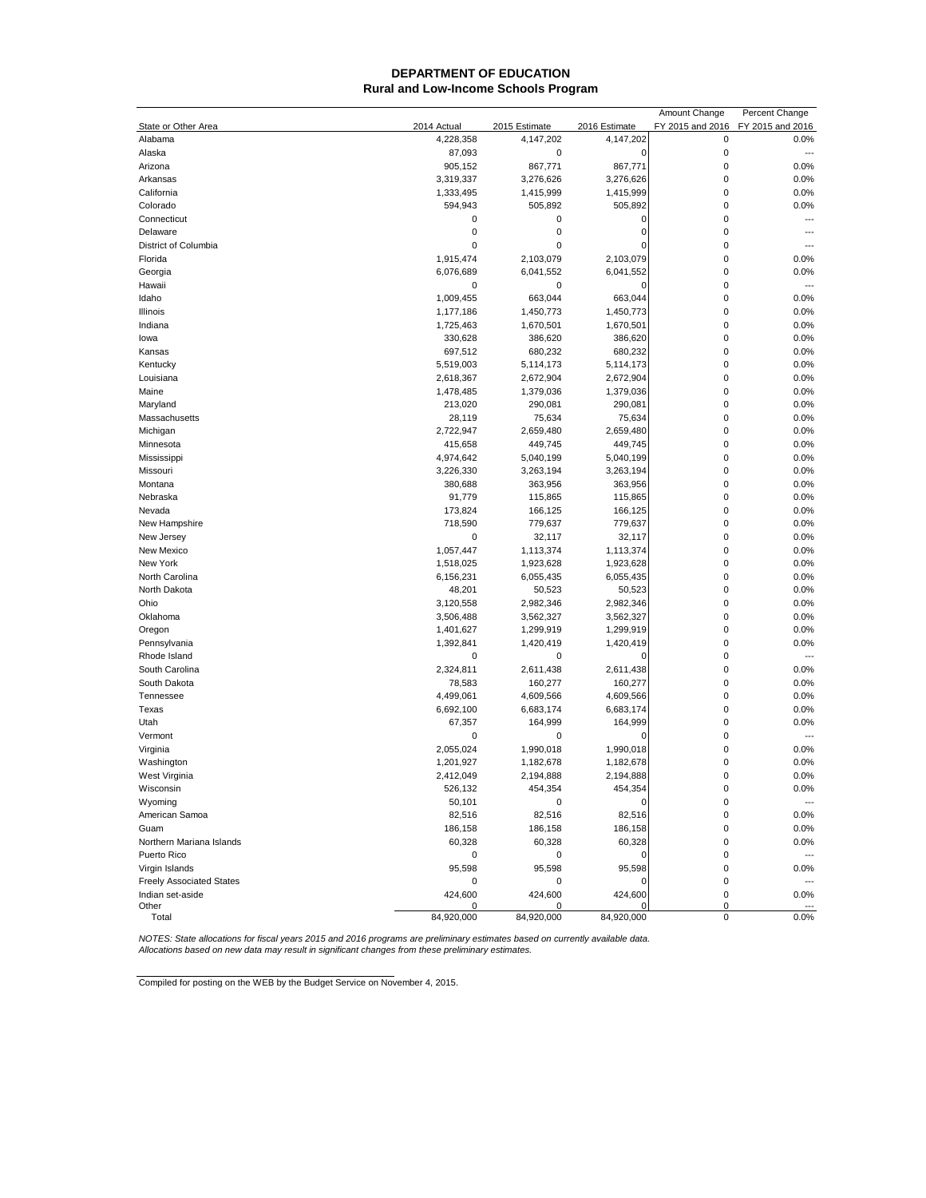#### **DEPARTMENT OF EDUCATION Rural and Low-Income Schools Program**

|                                 |             |               |               | Amount Change    | Percent Change           |
|---------------------------------|-------------|---------------|---------------|------------------|--------------------------|
| State or Other Area             | 2014 Actual | 2015 Estimate | 2016 Estimate | FY 2015 and 2016 | FY 2015 and 2016         |
| Alabama                         | 4,228,358   | 4,147,202     | 4,147,202     | 0                | 0.0%                     |
| Alaska                          | 87,093      | 0             | 0             | 0                | ---                      |
| Arizona                         | 905,152     | 867,771       | 867,771       | $\mathbf 0$      | 0.0%                     |
| Arkansas                        | 3,319,337   | 3,276,626     | 3,276,626     | 0                | 0.0%                     |
| California                      | 1,333,495   | 1,415,999     | 1,415,999     | 0                | 0.0%                     |
| Colorado                        | 594,943     | 505,892       | 505,892       | 0                | 0.0%                     |
| Connecticut                     | 0           | 0             | 0             | 0                | ---                      |
| Delaware                        | $\mathbf 0$ | 0             | 0             | 0                | ---                      |
| District of Columbia            | 0           | 0             | 0             | $\mathbf 0$      |                          |
| Florida                         | 1,915,474   | 2,103,079     | 2,103,079     | 0                | 0.0%                     |
| Georgia                         | 6,076,689   | 6,041,552     | 6,041,552     | 0                | 0.0%                     |
| Hawaii                          | 0           | 0             | 0             | 0                | $\overline{a}$           |
| Idaho                           | 1,009,455   | 663,044       | 663,044       | 0                | 0.0%                     |
| Illinois                        | 1,177,186   | 1,450,773     | 1,450,773     | 0                | 0.0%                     |
| Indiana                         | 1,725,463   | 1,670,501     | 1,670,501     | $\mathbf 0$      | 0.0%                     |
| lowa                            | 330,628     | 386,620       | 386,620       | $\mathbf 0$      | 0.0%                     |
| Kansas                          | 697,512     | 680,232       | 680,232       | 0                | 0.0%                     |
| Kentucky                        | 5,519,003   | 5,114,173     | 5,114,173     | 0                | 0.0%                     |
| Louisiana                       | 2,618,367   | 2,672,904     | 2,672,904     | 0                | 0.0%                     |
| Maine                           | 1,478,485   | 1,379,036     | 1,379,036     | 0                | 0.0%                     |
| Maryland                        | 213,020     | 290,081       | 290,081       | $\mathbf 0$      | 0.0%                     |
| Massachusetts                   | 28,119      | 75,634        | 75,634        | $\mathbf 0$      | 0.0%                     |
| Michigan                        | 2,722,947   | 2,659,480     | 2,659,480     | 0                | 0.0%                     |
| Minnesota                       | 415,658     | 449,745       | 449,745       | 0                | 0.0%                     |
|                                 |             | 5,040,199     | 5,040,199     | 0                | 0.0%                     |
| Mississippi                     | 4,974,642   |               |               | $\mathbf 0$      |                          |
| Missouri                        | 3,226,330   | 3,263,194     | 3,263,194     |                  | 0.0%                     |
| Montana                         | 380,688     | 363,956       | 363,956       | 0                | 0.0%                     |
| Nebraska                        | 91,779      | 115,865       | 115,865       | $\mathbf 0$      | 0.0%                     |
| Nevada                          | 173,824     | 166,125       | 166,125       | 0                | 0.0%                     |
| New Hampshire                   | 718,590     | 779,637       | 779,637       | 0                | 0.0%                     |
| New Jersey                      | 0           | 32,117        | 32,117        | 0                | 0.0%                     |
| New Mexico                      | 1,057,447   | 1,113,374     | 1,113,374     | 0                | 0.0%                     |
| New York                        | 1,518,025   | 1,923,628     | 1,923,628     | 0                | 0.0%                     |
| North Carolina                  | 6,156,231   | 6,055,435     | 6,055,435     | $\mathbf 0$      | 0.0%                     |
| North Dakota                    | 48,201      | 50,523        | 50,523        | $\mathbf 0$      | 0.0%                     |
| Ohio                            | 3,120,558   | 2,982,346     | 2,982,346     | 0                | 0.0%                     |
| Oklahoma                        | 3,506,488   | 3,562,327     | 3,562,327     | 0                | 0.0%                     |
| Oregon                          | 1,401,627   | 1,299,919     | 1,299,919     | 0                | 0.0%                     |
| Pennsylvania                    | 1,392,841   | 1,420,419     | 1,420,419     | $\mathbf 0$      | 0.0%                     |
| Rhode Island                    | 0           | $\pmb{0}$     | 0             | $\mathbf 0$      | ---                      |
| South Carolina                  | 2,324,811   | 2,611,438     | 2,611,438     | $\mathbf 0$      | 0.0%                     |
| South Dakota                    | 78,583      | 160,277       | 160,277       | 0                | 0.0%                     |
| Tennessee                       | 4,499,061   | 4,609,566     | 4,609,566     | 0                | 0.0%                     |
| Texas                           | 6,692,100   | 6,683,174     | 6,683,174     | 0                | 0.0%                     |
| Utah                            | 67,357      | 164,999       | 164,999       | 0                | 0.0%                     |
| Vermont                         | 0           | 0             | 0             | 0                | $\overline{a}$           |
| Virginia                        | 2,055,024   | 1,990,018     | 1,990,018     | $\mathbf 0$      | 0.0%                     |
| Washington                      | 1,201,927   | 1,182,678     | 1,182,678     | 0                | 0.0%                     |
| West Virginia                   | 2,412,049   | 2,194,888     | 2,194,888     | 0                | 0.0%                     |
| Wisconsin                       | 526,132     | 454,354       | 454,354       | 0                | 0.0%                     |
| Wyoming                         | 50,101      | 0             | 0             | 0                | $\overline{\phantom{a}}$ |
| American Samoa                  | 82,516      | 82,516        | 82,516        | 0                | 0.0%                     |
| Guam                            | 186,158     | 186,158       | 186,158       | 0                | 0.0%                     |
| Northern Mariana Islands        | 60,328      | 60,328        | 60,328        | 0                | 0.0%                     |
| Puerto Rico                     | 0           | 0             | 0             | 0                |                          |
| Virgin Islands                  | 95,598      | 95,598        | 95,598        | 0                | 0.0%                     |
| <b>Freely Associated States</b> | 0           | 0             | 0             | 0                |                          |
| Indian set-aside                | 424,600     | 424,600       | 424,600       | 0                | 0.0%                     |
| Other                           |             | 0             |               | 0                |                          |
| Total                           | 84,920,000  | 84,920,000    | 84,920,000    | 0                | 0.0%                     |

NOTES: State allocations for fiscal years 2015 and 2016 programs are preliminary estimates based on currently available data.<br>Allocations based on new data may result in significant changes from these preliminary estimates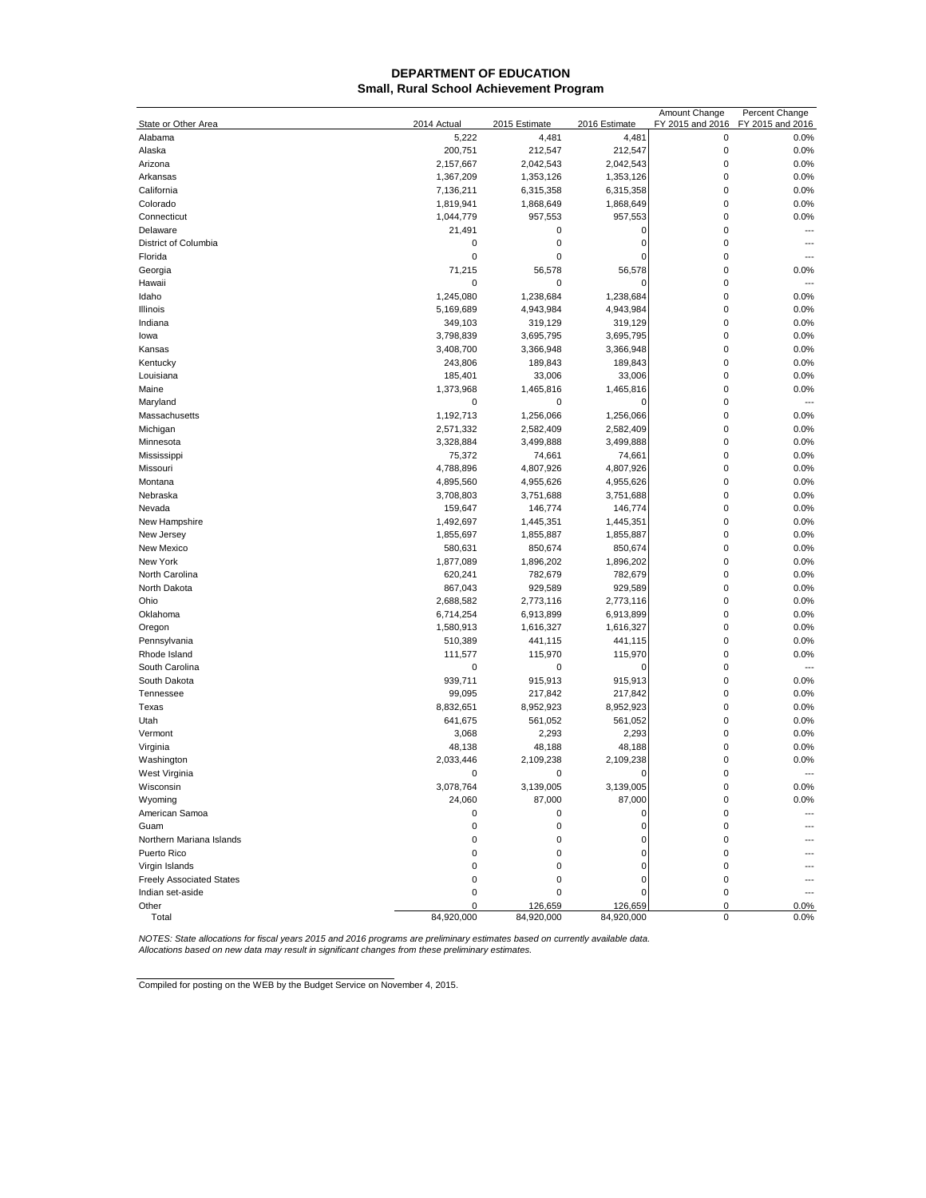## **DEPARTMENT OF EDUCATION Small, Rural School Achievement Program**

|                                 |             |               |               | Amount Change    | Percent Change           |
|---------------------------------|-------------|---------------|---------------|------------------|--------------------------|
| State or Other Area             | 2014 Actual | 2015 Estimate | 2016 Estimate | FY 2015 and 2016 | FY 2015 and 2016         |
| Alabama                         | 5,222       | 4,481         | 4,481         | 0                | 0.0%                     |
| Alaska                          | 200,751     | 212,547       | 212,547       | $\mathbf 0$      | 0.0%                     |
| Arizona                         | 2,157,667   | 2,042,543     | 2,042,543     | $\mathbf 0$      | 0.0%                     |
| Arkansas                        | 1,367,209   | 1,353,126     | 1,353,126     | 0                | 0.0%                     |
| California                      | 7,136,211   | 6,315,358     | 6,315,358     | $\mathbf 0$      | 0.0%                     |
| Colorado                        | 1,819,941   | 1,868,649     | 1,868,649     | 0                | 0.0%                     |
| Connecticut                     | 1,044,779   | 957,553       | 957,553       | $\mathbf 0$      | 0.0%                     |
| Delaware                        | 21,491      | 0             | 0             | $\mathbf 0$      |                          |
| District of Columbia            | 0           | 0             | 0             | 0                | $---$                    |
| Florida                         | 0           | 0             | $\Omega$      | 0                |                          |
| Georgia                         | 71,215      | 56,578        | 56,578        | 0                | 0.0%                     |
| Hawaii                          | 0           | 0             | 0             | 0                | ---                      |
| Idaho                           | 1,245,080   | 1,238,684     | 1,238,684     | $\mathbf 0$      | 0.0%                     |
| Illinois                        | 5,169,689   | 4,943,984     | 4,943,984     | $\mathbf 0$      | 0.0%                     |
| Indiana                         | 349,103     | 319,129       | 319,129       | 0                | 0.0%                     |
| lowa                            | 3,798,839   | 3,695,795     | 3,695,795     | $\mathbf 0$      | 0.0%                     |
| Kansas                          | 3,408,700   | 3,366,948     | 3,366,948     | $\mathbf 0$      | 0.0%                     |
| Kentucky                        | 243,806     | 189,843       | 189,843       | $\mathbf 0$      | 0.0%                     |
| Louisiana                       | 185,401     | 33,006        | 33,006        | $\mathbf 0$      | 0.0%                     |
| Maine                           | 1,373,968   | 1,465,816     | 1,465,816     | $\mathbf 0$      | 0.0%                     |
| Maryland                        | 0           | $\pmb{0}$     | 0             | $\mathbf 0$      | ---                      |
| Massachusetts                   | 1,192,713   | 1,256,066     | 1,256,066     | 0                | 0.0%                     |
| Michigan                        | 2,571,332   | 2,582,409     | 2,582,409     | 0                | 0.0%                     |
| Minnesota                       | 3,328,884   | 3,499,888     | 3,499,888     | $\mathbf 0$      | 0.0%                     |
| Mississippi                     | 75,372      | 74,661        | 74,661        | 0                | 0.0%                     |
| Missouri                        | 4,788,896   | 4,807,926     | 4,807,926     | $\mathbf 0$      | 0.0%                     |
| Montana                         | 4,895,560   | 4,955,626     | 4,955,626     | $\mathbf 0$      | 0.0%                     |
| Nebraska                        | 3,708,803   | 3,751,688     | 3,751,688     | 0                | 0.0%                     |
| Nevada                          | 159,647     | 146,774       | 146,774       | $\mathbf 0$      | 0.0%                     |
| New Hampshire                   | 1,492,697   | 1,445,351     | 1,445,351     | $\mathbf 0$      | 0.0%                     |
| New Jersey                      | 1,855,697   | 1,855,887     | 1,855,887     | $\mathbf 0$      | 0.0%                     |
| New Mexico                      | 580,631     | 850,674       | 850,674       | $\mathbf 0$      | 0.0%                     |
| New York                        | 1,877,089   | 1,896,202     | 1,896,202     | $\mathbf 0$      | 0.0%                     |
| North Carolina                  | 620,241     | 782,679       | 782,679       | $\pmb{0}$        | 0.0%                     |
| North Dakota                    | 867,043     | 929,589       | 929,589       | $\mathbf 0$      | 0.0%                     |
| Ohio                            | 2,688,582   | 2,773,116     | 2,773,116     | $\mathbf 0$      | 0.0%                     |
| Oklahoma                        | 6,714,254   | 6,913,899     | 6,913,899     | $\mathbf 0$      | 0.0%                     |
| Oregon                          | 1,580,913   | 1,616,327     | 1,616,327     | $\mathbf 0$      | 0.0%                     |
| Pennsylvania                    | 510,389     | 441,115       | 441,115       | $\mathbf 0$      | 0.0%                     |
| Rhode Island                    | 111,577     | 115,970       | 115,970       | $\mathbf 0$      | 0.0%                     |
| South Carolina                  | 0           | 0             | $\Omega$      | $\mathbf 0$      | $---$                    |
| South Dakota                    | 939,711     | 915,913       | 915,913       | $\mathbf 0$      | 0.0%                     |
| Tennessee                       | 99,095      | 217,842       | 217,842       | $\mathbf 0$      | 0.0%                     |
| Texas                           | 8,832,651   | 8,952,923     | 8,952,923     | $\mathbf 0$      | 0.0%                     |
| Utah                            | 641,675     | 561,052       | 561,052       | $\mathbf 0$      | 0.0%                     |
| Vermont                         | 3,068       | 2,293         | 2,293         | $\mathbf 0$      | 0.0%                     |
| Virginia                        | 48,138      | 48,188        | 48,188        | $\mathbf 0$      | 0.0%                     |
| Washington                      | 2,033,446   | 2,109,238     | 2,109,238     | $\mathbf 0$      | 0.0%                     |
| West Virginia                   | 0           | 0             | 0             | $\mathbf 0$      | $\overline{\phantom{a}}$ |
| <u>vvisconsin</u>               | 3,078,764   | 3,139,005     | 3,139,005     | O                | 0.0%                     |
| Wyoming                         | 24,060      | 87,000        | 87,000        | 0                | 0.0%                     |
| American Samoa                  | 0           | 0             | 0             | 0                |                          |
| Guam                            | 0           | 0             | 0             | 0                |                          |
| Northern Mariana Islands        | 0           | 0             | 0             | 0                |                          |
| Puerto Rico                     | 0           | 0             | 0             | 0                |                          |
| Virgin Islands                  | 0           | 0             | 0             | 0                |                          |
| <b>Freely Associated States</b> | 0           | 0             | 0             | 0                |                          |
| Indian set-aside                | 0           | 0             | 0             | $\mathbf 0$      |                          |
| Other                           | 0           | 126,659       | 126,659       | 0                | 0.0%                     |
| Total                           | 84,920,000  | 84,920,000    | 84,920,000    | 0                | 0.0%                     |

NOTES: State allocations for fiscal years 2015 and 2016 programs are preliminary estimates based on currently available data.<br>Allocations based on new data may result in significant changes from these preliminary estimates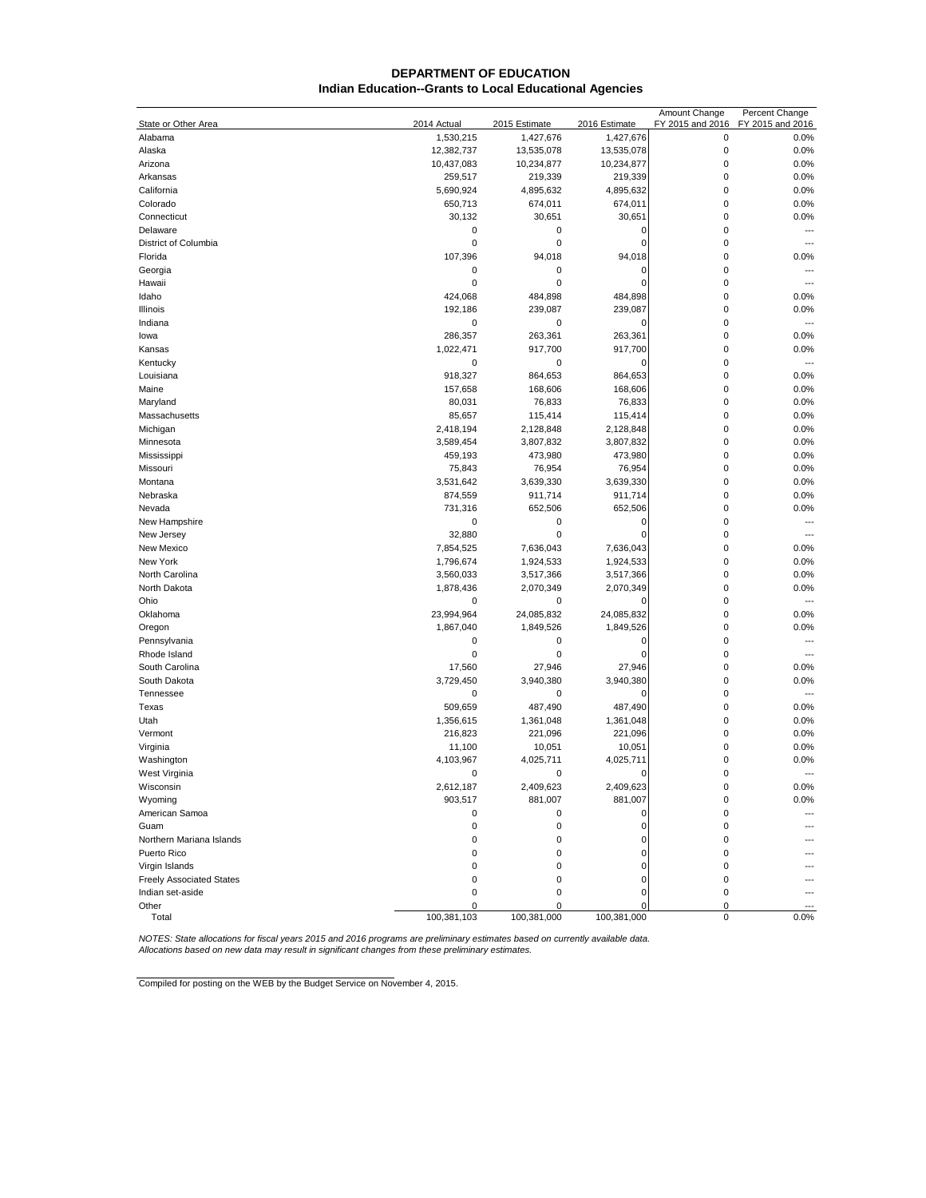## **DEPARTMENT OF EDUCATION Indian Education--Grants to Local Educational Agencies**

| $\mathbf 0$<br>0.0%<br>Alabama<br>1,530,215<br>1,427,676<br>1,427,676<br>$\mathbf 0$<br>Alaska<br>13,535,078<br>0.0%<br>12,382,737<br>13,535,078<br>$\mathbf 0$<br>0.0%<br>Arizona<br>10,437,083<br>10,234,877<br>10,234,877<br>$\mathbf 0$<br>0.0%<br>Arkansas<br>259,517<br>219,339<br>219,339<br>4,895,632<br>$\mathbf 0$<br>0.0%<br>California<br>5,690,924<br>4,895,632<br>$\mathbf 0$<br>0.0%<br>Colorado<br>650,713<br>674,011<br>674,011<br>$\mathbf 0$<br>0.0%<br>Connecticut<br>30,132<br>30,651<br>30,651<br>$\mathbf 0$<br>$\pmb{0}$<br>Delaware<br>0<br>0<br>---<br>District of Columbia<br>0<br>0<br>$\mathbf 0$<br>0<br>$\overline{a}$<br>Florida<br>107,396<br>94,018<br>94,018<br>$\mathbf 0$<br>0.0%<br>$\mathbf 0$<br>Georgia<br>0<br>0<br>0<br>$\overline{a}$<br>0<br>$\mathbf 0$<br>Hawaii<br>0<br>0<br>$\overline{a}$<br>$\mathbf 0$<br>Idaho<br>424,068<br>484,898<br>484,898<br>0.0%<br>$\mathbf 0$<br>192,186<br>239,087<br>239,087<br>0.0%<br>Illinois<br>0<br>0<br>$\mathbf 0$<br>Indiana<br>$\Omega$<br>$\overline{a}$<br>$\mathbf 0$<br>286,357<br>263,361<br>0.0%<br>263,361<br>lowa<br>917,700<br>$\mathbf 0$<br>0.0%<br>Kansas<br>1,022,471<br>917,700<br>$\mathbf 0$<br>Kentucky<br>0<br>0<br>0<br>---<br>$\mathbf 0$<br>Louisiana<br>918,327<br>864,653<br>864,653<br>0.0%<br>$\mathbf 0$<br>0.0%<br>Maine<br>157,658<br>168,606<br>168,606<br>$\mathbf 0$<br>76,833<br>0.0%<br>Maryland<br>80,031<br>76,833<br>$\mathbf 0$<br>0.0%<br>Massachusetts<br>85,657<br>115,414<br>115,414<br>$\mathbf 0$<br>0.0%<br>Michigan<br>2,418,194<br>2,128,848<br>2,128,848<br>3,807,832<br>$\mathbf 0$<br>0.0%<br>Minnesota<br>3,589,454<br>3,807,832<br>$\mathbf 0$<br>0.0%<br>Mississippi<br>459,193<br>473,980<br>473,980<br>$\mathbf 0$<br>76,954<br>0.0%<br>Missouri<br>75,843<br>76,954<br>$\mathbf 0$<br>3,639,330<br>0.0%<br>Montana<br>3,531,642<br>3,639,330<br>911,714<br>911,714<br>$\mathbf 0$<br>0.0%<br>Nebraska<br>874,559<br>$\mathbf 0$<br>0.0%<br>Nevada<br>731,316<br>652,506<br>652,506<br>$\pmb{0}$<br>$\mathbf 0$<br>$\mathbf 0$<br>New Hampshire<br>0<br>$\overline{a}$<br>0<br>$\mathbf 0$<br>New Jersey<br>32,880<br>$\Omega$<br>$\overline{a}$<br>7,636,043<br>$\mathbf 0$<br>New Mexico<br>7,854,525<br>7,636,043<br>0.0%<br>$\mathbf 0$<br>0.0%<br>New York<br>1,796,674<br>1,924,533<br>1,924,533<br>North Carolina<br>$\pmb{0}$<br>0.0%<br>3,560,033<br>3,517,366<br>3,517,366<br>North Dakota<br>$\mathbf 0$<br>0.0%<br>1,878,436<br>2,070,349<br>2,070,349<br>Ohio<br>$\mathbf 0$<br>0<br>0<br>0<br>$\overline{a}$<br>$\mathbf 0$<br>Oklahoma<br>23,994,964<br>24,085,832<br>24,085,832<br>0.0%<br>$\mathbf 0$<br>Oregon<br>1,867,040<br>1,849,526<br>1,849,526<br>0.0%<br>$\mathbf 0$<br>$\pmb{0}$<br>Pennsylvania<br>0<br>O<br>---<br>$\mathbf 0$<br>0<br>0<br>Rhode Island<br>$\mathcal{C}$<br>---<br>27,946<br>27,946<br>$\mathbf 0$<br>South Carolina<br>17,560<br>0.0%<br>South Dakota<br>3,940,380<br>3,940,380<br>$\mathbf 0$<br>0.0%<br>3,729,450<br>$\mathbf 0$<br>Tennessee<br>0<br>0<br>0<br>$\overline{a}$<br>$\mathbf 0$<br>Texas<br>509,659<br>487,490<br>487,490<br>0.0%<br>$\mathbf 0$<br>0.0%<br>Utah<br>1,356,615<br>1,361,048<br>1,361,048<br>$\mathbf 0$<br>0.0%<br>Vermont<br>216,823<br>221,096<br>221,096<br>Virginia<br>10,051<br>10,051<br>$\mathbf 0$<br>0.0%<br>11,100<br>4,103,967<br>4,025,711<br>4,025,711<br>$\mathbf 0$<br>0.0%<br>Washington<br>$\mathbf 0$<br>West Virginia<br>0<br>0<br>0<br>$\overline{\phantom{a}}$<br>0.0%<br>2,612,187<br>2,409,623<br>2,409,623<br>0<br><u>VVISCONSIN</u><br>903,517<br>881,007<br>0.0%<br>Wyoming<br>881,007<br>0<br>American Samoa<br>0<br>0<br>0<br>O<br>---<br>0<br>0<br>0<br>0<br>Guam<br>Northern Mariana Islands<br>0<br>0<br>0<br>0<br>Puerto Rico<br>0<br>0<br>0<br>0<br>Virgin Islands<br>0<br>0<br>0<br>0<br><b>Freely Associated States</b><br>0<br>0<br>0<br>0<br>Indian set-aside<br>0<br>$\pmb{0}$<br>0<br>0<br>Other<br>0<br>0<br>0<br>C<br>100,381,103<br>100,381,000<br>100,381,000<br>Total<br>0<br>0.0% |                     |             |               |               | Amount Change    | Percent Change   |
|-------------------------------------------------------------------------------------------------------------------------------------------------------------------------------------------------------------------------------------------------------------------------------------------------------------------------------------------------------------------------------------------------------------------------------------------------------------------------------------------------------------------------------------------------------------------------------------------------------------------------------------------------------------------------------------------------------------------------------------------------------------------------------------------------------------------------------------------------------------------------------------------------------------------------------------------------------------------------------------------------------------------------------------------------------------------------------------------------------------------------------------------------------------------------------------------------------------------------------------------------------------------------------------------------------------------------------------------------------------------------------------------------------------------------------------------------------------------------------------------------------------------------------------------------------------------------------------------------------------------------------------------------------------------------------------------------------------------------------------------------------------------------------------------------------------------------------------------------------------------------------------------------------------------------------------------------------------------------------------------------------------------------------------------------------------------------------------------------------------------------------------------------------------------------------------------------------------------------------------------------------------------------------------------------------------------------------------------------------------------------------------------------------------------------------------------------------------------------------------------------------------------------------------------------------------------------------------------------------------------------------------------------------------------------------------------------------------------------------------------------------------------------------------------------------------------------------------------------------------------------------------------------------------------------------------------------------------------------------------------------------------------------------------------------------------------------------------------------------------------------------------------------------------------------------------------------------------------------------------------------------------------------------------------------------------------------------------------------------------------------------------------------------------------------------------------------------------------------------------------------------------------------------------------------------------------------------------------------------------------------------------------------------------------------------------------------------------------------------------------------------------------------------------------------------------------------------------------------------------------------------------------------------------------------------------------------------------------------------------------------------------------------------------------------------------|---------------------|-------------|---------------|---------------|------------------|------------------|
|                                                                                                                                                                                                                                                                                                                                                                                                                                                                                                                                                                                                                                                                                                                                                                                                                                                                                                                                                                                                                                                                                                                                                                                                                                                                                                                                                                                                                                                                                                                                                                                                                                                                                                                                                                                                                                                                                                                                                                                                                                                                                                                                                                                                                                                                                                                                                                                                                                                                                                                                                                                                                                                                                                                                                                                                                                                                                                                                                                                                                                                                                                                                                                                                                                                                                                                                                                                                                                                                                                                                                                                                                                                                                                                                                                                                                                                                                                                                                                                                                                                             | State or Other Area | 2014 Actual | 2015 Estimate | 2016 Estimate | FY 2015 and 2016 | FY 2015 and 2016 |
|                                                                                                                                                                                                                                                                                                                                                                                                                                                                                                                                                                                                                                                                                                                                                                                                                                                                                                                                                                                                                                                                                                                                                                                                                                                                                                                                                                                                                                                                                                                                                                                                                                                                                                                                                                                                                                                                                                                                                                                                                                                                                                                                                                                                                                                                                                                                                                                                                                                                                                                                                                                                                                                                                                                                                                                                                                                                                                                                                                                                                                                                                                                                                                                                                                                                                                                                                                                                                                                                                                                                                                                                                                                                                                                                                                                                                                                                                                                                                                                                                                                             |                     |             |               |               |                  |                  |
|                                                                                                                                                                                                                                                                                                                                                                                                                                                                                                                                                                                                                                                                                                                                                                                                                                                                                                                                                                                                                                                                                                                                                                                                                                                                                                                                                                                                                                                                                                                                                                                                                                                                                                                                                                                                                                                                                                                                                                                                                                                                                                                                                                                                                                                                                                                                                                                                                                                                                                                                                                                                                                                                                                                                                                                                                                                                                                                                                                                                                                                                                                                                                                                                                                                                                                                                                                                                                                                                                                                                                                                                                                                                                                                                                                                                                                                                                                                                                                                                                                                             |                     |             |               |               |                  |                  |
|                                                                                                                                                                                                                                                                                                                                                                                                                                                                                                                                                                                                                                                                                                                                                                                                                                                                                                                                                                                                                                                                                                                                                                                                                                                                                                                                                                                                                                                                                                                                                                                                                                                                                                                                                                                                                                                                                                                                                                                                                                                                                                                                                                                                                                                                                                                                                                                                                                                                                                                                                                                                                                                                                                                                                                                                                                                                                                                                                                                                                                                                                                                                                                                                                                                                                                                                                                                                                                                                                                                                                                                                                                                                                                                                                                                                                                                                                                                                                                                                                                                             |                     |             |               |               |                  |                  |
|                                                                                                                                                                                                                                                                                                                                                                                                                                                                                                                                                                                                                                                                                                                                                                                                                                                                                                                                                                                                                                                                                                                                                                                                                                                                                                                                                                                                                                                                                                                                                                                                                                                                                                                                                                                                                                                                                                                                                                                                                                                                                                                                                                                                                                                                                                                                                                                                                                                                                                                                                                                                                                                                                                                                                                                                                                                                                                                                                                                                                                                                                                                                                                                                                                                                                                                                                                                                                                                                                                                                                                                                                                                                                                                                                                                                                                                                                                                                                                                                                                                             |                     |             |               |               |                  |                  |
|                                                                                                                                                                                                                                                                                                                                                                                                                                                                                                                                                                                                                                                                                                                                                                                                                                                                                                                                                                                                                                                                                                                                                                                                                                                                                                                                                                                                                                                                                                                                                                                                                                                                                                                                                                                                                                                                                                                                                                                                                                                                                                                                                                                                                                                                                                                                                                                                                                                                                                                                                                                                                                                                                                                                                                                                                                                                                                                                                                                                                                                                                                                                                                                                                                                                                                                                                                                                                                                                                                                                                                                                                                                                                                                                                                                                                                                                                                                                                                                                                                                             |                     |             |               |               |                  |                  |
|                                                                                                                                                                                                                                                                                                                                                                                                                                                                                                                                                                                                                                                                                                                                                                                                                                                                                                                                                                                                                                                                                                                                                                                                                                                                                                                                                                                                                                                                                                                                                                                                                                                                                                                                                                                                                                                                                                                                                                                                                                                                                                                                                                                                                                                                                                                                                                                                                                                                                                                                                                                                                                                                                                                                                                                                                                                                                                                                                                                                                                                                                                                                                                                                                                                                                                                                                                                                                                                                                                                                                                                                                                                                                                                                                                                                                                                                                                                                                                                                                                                             |                     |             |               |               |                  |                  |
|                                                                                                                                                                                                                                                                                                                                                                                                                                                                                                                                                                                                                                                                                                                                                                                                                                                                                                                                                                                                                                                                                                                                                                                                                                                                                                                                                                                                                                                                                                                                                                                                                                                                                                                                                                                                                                                                                                                                                                                                                                                                                                                                                                                                                                                                                                                                                                                                                                                                                                                                                                                                                                                                                                                                                                                                                                                                                                                                                                                                                                                                                                                                                                                                                                                                                                                                                                                                                                                                                                                                                                                                                                                                                                                                                                                                                                                                                                                                                                                                                                                             |                     |             |               |               |                  |                  |
|                                                                                                                                                                                                                                                                                                                                                                                                                                                                                                                                                                                                                                                                                                                                                                                                                                                                                                                                                                                                                                                                                                                                                                                                                                                                                                                                                                                                                                                                                                                                                                                                                                                                                                                                                                                                                                                                                                                                                                                                                                                                                                                                                                                                                                                                                                                                                                                                                                                                                                                                                                                                                                                                                                                                                                                                                                                                                                                                                                                                                                                                                                                                                                                                                                                                                                                                                                                                                                                                                                                                                                                                                                                                                                                                                                                                                                                                                                                                                                                                                                                             |                     |             |               |               |                  |                  |
|                                                                                                                                                                                                                                                                                                                                                                                                                                                                                                                                                                                                                                                                                                                                                                                                                                                                                                                                                                                                                                                                                                                                                                                                                                                                                                                                                                                                                                                                                                                                                                                                                                                                                                                                                                                                                                                                                                                                                                                                                                                                                                                                                                                                                                                                                                                                                                                                                                                                                                                                                                                                                                                                                                                                                                                                                                                                                                                                                                                                                                                                                                                                                                                                                                                                                                                                                                                                                                                                                                                                                                                                                                                                                                                                                                                                                                                                                                                                                                                                                                                             |                     |             |               |               |                  |                  |
|                                                                                                                                                                                                                                                                                                                                                                                                                                                                                                                                                                                                                                                                                                                                                                                                                                                                                                                                                                                                                                                                                                                                                                                                                                                                                                                                                                                                                                                                                                                                                                                                                                                                                                                                                                                                                                                                                                                                                                                                                                                                                                                                                                                                                                                                                                                                                                                                                                                                                                                                                                                                                                                                                                                                                                                                                                                                                                                                                                                                                                                                                                                                                                                                                                                                                                                                                                                                                                                                                                                                                                                                                                                                                                                                                                                                                                                                                                                                                                                                                                                             |                     |             |               |               |                  |                  |
|                                                                                                                                                                                                                                                                                                                                                                                                                                                                                                                                                                                                                                                                                                                                                                                                                                                                                                                                                                                                                                                                                                                                                                                                                                                                                                                                                                                                                                                                                                                                                                                                                                                                                                                                                                                                                                                                                                                                                                                                                                                                                                                                                                                                                                                                                                                                                                                                                                                                                                                                                                                                                                                                                                                                                                                                                                                                                                                                                                                                                                                                                                                                                                                                                                                                                                                                                                                                                                                                                                                                                                                                                                                                                                                                                                                                                                                                                                                                                                                                                                                             |                     |             |               |               |                  |                  |
|                                                                                                                                                                                                                                                                                                                                                                                                                                                                                                                                                                                                                                                                                                                                                                                                                                                                                                                                                                                                                                                                                                                                                                                                                                                                                                                                                                                                                                                                                                                                                                                                                                                                                                                                                                                                                                                                                                                                                                                                                                                                                                                                                                                                                                                                                                                                                                                                                                                                                                                                                                                                                                                                                                                                                                                                                                                                                                                                                                                                                                                                                                                                                                                                                                                                                                                                                                                                                                                                                                                                                                                                                                                                                                                                                                                                                                                                                                                                                                                                                                                             |                     |             |               |               |                  |                  |
|                                                                                                                                                                                                                                                                                                                                                                                                                                                                                                                                                                                                                                                                                                                                                                                                                                                                                                                                                                                                                                                                                                                                                                                                                                                                                                                                                                                                                                                                                                                                                                                                                                                                                                                                                                                                                                                                                                                                                                                                                                                                                                                                                                                                                                                                                                                                                                                                                                                                                                                                                                                                                                                                                                                                                                                                                                                                                                                                                                                                                                                                                                                                                                                                                                                                                                                                                                                                                                                                                                                                                                                                                                                                                                                                                                                                                                                                                                                                                                                                                                                             |                     |             |               |               |                  |                  |
|                                                                                                                                                                                                                                                                                                                                                                                                                                                                                                                                                                                                                                                                                                                                                                                                                                                                                                                                                                                                                                                                                                                                                                                                                                                                                                                                                                                                                                                                                                                                                                                                                                                                                                                                                                                                                                                                                                                                                                                                                                                                                                                                                                                                                                                                                                                                                                                                                                                                                                                                                                                                                                                                                                                                                                                                                                                                                                                                                                                                                                                                                                                                                                                                                                                                                                                                                                                                                                                                                                                                                                                                                                                                                                                                                                                                                                                                                                                                                                                                                                                             |                     |             |               |               |                  |                  |
|                                                                                                                                                                                                                                                                                                                                                                                                                                                                                                                                                                                                                                                                                                                                                                                                                                                                                                                                                                                                                                                                                                                                                                                                                                                                                                                                                                                                                                                                                                                                                                                                                                                                                                                                                                                                                                                                                                                                                                                                                                                                                                                                                                                                                                                                                                                                                                                                                                                                                                                                                                                                                                                                                                                                                                                                                                                                                                                                                                                                                                                                                                                                                                                                                                                                                                                                                                                                                                                                                                                                                                                                                                                                                                                                                                                                                                                                                                                                                                                                                                                             |                     |             |               |               |                  |                  |
|                                                                                                                                                                                                                                                                                                                                                                                                                                                                                                                                                                                                                                                                                                                                                                                                                                                                                                                                                                                                                                                                                                                                                                                                                                                                                                                                                                                                                                                                                                                                                                                                                                                                                                                                                                                                                                                                                                                                                                                                                                                                                                                                                                                                                                                                                                                                                                                                                                                                                                                                                                                                                                                                                                                                                                                                                                                                                                                                                                                                                                                                                                                                                                                                                                                                                                                                                                                                                                                                                                                                                                                                                                                                                                                                                                                                                                                                                                                                                                                                                                                             |                     |             |               |               |                  |                  |
|                                                                                                                                                                                                                                                                                                                                                                                                                                                                                                                                                                                                                                                                                                                                                                                                                                                                                                                                                                                                                                                                                                                                                                                                                                                                                                                                                                                                                                                                                                                                                                                                                                                                                                                                                                                                                                                                                                                                                                                                                                                                                                                                                                                                                                                                                                                                                                                                                                                                                                                                                                                                                                                                                                                                                                                                                                                                                                                                                                                                                                                                                                                                                                                                                                                                                                                                                                                                                                                                                                                                                                                                                                                                                                                                                                                                                                                                                                                                                                                                                                                             |                     |             |               |               |                  |                  |
|                                                                                                                                                                                                                                                                                                                                                                                                                                                                                                                                                                                                                                                                                                                                                                                                                                                                                                                                                                                                                                                                                                                                                                                                                                                                                                                                                                                                                                                                                                                                                                                                                                                                                                                                                                                                                                                                                                                                                                                                                                                                                                                                                                                                                                                                                                                                                                                                                                                                                                                                                                                                                                                                                                                                                                                                                                                                                                                                                                                                                                                                                                                                                                                                                                                                                                                                                                                                                                                                                                                                                                                                                                                                                                                                                                                                                                                                                                                                                                                                                                                             |                     |             |               |               |                  |                  |
|                                                                                                                                                                                                                                                                                                                                                                                                                                                                                                                                                                                                                                                                                                                                                                                                                                                                                                                                                                                                                                                                                                                                                                                                                                                                                                                                                                                                                                                                                                                                                                                                                                                                                                                                                                                                                                                                                                                                                                                                                                                                                                                                                                                                                                                                                                                                                                                                                                                                                                                                                                                                                                                                                                                                                                                                                                                                                                                                                                                                                                                                                                                                                                                                                                                                                                                                                                                                                                                                                                                                                                                                                                                                                                                                                                                                                                                                                                                                                                                                                                                             |                     |             |               |               |                  |                  |
|                                                                                                                                                                                                                                                                                                                                                                                                                                                                                                                                                                                                                                                                                                                                                                                                                                                                                                                                                                                                                                                                                                                                                                                                                                                                                                                                                                                                                                                                                                                                                                                                                                                                                                                                                                                                                                                                                                                                                                                                                                                                                                                                                                                                                                                                                                                                                                                                                                                                                                                                                                                                                                                                                                                                                                                                                                                                                                                                                                                                                                                                                                                                                                                                                                                                                                                                                                                                                                                                                                                                                                                                                                                                                                                                                                                                                                                                                                                                                                                                                                                             |                     |             |               |               |                  |                  |
|                                                                                                                                                                                                                                                                                                                                                                                                                                                                                                                                                                                                                                                                                                                                                                                                                                                                                                                                                                                                                                                                                                                                                                                                                                                                                                                                                                                                                                                                                                                                                                                                                                                                                                                                                                                                                                                                                                                                                                                                                                                                                                                                                                                                                                                                                                                                                                                                                                                                                                                                                                                                                                                                                                                                                                                                                                                                                                                                                                                                                                                                                                                                                                                                                                                                                                                                                                                                                                                                                                                                                                                                                                                                                                                                                                                                                                                                                                                                                                                                                                                             |                     |             |               |               |                  |                  |
|                                                                                                                                                                                                                                                                                                                                                                                                                                                                                                                                                                                                                                                                                                                                                                                                                                                                                                                                                                                                                                                                                                                                                                                                                                                                                                                                                                                                                                                                                                                                                                                                                                                                                                                                                                                                                                                                                                                                                                                                                                                                                                                                                                                                                                                                                                                                                                                                                                                                                                                                                                                                                                                                                                                                                                                                                                                                                                                                                                                                                                                                                                                                                                                                                                                                                                                                                                                                                                                                                                                                                                                                                                                                                                                                                                                                                                                                                                                                                                                                                                                             |                     |             |               |               |                  |                  |
|                                                                                                                                                                                                                                                                                                                                                                                                                                                                                                                                                                                                                                                                                                                                                                                                                                                                                                                                                                                                                                                                                                                                                                                                                                                                                                                                                                                                                                                                                                                                                                                                                                                                                                                                                                                                                                                                                                                                                                                                                                                                                                                                                                                                                                                                                                                                                                                                                                                                                                                                                                                                                                                                                                                                                                                                                                                                                                                                                                                                                                                                                                                                                                                                                                                                                                                                                                                                                                                                                                                                                                                                                                                                                                                                                                                                                                                                                                                                                                                                                                                             |                     |             |               |               |                  |                  |
|                                                                                                                                                                                                                                                                                                                                                                                                                                                                                                                                                                                                                                                                                                                                                                                                                                                                                                                                                                                                                                                                                                                                                                                                                                                                                                                                                                                                                                                                                                                                                                                                                                                                                                                                                                                                                                                                                                                                                                                                                                                                                                                                                                                                                                                                                                                                                                                                                                                                                                                                                                                                                                                                                                                                                                                                                                                                                                                                                                                                                                                                                                                                                                                                                                                                                                                                                                                                                                                                                                                                                                                                                                                                                                                                                                                                                                                                                                                                                                                                                                                             |                     |             |               |               |                  |                  |
|                                                                                                                                                                                                                                                                                                                                                                                                                                                                                                                                                                                                                                                                                                                                                                                                                                                                                                                                                                                                                                                                                                                                                                                                                                                                                                                                                                                                                                                                                                                                                                                                                                                                                                                                                                                                                                                                                                                                                                                                                                                                                                                                                                                                                                                                                                                                                                                                                                                                                                                                                                                                                                                                                                                                                                                                                                                                                                                                                                                                                                                                                                                                                                                                                                                                                                                                                                                                                                                                                                                                                                                                                                                                                                                                                                                                                                                                                                                                                                                                                                                             |                     |             |               |               |                  |                  |
|                                                                                                                                                                                                                                                                                                                                                                                                                                                                                                                                                                                                                                                                                                                                                                                                                                                                                                                                                                                                                                                                                                                                                                                                                                                                                                                                                                                                                                                                                                                                                                                                                                                                                                                                                                                                                                                                                                                                                                                                                                                                                                                                                                                                                                                                                                                                                                                                                                                                                                                                                                                                                                                                                                                                                                                                                                                                                                                                                                                                                                                                                                                                                                                                                                                                                                                                                                                                                                                                                                                                                                                                                                                                                                                                                                                                                                                                                                                                                                                                                                                             |                     |             |               |               |                  |                  |
|                                                                                                                                                                                                                                                                                                                                                                                                                                                                                                                                                                                                                                                                                                                                                                                                                                                                                                                                                                                                                                                                                                                                                                                                                                                                                                                                                                                                                                                                                                                                                                                                                                                                                                                                                                                                                                                                                                                                                                                                                                                                                                                                                                                                                                                                                                                                                                                                                                                                                                                                                                                                                                                                                                                                                                                                                                                                                                                                                                                                                                                                                                                                                                                                                                                                                                                                                                                                                                                                                                                                                                                                                                                                                                                                                                                                                                                                                                                                                                                                                                                             |                     |             |               |               |                  |                  |
|                                                                                                                                                                                                                                                                                                                                                                                                                                                                                                                                                                                                                                                                                                                                                                                                                                                                                                                                                                                                                                                                                                                                                                                                                                                                                                                                                                                                                                                                                                                                                                                                                                                                                                                                                                                                                                                                                                                                                                                                                                                                                                                                                                                                                                                                                                                                                                                                                                                                                                                                                                                                                                                                                                                                                                                                                                                                                                                                                                                                                                                                                                                                                                                                                                                                                                                                                                                                                                                                                                                                                                                                                                                                                                                                                                                                                                                                                                                                                                                                                                                             |                     |             |               |               |                  |                  |
|                                                                                                                                                                                                                                                                                                                                                                                                                                                                                                                                                                                                                                                                                                                                                                                                                                                                                                                                                                                                                                                                                                                                                                                                                                                                                                                                                                                                                                                                                                                                                                                                                                                                                                                                                                                                                                                                                                                                                                                                                                                                                                                                                                                                                                                                                                                                                                                                                                                                                                                                                                                                                                                                                                                                                                                                                                                                                                                                                                                                                                                                                                                                                                                                                                                                                                                                                                                                                                                                                                                                                                                                                                                                                                                                                                                                                                                                                                                                                                                                                                                             |                     |             |               |               |                  |                  |
|                                                                                                                                                                                                                                                                                                                                                                                                                                                                                                                                                                                                                                                                                                                                                                                                                                                                                                                                                                                                                                                                                                                                                                                                                                                                                                                                                                                                                                                                                                                                                                                                                                                                                                                                                                                                                                                                                                                                                                                                                                                                                                                                                                                                                                                                                                                                                                                                                                                                                                                                                                                                                                                                                                                                                                                                                                                                                                                                                                                                                                                                                                                                                                                                                                                                                                                                                                                                                                                                                                                                                                                                                                                                                                                                                                                                                                                                                                                                                                                                                                                             |                     |             |               |               |                  |                  |
|                                                                                                                                                                                                                                                                                                                                                                                                                                                                                                                                                                                                                                                                                                                                                                                                                                                                                                                                                                                                                                                                                                                                                                                                                                                                                                                                                                                                                                                                                                                                                                                                                                                                                                                                                                                                                                                                                                                                                                                                                                                                                                                                                                                                                                                                                                                                                                                                                                                                                                                                                                                                                                                                                                                                                                                                                                                                                                                                                                                                                                                                                                                                                                                                                                                                                                                                                                                                                                                                                                                                                                                                                                                                                                                                                                                                                                                                                                                                                                                                                                                             |                     |             |               |               |                  |                  |
|                                                                                                                                                                                                                                                                                                                                                                                                                                                                                                                                                                                                                                                                                                                                                                                                                                                                                                                                                                                                                                                                                                                                                                                                                                                                                                                                                                                                                                                                                                                                                                                                                                                                                                                                                                                                                                                                                                                                                                                                                                                                                                                                                                                                                                                                                                                                                                                                                                                                                                                                                                                                                                                                                                                                                                                                                                                                                                                                                                                                                                                                                                                                                                                                                                                                                                                                                                                                                                                                                                                                                                                                                                                                                                                                                                                                                                                                                                                                                                                                                                                             |                     |             |               |               |                  |                  |
|                                                                                                                                                                                                                                                                                                                                                                                                                                                                                                                                                                                                                                                                                                                                                                                                                                                                                                                                                                                                                                                                                                                                                                                                                                                                                                                                                                                                                                                                                                                                                                                                                                                                                                                                                                                                                                                                                                                                                                                                                                                                                                                                                                                                                                                                                                                                                                                                                                                                                                                                                                                                                                                                                                                                                                                                                                                                                                                                                                                                                                                                                                                                                                                                                                                                                                                                                                                                                                                                                                                                                                                                                                                                                                                                                                                                                                                                                                                                                                                                                                                             |                     |             |               |               |                  |                  |
|                                                                                                                                                                                                                                                                                                                                                                                                                                                                                                                                                                                                                                                                                                                                                                                                                                                                                                                                                                                                                                                                                                                                                                                                                                                                                                                                                                                                                                                                                                                                                                                                                                                                                                                                                                                                                                                                                                                                                                                                                                                                                                                                                                                                                                                                                                                                                                                                                                                                                                                                                                                                                                                                                                                                                                                                                                                                                                                                                                                                                                                                                                                                                                                                                                                                                                                                                                                                                                                                                                                                                                                                                                                                                                                                                                                                                                                                                                                                                                                                                                                             |                     |             |               |               |                  |                  |
|                                                                                                                                                                                                                                                                                                                                                                                                                                                                                                                                                                                                                                                                                                                                                                                                                                                                                                                                                                                                                                                                                                                                                                                                                                                                                                                                                                                                                                                                                                                                                                                                                                                                                                                                                                                                                                                                                                                                                                                                                                                                                                                                                                                                                                                                                                                                                                                                                                                                                                                                                                                                                                                                                                                                                                                                                                                                                                                                                                                                                                                                                                                                                                                                                                                                                                                                                                                                                                                                                                                                                                                                                                                                                                                                                                                                                                                                                                                                                                                                                                                             |                     |             |               |               |                  |                  |
|                                                                                                                                                                                                                                                                                                                                                                                                                                                                                                                                                                                                                                                                                                                                                                                                                                                                                                                                                                                                                                                                                                                                                                                                                                                                                                                                                                                                                                                                                                                                                                                                                                                                                                                                                                                                                                                                                                                                                                                                                                                                                                                                                                                                                                                                                                                                                                                                                                                                                                                                                                                                                                                                                                                                                                                                                                                                                                                                                                                                                                                                                                                                                                                                                                                                                                                                                                                                                                                                                                                                                                                                                                                                                                                                                                                                                                                                                                                                                                                                                                                             |                     |             |               |               |                  |                  |
|                                                                                                                                                                                                                                                                                                                                                                                                                                                                                                                                                                                                                                                                                                                                                                                                                                                                                                                                                                                                                                                                                                                                                                                                                                                                                                                                                                                                                                                                                                                                                                                                                                                                                                                                                                                                                                                                                                                                                                                                                                                                                                                                                                                                                                                                                                                                                                                                                                                                                                                                                                                                                                                                                                                                                                                                                                                                                                                                                                                                                                                                                                                                                                                                                                                                                                                                                                                                                                                                                                                                                                                                                                                                                                                                                                                                                                                                                                                                                                                                                                                             |                     |             |               |               |                  |                  |
|                                                                                                                                                                                                                                                                                                                                                                                                                                                                                                                                                                                                                                                                                                                                                                                                                                                                                                                                                                                                                                                                                                                                                                                                                                                                                                                                                                                                                                                                                                                                                                                                                                                                                                                                                                                                                                                                                                                                                                                                                                                                                                                                                                                                                                                                                                                                                                                                                                                                                                                                                                                                                                                                                                                                                                                                                                                                                                                                                                                                                                                                                                                                                                                                                                                                                                                                                                                                                                                                                                                                                                                                                                                                                                                                                                                                                                                                                                                                                                                                                                                             |                     |             |               |               |                  |                  |
|                                                                                                                                                                                                                                                                                                                                                                                                                                                                                                                                                                                                                                                                                                                                                                                                                                                                                                                                                                                                                                                                                                                                                                                                                                                                                                                                                                                                                                                                                                                                                                                                                                                                                                                                                                                                                                                                                                                                                                                                                                                                                                                                                                                                                                                                                                                                                                                                                                                                                                                                                                                                                                                                                                                                                                                                                                                                                                                                                                                                                                                                                                                                                                                                                                                                                                                                                                                                                                                                                                                                                                                                                                                                                                                                                                                                                                                                                                                                                                                                                                                             |                     |             |               |               |                  |                  |
|                                                                                                                                                                                                                                                                                                                                                                                                                                                                                                                                                                                                                                                                                                                                                                                                                                                                                                                                                                                                                                                                                                                                                                                                                                                                                                                                                                                                                                                                                                                                                                                                                                                                                                                                                                                                                                                                                                                                                                                                                                                                                                                                                                                                                                                                                                                                                                                                                                                                                                                                                                                                                                                                                                                                                                                                                                                                                                                                                                                                                                                                                                                                                                                                                                                                                                                                                                                                                                                                                                                                                                                                                                                                                                                                                                                                                                                                                                                                                                                                                                                             |                     |             |               |               |                  |                  |
|                                                                                                                                                                                                                                                                                                                                                                                                                                                                                                                                                                                                                                                                                                                                                                                                                                                                                                                                                                                                                                                                                                                                                                                                                                                                                                                                                                                                                                                                                                                                                                                                                                                                                                                                                                                                                                                                                                                                                                                                                                                                                                                                                                                                                                                                                                                                                                                                                                                                                                                                                                                                                                                                                                                                                                                                                                                                                                                                                                                                                                                                                                                                                                                                                                                                                                                                                                                                                                                                                                                                                                                                                                                                                                                                                                                                                                                                                                                                                                                                                                                             |                     |             |               |               |                  |                  |
|                                                                                                                                                                                                                                                                                                                                                                                                                                                                                                                                                                                                                                                                                                                                                                                                                                                                                                                                                                                                                                                                                                                                                                                                                                                                                                                                                                                                                                                                                                                                                                                                                                                                                                                                                                                                                                                                                                                                                                                                                                                                                                                                                                                                                                                                                                                                                                                                                                                                                                                                                                                                                                                                                                                                                                                                                                                                                                                                                                                                                                                                                                                                                                                                                                                                                                                                                                                                                                                                                                                                                                                                                                                                                                                                                                                                                                                                                                                                                                                                                                                             |                     |             |               |               |                  |                  |
|                                                                                                                                                                                                                                                                                                                                                                                                                                                                                                                                                                                                                                                                                                                                                                                                                                                                                                                                                                                                                                                                                                                                                                                                                                                                                                                                                                                                                                                                                                                                                                                                                                                                                                                                                                                                                                                                                                                                                                                                                                                                                                                                                                                                                                                                                                                                                                                                                                                                                                                                                                                                                                                                                                                                                                                                                                                                                                                                                                                                                                                                                                                                                                                                                                                                                                                                                                                                                                                                                                                                                                                                                                                                                                                                                                                                                                                                                                                                                                                                                                                             |                     |             |               |               |                  |                  |
|                                                                                                                                                                                                                                                                                                                                                                                                                                                                                                                                                                                                                                                                                                                                                                                                                                                                                                                                                                                                                                                                                                                                                                                                                                                                                                                                                                                                                                                                                                                                                                                                                                                                                                                                                                                                                                                                                                                                                                                                                                                                                                                                                                                                                                                                                                                                                                                                                                                                                                                                                                                                                                                                                                                                                                                                                                                                                                                                                                                                                                                                                                                                                                                                                                                                                                                                                                                                                                                                                                                                                                                                                                                                                                                                                                                                                                                                                                                                                                                                                                                             |                     |             |               |               |                  |                  |
|                                                                                                                                                                                                                                                                                                                                                                                                                                                                                                                                                                                                                                                                                                                                                                                                                                                                                                                                                                                                                                                                                                                                                                                                                                                                                                                                                                                                                                                                                                                                                                                                                                                                                                                                                                                                                                                                                                                                                                                                                                                                                                                                                                                                                                                                                                                                                                                                                                                                                                                                                                                                                                                                                                                                                                                                                                                                                                                                                                                                                                                                                                                                                                                                                                                                                                                                                                                                                                                                                                                                                                                                                                                                                                                                                                                                                                                                                                                                                                                                                                                             |                     |             |               |               |                  |                  |
|                                                                                                                                                                                                                                                                                                                                                                                                                                                                                                                                                                                                                                                                                                                                                                                                                                                                                                                                                                                                                                                                                                                                                                                                                                                                                                                                                                                                                                                                                                                                                                                                                                                                                                                                                                                                                                                                                                                                                                                                                                                                                                                                                                                                                                                                                                                                                                                                                                                                                                                                                                                                                                                                                                                                                                                                                                                                                                                                                                                                                                                                                                                                                                                                                                                                                                                                                                                                                                                                                                                                                                                                                                                                                                                                                                                                                                                                                                                                                                                                                                                             |                     |             |               |               |                  |                  |
|                                                                                                                                                                                                                                                                                                                                                                                                                                                                                                                                                                                                                                                                                                                                                                                                                                                                                                                                                                                                                                                                                                                                                                                                                                                                                                                                                                                                                                                                                                                                                                                                                                                                                                                                                                                                                                                                                                                                                                                                                                                                                                                                                                                                                                                                                                                                                                                                                                                                                                                                                                                                                                                                                                                                                                                                                                                                                                                                                                                                                                                                                                                                                                                                                                                                                                                                                                                                                                                                                                                                                                                                                                                                                                                                                                                                                                                                                                                                                                                                                                                             |                     |             |               |               |                  |                  |
|                                                                                                                                                                                                                                                                                                                                                                                                                                                                                                                                                                                                                                                                                                                                                                                                                                                                                                                                                                                                                                                                                                                                                                                                                                                                                                                                                                                                                                                                                                                                                                                                                                                                                                                                                                                                                                                                                                                                                                                                                                                                                                                                                                                                                                                                                                                                                                                                                                                                                                                                                                                                                                                                                                                                                                                                                                                                                                                                                                                                                                                                                                                                                                                                                                                                                                                                                                                                                                                                                                                                                                                                                                                                                                                                                                                                                                                                                                                                                                                                                                                             |                     |             |               |               |                  |                  |
|                                                                                                                                                                                                                                                                                                                                                                                                                                                                                                                                                                                                                                                                                                                                                                                                                                                                                                                                                                                                                                                                                                                                                                                                                                                                                                                                                                                                                                                                                                                                                                                                                                                                                                                                                                                                                                                                                                                                                                                                                                                                                                                                                                                                                                                                                                                                                                                                                                                                                                                                                                                                                                                                                                                                                                                                                                                                                                                                                                                                                                                                                                                                                                                                                                                                                                                                                                                                                                                                                                                                                                                                                                                                                                                                                                                                                                                                                                                                                                                                                                                             |                     |             |               |               |                  |                  |
|                                                                                                                                                                                                                                                                                                                                                                                                                                                                                                                                                                                                                                                                                                                                                                                                                                                                                                                                                                                                                                                                                                                                                                                                                                                                                                                                                                                                                                                                                                                                                                                                                                                                                                                                                                                                                                                                                                                                                                                                                                                                                                                                                                                                                                                                                                                                                                                                                                                                                                                                                                                                                                                                                                                                                                                                                                                                                                                                                                                                                                                                                                                                                                                                                                                                                                                                                                                                                                                                                                                                                                                                                                                                                                                                                                                                                                                                                                                                                                                                                                                             |                     |             |               |               |                  |                  |
|                                                                                                                                                                                                                                                                                                                                                                                                                                                                                                                                                                                                                                                                                                                                                                                                                                                                                                                                                                                                                                                                                                                                                                                                                                                                                                                                                                                                                                                                                                                                                                                                                                                                                                                                                                                                                                                                                                                                                                                                                                                                                                                                                                                                                                                                                                                                                                                                                                                                                                                                                                                                                                                                                                                                                                                                                                                                                                                                                                                                                                                                                                                                                                                                                                                                                                                                                                                                                                                                                                                                                                                                                                                                                                                                                                                                                                                                                                                                                                                                                                                             |                     |             |               |               |                  |                  |
|                                                                                                                                                                                                                                                                                                                                                                                                                                                                                                                                                                                                                                                                                                                                                                                                                                                                                                                                                                                                                                                                                                                                                                                                                                                                                                                                                                                                                                                                                                                                                                                                                                                                                                                                                                                                                                                                                                                                                                                                                                                                                                                                                                                                                                                                                                                                                                                                                                                                                                                                                                                                                                                                                                                                                                                                                                                                                                                                                                                                                                                                                                                                                                                                                                                                                                                                                                                                                                                                                                                                                                                                                                                                                                                                                                                                                                                                                                                                                                                                                                                             |                     |             |               |               |                  |                  |
|                                                                                                                                                                                                                                                                                                                                                                                                                                                                                                                                                                                                                                                                                                                                                                                                                                                                                                                                                                                                                                                                                                                                                                                                                                                                                                                                                                                                                                                                                                                                                                                                                                                                                                                                                                                                                                                                                                                                                                                                                                                                                                                                                                                                                                                                                                                                                                                                                                                                                                                                                                                                                                                                                                                                                                                                                                                                                                                                                                                                                                                                                                                                                                                                                                                                                                                                                                                                                                                                                                                                                                                                                                                                                                                                                                                                                                                                                                                                                                                                                                                             |                     |             |               |               |                  |                  |
|                                                                                                                                                                                                                                                                                                                                                                                                                                                                                                                                                                                                                                                                                                                                                                                                                                                                                                                                                                                                                                                                                                                                                                                                                                                                                                                                                                                                                                                                                                                                                                                                                                                                                                                                                                                                                                                                                                                                                                                                                                                                                                                                                                                                                                                                                                                                                                                                                                                                                                                                                                                                                                                                                                                                                                                                                                                                                                                                                                                                                                                                                                                                                                                                                                                                                                                                                                                                                                                                                                                                                                                                                                                                                                                                                                                                                                                                                                                                                                                                                                                             |                     |             |               |               |                  |                  |
|                                                                                                                                                                                                                                                                                                                                                                                                                                                                                                                                                                                                                                                                                                                                                                                                                                                                                                                                                                                                                                                                                                                                                                                                                                                                                                                                                                                                                                                                                                                                                                                                                                                                                                                                                                                                                                                                                                                                                                                                                                                                                                                                                                                                                                                                                                                                                                                                                                                                                                                                                                                                                                                                                                                                                                                                                                                                                                                                                                                                                                                                                                                                                                                                                                                                                                                                                                                                                                                                                                                                                                                                                                                                                                                                                                                                                                                                                                                                                                                                                                                             |                     |             |               |               |                  |                  |
|                                                                                                                                                                                                                                                                                                                                                                                                                                                                                                                                                                                                                                                                                                                                                                                                                                                                                                                                                                                                                                                                                                                                                                                                                                                                                                                                                                                                                                                                                                                                                                                                                                                                                                                                                                                                                                                                                                                                                                                                                                                                                                                                                                                                                                                                                                                                                                                                                                                                                                                                                                                                                                                                                                                                                                                                                                                                                                                                                                                                                                                                                                                                                                                                                                                                                                                                                                                                                                                                                                                                                                                                                                                                                                                                                                                                                                                                                                                                                                                                                                                             |                     |             |               |               |                  |                  |
|                                                                                                                                                                                                                                                                                                                                                                                                                                                                                                                                                                                                                                                                                                                                                                                                                                                                                                                                                                                                                                                                                                                                                                                                                                                                                                                                                                                                                                                                                                                                                                                                                                                                                                                                                                                                                                                                                                                                                                                                                                                                                                                                                                                                                                                                                                                                                                                                                                                                                                                                                                                                                                                                                                                                                                                                                                                                                                                                                                                                                                                                                                                                                                                                                                                                                                                                                                                                                                                                                                                                                                                                                                                                                                                                                                                                                                                                                                                                                                                                                                                             |                     |             |               |               |                  |                  |
|                                                                                                                                                                                                                                                                                                                                                                                                                                                                                                                                                                                                                                                                                                                                                                                                                                                                                                                                                                                                                                                                                                                                                                                                                                                                                                                                                                                                                                                                                                                                                                                                                                                                                                                                                                                                                                                                                                                                                                                                                                                                                                                                                                                                                                                                                                                                                                                                                                                                                                                                                                                                                                                                                                                                                                                                                                                                                                                                                                                                                                                                                                                                                                                                                                                                                                                                                                                                                                                                                                                                                                                                                                                                                                                                                                                                                                                                                                                                                                                                                                                             |                     |             |               |               |                  |                  |
|                                                                                                                                                                                                                                                                                                                                                                                                                                                                                                                                                                                                                                                                                                                                                                                                                                                                                                                                                                                                                                                                                                                                                                                                                                                                                                                                                                                                                                                                                                                                                                                                                                                                                                                                                                                                                                                                                                                                                                                                                                                                                                                                                                                                                                                                                                                                                                                                                                                                                                                                                                                                                                                                                                                                                                                                                                                                                                                                                                                                                                                                                                                                                                                                                                                                                                                                                                                                                                                                                                                                                                                                                                                                                                                                                                                                                                                                                                                                                                                                                                                             |                     |             |               |               |                  |                  |
|                                                                                                                                                                                                                                                                                                                                                                                                                                                                                                                                                                                                                                                                                                                                                                                                                                                                                                                                                                                                                                                                                                                                                                                                                                                                                                                                                                                                                                                                                                                                                                                                                                                                                                                                                                                                                                                                                                                                                                                                                                                                                                                                                                                                                                                                                                                                                                                                                                                                                                                                                                                                                                                                                                                                                                                                                                                                                                                                                                                                                                                                                                                                                                                                                                                                                                                                                                                                                                                                                                                                                                                                                                                                                                                                                                                                                                                                                                                                                                                                                                                             |                     |             |               |               |                  |                  |

NOTES: State allocations for fiscal years 2015 and 2016 programs are preliminary estimates based on currently available data.<br>Allocations based on new data may result in significant changes from these preliminary estimates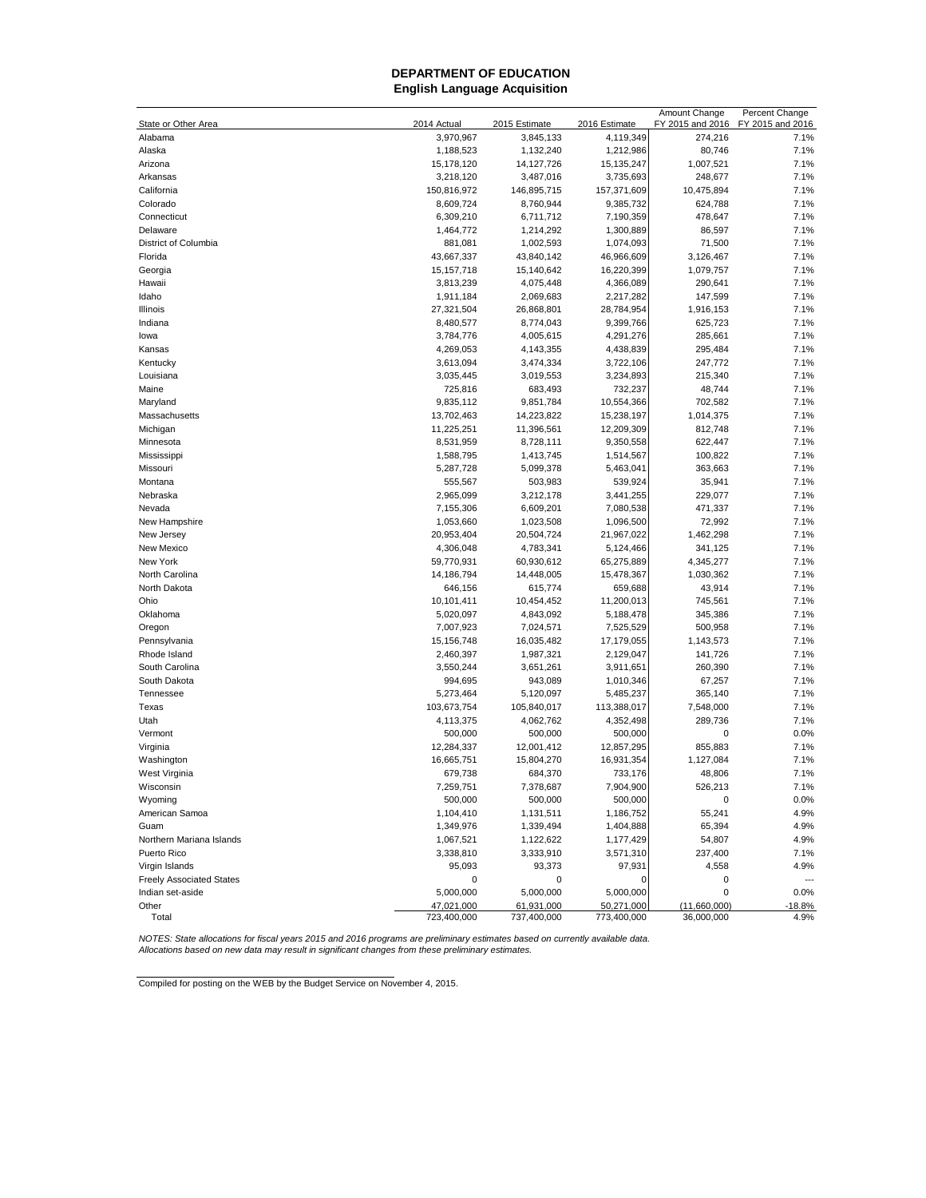## **DEPARTMENT OF EDUCATION English Language Acquisition**

|                                 |                           |                           |                           | Amount Change              | Percent Change   |
|---------------------------------|---------------------------|---------------------------|---------------------------|----------------------------|------------------|
| State or Other Area             | 2014 Actual               | 2015 Estimate             | 2016 Estimate             | FY 2015 and 2016           | FY 2015 and 2016 |
| Alabama                         | 3,970,967                 | 3,845,133                 | 4,119,349                 | 274,216                    | 7.1%             |
| Alaska                          | 1,188,523                 | 1,132,240                 | 1,212,986                 | 80,746                     | 7.1%             |
| Arizona                         | 15,178,120                | 14,127,726                | 15, 135, 247              | 1,007,521                  | 7.1%             |
| Arkansas                        | 3,218,120                 | 3,487,016                 | 3,735,693                 | 248,677                    | 7.1%             |
| California                      | 150,816,972               | 146,895,715               | 157,371,609               | 10,475,894                 | 7.1%             |
| Colorado                        | 8,609,724                 | 8,760,944                 | 9,385,732                 | 624,788                    | 7.1%             |
| Connecticut                     | 6,309,210                 | 6,711,712                 | 7,190,359                 | 478,647                    | 7.1%             |
| Delaware                        | 1,464,772                 | 1,214,292                 | 1,300,889                 | 86,597                     | 7.1%             |
| District of Columbia            | 881,081                   | 1,002,593                 | 1,074,093                 | 71,500                     | 7.1%             |
| Florida                         | 43,667,337                | 43,840,142                | 46,966,609                | 3,126,467                  | 7.1%             |
| Georgia                         | 15, 157, 718              | 15,140,642                | 16,220,399                | 1,079,757                  | 7.1%             |
| Hawaii                          | 3,813,239                 | 4,075,448                 | 4,366,089                 | 290,641                    | 7.1%             |
| Idaho                           | 1,911,184                 | 2,069,683                 | 2,217,282                 | 147,599                    | 7.1%             |
| Illinois                        | 27,321,504                | 26,868,801                | 28,784,954                | 1,916,153                  | 7.1%             |
| Indiana                         | 8,480,577                 | 8,774,043                 | 9,399,766                 | 625,723                    | 7.1%             |
| lowa                            | 3,784,776                 | 4,005,615                 | 4,291,276                 | 285,661                    | 7.1%             |
| Kansas                          | 4,269,053                 | 4,143,355                 | 4,438,839                 | 295,484                    | 7.1%             |
| Kentucky                        | 3,613,094                 | 3,474,334                 | 3,722,106                 | 247,772                    | 7.1%             |
| Louisiana                       | 3,035,445                 | 3,019,553                 | 3,234,893                 | 215,340                    | 7.1%             |
| Maine                           | 725,816                   | 683,493                   | 732,237                   | 48,744                     | 7.1%             |
| Maryland                        | 9,835,112                 | 9,851,784                 | 10,554,366                | 702,582                    | 7.1%             |
| Massachusetts                   | 13,702,463                | 14,223,822                | 15,238,197                | 1,014,375                  | 7.1%             |
| Michigan                        | 11,225,251                | 11,396,561                | 12,209,309                | 812,748                    | 7.1%             |
| Minnesota                       | 8,531,959                 | 8,728,111                 | 9,350,558                 | 622,447                    | 7.1%             |
| Mississippi                     | 1,588,795                 | 1,413,745                 | 1,514,567                 | 100,822                    | 7.1%             |
| Missouri                        | 5,287,728                 | 5,099,378                 | 5,463,041                 | 363,663                    | 7.1%             |
| Montana                         | 555,567                   | 503,983                   | 539,924                   | 35,941                     | 7.1%             |
| Nebraska                        | 2,965,099                 | 3,212,178                 | 3,441,255                 | 229,077                    | 7.1%             |
| Nevada                          | 7,155,306                 | 6,609,201                 | 7,080,538                 | 471,337                    | 7.1%             |
| New Hampshire                   | 1,053,660                 | 1,023,508                 | 1,096,500                 | 72,992                     | 7.1%             |
| New Jersey                      | 20,953,404                | 20,504,724                | 21,967,022                | 1,462,298                  | 7.1%             |
| New Mexico                      | 4,306,048                 | 4,783,341                 | 5,124,466                 | 341,125                    | 7.1%             |
| New York                        | 59,770,931                | 60,930,612                | 65,275,889                | 4,345,277                  | 7.1%             |
| North Carolina                  | 14,186,794                | 14,448,005                | 15,478,367                | 1,030,362                  | 7.1%             |
| North Dakota                    | 646,156                   | 615,774                   | 659,688                   | 43,914                     | 7.1%             |
| Ohio                            | 10,101,411                | 10,454,452                | 11,200,013                | 745,561                    | 7.1%             |
| Oklahoma                        | 5,020,097                 | 4,843,092                 | 5,188,478                 | 345,386                    | 7.1%             |
| Oregon                          | 7,007,923                 | 7,024,571                 | 7,525,529                 | 500,958                    | 7.1%             |
| Pennsylvania                    | 15,156,748                | 16,035,482                | 17,179,055                | 1,143,573                  | 7.1%             |
| Rhode Island                    | 2,460,397                 | 1,987,321                 | 2,129,047                 | 141,726                    | 7.1%             |
| South Carolina                  | 3,550,244                 | 3,651,261                 | 3,911,651                 | 260,390                    | 7.1%             |
| South Dakota                    | 994,695                   | 943,089                   | 1,010,346                 | 67,257                     | 7.1%             |
| Tennessee                       | 5,273,464                 | 5,120,097                 | 5,485,237                 | 365,140                    | 7.1%             |
| Texas                           | 103,673,754               | 105,840,017               | 113,388,017               | 7,548,000                  | 7.1%             |
| Utah                            | 4,113,375                 | 4,062,762                 | 4,352,498                 | 289,736                    | 7.1%             |
| Vermont                         | 500,000                   | 500,000                   | 500,000                   | 0                          | 0.0%             |
| Virginia                        | 12,284,337                | 12,001,412                | 12,857,295                | 855,883                    | 7.1%             |
| Washington                      | 16,665,751                | 15,804,270                | 16,931,354                | 1,127,084                  | 7.1%             |
| West Virginia                   | 679,738                   | 684,370                   | 733,176                   | 48,806                     | 7.1%             |
| Wisconsin                       | 7,259,751                 | 7,378,687                 | 7,904,900                 | 526,213                    | 7.1%             |
| Wyoming                         | 500,000                   | 500,000                   | 500,000                   | 0                          | 0.0%             |
| American Samoa                  | 1,104,410                 | 1,131,511                 | 1,186,752                 | 55,241                     | 4.9%             |
| Guam                            |                           |                           | 1,404,888                 | 65,394                     | 4.9%             |
|                                 | 1,349,976                 | 1,339,494                 |                           |                            |                  |
| Northern Mariana Islands        | 1,067,521                 | 1,122,622                 | 1,177,429                 | 54,807                     | 4.9%             |
| Puerto Rico                     | 3,338,810                 | 3,333,910                 | 3,571,310                 | 237,400                    | 7.1%             |
| Virgin Islands                  | 95,093                    | 93,373                    | 97,931                    | 4,558                      | 4.9%             |
| <b>Freely Associated States</b> | 0                         | 0                         | 0                         | 0                          | $\overline{a}$   |
| Indian set-aside                | 5,000,000                 | 5,000,000                 | 5,000,000                 | 0                          | 0.0%             |
| Other<br>Total                  | 47,021,000<br>723,400,000 | 61,931,000<br>737,400,000 | 50,271,000<br>773,400,000 | (11,660,000)<br>36,000,000 | $-18.8%$<br>4.9% |
|                                 |                           |                           |                           |                            |                  |

NOTES: State allocations for fiscal years 2015 and 2016 programs are preliminary estimates based on currently available data.<br>Allocations based on new data may result in significant changes from these preliminary estimates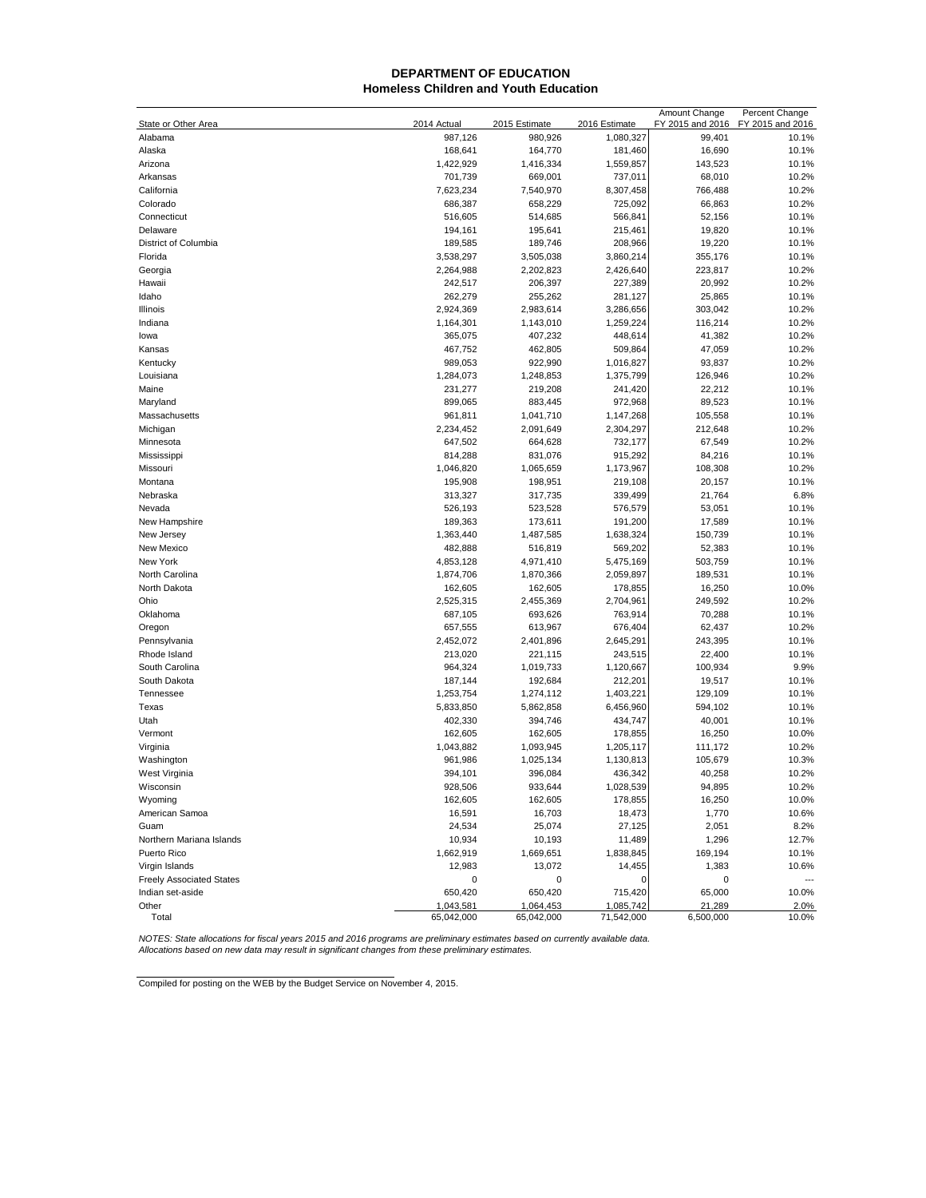#### **DEPARTMENT OF EDUCATION Homeless Children and Youth Education**

|                                 |                      |                      |               | Amount Change    | Percent Change   |
|---------------------------------|----------------------|----------------------|---------------|------------------|------------------|
| State or Other Area             | 2014 Actual          | 2015 Estimate        | 2016 Estimate | FY 2015 and 2016 | FY 2015 and 2016 |
| Alabama                         | 987,126              | 980,926              | 1,080,327     | 99,401           | 10.1%            |
| Alaska                          | 168,641              | 164,770              | 181,460       | 16,690           | 10.1%            |
| Arizona                         | 1,422,929            | 1,416,334            | 1,559,857     | 143,523          | 10.1%            |
| Arkansas                        | 701,739              | 669,001              | 737,011       | 68,010           | 10.2%            |
| California                      | 7,623,234            | 7,540,970            | 8,307,458     | 766,488          | 10.2%            |
| Colorado                        | 686,387              | 658,229              | 725,092       | 66,863           | 10.2%            |
| Connecticut                     | 516,605              | 514,685              | 566,841       | 52,156           | 10.1%            |
| Delaware                        | 194,161              | 195,641              | 215,461       | 19,820           | 10.1%            |
| District of Columbia            | 189,585              | 189,746              | 208,966       | 19,220           | 10.1%            |
| Florida                         | 3,538,297            | 3,505,038            | 3,860,214     | 355,176          | 10.1%            |
| Georgia                         | 2,264,988            | 2,202,823            | 2,426,640     | 223,817          | 10.2%            |
| Hawaii                          | 242,517              | 206,397              | 227,389       | 20,992           | 10.2%            |
| Idaho                           | 262,279              | 255,262              | 281,127       | 25,865           | 10.1%            |
| Illinois                        | 2,924,369            | 2,983,614            | 3,286,656     | 303,042          | 10.2%            |
| Indiana                         | 1,164,301            | 1,143,010            | 1,259,224     | 116,214          | 10.2%            |
|                                 |                      |                      |               |                  |                  |
| lowa                            | 365,075              | 407,232              | 448,614       | 41,382           | 10.2%            |
| Kansas                          | 467,752              | 462,805              | 509,864       | 47,059           | 10.2%            |
| Kentucky                        | 989,053              | 922,990              | 1,016,827     | 93,837           | 10.2%            |
| Louisiana                       | 1,284,073            | 1,248,853            | 1,375,799     | 126,946          | 10.2%            |
| Maine                           | 231,277              | 219,208              | 241,420       | 22,212           | 10.1%            |
| Maryland                        | 899,065              | 883,445              | 972,968       | 89,523           | 10.1%            |
| Massachusetts                   | 961,811              | 1,041,710            | 1,147,268     | 105,558          | 10.1%            |
| Michigan                        | 2,234,452            | 2,091,649            | 2,304,297     | 212,648          | 10.2%            |
| Minnesota                       | 647,502              | 664,628              | 732,177       | 67,549           | 10.2%            |
| Mississippi                     | 814,288              | 831,076              | 915,292       | 84,216           | 10.1%            |
| Missouri                        | 1,046,820            | 1,065,659            | 1,173,967     | 108,308          | 10.2%            |
| Montana                         | 195,908              | 198,951              | 219,108       | 20,157           | 10.1%            |
| Nebraska                        | 313,327              | 317,735              | 339,499       | 21,764           | 6.8%             |
| Nevada                          | 526,193              | 523,528              | 576,579       | 53,051           | 10.1%            |
| New Hampshire                   | 189,363              | 173,611              | 191,200       | 17,589           | 10.1%            |
| New Jersey                      | 1,363,440            | 1,487,585            | 1,638,324     | 150,739          | 10.1%            |
| New Mexico                      | 482,888              | 516,819              | 569,202       | 52,383           | 10.1%            |
| New York                        | 4,853,128            | 4,971,410            | 5,475,169     | 503,759          | 10.1%            |
| North Carolina                  | 1,874,706            | 1,870,366            | 2,059,897     | 189,531          | 10.1%            |
| North Dakota                    | 162,605              | 162,605              | 178,855       | 16,250           | 10.0%            |
| Ohio                            | 2,525,315            | 2,455,369            | 2,704,961     | 249,592          | 10.2%            |
| Oklahoma                        | 687,105              | 693,626              | 763,914       | 70,288           | 10.1%            |
| Oregon                          | 657,555              | 613,967              | 676,404       | 62,437           | 10.2%            |
| Pennsylvania                    | 2,452,072            | 2,401,896            | 2,645,291     | 243,395          | 10.1%            |
| Rhode Island                    | 213,020              | 221,115              | 243,515       | 22,400           | 10.1%            |
| South Carolina                  | 964,324              | 1,019,733            | 1,120,667     | 100,934          | 9.9%             |
| South Dakota                    | 187,144              | 192,684              | 212,201       | 19,517           | 10.1%            |
| Tennessee                       | 1,253,754            | 1,274,112            | 1,403,221     | 129,109          | 10.1%            |
| Texas                           | 5,833,850            | 5,862,858            | 6,456,960     | 594,102          | 10.1%            |
| Utah                            | 402,330              | 394,746              | 434,747       | 40,001           | 10.1%            |
|                                 |                      |                      |               |                  | 10.0%            |
| Vermont                         | 162,605<br>1,043,882 | 162,605<br>1,093,945 | 178,855       | 16,250           |                  |
| Virginia                        |                      |                      | 1,205,117     | 111,172          | 10.2%            |
| Washington                      | 961,986              | 1,025,134            | 1,130,813     | 105,679          | 10.3%            |
| West Virginia                   | 394,101              | 396,084              | 436,342       | 40,258           | 10.2%            |
| Wisconsin                       | 928,506              | 933,644              | 1,028,539     | 94,895           | 10.2%            |
| Wyoming                         | 162,605              | 162,605              | 178,855       | 16,250           | 10.0%            |
| American Samoa                  | 16,591               | 16,703               | 18,473        | 1,770            | 10.6%            |
| Guam                            | 24,534               | 25,074               | 27,125        | 2,051            | 8.2%             |
| Northern Mariana Islands        | 10,934               | 10,193               | 11,489        | 1,296            | 12.7%            |
| Puerto Rico                     | 1,662,919            | 1,669,651            | 1,838,845     | 169,194          | 10.1%            |
| Virgin Islands                  | 12,983               | 13,072               | 14.455        | 1,383            | 10.6%            |
| <b>Freely Associated States</b> | 0                    | 0                    | 0             | 0                |                  |
| Indian set-aside                | 650,420              | 650,420              | 715,420       | 65,000           | 10.0%            |
| Other                           | 1,043,581            | 1,064,453            | 1,085,742     | 21,289           | 2.0%             |
| Total                           | 65,042,000           | 65,042,000           | 71,542,000    | 6,500,000        | 10.0%            |

NOTES: State allocations for fiscal years 2015 and 2016 programs are preliminary estimates based on currently available data.<br>Allocations based on new data may result in significant changes from these preliminary estimates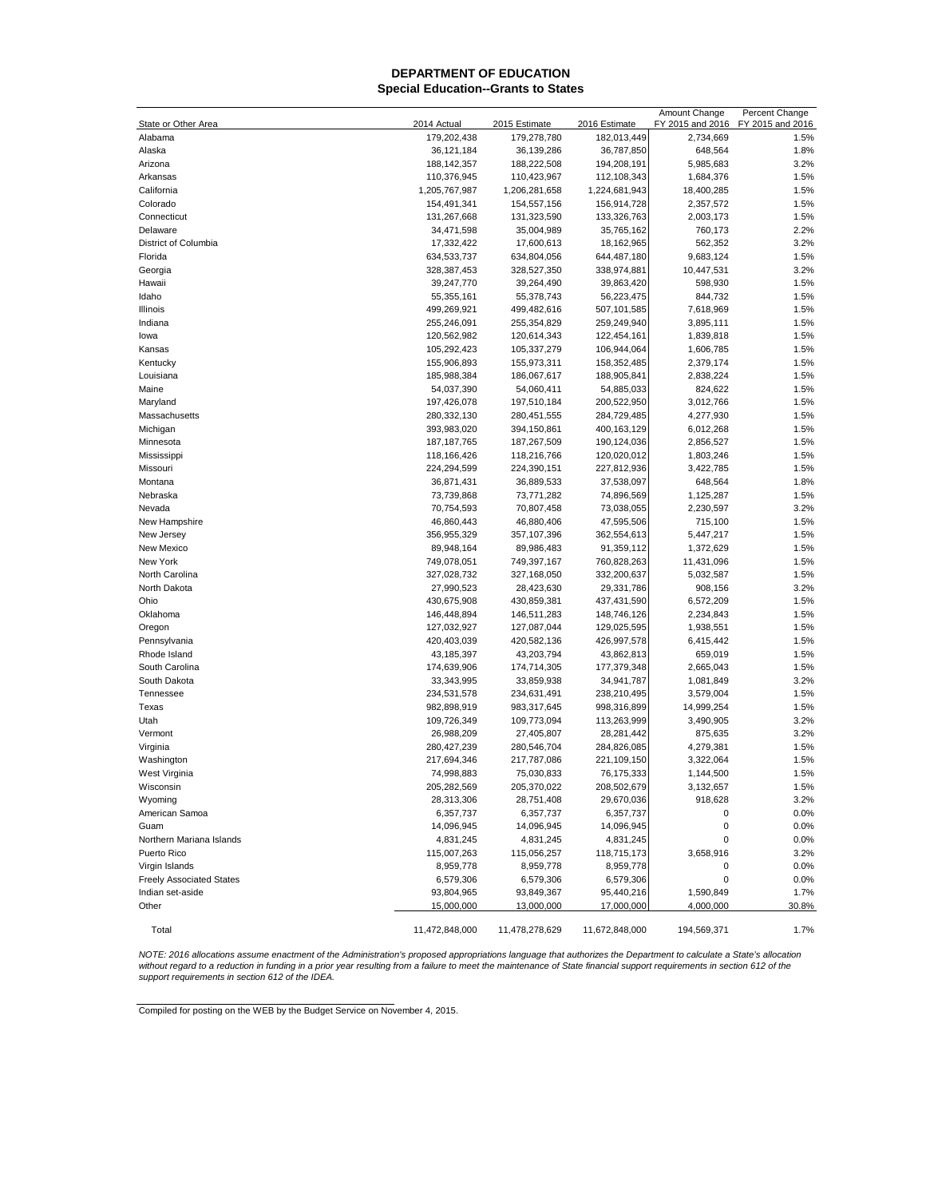#### **Special Education--Grants to States DEPARTMENT OF EDUCATION**

|                                 |                |                |                | Amount Change        | Percent Change   |
|---------------------------------|----------------|----------------|----------------|----------------------|------------------|
| State or Other Area             | 2014 Actual    | 2015 Estimate  | 2016 Estimate  | FY 2015 and 2016     | FY 2015 and 2016 |
| Alabama                         | 179,202,438    | 179,278,780    | 182,013,449    | 2,734,669            | 1.5%             |
| Alaska                          | 36,121,184     | 36,139,286     | 36,787,850     | 648,564              | 1.8%             |
| Arizona                         | 188, 142, 357  | 188,222,508    | 194,208,191    | 5,985,683            | 3.2%             |
| Arkansas                        | 110,376,945    | 110,423,967    | 112,108,343    | 1,684,376            | 1.5%             |
| California                      | 1,205,767,987  | 1,206,281,658  | 1,224,681,943  | 18,400,285           | 1.5%             |
| Colorado                        | 154,491,341    | 154,557,156    | 156,914,728    | 2,357,572            | 1.5%             |
| Connecticut                     | 131,267,668    | 131,323,590    | 133,326,763    | 2,003,173            | 1.5%             |
| Delaware                        | 34,471,598     | 35,004,989     | 35,765,162     | 760,173              | 2.2%             |
| District of Columbia            | 17,332,422     | 17,600,613     | 18,162,965     | 562,352              | 3.2%             |
| Florida                         | 634,533,737    | 634,804,056    | 644,487,180    | 9,683,124            | 1.5%             |
| Georgia                         | 328,387,453    | 328,527,350    | 338,974,881    | 10,447,531           | 3.2%             |
| Hawaii                          | 39,247,770     | 39,264,490     | 39,863,420     | 598,930              | 1.5%             |
| Idaho                           | 55,355,161     | 55,378,743     | 56,223,475     | 844,732              | 1.5%             |
| Illinois                        | 499,269,921    | 499,482,616    | 507,101,585    | 7,618,969            | 1.5%             |
| Indiana                         | 255,246,091    | 255,354,829    | 259,249,940    | 3,895,111            | 1.5%             |
| lowa                            | 120,562,982    | 120,614,343    | 122,454,161    | 1,839,818            | 1.5%             |
| Kansas                          | 105,292,423    | 105,337,279    | 106,944,064    | 1,606,785            | 1.5%             |
| Kentucky                        | 155,906,893    | 155,973,311    | 158,352,485    | 2,379,174            | 1.5%             |
| Louisiana                       | 185,988,384    | 186,067,617    | 188,905,841    | 2,838,224            | 1.5%             |
| Maine                           | 54,037,390     | 54,060,411     | 54,885,033     | 824,622              | 1.5%             |
| Maryland                        | 197,426,078    | 197,510,184    | 200,522,950    | 3,012,766            | 1.5%             |
| Massachusetts                   | 280,332,130    | 280,451,555    | 284,729,485    | 4,277,930            | 1.5%             |
| Michigan                        | 393,983,020    | 394,150,861    | 400,163,129    | 6,012,268            | 1.5%             |
| Minnesota                       | 187, 187, 765  | 187,267,509    | 190,124,036    | 2,856,527            | 1.5%             |
| Mississippi                     | 118,166,426    | 118,216,766    | 120,020,012    | 1,803,246            | 1.5%             |
| Missouri                        | 224,294,599    | 224,390,151    | 227,812,936    | 3,422,785            | 1.5%             |
| Montana                         | 36,871,431     | 36,889,533     | 37,538,097     | 648,564              | 1.8%             |
| Nebraska                        | 73,739,868     | 73,771,282     | 74,896,569     | 1,125,287            | 1.5%             |
| Nevada                          | 70,754,593     | 70,807,458     | 73,038,055     | 2,230,597            | 3.2%             |
| New Hampshire                   | 46,860,443     | 46,880,406     | 47,595,506     | 715,100              | 1.5%             |
| New Jersey                      | 356,955,329    | 357,107,396    | 362,554,613    | 5,447,217            | 1.5%             |
| New Mexico                      | 89,948,164     | 89,986,483     | 91,359,112     | 1,372,629            | 1.5%             |
| New York                        | 749,078,051    | 749,397,167    | 760,828,263    | 11,431,096           | 1.5%             |
| North Carolina                  | 327,028,732    | 327,168,050    | 332,200,637    | 5,032,587            | 1.5%             |
| North Dakota                    | 27,990,523     | 28,423,630     | 29,331,786     |                      | 3.2%             |
| Ohio                            | 430,675,908    | 430,859,381    | 437,431,590    | 908,156<br>6,572,209 | 1.5%             |
| Oklahoma                        | 146,448,894    |                |                |                      | 1.5%             |
|                                 |                | 146,511,283    | 148,746,126    | 2,234,843            |                  |
| Oregon                          | 127,032,927    | 127,087,044    | 129,025,595    | 1,938,551            | 1.5%             |
| Pennsylvania                    | 420,403,039    | 420,582,136    | 426,997,578    | 6,415,442            | 1.5%             |
| Rhode Island                    | 43,185,397     | 43,203,794     | 43,862,813     | 659,019              | 1.5%             |
| South Carolina                  | 174,639,906    | 174,714,305    | 177,379,348    | 2,665,043            | 1.5%             |
| South Dakota                    | 33,343,995     | 33,859,938     | 34,941,787     | 1,081,849            | 3.2%             |
| Tennessee                       | 234,531,578    | 234,631,491    | 238,210,495    | 3,579,004            | 1.5%             |
| Texas                           | 982,898,919    | 983,317,645    | 998,316,899    | 14,999,254           | 1.5%             |
| Utah                            | 109,726,349    | 109,773,094    | 113,263,999    | 3,490,905            | 3.2%             |
| Vermont                         | 26,988,209     | 27,405,807     | 28,281,442     | 875,635              | 3.2%             |
| Virginia                        | 280,427,239    | 280,546,704    | 284,826,085    | 4,279,381            | 1.5%             |
| Washington                      | 217,694,346    | 217,787,086    | 221,109,150    | 3,322,064            | 1.5%             |
| West Virginia                   | 74,998,883     | 75,030,833     | 76,175,333     | 1,144,500            | 1.5%             |
| Wisconsin                       | 205,282,569    | 205,370,022    | 208,502,679    | 3,132,657            | 1.5%             |
| Wyoming                         | 28,313,306     | 28,751,408     | 29,670,036     | 918,628              | 3.2%             |
| American Samoa                  | 6,357,737      | 6,357,737      | 6,357,737      | 0                    | 0.0%             |
| Guam                            | 14,096,945     | 14,096,945     | 14,096,945     | 0                    | 0.0%             |
| Northern Mariana Islands        | 4,831,245      | 4,831,245      | 4,831,245      | 0                    | 0.0%             |
| Puerto Rico                     | 115,007,263    | 115,056,257    | 118,715,173    | 3,658,916            | 3.2%             |
| Virgin Islands                  | 8,959,778      | 8,959,778      | 8,959,778      | 0                    | 0.0%             |
| <b>Freely Associated States</b> | 6,579,306      | 6,579,306      | 6,579,306      | 0                    | 0.0%             |
| Indian set-aside                | 93,804,965     | 93,849,367     | 95,440,216     | 1,590,849            | 1.7%             |
| Other                           | 15,000,000     | 13,000,000     | 17,000,000     | 4,000,000            | 30.8%            |
|                                 |                |                |                |                      |                  |
| Total                           | 11,472,848,000 | 11,478,278,629 | 11,672,848,000 | 194,569,371          | 1.7%             |

*support requirements in section 612 of the IDEA.* NOTE: 2016 allocations assume enactment of the Administration's proposed appropriations language that authorizes the Department to calculate a State's allocation<br>without regard to a reduction in funding in a prior year res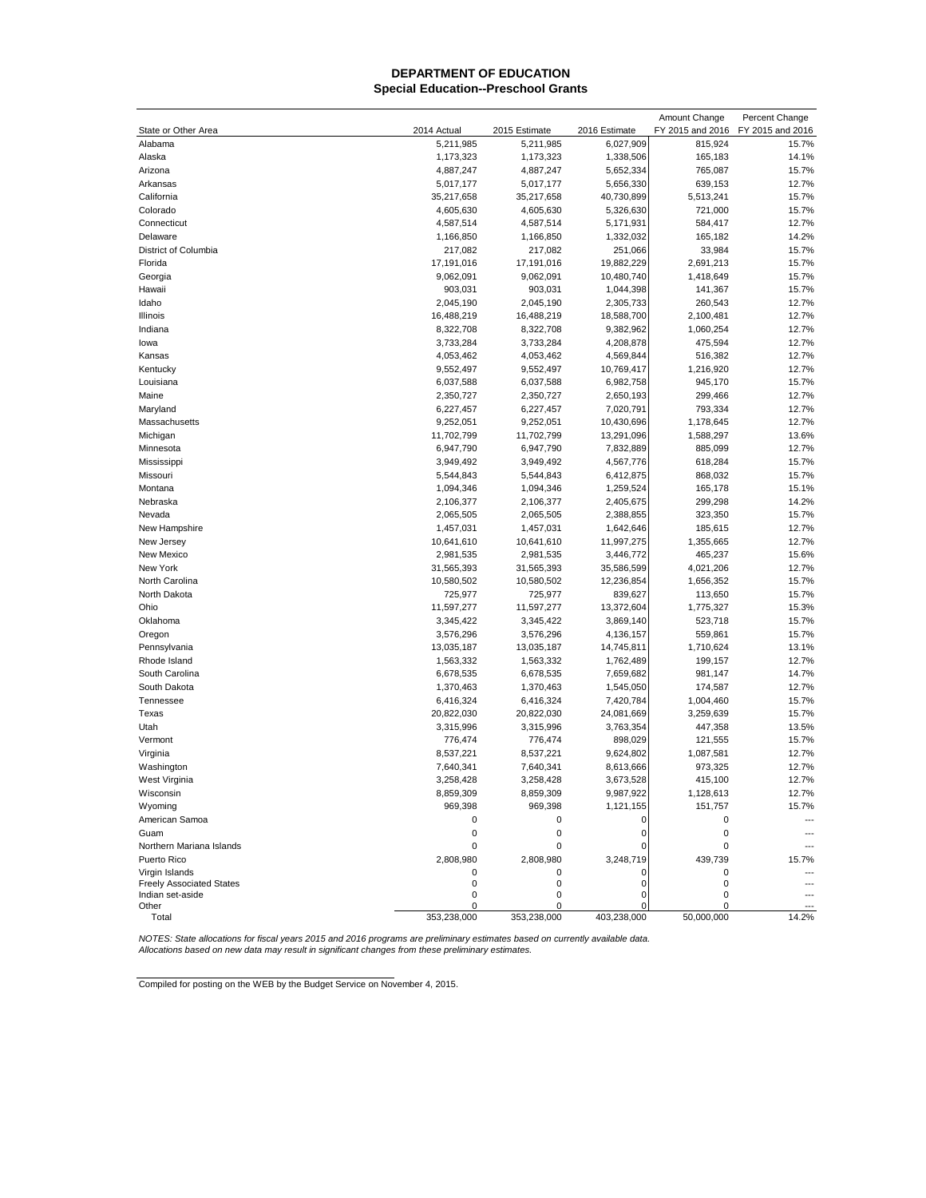## **Special Education--Preschool Grants DEPARTMENT OF EDUCATION**

|                                                     |             |               |               | Amount Change    | Percent Change   |
|-----------------------------------------------------|-------------|---------------|---------------|------------------|------------------|
| State or Other Area                                 | 2014 Actual | 2015 Estimate | 2016 Estimate | FY 2015 and 2016 | FY 2015 and 2016 |
| Alabama                                             | 5,211,985   | 5,211,985     | 6,027,909     | 815,924          | 15.7%            |
| Alaska                                              | 1,173,323   | 1,173,323     | 1,338,506     | 165,183          | 14.1%            |
| Arizona                                             | 4,887,247   | 4,887,247     | 5,652,334     | 765,087          | 15.7%            |
| Arkansas                                            | 5,017,177   | 5,017,177     | 5,656,330     | 639,153          | 12.7%            |
| California                                          | 35,217,658  | 35,217,658    | 40,730,899    | 5,513,241        | 15.7%            |
| Colorado                                            | 4,605,630   | 4,605,630     | 5,326,630     | 721,000          | 15.7%            |
| Connecticut                                         | 4,587,514   | 4,587,514     | 5,171,931     | 584,417          | 12.7%            |
| Delaware                                            | 1,166,850   | 1,166,850     | 1,332,032     | 165,182          | 14.2%            |
| District of Columbia                                | 217,082     | 217,082       | 251,066       | 33,984           | 15.7%            |
| Florida                                             | 17,191,016  | 17,191,016    | 19,882,229    | 2,691,213        | 15.7%            |
| Georgia                                             | 9,062,091   | 9,062,091     | 10,480,740    | 1,418,649        | 15.7%            |
| Hawaii                                              | 903,031     | 903,031       | 1,044,398     | 141,367          | 15.7%            |
| Idaho                                               | 2,045,190   | 2,045,190     | 2,305,733     | 260,543          | 12.7%            |
| <b>Illinois</b>                                     | 16,488,219  | 16,488,219    | 18,588,700    | 2,100,481        | 12.7%            |
| Indiana                                             | 8,322,708   | 8,322,708     | 9,382,962     | 1,060,254        | 12.7%            |
| lowa                                                | 3,733,284   | 3,733,284     | 4,208,878     | 475,594          | 12.7%            |
| Kansas                                              | 4,053,462   | 4,053,462     | 4,569,844     | 516,382          | 12.7%            |
| Kentucky                                            | 9,552,497   | 9,552,497     | 10,769,417    | 1,216,920        | 12.7%            |
| Louisiana                                           | 6,037,588   | 6,037,588     | 6,982,758     | 945,170          | 15.7%            |
| Maine                                               | 2,350,727   | 2,350,727     | 2,650,193     | 299,466          | 12.7%            |
| Maryland                                            | 6,227,457   | 6,227,457     | 7,020,791     | 793,334          | 12.7%            |
| Massachusetts                                       | 9,252,051   | 9,252,051     | 10,430,696    | 1,178,645        | 12.7%            |
| Michigan                                            | 11,702,799  | 11,702,799    | 13,291,096    | 1,588,297        | 13.6%            |
| Minnesota                                           | 6,947,790   | 6,947,790     | 7,832,889     | 885,099          | 12.7%            |
| Mississippi                                         | 3,949,492   | 3,949,492     | 4,567,776     | 618,284          | 15.7%            |
| Missouri                                            | 5,544,843   | 5,544,843     | 6,412,875     | 868,032          | 15.7%            |
| Montana                                             | 1,094,346   | 1,094,346     | 1,259,524     | 165,178          | 15.1%            |
| Nebraska                                            | 2,106,377   | 2,106,377     | 2,405,675     | 299,298          | 14.2%            |
| Nevada                                              | 2,065,505   | 2,065,505     | 2,388,855     | 323,350          | 15.7%            |
| New Hampshire                                       | 1,457,031   | 1,457,031     | 1,642,646     | 185,615          | 12.7%            |
| New Jersey                                          | 10,641,610  | 10,641,610    | 11,997,275    | 1,355,665        | 12.7%            |
| New Mexico                                          | 2,981,535   | 2,981,535     | 3,446,772     | 465,237          | 15.6%            |
| New York                                            | 31,565,393  | 31,565,393    | 35,586,599    | 4,021,206        | 12.7%            |
| North Carolina                                      | 10,580,502  | 10,580,502    | 12,236,854    | 1,656,352        | 15.7%            |
| North Dakota                                        | 725,977     | 725,977       | 839,627       | 113,650          | 15.7%            |
| Ohio                                                | 11,597,277  | 11,597,277    | 13,372,604    | 1,775,327        | 15.3%            |
| Oklahoma                                            | 3,345,422   | 3,345,422     | 3,869,140     | 523,718          | 15.7%            |
| Oregon                                              | 3,576,296   | 3,576,296     | 4,136,157     | 559,861          | 15.7%            |
| Pennsylvania                                        | 13,035,187  | 13,035,187    | 14,745,811    | 1,710,624        | 13.1%            |
| Rhode Island                                        | 1,563,332   | 1,563,332     | 1,762,489     | 199,157          | 12.7%            |
| South Carolina                                      | 6,678,535   | 6,678,535     | 7,659,682     | 981,147          | 14.7%            |
| South Dakota                                        | 1,370,463   | 1,370,463     | 1,545,050     | 174,587          | 12.7%            |
| Tennessee                                           | 6,416,324   | 6,416,324     | 7,420,784     | 1,004,460        | 15.7%            |
| Texas                                               | 20,822,030  | 20,822,030    | 24,081,669    | 3,259,639        | 15.7%            |
| Utah                                                | 3,315,996   | 3,315,996     | 3,763,354     | 447,358          | 13.5%            |
| Vermont                                             | 776,474     | 776,474       | 898,029       | 121,555          | 15.7%            |
| Virginia                                            | 8,537,221   | 8,537,221     | 9,624,802     | 1,087,581        | 12.7%            |
| Washington                                          | 7,640,341   | 7,640,341     | 8,613,666     | 973,325          | 12.7%            |
| West Virginia                                       | 3,258,428   | 3,258,428     | 3,673,528     | 415,100          | 12.7%            |
| Wisconsin                                           | 8,859,309   | 8,859,309     | 9,987,922     | 1,128,613        | 12.7%            |
| Wyoming                                             | 969,398     | 969,398       | 1,121,155     | 151,757          | 15.7%            |
| American Samoa                                      | 0           | 0             | 0             | 0                |                  |
| Guam                                                | 0           | 0             | 0             | 0                | ---              |
| Northern Mariana Islands                            | 0           | 0             | O             | 0                | $---$            |
| Puerto Rico                                         | 2,808,980   | 2,808,980     | 3,248,719     | 439,739          | 15.7%            |
| Virgin Islands                                      | 0           | 0             |               | 0                | $---$            |
| <b>Freely Associated States</b><br>Indian set-aside | 0<br>0      | 0<br>0        | 0<br>0        | 0<br>0           | $---$            |
| Other                                               | 0           | 0             | 0             | 0                |                  |
| Total                                               | 353,238,000 | 353,238,000   | 403,238,000   | 50,000,000       | 14.2%            |

NOTES: State allocations for fiscal years 2015 and 2016 programs are preliminary estimates based on currently available data.<br>Allocations based on new data may result in significant changes from these preliminary estimates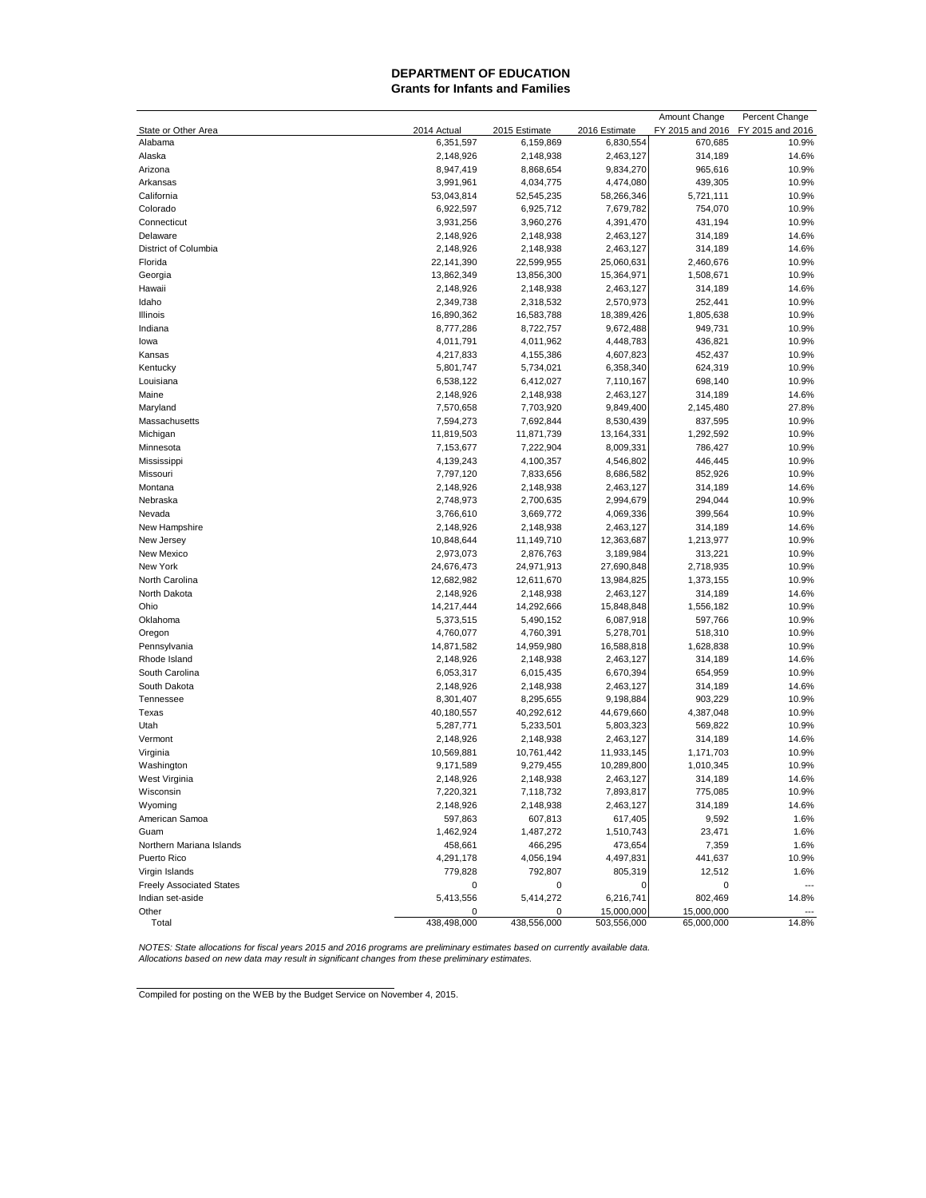#### **DEPARTMENT OF EDUCATION Grants for Infants and Families**

|                                 |             |               |               | Amount Change    | Percent Change   |
|---------------------------------|-------------|---------------|---------------|------------------|------------------|
| State or Other Area             | 2014 Actual | 2015 Estimate | 2016 Estimate | FY 2015 and 2016 | FY 2015 and 2016 |
| Alabama                         | 6,351,597   | 6,159,869     | 6,830,554     | 670,685          | 10.9%            |
| Alaska                          | 2,148,926   | 2,148,938     | 2,463,127     | 314,189          | 14.6%            |
| Arizona                         | 8,947,419   | 8,868,654     | 9,834,270     | 965,616          | 10.9%            |
| Arkansas                        | 3,991,961   | 4,034,775     | 4,474,080     | 439,305          | 10.9%            |
| California                      | 53,043,814  | 52,545,235    | 58,266,346    | 5,721,111        | 10.9%            |
| Colorado                        | 6,922,597   | 6,925,712     | 7,679,782     | 754,070          | 10.9%            |
| Connecticut                     | 3,931,256   | 3,960,276     | 4,391,470     | 431,194          | 10.9%            |
| Delaware                        | 2,148,926   | 2,148,938     | 2,463,127     | 314,189          | 14.6%            |
| District of Columbia            | 2,148,926   | 2,148,938     | 2,463,127     | 314,189          | 14.6%            |
| Florida                         | 22,141,390  | 22,599,955    | 25,060,631    | 2,460,676        | 10.9%            |
| Georgia                         | 13,862,349  | 13,856,300    | 15,364,971    | 1,508,671        | 10.9%            |
| Hawaii                          | 2,148,926   | 2,148,938     | 2,463,127     | 314,189          | 14.6%            |
| Idaho                           | 2,349,738   | 2,318,532     | 2,570,973     | 252,441          | 10.9%            |
| Illinois                        | 16,890,362  | 16,583,788    | 18,389,426    | 1,805,638        | 10.9%            |
| Indiana                         | 8,777,286   | 8,722,757     | 9,672,488     | 949,731          | 10.9%            |
| lowa                            | 4,011,791   | 4,011,962     | 4,448,783     | 436,821          | 10.9%            |
| Kansas                          | 4,217,833   | 4,155,386     | 4,607,823     | 452,437          | 10.9%            |
| Kentucky                        | 5,801,747   | 5,734,021     | 6,358,340     | 624,319          | 10.9%            |
| Louisiana                       | 6,538,122   | 6,412,027     | 7,110,167     | 698,140          | 10.9%            |
| Maine                           | 2,148,926   | 2,148,938     | 2,463,127     | 314,189          | 14.6%            |
| Maryland                        | 7,570,658   | 7,703,920     | 9,849,400     | 2,145,480        | 27.8%            |
| Massachusetts                   | 7,594,273   | 7,692,844     | 8,530,439     | 837,595          | 10.9%            |
| Michigan                        | 11,819,503  | 11,871,739    | 13,164,331    | 1,292,592        | 10.9%            |
| Minnesota                       | 7,153,677   | 7,222,904     | 8,009,331     | 786,427          | 10.9%            |
| Mississippi                     | 4,139,243   | 4,100,357     | 4,546,802     | 446,445          | 10.9%            |
| Missouri                        | 7,797,120   | 7,833,656     | 8,686,582     | 852,926          | 10.9%            |
| Montana                         | 2,148,926   | 2,148,938     | 2,463,127     | 314,189          | 14.6%            |
| Nebraska                        | 2,748,973   | 2,700,635     | 2,994,679     | 294,044          | 10.9%            |
| Nevada                          | 3,766,610   | 3,669,772     | 4,069,336     | 399,564          | 10.9%            |
| New Hampshire                   | 2,148,926   | 2,148,938     | 2,463,127     | 314,189          | 14.6%            |
| New Jersey                      | 10,848,644  | 11,149,710    | 12,363,687    | 1,213,977        | 10.9%            |
| New Mexico                      | 2,973,073   | 2,876,763     | 3,189,984     | 313,221          | 10.9%            |
| New York                        | 24,676,473  | 24,971,913    | 27,690,848    | 2,718,935        | 10.9%            |
| North Carolina                  | 12,682,982  | 12,611,670    | 13,984,825    | 1,373,155        | 10.9%            |
| North Dakota                    | 2,148,926   | 2,148,938     | 2,463,127     | 314,189          | 14.6%            |
| Ohio                            | 14,217,444  | 14,292,666    | 15,848,848    | 1,556,182        | 10.9%            |
| Oklahoma                        | 5,373,515   | 5,490,152     | 6,087,918     | 597,766          | 10.9%            |
| Oregon                          | 4,760,077   | 4,760,391     | 5,278,701     | 518,310          | 10.9%            |
| Pennsylvania                    | 14,871,582  | 14,959,980    | 16,588,818    | 1,628,838        | 10.9%            |
| Rhode Island                    | 2,148,926   | 2,148,938     | 2,463,127     | 314,189          | 14.6%            |
| South Carolina                  | 6,053,317   | 6,015,435     | 6,670,394     | 654,959          | 10.9%            |
| South Dakota                    | 2,148,926   | 2,148,938     | 2,463,127     | 314,189          | 14.6%            |
| Tennessee                       | 8,301,407   | 8,295,655     | 9,198,884     | 903,229          | 10.9%            |
| Texas                           | 40,180,557  | 40,292,612    | 44,679,660    | 4,387,048        | 10.9%            |
| Utah                            | 5,287,771   | 5,233,501     | 5,803,323     | 569,822          | 10.9%            |
| Vermont                         | 2,148,926   | 2,148,938     | 2,463,127     | 314,189          | 14.6%            |
| Virginia                        | 10,569,881  | 10,761,442    | 11,933,145    | 1,171,703        | 10.9%            |
| Washington                      | 9,171,589   | 9,279,455     | 10,289,800    | 1,010,345        | 10.9%            |
| West Virginia                   | 2,148,926   | 2,148,938     | 2,463,127     | 314,189          | 14.6%            |
| Wisconsin                       | 7,220,321   | 7,118,732     | 7,893,817     | 775,085          | 10.9%            |
| Wyoming                         | 2,148,926   | 2,148,938     | 2,463,127     | 314,189          | 14.6%            |
| American Samoa                  | 597,863     | 607,813       | 617,405       | 9,592            | 1.6%             |
| Guam                            | 1,462,924   | 1,487,272     | 1,510,743     | 23,471           | 1.6%             |
| Northern Mariana Islands        | 458,661     | 466,295       | 473,654       | 7,359            | 1.6%             |
| Puerto Rico                     | 4,291,178   | 4,056,194     | 4,497,831     | 441,637          | 10.9%            |
| Virgin Islands                  | 779,828     | 792,807       | 805,319       | 12,512           | 1.6%             |
| <b>Freely Associated States</b> | 0           | 0             | 0             | 0                |                  |
| Indian set-aside                | 5,413,556   | 5,414,272     | 6,216,741     | 802,469          | 14.8%            |
| Other                           | 0           | 0             | 15,000,000    | 15,000,000       |                  |
| Total                           | 438,498,000 | 438,556,000   | 503,556,000   | 65,000,000       | 14.8%            |

NOTES: State allocations for fiscal years 2015 and 2016 programs are preliminary estimates based on currently available data.<br>Allocations based on new data may result in significant changes from these preliminary estimates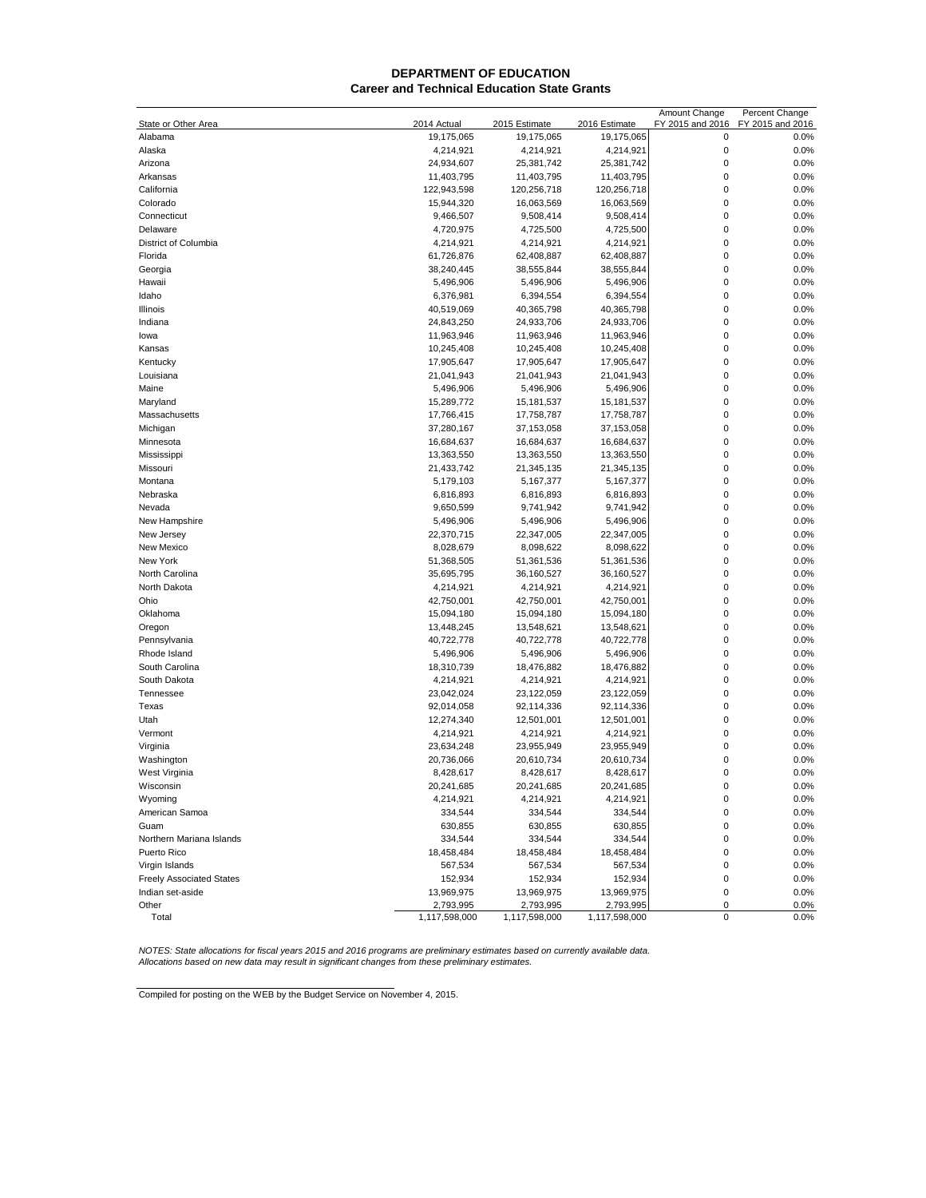#### **DEPARTMENT OF EDUCATION Career and Technical Education State Grants**

|                                 |               |                            |               | Amount Change    | Percent Change   |
|---------------------------------|---------------|----------------------------|---------------|------------------|------------------|
| State or Other Area             | 2014 Actual   | 2015 Estimate              | 2016 Estimate | FY 2015 and 2016 | FY 2015 and 2016 |
| Alabama                         | 19,175,065    | 19,175,065                 | 19,175,065    | 0                | 0.0%             |
| Alaska                          | 4,214,921     | 4,214,921                  | 4,214,921     | $\mathbf 0$      | 0.0%             |
| Arizona                         | 24,934,607    | 25,381,742                 | 25,381,742    | $\mathbf 0$      | 0.0%             |
| Arkansas                        | 11,403,795    | 11,403,795                 | 11,403,795    | $\mathbf 0$      | 0.0%             |
| California                      | 122,943,598   | 120,256,718                | 120,256,718   | 0                | 0.0%             |
| Colorado                        | 15,944,320    | 16,063,569                 | 16,063,569    | 0                | 0.0%             |
| Connecticut                     | 9,466,507     | 9,508,414                  | 9,508,414     | $\mathbf{0}$     | 0.0%             |
| Delaware                        | 4,720,975     | 4,725,500                  | 4,725,500     | $\mathbf{0}$     | 0.0%             |
| District of Columbia            | 4,214,921     | 4,214,921                  | 4,214,921     | 0                | 0.0%             |
| Florida                         | 61,726,876    | 62,408,887                 | 62,408,887    | 0                | 0.0%             |
| Georgia                         | 38,240,445    | 38,555,844                 | 38,555,844    | 0                | 0.0%             |
| Hawaii                          | 5,496,906     | 5,496,906                  | 5,496,906     | $\mathbf 0$      | 0.0%             |
| Idaho                           |               |                            |               | 0                |                  |
|                                 | 6,376,981     | 6,394,554                  | 6,394,554     | 0                | 0.0%             |
| Illinois                        | 40,519,069    | 40,365,798                 | 40,365,798    |                  | 0.0%             |
| Indiana                         | 24,843,250    | 24,933,706                 | 24,933,706    | 0                | 0.0%             |
| lowa                            | 11,963,946    | 11,963,946                 | 11,963,946    | 0                | 0.0%             |
| Kansas                          | 10,245,408    | 10,245,408                 | 10,245,408    | 0                | 0.0%             |
| Kentucky                        | 17,905,647    | 17,905,647                 | 17,905,647    | 0                | 0.0%             |
| Louisiana                       | 21,041,943    | 21,041,943                 | 21,041,943    | $\mathbf 0$      | 0.0%             |
| Maine                           | 5,496,906     | 5,496,906                  | 5,496,906     | $\mathbf{0}$     | 0.0%             |
| Maryland                        | 15,289,772    | 15,181,537                 | 15, 181, 537  | $\mathbf{0}$     | 0.0%             |
| Massachusetts                   | 17,766,415    | 17,758,787                 | 17,758,787    | 0                | 0.0%             |
| Michigan                        | 37,280,167    | 37,153,058                 | 37,153,058    | 0                | 0.0%             |
| Minnesota                       | 16,684,637    | 16,684,637                 | 16,684,637    | 0                | 0.0%             |
| Mississippi                     | 13,363,550    | 13,363,550                 | 13,363,550    | $\mathbf 0$      | 0.0%             |
| Missouri                        | 21,433,742    | 21,345,135                 | 21,345,135    | $\mathbf 0$      | 0.0%             |
| Montana                         | 5,179,103     | 5,167,377                  | 5,167,377     | $\mathbf 0$      | 0.0%             |
| Nebraska                        | 6,816,893     | 6,816,893                  | 6,816,893     | 0                | 0.0%             |
| Nevada                          | 9,650,599     | 9,741,942                  | 9,741,942     | 0                | 0.0%             |
| New Hampshire                   | 5,496,906     | 5,496,906                  | 5,496,906     | $\mathbf 0$      | 0.0%             |
| New Jersey                      | 22,370,715    | 22,347,005                 | 22,347,005    | 0                | 0.0%             |
| New Mexico                      | 8,028,679     | 8,098,622                  | 8,098,622     | 0                | 0.0%             |
| New York                        | 51,368,505    | 51,361,536                 | 51,361,536    | $\mathbf{0}$     | 0.0%             |
| North Carolina                  | 35,695,795    | 36,160,527                 | 36,160,527    | 0                | 0.0%             |
|                                 |               |                            |               | $\mathbf{0}$     |                  |
| North Dakota                    | 4,214,921     | 4,214,921                  | 4,214,921     |                  | 0.0%             |
| Ohio                            | 42,750,001    | 42,750,001                 | 42,750,001    | 0                | 0.0%             |
| Oklahoma                        | 15,094,180    | 15,094,180                 | 15,094,180    | 0                | 0.0%             |
| Oregon                          | 13,448,245    | 13,548,621                 | 13,548,621    | $\mathbf 0$      | 0.0%             |
| Pennsylvania                    | 40,722,778    | 40,722,778                 | 40,722,778    | $\mathbf 0$      | 0.0%             |
| Rhode Island                    | 5,496,906     | 5,496,906                  | 5,496,906     | $\mathbf 0$      | 0.0%             |
| South Carolina                  | 18,310,739    | 18,476,882                 | 18,476,882    | 0                | 0.0%             |
| South Dakota                    | 4,214,921     | 4,214,921                  | 4,214,921     | 0                | 0.0%             |
| Tennessee                       | 23,042,024    | 23,122,059                 | 23,122,059    | 0                | 0.0%             |
| Texas                           | 92,014,058    | 92,114,336                 | 92,114,336    | 0                | 0.0%             |
| Utah                            | 12,274,340    | 12,501,001                 | 12,501,001    | 0                | 0.0%             |
| Vermont                         | 4,214,921     | 4,214,921                  | 4,214,921     | $\mathbf{0}$     | 0.0%             |
| Virginia                        | 23,634,248    | 23,955,949                 | 23,955,949    | 0                | 0.0%             |
| Washington                      | 20,736,066    | 20,610,734                 | 20,610,734    | 0                | 0.0%             |
| West Virginia                   | 8,428,617     | 8,428,617                  | 8,428,617     | 0                | 0.0%             |
| Wisconsin                       | 20,241,685    | 20,241,685                 | 20,241,685    | $\Omega$         | 0.0%             |
| Wyoming                         | 4,214,921     | 4,214,921                  | 4,214,921     | 0                | 0.0%             |
| American Samoa                  | 334,544       | 334,544                    | 334,544       | $\mathbf 0$      | 0.0%             |
| Guam                            | 630,855       | 630,855                    | 630,855       | $\mathbf 0$      | 0.0%             |
| Northern Mariana Islands        | 334,544       | 334,544                    | 334,544       | $\mathbf 0$      | 0.0%             |
| Puerto Rico                     | 18,458,484    | 18,458,484                 | 18,458,484    | 0                | 0.0%             |
| Virgin Islands                  | 567,534       | 567,534                    | 567,534       | 0                | 0.0%             |
|                                 | 152,934       |                            | 152,934       |                  |                  |
| <b>Freely Associated States</b> |               | 152,934                    |               | 0                | 0.0%             |
| Indian set-aside                | 13,969,975    | 13,969,975                 | 13,969,975    | $\pmb{0}$        | 0.0%             |
| Other                           | 2,793,995     | 2,793,995<br>1,117,598,000 | 2,793,995     | 0<br>$\pmb{0}$   | 0.0%<br>0.0%     |
| Total                           | 1,117,598,000 |                            | 1,117,598,000 |                  |                  |

NOTES: State allocations for fiscal years 2015 and 2016 programs are preliminary estimates based on currently available data.<br>Allocations based on new data may result in significant changes from these preliminary estimates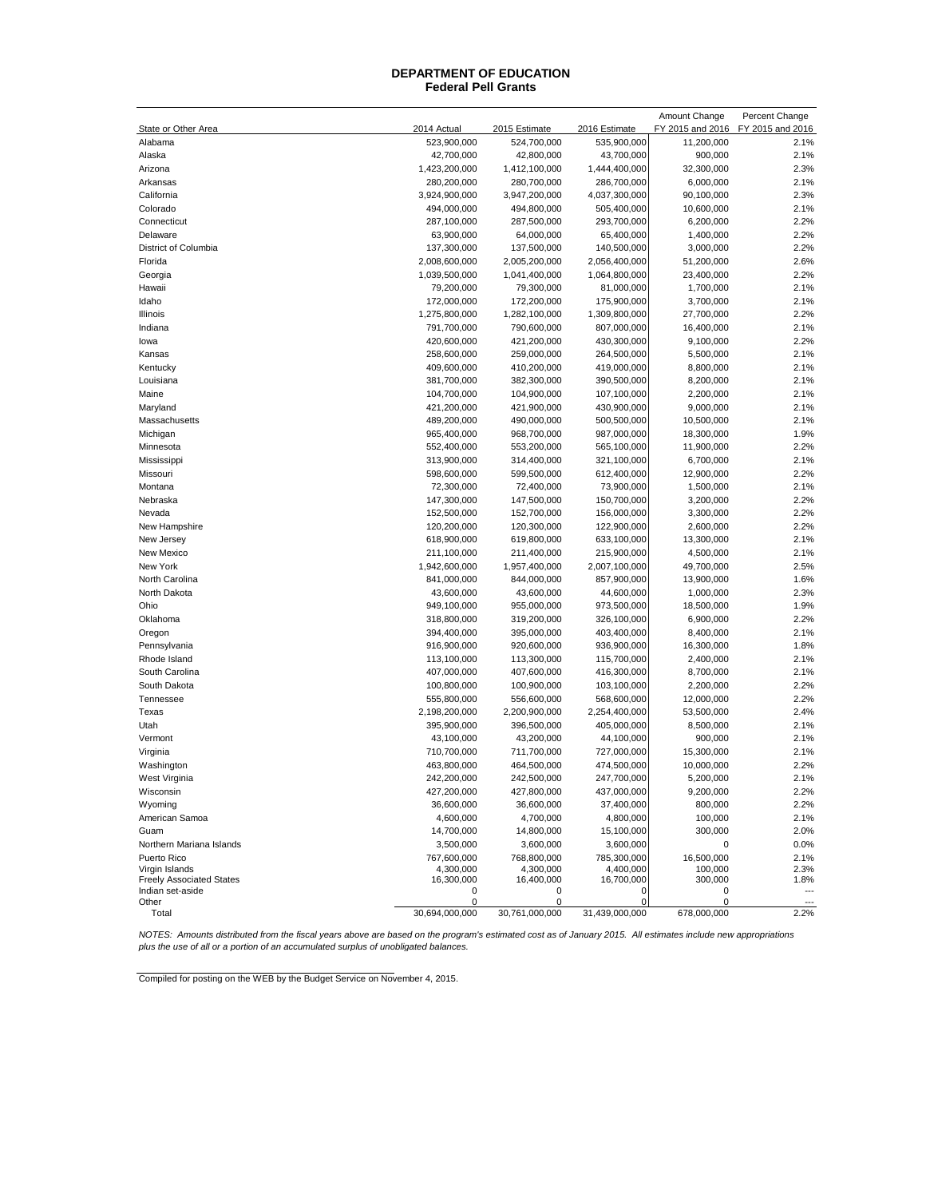#### **Federal Pell Grants DEPARTMENT OF EDUCATION**

|                                 |                |                |                | Amount Change    | Percent Change           |
|---------------------------------|----------------|----------------|----------------|------------------|--------------------------|
| State or Other Area             | 2014 Actual    | 2015 Estimate  | 2016 Estimate  | FY 2015 and 2016 | FY 2015 and 2016         |
| Alabama                         | 523,900,000    | 524,700,000    | 535,900,000    | 11,200,000       | 2.1%                     |
| Alaska                          | 42,700,000     | 42,800,000     | 43,700,000     | 900,000          | 2.1%                     |
| Arizona                         | 1,423,200,000  | 1,412,100,000  | 1,444,400,000  | 32,300,000       | 2.3%                     |
| Arkansas                        | 280,200,000    | 280,700,000    | 286,700,000    | 6,000,000        | 2.1%                     |
| California                      | 3,924,900,000  | 3,947,200,000  | 4,037,300,000  | 90,100,000       | 2.3%                     |
| Colorado                        | 494,000,000    | 494,800,000    | 505,400,000    | 10,600,000       | 2.1%                     |
| Connecticut                     | 287,100,000    | 287,500,000    | 293,700,000    | 6,200,000        | 2.2%                     |
| Delaware                        | 63,900,000     | 64,000,000     | 65,400,000     | 1,400,000        | 2.2%                     |
| District of Columbia            | 137,300,000    | 137,500,000    | 140,500,000    | 3,000,000        | 2.2%                     |
| Florida                         | 2,008,600,000  | 2,005,200,000  | 2,056,400,000  | 51,200,000       | 2.6%                     |
| Georgia                         | 1,039,500,000  | 1,041,400,000  | 1,064,800,000  | 23,400,000       | 2.2%                     |
| Hawaii                          | 79,200,000     | 79,300,000     | 81,000,000     | 1,700,000        | 2.1%                     |
| Idaho                           | 172,000,000    | 172,200,000    | 175,900,000    | 3,700,000        | 2.1%                     |
| Illinois                        | 1,275,800,000  | 1,282,100,000  | 1,309,800,000  | 27,700,000       | 2.2%                     |
| Indiana                         | 791,700,000    | 790,600,000    | 807,000,000    | 16,400,000       | 2.1%                     |
| lowa                            | 420,600,000    | 421,200,000    | 430,300,000    | 9,100,000        | 2.2%                     |
| Kansas                          | 258,600,000    | 259,000,000    | 264,500,000    | 5,500,000        | 2.1%                     |
| Kentucky                        | 409,600,000    | 410,200,000    | 419,000,000    | 8,800,000        | 2.1%                     |
| Louisiana                       | 381,700,000    | 382,300,000    | 390,500,000    | 8,200,000        | 2.1%                     |
|                                 |                |                |                |                  |                          |
| Maine                           | 104,700,000    | 104,900,000    | 107,100,000    | 2,200,000        | 2.1%                     |
| Maryland                        | 421,200,000    | 421,900,000    | 430,900,000    | 9,000,000        | 2.1%                     |
| Massachusetts                   | 489,200,000    | 490,000,000    | 500,500,000    | 10,500,000       | 2.1%                     |
| Michigan                        | 965,400,000    | 968,700,000    | 987,000,000    | 18,300,000       | 1.9%                     |
| Minnesota                       | 552,400,000    | 553,200,000    | 565,100,000    | 11,900,000       | 2.2%                     |
| Mississippi                     | 313,900,000    | 314,400,000    | 321,100,000    | 6,700,000        | 2.1%                     |
| Missouri                        | 598,600,000    | 599,500,000    | 612,400,000    | 12,900,000       | 2.2%                     |
| Montana                         | 72,300,000     | 72,400,000     | 73,900,000     | 1,500,000        | 2.1%                     |
| Nebraska                        | 147,300,000    | 147,500,000    | 150,700,000    | 3,200,000        | 2.2%                     |
| Nevada                          | 152,500,000    | 152,700,000    | 156,000,000    | 3,300,000        | 2.2%                     |
| New Hampshire                   | 120,200,000    | 120,300,000    | 122,900,000    | 2,600,000        | 2.2%                     |
| New Jersey                      | 618,900,000    | 619,800,000    | 633,100,000    | 13,300,000       | 2.1%                     |
| New Mexico                      | 211,100,000    | 211,400,000    | 215,900,000    | 4,500,000        | 2.1%                     |
| New York                        | 1,942,600,000  | 1,957,400,000  | 2,007,100,000  | 49,700,000       | 2.5%                     |
| North Carolina                  | 841,000,000    | 844,000,000    | 857,900,000    | 13,900,000       | 1.6%                     |
| North Dakota                    | 43,600,000     | 43,600,000     | 44,600,000     | 1,000,000        | 2.3%                     |
| Ohio                            | 949,100,000    | 955,000,000    | 973,500,000    | 18,500,000       | 1.9%                     |
| Oklahoma                        | 318,800,000    | 319,200,000    | 326,100,000    | 6,900,000        | 2.2%                     |
| Oregon                          | 394,400,000    | 395,000,000    | 403,400,000    | 8,400,000        | 2.1%                     |
| Pennsylvania                    | 916,900,000    | 920,600,000    | 936,900,000    | 16,300,000       | 1.8%                     |
| Rhode Island                    | 113,100,000    | 113,300,000    | 115,700,000    | 2,400,000        | 2.1%                     |
| South Carolina                  | 407,000,000    | 407,600,000    | 416,300,000    | 8,700,000        | 2.1%                     |
| South Dakota                    | 100,800,000    | 100,900,000    | 103,100,000    | 2,200,000        | 2.2%                     |
| Tennessee                       | 555,800,000    | 556,600,000    | 568,600,000    | 12,000,000       | 2.2%                     |
| Texas                           | 2,198,200,000  | 2,200,900,000  | 2,254,400,000  | 53,500,000       | 2.4%                     |
| Utah                            | 395,900,000    | 396,500,000    | 405,000,000    | 8,500,000        | 2.1%                     |
| Vermont                         | 43,100,000     | 43,200,000     | 44,100,000     | 900,000          | 2.1%                     |
| Virginia                        | 710,700,000    | 711,700,000    | 727,000,000    | 15,300,000       | 2.1%                     |
| Washington                      | 463,800,000    | 464,500,000    | 474,500,000    | 10,000,000       | 2.2%                     |
| West Virginia                   | 242,200,000    | 242,500,000    | 247,700,000    | 5,200,000        | 2.1%                     |
| Wisconsin                       | 427,200,000    | 427,800,000    | 437,000,000    | 9,200,000        | 2.2%                     |
| Wyoming                         | 36,600,000     | 36,600,000     | 37,400,000     | 800,000          | 2.2%                     |
| American Samoa                  | 4,600,000      | 4,700,000      | 4,800,000      | 100,000          | 2.1%                     |
| Guam                            | 14,700,000     | 14,800,000     | 15,100,000     | 300,000          | 2.0%                     |
| Northern Mariana Islands        | 3,500,000      | 3,600,000      | 3,600,000      | 0                | 0.0%                     |
| Puerto Rico                     | 767,600,000    | 768,800,000    | 785,300,000    | 16,500,000       | 2.1%                     |
| Virgin Islands                  | 4,300,000      | 4,300,000      | 4,400,000      | 100,000          | 2.3%                     |
| <b>Freely Associated States</b> | 16,300,000     | 16,400,000     | 16,700,000     | 300,000          | 1.8%                     |
| Indian set-aside                | 0              | 0              | 0              | 0                | $\overline{\phantom{a}}$ |
| Other                           | 0              | 0              | 0              | 0                |                          |
| Total                           | 30,694,000,000 | 30,761,000,000 | 31,439,000,000 | 678,000,000      | 2.2%                     |

NOTES: Amounts distributed from the fiscal years above are based on the program's estimated cost as of January 2015. All estimates include new appropriations<br>plus the use of all or a portion of an accumulated surplus of un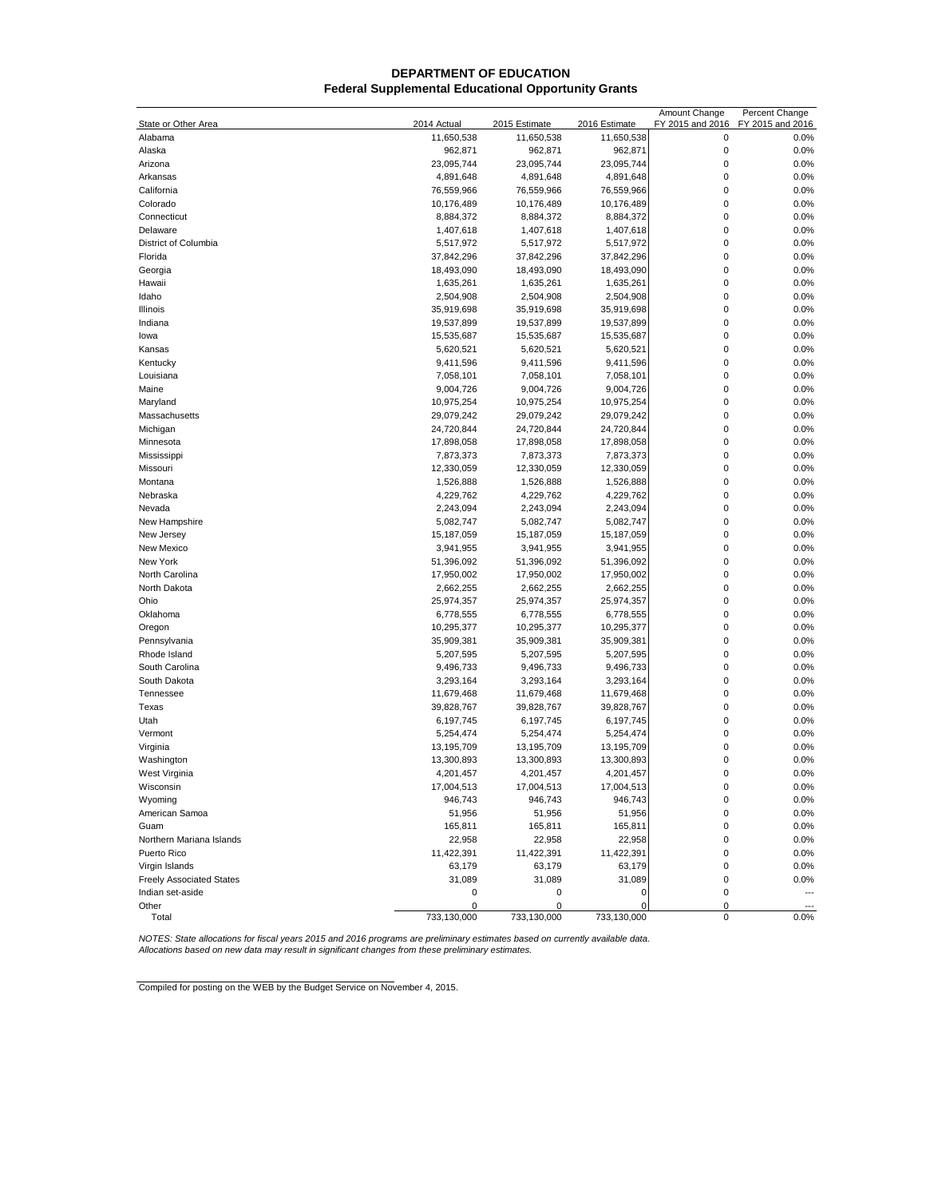## **Federal Supplemental Educational Opportunity Grants DEPARTMENT OF EDUCATION**

|                                 |             |               |               | Amount Change    | Percent Change   |
|---------------------------------|-------------|---------------|---------------|------------------|------------------|
| State or Other Area             | 2014 Actual | 2015 Estimate | 2016 Estimate | FY 2015 and 2016 | FY 2015 and 2016 |
| Alabama                         | 11,650,538  | 11,650,538    | 11,650,538    | 0                | 0.0%             |
| Alaska                          | 962,871     | 962,871       | 962,871       | $\mathbf 0$      | 0.0%             |
| Arizona                         | 23,095,744  | 23,095,744    | 23,095,744    | $\mathbf 0$      | 0.0%             |
| Arkansas                        | 4,891,648   | 4,891,648     | 4,891,648     | $\mathbf 0$      | 0.0%             |
| California                      | 76,559,966  | 76,559,966    | 76,559,966    | 0                | 0.0%             |
| Colorado                        | 10,176,489  | 10,176,489    | 10,176,489    | 0                | 0.0%             |
| Connecticut                     | 8,884,372   | 8,884,372     | 8,884,372     | 0                | 0.0%             |
| Delaware                        | 1,407,618   | 1,407,618     | 1,407,618     | 0                | 0.0%             |
| District of Columbia            | 5,517,972   | 5,517,972     | 5,517,972     | 0                | 0.0%             |
| Florida                         | 37,842,296  | 37,842,296    | 37,842,296    | 0                | 0.0%             |
| Georgia                         | 18,493,090  | 18,493,090    | 18,493,090    | $\mathbf{0}$     | 0.0%             |
| Hawaii                          | 1,635,261   | 1,635,261     | 1,635,261     | 0                | 0.0%             |
| Idaho                           | 2,504,908   | 2,504,908     | 2,504,908     | 0                | 0.0%             |
| Illinois                        | 35,919,698  | 35,919,698    | 35,919,698    | 0                | 0.0%             |
| Indiana                         | 19,537,899  | 19,537,899    | 19,537,899    | 0                | 0.0%             |
| lowa                            | 15,535,687  | 15,535,687    | 15,535,687    | 0                | 0.0%             |
| Kansas                          | 5,620,521   | 5,620,521     | 5,620,521     | 0                | 0.0%             |
| Kentucky                        | 9,411,596   | 9,411,596     | 9,411,596     | 0                | 0.0%             |
| Louisiana                       | 7,058,101   | 7,058,101     | 7,058,101     | 0                | 0.0%             |
| Maine                           | 9,004,726   | 9,004,726     | 9,004,726     | 0                | 0.0%             |
| Maryland                        | 10,975,254  | 10,975,254    | 10,975,254    | 0                | 0.0%             |
| Massachusetts                   | 29,079,242  | 29,079,242    | 29,079,242    | 0                | 0.0%             |
| Michigan                        | 24,720,844  | 24,720,844    | 24,720,844    | $\mathbf{0}$     | 0.0%             |
| Minnesota                       | 17,898,058  | 17,898,058    | 17,898,058    | $\mathbf{0}$     | 0.0%             |
| Mississippi                     | 7,873,373   | 7,873,373     | 7,873,373     | 0                | 0.0%             |
| Missouri                        | 12,330,059  | 12,330,059    | 12,330,059    | 0                | 0.0%             |
| Montana                         | 1,526,888   | 1,526,888     | 1,526,888     | 0                | 0.0%             |
| Nebraska                        | 4,229,762   | 4,229,762     | 4,229,762     | 0                | 0.0%             |
| Nevada                          | 2,243,094   | 2,243,094     | 2,243,094     | 0                | 0.0%             |
| New Hampshire                   | 5,082,747   | 5,082,747     | 5,082,747     | 0                | 0.0%             |
| New Jersey                      | 15,187,059  | 15,187,059    | 15,187,059    | 0                | 0.0%             |
| New Mexico                      |             |               |               | 0                | 0.0%             |
| New York                        | 3,941,955   | 3,941,955     | 3,941,955     | 0                | 0.0%             |
| North Carolina                  | 51,396,092  | 51,396,092    | 51,396,092    | 0                | 0.0%             |
|                                 | 17,950,002  | 17,950,002    | 17,950,002    | $\mathbf{0}$     |                  |
| North Dakota                    | 2,662,255   | 2,662,255     | 2,662,255     |                  | 0.0%             |
| Ohio                            | 25,974,357  | 25,974,357    | 25,974,357    | $\mathbf{0}$     | 0.0%             |
| Oklahoma                        | 6,778,555   | 6,778,555     | 6,778,555     | 0                | 0.0%             |
| Oregon                          | 10,295,377  | 10,295,377    | 10,295,377    | 0                | 0.0%             |
| Pennsylvania                    | 35,909,381  | 35,909,381    | 35,909,381    | 0                | 0.0%             |
| Rhode Island                    | 5,207,595   | 5,207,595     | 5,207,595     | 0                | 0.0%             |
| South Carolina                  | 9,496,733   | 9,496,733     | 9,496,733     | 0                | 0.0%             |
| South Dakota                    | 3,293,164   | 3,293,164     | 3,293,164     | 0                | 0.0%             |
| Tennessee                       | 11,679,468  | 11,679,468    | 11,679,468    | $\mathbf{0}$     | 0.0%             |
| Texas                           | 39,828,767  | 39,828,767    | 39,828,767    | 0                | 0.0%             |
| Utah                            | 6,197,745   | 6,197,745     | 6,197,745     | 0                | 0.0%             |
| Vermont                         | 5,254,474   | 5,254,474     | 5,254,474     | 0                | 0.0%             |
| Virginia                        | 13,195,709  | 13,195,709    | 13,195,709    | 0                | 0.0%             |
| Washington                      | 13,300,893  | 13,300,893    | 13,300,893    | 0                | 0.0%             |
| West Virginia                   | 4,201,457   | 4,201,457     | 4,201,457     | 0                | 0.0%             |
| Wisconsin                       | 17,004,513  | 17,004,513    | 17,004,513    | 0                | 0.0%             |
| Wyoming                         | 946,743     | 946,743       | 946,743       | $\pmb{0}$        | 0.0%             |
| American Samoa                  | 51,956      | 51,956        | 51,956        | 0                | 0.0%             |
| Guam                            | 165,811     | 165,811       | 165,811       | 0                | 0.0%             |
| Northern Mariana Islands        | 22,958      | 22,958        | 22,958        | 0                | 0.0%             |
| Puerto Rico                     | 11,422,391  | 11,422,391    | 11,422,391    | 0                | 0.0%             |
| Virgin Islands                  | 63,179      | 63,179        | 63,179        | 0                | 0.0%             |
| <b>Freely Associated States</b> | 31,089      | 31,089        | 31,089        | 0                | 0.0%             |
| Indian set-aside                | 0           | 0             | 0             | 0                |                  |
| Other                           | 0           | 0             | $\Omega$      | 0                | $---$            |
| Total                           | 733,130,000 | 733,130,000   | 733,130,000   | $\pmb{0}$        | 0.0%             |

NOTES: State allocations for fiscal years 2015 and 2016 programs are preliminary estimates based on currently available data.<br>Allocations based on new data may result in significant changes from these preliminary estimates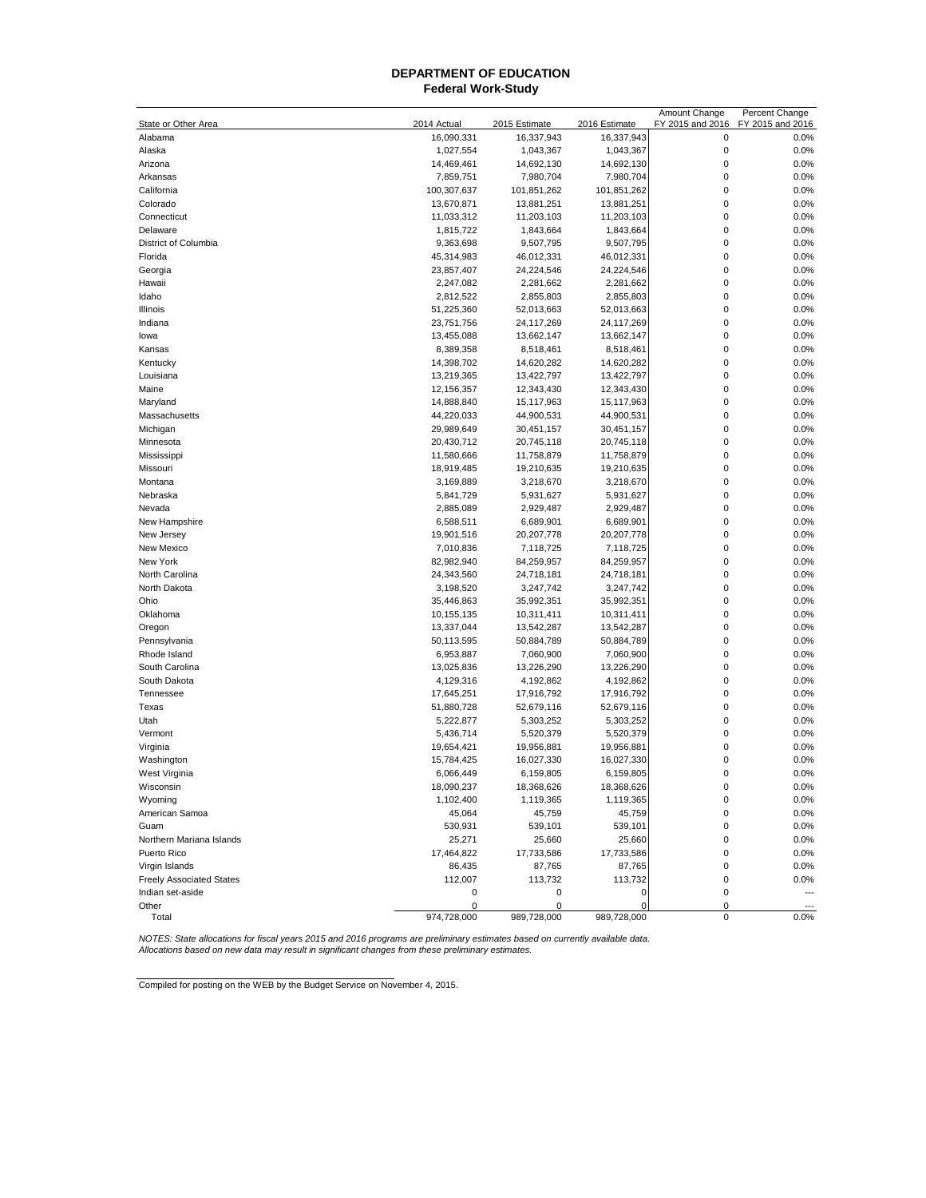## **Federal Work-Study DEPARTMENT OF EDUCATION**

|                                 |             |               |               | Amount Change    | Percent Change   |
|---------------------------------|-------------|---------------|---------------|------------------|------------------|
| State or Other Area             | 2014 Actual | 2015 Estimate | 2016 Estimate | FY 2015 and 2016 | FY 2015 and 2016 |
| Alabama                         | 16,090,331  | 16,337,943    | 16,337,943    | 0                | 0.0%             |
| Alaska                          | 1,027,554   | 1,043,367     | 1,043,367     | $\mathbf 0$      | 0.0%             |
| Arizona                         | 14,469,461  | 14,692,130    | 14,692,130    | $\mathbf 0$      | 0.0%             |
| Arkansas                        | 7,859,751   | 7,980,704     | 7,980,704     | $\mathbf 0$      | 0.0%             |
| California                      | 100,307,637 | 101,851,262   | 101,851,262   | 0                | 0.0%             |
| Colorado                        | 13,670,871  | 13,881,251    | 13,881,251    | 0                | 0.0%             |
| Connecticut                     | 11,033,312  | 11,203,103    | 11,203,103    | 0                | 0.0%             |
| Delaware                        | 1,815,722   | 1,843,664     | 1,843,664     | 0                | 0.0%             |
| District of Columbia            | 9,363,698   | 9,507,795     | 9,507,795     | 0                | 0.0%             |
| Florida                         | 45,314,983  | 46,012,331    | 46,012,331    | 0                | 0.0%             |
| Georgia                         | 23,857,407  | 24,224,546    | 24,224,546    | $\mathbf{0}$     | 0.0%             |
| Hawaii                          | 2,247,082   | 2,281,662     | 2,281,662     | 0                | 0.0%             |
| Idaho                           | 2,812,522   | 2,855,803     | 2,855,803     | 0                | 0.0%             |
| Illinois                        | 51,225,360  | 52,013,663    | 52,013,663    | 0                | 0.0%             |
| Indiana                         | 23,751,756  | 24,117,269    | 24,117,269    | 0                | 0.0%             |
| lowa                            | 13,455,088  | 13,662,147    | 13,662,147    | 0                | 0.0%             |
| Kansas                          | 8,389,358   | 8,518,461     | 8,518,461     | 0                | 0.0%             |
| Kentucky                        | 14,398,702  | 14,620,282    | 14,620,282    | 0                | 0.0%             |
|                                 |             |               |               | 0                | 0.0%             |
| Louisiana                       | 13,219,365  | 13,422,797    | 13,422,797    |                  |                  |
| Maine                           | 12,156,357  | 12,343,430    | 12,343,430    | 0                | 0.0%             |
| Maryland                        | 14,888,840  | 15,117,963    | 15,117,963    | 0                | 0.0%             |
| Massachusetts                   | 44,220,033  | 44,900,531    | 44,900,531    | 0                | 0.0%             |
| Michigan                        | 29,989,649  | 30,451,157    | 30,451,157    | $\mathbf{0}$     | 0.0%             |
| Minnesota                       | 20,430,712  | 20,745,118    | 20,745,118    | $\mathbf{0}$     | 0.0%             |
| Mississippi                     | 11,580,666  | 11,758,879    | 11,758,879    | 0                | 0.0%             |
| Missouri                        | 18,919,485  | 19,210,635    | 19,210,635    | 0                | 0.0%             |
| Montana                         | 3,169,889   | 3,218,670     | 3,218,670     | 0                | 0.0%             |
| Nebraska                        | 5,841,729   | 5,931,627     | 5,931,627     | 0                | 0.0%             |
| Nevada                          | 2,885,089   | 2,929,487     | 2,929,487     | 0                | 0.0%             |
| New Hampshire                   | 6,588,511   | 6,689,901     | 6,689,901     | 0                | 0.0%             |
| New Jersey                      | 19,901,516  | 20,207,778    | 20,207,778    | 0                | 0.0%             |
| New Mexico                      | 7,010,836   | 7,118,725     | 7,118,725     | 0                | 0.0%             |
| New York                        | 82,982,940  | 84,259,957    | 84,259,957    | 0                | 0.0%             |
| North Carolina                  | 24,343,560  | 24,718,181    | 24,718,181    | 0                | 0.0%             |
| North Dakota                    | 3,198,520   | 3,247,742     | 3,247,742     | $\mathbf{0}$     | 0.0%             |
| Ohio                            | 35,446,863  | 35,992,351    | 35,992,351    | $\mathbf{0}$     | 0.0%             |
| Oklahoma                        | 10,155,135  | 10,311,411    | 10,311,411    | 0                | 0.0%             |
| Oregon                          | 13,337,044  | 13,542,287    | 13,542,287    | 0                | 0.0%             |
| Pennsylvania                    | 50,113,595  | 50,884,789    | 50,884,789    | 0                | 0.0%             |
| Rhode Island                    | 6,953,887   | 7,060,900     | 7,060,900     | 0                | 0.0%             |
| South Carolina                  | 13,025,836  | 13,226,290    | 13,226,290    | 0                | 0.0%             |
| South Dakota                    | 4,129,316   | 4,192,862     | 4,192,862     | 0                | 0.0%             |
| Tennessee                       | 17,645,251  | 17,916,792    | 17,916,792    | $\mathbf{0}$     | 0.0%             |
| Texas                           | 51,880,728  | 52,679,116    | 52,679,116    | 0                | 0.0%             |
| Utah                            | 5,222,877   | 5,303,252     | 5,303,252     | 0                | 0.0%             |
| Vermont                         | 5,436,714   | 5,520,379     | 5,520,379     | 0                | 0.0%             |
| Virginia                        | 19,654,421  | 19,956,881    | 19,956,881    | 0                | 0.0%             |
|                                 |             |               | 16,027,330    | 0                |                  |
| Washington                      | 15,784,425  | 16,027,330    |               |                  | 0.0%             |
| West Virginia                   | 6,066,449   | 6,159,805     | 6,159,805     | 0                | 0.0%             |
| Wisconsin                       | 18,090,237  | 18,368,626    | 18,368,626    | 0                | 0.0%             |
| Wyoming                         | 1,102,400   | 1,119,365     | 1,119,365     | $\pmb{0}$        | 0.0%             |
| American Samoa                  | 45,064      | 45,759        | 45,759        | 0                | 0.0%             |
| Guam                            | 530,931     | 539,101       | 539,101       | 0                | 0.0%             |
| Northern Mariana Islands        | 25,271      | 25,660        | 25,660        | 0                | 0.0%             |
| Puerto Rico                     | 17,464,822  | 17,733,586    | 17,733,586    | 0                | 0.0%             |
| Virgin Islands                  | 86,435      | 87,765        | 87,765        | 0                | 0.0%             |
| <b>Freely Associated States</b> | 112,007     | 113,732       | 113,732       | 0                | 0.0%             |
| Indian set-aside                | 0           | 0             | 0             | 0                |                  |
| Other                           | 0           | 0             | C             | 0                |                  |
| Total                           | 974,728,000 | 989,728,000   | 989,728,000   | $\pmb{0}$        | 0.0%             |

NOTES: State allocations for fiscal years 2015 and 2016 programs are preliminary estimates based on currently available data.<br>Allocations based on new data may result in significant changes from these preliminary estimates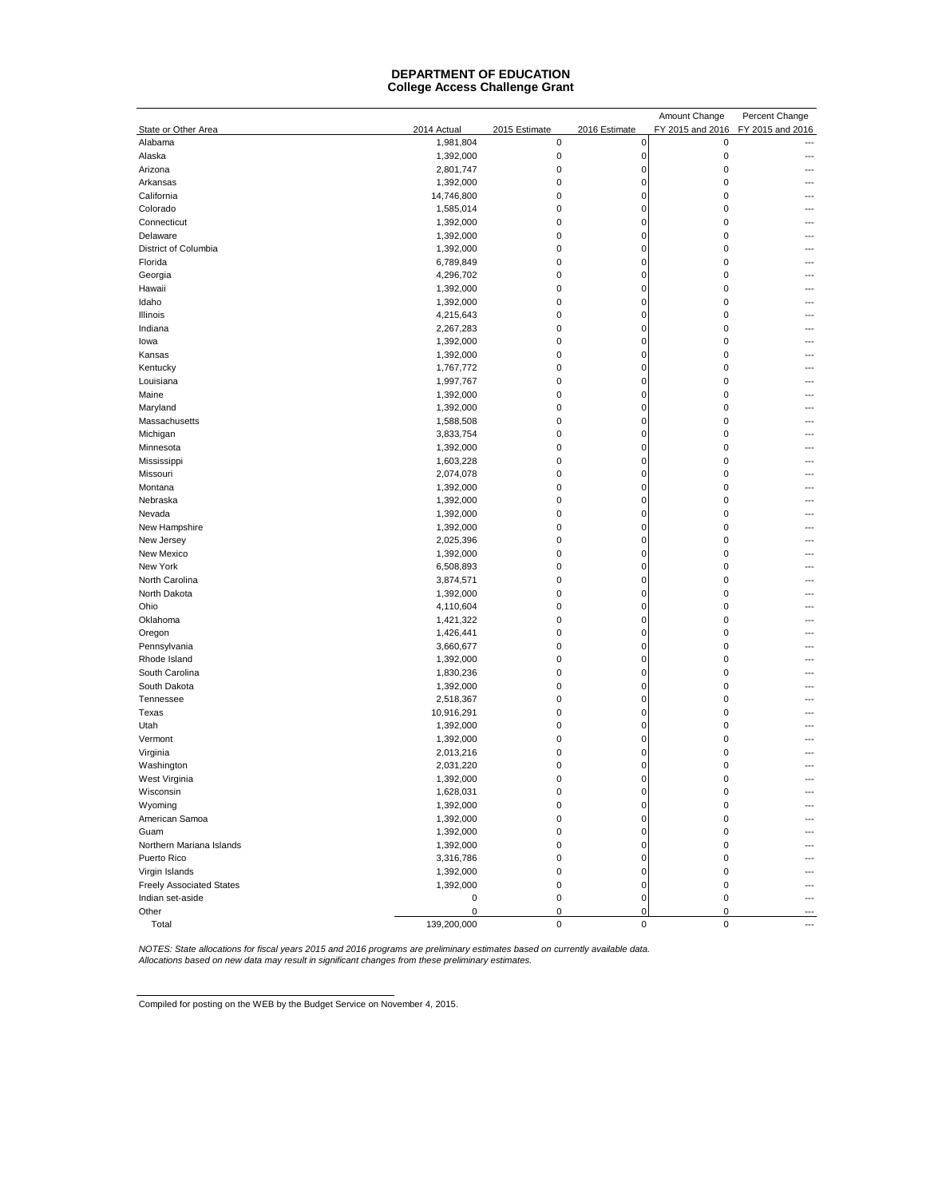#### **DEPARTMENT OF EDUCATION College Access Challenge Grant**

|                                 |                        |               |               | Amount Change    | Percent Change   |
|---------------------------------|------------------------|---------------|---------------|------------------|------------------|
| State or Other Area             | 2014 Actual            | 2015 Estimate | 2016 Estimate | FY 2015 and 2016 | FY 2015 and 2016 |
| Alabama                         | 1,981,804              | $\pmb{0}$     | 0             | 0                | ---              |
| Alaska                          | 1,392,000              | 0             | $\mathbf 0$   | $\mathbf 0$      |                  |
| Arizona                         | 2,801,747              | 0             | $\mathbf 0$   | $\mathbf 0$      |                  |
| Arkansas                        | 1,392,000              | 0             | $\mathbf 0$   | $\mathbf 0$      |                  |
| California                      | 14,746,800             | 0             | $\mathbf 0$   | $\mathbf 0$      |                  |
| Colorado                        | 1,585,014              | 0             | $\mathbf 0$   | $\mathbf 0$      |                  |
| Connecticut                     | 1,392,000              | 0             | $\mathbf 0$   | $\mathbf 0$      |                  |
| Delaware                        | 1,392,000              | 0             | $\mathbf 0$   | $\mathbf 0$      |                  |
| District of Columbia            | 1,392,000              | 0             | $\mathbf 0$   | $\mathbf 0$      |                  |
| Florida                         | 6,789,849              | 0             | $\mathbf 0$   | $\mathbf 0$      |                  |
| Georgia                         |                        | 0             | $\mathbf 0$   | $\mathbf 0$      |                  |
|                                 | 4,296,702              |               |               |                  |                  |
| Hawaii                          | 1,392,000              | 0             | $\mathbf 0$   | $\mathbf 0$      |                  |
| Idaho                           | 1,392,000              | 0             | $\mathbf 0$   | $\mathbf 0$      |                  |
| Illinois                        | 4,215,643              | 0             | $\mathbf 0$   | $\mathbf 0$      |                  |
| Indiana                         | 2,267,283              | 0             | $\mathbf 0$   | $\mathbf 0$      |                  |
| lowa                            | 1,392,000              | 0             | $\mathbf 0$   | $\mathbf 0$      |                  |
| Kansas                          | 1,392,000              | 0             | $\mathbf 0$   | $\mathbf 0$      |                  |
| Kentucky                        | 1,767,772              | 0             | $\mathbf 0$   | $\mathbf 0$      |                  |
| Louisiana                       | 1,997,767              | 0             | $\mathbf 0$   | $\mathbf 0$      |                  |
| Maine                           | 1,392,000              | 0             | $\mathbf 0$   | $\mathbf 0$      |                  |
| Maryland                        | 1,392,000              | 0             | $\mathbf 0$   | $\mathbf 0$      |                  |
| Massachusetts                   | 1,588,508              | 0             | $\mathbf 0$   | $\mathbf 0$      |                  |
| Michigan                        | 3,833,754              | 0             | $\mathbf 0$   | $\mathbf 0$      |                  |
| Minnesota                       | 1,392,000              | 0             | $\mathbf 0$   | $\mathbf 0$      |                  |
| Mississippi                     | 1,603,228              | 0             | $\mathbf 0$   | $\mathbf 0$      |                  |
| Missouri                        | 2,074,078              | 0             | $\mathbf 0$   | $\mathbf 0$      |                  |
| Montana                         | 1,392,000              | 0             | $\mathbf 0$   | $\mathbf 0$      |                  |
| Nebraska                        | 1,392,000              | 0             | $\mathbf 0$   | $\mathbf 0$      |                  |
| Nevada                          | 1,392,000              | 0             | $\mathbf 0$   | $\mathbf 0$      |                  |
| New Hampshire                   | 1,392,000              | 0             | $\mathbf 0$   | $\mathbf 0$      |                  |
| New Jersey                      | 2,025,396              | 0             | $\mathbf 0$   | $\mathbf 0$      |                  |
| New Mexico                      | 1,392,000              | 0             | 0             | 0                |                  |
| New York                        | 6,508,893              | 0             | 0             | 0                |                  |
| North Carolina                  | 3,874,571              | 0             | 0             | 0                |                  |
| North Dakota                    | 1,392,000              | 0             | 0             | $\mathbf 0$      |                  |
| Ohio                            | 4,110,604              | 0             | 0             | $\mathbf 0$      |                  |
| Oklahoma                        | 1,421,322              | 0             | $\mathbf 0$   | $\mathbf 0$      |                  |
| Oregon                          | 1,426,441              | 0             | 0             | $\mathbf 0$      |                  |
| Pennsylvania                    | 3,660,677              | 0             | 0             | $\mathbf 0$      |                  |
| Rhode Island                    | 1,392,000              | 0             | 0             | $\mathbf 0$      |                  |
| South Carolina                  | 1,830,236              | 0             | 0             | $\mathbf 0$      |                  |
| South Dakota                    | 1,392,000              | 0             | $\mathbf 0$   | $\pmb{0}$        |                  |
| Tennessee                       | 2,518,367              | 0             | $\mathbf 0$   | $\mathbf 0$      |                  |
| Texas                           | 10,916,291             | 0             | $\mathbf 0$   | $\mathbf 0$      |                  |
|                                 |                        | 0             | $\mathbf 0$   | $\mathbf 0$      |                  |
| Utah                            | 1,392,000<br>1,392,000 | 0             | $\mathbf 0$   | $\mathbf 0$      |                  |
| Vermont                         |                        |               |               |                  |                  |
| Virginia                        | 2,013,216              | 0             | O             | $\mathbf 0$      |                  |
| Washington                      | 2,031,220              | 0             | $\mathbf 0$   | $\mathbf 0$      |                  |
| West Virginia                   | 1,392,000              | 0             | $\mathbf 0$   | $\mathbf 0$      |                  |
| Wisconsin                       | 1,628,031              | 0             | 0             | 0                |                  |
| Wyoming                         | 1,392,000              | 0             | $\mathbf 0$   | $\pmb{0}$        |                  |
| American Samoa                  | 1,392,000              | 0             | $\mathbf 0$   | $\mathbf 0$      |                  |
| Guam                            | 1,392,000              | 0             | $\mathbf 0$   | $\pmb{0}$        |                  |
| Northern Mariana Islands        | 1,392,000              | 0             | $\mathbf 0$   | $\pmb{0}$        |                  |
| Puerto Rico                     | 3,316,786              | 0             | $\mathbf 0$   | $\mathbf 0$      |                  |
| Virgin Islands                  | 1,392,000              | 0             | $\mathbf 0$   | $\pmb{0}$        | ---              |
| <b>Freely Associated States</b> | 1,392,000              | 0             | $\mathbf 0$   | $\mathbf 0$      | ---              |
| Indian set-aside                | 0                      | 0             | $\mathbf 0$   | 0                | ---              |
| Other                           | 0                      | 0             | $\mathbf 0$   | $\mathbf 0$      |                  |
| Total                           | 139,200,000            | $\pmb{0}$     | 0             | $\pmb{0}$        | ---              |

NOTES: State allocations for fiscal years 2015 and 2016 programs are preliminary estimates based on currently available data.<br>Allocations based on new data may result in significant changes from these preliminary estimates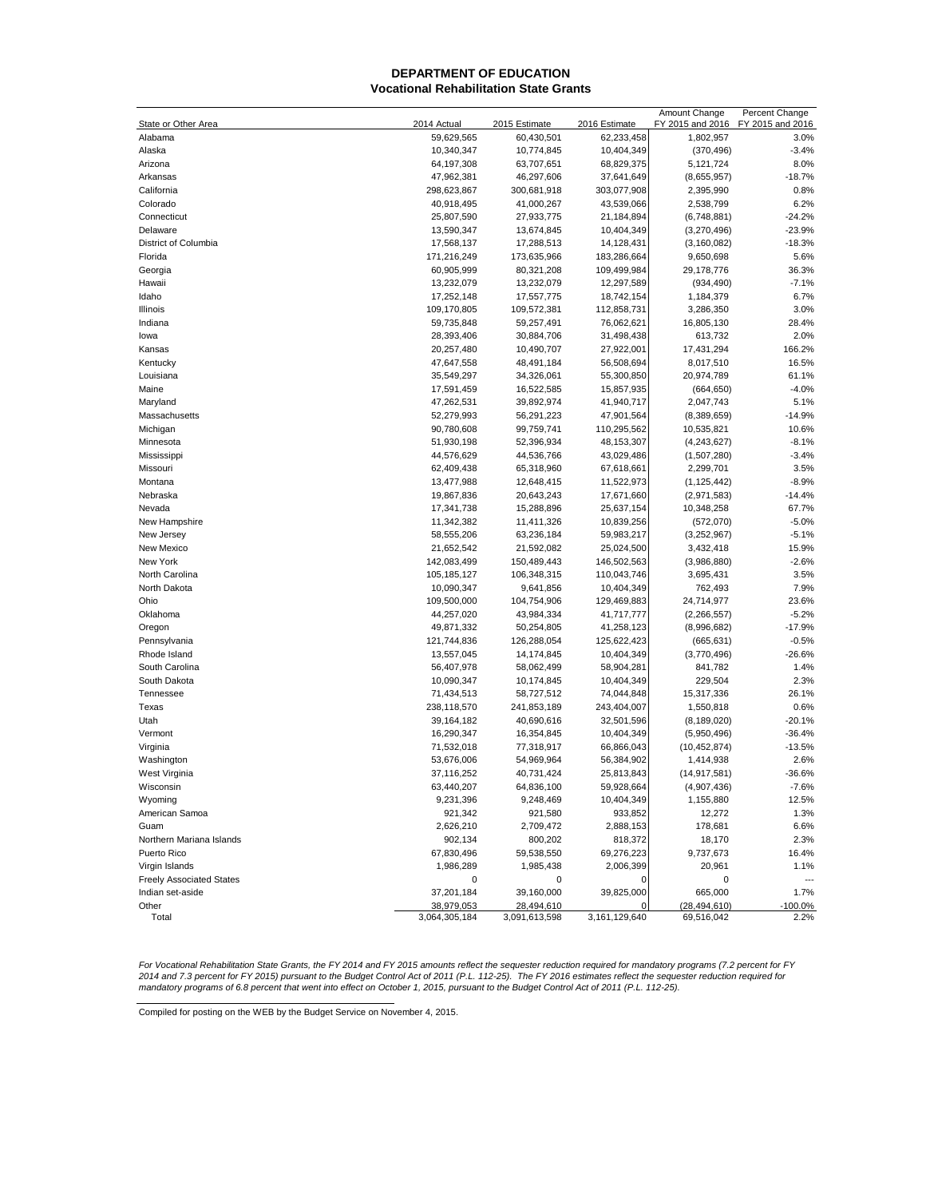#### **Vocational Rehabilitation State Grants DEPARTMENT OF EDUCATION**

|                                 |                          |                          |                            | Amount Change              | Percent Change           |
|---------------------------------|--------------------------|--------------------------|----------------------------|----------------------------|--------------------------|
| State or Other Area             | 2014 Actual              | 2015 Estimate            | 2016 Estimate              | FY 2015 and 2016           | FY 2015 and 2016         |
| Alabama                         | 59,629,565               | 60,430,501               | 62,233,458                 | 1,802,957                  | 3.0%                     |
| Alaska                          | 10,340,347               | 10,774,845               | 10,404,349                 | (370, 496)                 | $-3.4%$                  |
| Arizona                         | 64,197,308               | 63,707,651               | 68,829,375                 | 5,121,724                  | 8.0%                     |
| Arkansas                        | 47,962,381               | 46,297,606               | 37,641,649                 | (8,655,957)                | $-18.7%$                 |
| California                      | 298,623,867              | 300,681,918              | 303,077,908                | 2,395,990                  | 0.8%                     |
| Colorado                        | 40,918,495               | 41,000,267               | 43,539,066                 | 2,538,799                  | 6.2%                     |
| Connecticut                     | 25,807,590               | 27,933,775               | 21,184,894                 | (6,748,881)                | $-24.2%$                 |
| Delaware                        | 13,590,347               | 13,674,845               | 10,404,349                 | (3,270,496)                | $-23.9%$                 |
| District of Columbia            | 17,568,137               | 17,288,513               | 14,128,431                 | (3, 160, 082)              | $-18.3%$                 |
| Florida                         | 171,216,249              | 173,635,966              | 183,286,664                | 9,650,698                  | 5.6%                     |
| Georgia                         | 60,905,999               | 80,321,208               | 109,499,984                | 29,178,776                 | 36.3%                    |
| Hawaii                          | 13,232,079               | 13,232,079               | 12,297,589                 | (934, 490)                 | $-7.1%$                  |
| Idaho                           | 17,252,148               | 17,557,775               | 18,742,154                 | 1,184,379                  | 6.7%                     |
| Illinois                        | 109,170,805              | 109,572,381              | 112,858,731                | 3,286,350                  | 3.0%                     |
| Indiana                         | 59,735,848               | 59,257,491               | 76,062,621                 | 16,805,130                 | 28.4%                    |
| lowa                            | 28,393,406               | 30,884,706               | 31,498,438                 | 613,732                    | 2.0%                     |
| Kansas                          | 20,257,480               | 10,490,707               | 27,922,001                 | 17,431,294                 | 166.2%                   |
| Kentucky                        | 47,647,558               | 48,491,184               | 56,508,694                 | 8,017,510                  | 16.5%                    |
| Louisiana                       | 35,549,297               | 34,326,061               | 55,300,850                 | 20,974,789                 | 61.1%                    |
| Maine                           | 17,591,459               | 16,522,585               | 15,857,935                 | (664, 650)                 | $-4.0%$                  |
| Maryland                        | 47,262,531               | 39,892,974               | 41,940,717<br>47,901,564   | 2,047,743                  | 5.1%                     |
| Massachusetts                   | 52,279,993               | 56,291,223               |                            | (8,389,659)                | $-14.9%$<br>10.6%        |
| Michigan                        | 90,780,608               | 99,759,741               | 110,295,562                | 10,535,821                 |                          |
| Minnesota<br>Mississippi        | 51,930,198<br>44,576,629 | 52,396,934<br>44,536,766 | 48, 153, 307<br>43,029,486 | (4,243,627)<br>(1,507,280) | $-8.1%$<br>$-3.4%$       |
| Missouri                        | 62,409,438               | 65,318,960               | 67,618,661                 | 2,299,701                  | 3.5%                     |
| Montana                         | 13,477,988               | 12,648,415               | 11,522,973                 | (1, 125, 442)              | $-8.9%$                  |
| Nebraska                        | 19,867,836               | 20,643,243               | 17,671,660                 | (2,971,583)                | $-14.4%$                 |
| Nevada                          | 17,341,738               | 15,288,896               | 25,637,154                 | 10,348,258                 | 67.7%                    |
| New Hampshire                   | 11,342,382               | 11,411,326               | 10,839,256                 | (572,070)                  | $-5.0%$                  |
| New Jersey                      | 58,555,206               | 63,236,184               | 59,983,217                 | (3,252,967)                | $-5.1%$                  |
| New Mexico                      | 21,652,542               | 21,592,082               | 25,024,500                 | 3,432,418                  | 15.9%                    |
| New York                        | 142,083,499              | 150,489,443              | 146,502,563                | (3,986,880)                | $-2.6%$                  |
| North Carolina                  | 105, 185, 127            | 106,348,315              | 110,043,746                | 3,695,431                  | 3.5%                     |
| North Dakota                    | 10,090,347               | 9,641,856                | 10,404,349                 | 762,493                    | 7.9%                     |
| Ohio                            | 109,500,000              | 104,754,906              | 129,469,883                | 24,714,977                 | 23.6%                    |
| Oklahoma                        | 44,257,020               | 43,984,334               | 41,717,777                 | (2, 266, 557)              | $-5.2%$                  |
| Oregon                          | 49,871,332               | 50,254,805               | 41,258,123                 | (8,996,682)                | $-17.9%$                 |
| Pennsylvania                    | 121,744,836              | 126,288,054              | 125,622,423                | (665, 631)                 | $-0.5%$                  |
| Rhode Island                    | 13,557,045               | 14,174,845               | 10,404,349                 | (3,770,496)                | $-26.6%$                 |
| South Carolina                  | 56,407,978               | 58,062,499               | 58,904,281                 | 841,782                    | 1.4%                     |
| South Dakota                    | 10,090,347               | 10,174,845               | 10,404,349                 | 229,504                    | 2.3%                     |
| Tennessee                       | 71,434,513               | 58,727,512               | 74,044,848                 | 15,317,336                 | 26.1%                    |
| Texas                           | 238,118,570              | 241,853,189              | 243,404,007                | 1,550,818                  | 0.6%                     |
| Utah                            | 39,164,182               | 40,690,616               | 32,501,596                 | (8, 189, 020)              | $-20.1%$                 |
| Vermont                         | 16,290,347               | 16,354,845               | 10,404,349                 | (5,950,496)                | $-36.4%$                 |
| Virginia                        | 71,532,018               | 77,318,917               | 66,866,043                 | (10, 452, 874)             | $-13.5%$                 |
| Washington                      | 53,676,006               | 54,969,964               | 56,384,902                 | 1,414,938                  | 2.6%                     |
| West Virginia                   | 37,116,252               | 40,731,424               | 25,813,843                 | (14, 917, 581)             | $-36.6%$                 |
| Wisconsin                       | 63,440,207               | 64,836,100               | 59,928,664                 | (4,907,436)                | $-7.6%$                  |
| Wyoming                         | 9,231,396                | 9,248,469                | 10,404,349                 | 1,155,880                  | 12.5%                    |
| American Samoa                  | 921,342                  | 921,580                  | 933,852                    | 12,272                     | 1.3%                     |
| Guam                            | 2,626,210                | 2,709,472                | 2,888,153                  | 178,681                    | 6.6%                     |
| Northern Mariana Islands        | 902,134                  | 800,202                  | 818,372                    | 18,170                     | 2.3%                     |
| Puerto Rico                     | 67,830,496               | 59,538,550               | 69,276,223                 | 9,737,673                  | 16.4%                    |
| Virgin Islands                  | 1,986,289                | 1,985,438                | 2,006,399                  | 20,961                     | 1.1%                     |
| <b>Freely Associated States</b> | 0                        | 0                        | 0                          | 0                          | $\overline{\phantom{a}}$ |
| Indian set-aside                | 37,201,184               | 39,160,000               | 39,825,000                 | 665,000                    | 1.7%                     |
| Other                           | 38,979,053               | 28,494,610               |                            | (28, 494, 610)             | $-100.0%$                |
| Total                           | 3,064,305,184            | 3,091,613,598            | 3,161,129,640              | 69,516,042                 | 2.2%                     |

For Vocational Rehabilitation State Grants, the FY 2014 and FY 2015 amounts reflect the sequester reduction required for mandatory programs (7.2 percent for FY<br>2014 and 7.3 percent for FY 2015) pursuant to the Budget Contr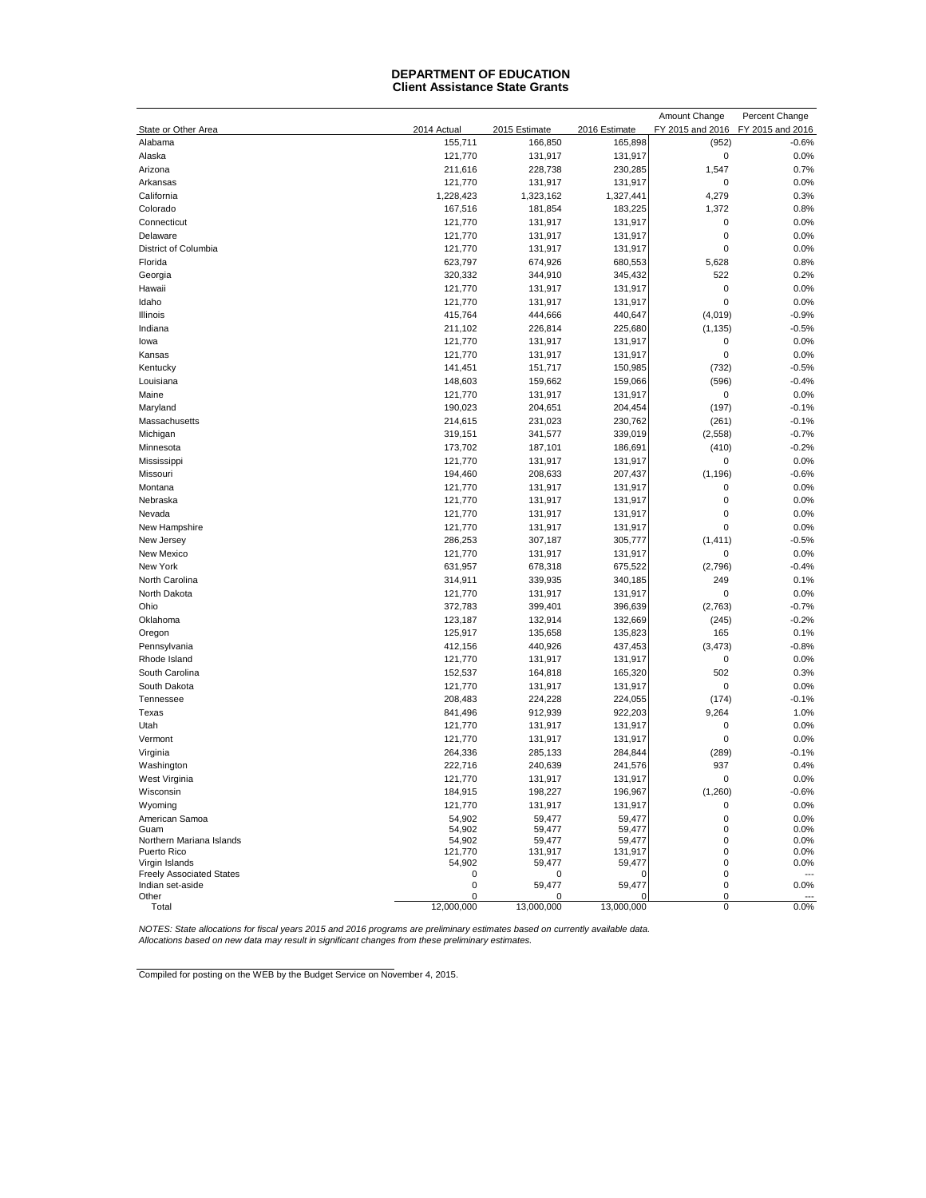#### **Client Assistance State Grants DEPARTMENT OF EDUCATION**

|                                                   |             |               |               | Amount Change    | Percent Change         |
|---------------------------------------------------|-------------|---------------|---------------|------------------|------------------------|
| State or Other Area                               | 2014 Actual | 2015 Estimate | 2016 Estimate | FY 2015 and 2016 | FY 2015 and 2016       |
| Alabama                                           | 155,711     | 166,850       | 165,898       | (952)            | $-0.6%$                |
| Alaska                                            | 121,770     | 131,917       | 131,917       | $\pmb{0}$        | 0.0%                   |
| Arizona                                           | 211,616     | 228,738       | 230,285       | 1,547            | 0.7%                   |
| Arkansas                                          | 121,770     | 131,917       | 131,917       | $\mathbf 0$      | 0.0%                   |
| California                                        | 1,228,423   | 1,323,162     | 1,327,441     | 4,279            | 0.3%                   |
| Colorado                                          | 167,516     | 181,854       | 183,225       | 1,372            | 0.8%                   |
| Connecticut                                       | 121,770     | 131,917       | 131,917       | 0                | 0.0%                   |
| Delaware                                          | 121,770     | 131,917       | 131,917       | 0                | 0.0%                   |
| District of Columbia                              | 121,770     | 131,917       | 131,917       | 0                | 0.0%                   |
| Florida                                           | 623,797     | 674,926       | 680,553       | 5,628            | 0.8%                   |
| Georgia                                           | 320,332     | 344,910       | 345,432       | 522              | 0.2%                   |
| Hawaii                                            | 121,770     | 131,917       | 131,917       | 0                | 0.0%                   |
| Idaho                                             | 121,770     | 131,917       | 131,917       | $\mathbf 0$      | 0.0%                   |
| Illinois                                          | 415,764     | 444,666       | 440,647       | (4,019)          | $-0.9%$                |
| Indiana                                           | 211,102     | 226,814       | 225,680       | (1, 135)         | $-0.5%$                |
| lowa                                              | 121,770     | 131,917       | 131,917       | 0                | 0.0%                   |
| Kansas                                            | 121,770     | 131,917       | 131,917       | $\mathbf 0$      | 0.0%                   |
| Kentucky                                          |             | 151,717       | 150,985       |                  | $-0.5%$                |
|                                                   | 141,451     |               |               | (732)            | $-0.4%$                |
| Louisiana                                         | 148,603     | 159,662       | 159,066       | (596)            |                        |
| Maine                                             | 121,770     | 131,917       | 131,917       | 0                | 0.0%                   |
| Maryland                                          | 190,023     | 204,651       | 204,454       | (197)            | $-0.1%$                |
| Massachusetts                                     | 214,615     | 231,023       | 230,762       | (261)            | $-0.1%$                |
| Michigan                                          | 319,151     | 341,577       | 339,019       | (2, 558)         | $-0.7%$                |
| Minnesota                                         | 173,702     | 187,101       | 186,691       | (410)            | $-0.2%$                |
| Mississippi                                       | 121,770     | 131,917       | 131,917       | $\pmb{0}$        | 0.0%                   |
| Missouri                                          | 194,460     | 208,633       | 207,437       | (1, 196)         | $-0.6%$                |
| Montana                                           | 121,770     | 131,917       | 131,917       | 0                | 0.0%                   |
| Nebraska                                          | 121,770     | 131,917       | 131,917       | $\mathbf 0$      | 0.0%                   |
| Nevada                                            | 121,770     | 131,917       | 131,917       | $\mathbf 0$      | 0.0%                   |
| New Hampshire                                     | 121,770     | 131,917       | 131,917       | $\mathbf 0$      | 0.0%                   |
| New Jersey                                        | 286,253     | 307,187       | 305,777       | (1, 411)         | $-0.5%$                |
| New Mexico                                        | 121,770     | 131,917       | 131,917       | $\pmb{0}$        | 0.0%                   |
| New York                                          | 631,957     | 678,318       | 675,522       | (2,796)          | $-0.4%$                |
| North Carolina                                    | 314,911     | 339,935       | 340,185       | 249              | 0.1%                   |
| North Dakota                                      | 121,770     | 131,917       | 131,917       | 0                | 0.0%                   |
| Ohio                                              | 372,783     | 399,401       | 396,639       | (2,763)          | $-0.7%$                |
| Oklahoma                                          | 123,187     | 132,914       | 132,669       | (245)            | $-0.2%$                |
| Oregon                                            | 125,917     | 135,658       | 135,823       | 165              | 0.1%                   |
| Pennsylvania                                      | 412,156     | 440,926       | 437,453       | (3, 473)         | $-0.8%$                |
| Rhode Island                                      | 121,770     | 131,917       | 131,917       | $\mathbf 0$      | 0.0%                   |
| South Carolina                                    | 152,537     | 164,818       | 165,320       | 502              | 0.3%                   |
| South Dakota                                      | 121,770     | 131,917       | 131,917       | 0                | 0.0%                   |
| Tennessee                                         | 208,483     | 224,228       | 224,055       | (174)            | $-0.1%$                |
| Texas                                             | 841,496     | 912,939       | 922,203       | 9,264            | 1.0%                   |
| Utah                                              | 121,770     | 131,917       | 131,917       | 0                | 0.0%                   |
| Vermont                                           | 121,770     | 131,917       | 131,917       | 0                | 0.0%                   |
| Virginia                                          | 264,336     | 285,133       | 284,844       | (289)            | $-0.1%$                |
| Washington                                        | 222,716     | 240,639       | 241,576       | 937              | 0.4%                   |
| West Virginia                                     | 121,770     | 131,917       | 131,917       | $\mathbf 0$      | 0.0%                   |
| Wisconsin                                         | 184,915     | 198,227       | 196,967       | (1,260)          | $-0.6%$                |
| Wyoming                                           | 121,770     | 131,917       | 131,917       | 0                | 0.0%                   |
| American Samoa                                    | 54,902      | 59,477        | 59,477        | $\mathbf 0$      | 0.0%                   |
| Guam                                              | 54,902      | 59,477        | 59,477        | 0                | 0.0%                   |
| Northern Mariana Islands                          | 54,902      | 59,477        | 59,477        | $\mathbf 0$      | 0.0%                   |
| Puerto Rico                                       | 121,770     | 131,917       | 131,917       | $\mathbf 0$      | 0.0%                   |
| Virgin Islands<br><b>Freely Associated States</b> | 54,902<br>0 | 59,477<br>0   | 59,477<br>0   | 0<br>0           | 0.0%<br>$\overline{a}$ |
| Indian set-aside                                  | 0           | 59,477        | 59,477        | 0                | 0.0%                   |
| Other                                             | 0           | 0             | 0             | 0                |                        |
| Total                                             | 12,000,000  | 13,000,000    | 13,000,000    | 0                | 0.0%                   |
|                                                   |             |               |               |                  |                        |

NOTES: State allocations for fiscal years 2015 and 2016 programs are preliminary estimates based on currently available data.<br>Allocations based on new data may result in significant changes from these preliminary estimates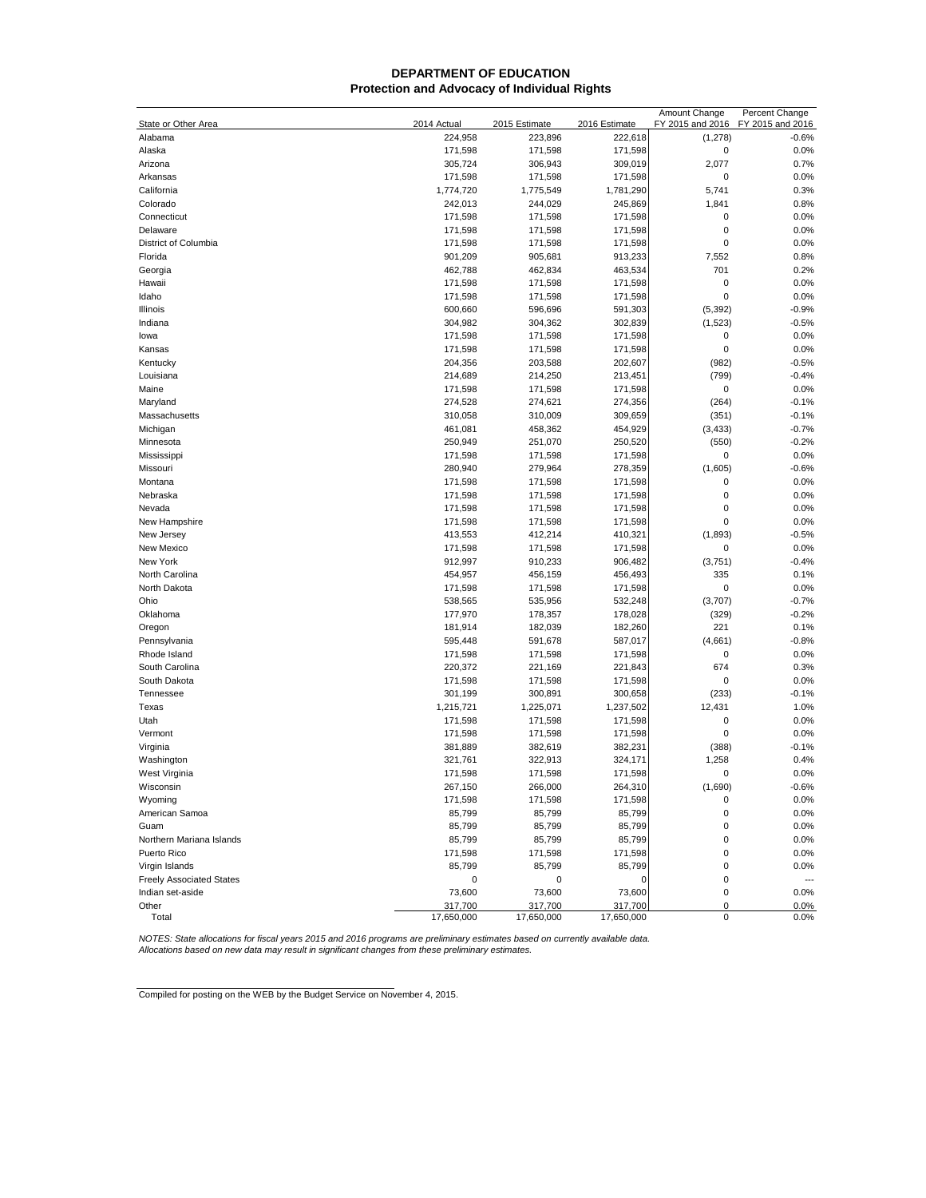## **DEPARTMENT OF EDUCATION Protection and Advocacy of Individual Rights**

| 222,618<br>(1, 278)<br>Alabama<br>224,958<br>223,896<br>$-0.6%$<br>$\pmb{0}$<br>0.0%<br>Alaska<br>171,598<br>171,598<br>171,598<br>2,077<br>0.7%<br>Arizona<br>305,724<br>306,943<br>309,019<br>0.0%<br>Arkansas<br>171,598<br>171,598<br>171,598<br>0<br>0.3%<br>California<br>1,774,720<br>1,775,549<br>1,781,290<br>5,741<br>Colorado<br>242,013<br>244,029<br>245,869<br>1,841<br>0.8%<br>0.0%<br>Connecticut<br>171,598<br>171,598<br>171,598<br>0<br>$\mathbf 0$<br>0.0%<br>Delaware<br>171,598<br>171,598<br>171,598<br>0<br>0.0%<br>District of Columbia<br>171,598<br>171,598<br>171,598<br>Florida<br>901,209<br>905,681<br>913,233<br>7,552<br>0.8%<br>701<br>0.2%<br>Georgia<br>462,788<br>462,834<br>463,534<br>0<br>0.0%<br>Hawaii<br>171,598<br>171,598<br>171,598<br>0<br>0.0%<br>171,598<br>171,598<br>171,598<br>Idaho<br>591,303<br>(5, 392)<br>$-0.9%$<br>Illinois<br>600,660<br>596,696<br>$-0.5%$<br>Indiana<br>304,982<br>304,362<br>302,839<br>(1, 523)<br>0.0%<br>lowa<br>171,598<br>171,598<br>171,598<br>0<br>$\mathbf 0$<br>Kansas<br>171,598<br>171,598<br>171,598<br>0.0%<br>$-0.5%$<br>Kentucky<br>202,607<br>(982)<br>204,356<br>203,588<br>Louisiana<br>214,250<br>213,451<br>(799)<br>$-0.4%$<br>214,689<br>$\mathbf 0$<br>0.0%<br>Maine<br>171,598<br>171,598<br>171,598<br>(264)<br>$-0.1%$<br>Maryland<br>274,528<br>274,621<br>274,356<br>309,659<br>$-0.1%$<br>Massachusetts<br>310,058<br>310,009<br>(351)<br>Michigan<br>461,081<br>458,362<br>454,929<br>(3, 433)<br>$-0.7%$<br>Minnesota<br>250,949<br>251,070<br>250,520<br>(550)<br>$-0.2%$<br>Mississippi<br>171,598<br>171,598<br>0<br>0.0%<br>171,598<br>$-0.6%$<br>Missouri<br>280,940<br>279,964<br>278,359<br>(1,605)<br>0.0%<br>Montana<br>171,598<br>171,598<br>171,598<br>0<br>$\mathbf 0$<br>0.0%<br>Nebraska<br>171,598<br>171,598<br>171,598<br>$\mathbf 0$<br>0.0%<br>Nevada<br>171,598<br>171,598<br>171,598<br>$\mathbf 0$<br>New Hampshire<br>171,598<br>171,598<br>171,598<br>0.0%<br>$-0.5%$<br>New Jersey<br>412,214<br>410,321<br>(1,893)<br>413,553<br>0.0%<br>New Mexico<br>171,598<br>171,598<br>171,598<br>0<br>$-0.4%$<br>New York<br>912,997<br>910,233<br>906,482<br>(3,751)<br>335<br>0.1%<br>North Carolina<br>454,957<br>456,159<br>456,493<br>$\mathbf 0$<br>0.0%<br>North Dakota<br>171,598<br>171,598<br>171,598<br>$-0.7%$<br>Ohio<br>538,565<br>535,956<br>532,248<br>(3,707)<br>Oklahoma<br>177,970<br>178,357<br>178,028<br>(329)<br>$-0.2%$<br>221<br>Oregon<br>181,914<br>182,039<br>182,260<br>0.1%<br>$-0.8%$<br>Pennsylvania<br>595,448<br>591,678<br>587,017<br>(4,661)<br>$\mathbf 0$<br>0.0%<br>Rhode Island<br>171,598<br>171,598<br>171,598<br>0.3%<br>South Carolina<br>220,372<br>221,169<br>221,843<br>674<br>$\mathbf 0$<br>0.0%<br>South Dakota<br>171,598<br>171,598<br>171,598<br>Tennessee<br>301,199<br>300,891<br>300,658<br>(233)<br>$-0.1%$<br>Texas<br>1,225,071<br>1,237,502<br>12,431<br>1.0%<br>1,215,721<br>0.0%<br>Utah<br>171,598<br>171,598<br>171,598<br>0<br>$\mathbf 0$<br>0.0%<br>Vermont<br>171,598<br>171,598<br>171,598<br>$-0.1%$<br>Virginia<br>381,889<br>382,619<br>382,231<br>(388)<br>1,258<br>0.4%<br>Washington<br>321,761<br>322,913<br>324,171<br>0.0%<br>West Virginia<br>171,598<br>171,598<br>171,598<br>0<br>264,310<br>$-0.6%$<br>267,150<br>(1,690)<br>266,000<br>Wisconsin<br>171,598<br>Wyoming<br>171,598<br>171,598<br>0<br>0.0%<br>American Samoa<br>85,799<br>85,799<br>85,799<br>0<br>0.0%<br>85,799<br>85,799<br>85,799<br>$\mathbf 0$<br>0.0%<br>Guam<br>85,799<br>85,799<br>85,799<br>0<br>0.0%<br>Northern Mariana Islands<br>171,598<br>0.0%<br>Puerto Rico<br>171,598<br>171,598<br>0<br>85,799<br>Virgin Islands<br>85,799<br>85,799<br>0<br>0.0%<br><b>Freely Associated States</b><br>0<br>0<br>0<br>0<br>$\overline{\phantom{a}}$<br>Indian set-aside<br>73,600<br>73,600<br>73,600<br>$\pmb{0}$<br>0.0%<br>Other<br>317,700<br>317,700<br>317,700<br>0.0%<br>0<br>Total<br>17,650,000<br>17,650,000<br>17,650,000<br>$\mathbf 0$<br>0.0% |                     |             |               |               | Amount Change    | Percent Change   |
|---------------------------------------------------------------------------------------------------------------------------------------------------------------------------------------------------------------------------------------------------------------------------------------------------------------------------------------------------------------------------------------------------------------------------------------------------------------------------------------------------------------------------------------------------------------------------------------------------------------------------------------------------------------------------------------------------------------------------------------------------------------------------------------------------------------------------------------------------------------------------------------------------------------------------------------------------------------------------------------------------------------------------------------------------------------------------------------------------------------------------------------------------------------------------------------------------------------------------------------------------------------------------------------------------------------------------------------------------------------------------------------------------------------------------------------------------------------------------------------------------------------------------------------------------------------------------------------------------------------------------------------------------------------------------------------------------------------------------------------------------------------------------------------------------------------------------------------------------------------------------------------------------------------------------------------------------------------------------------------------------------------------------------------------------------------------------------------------------------------------------------------------------------------------------------------------------------------------------------------------------------------------------------------------------------------------------------------------------------------------------------------------------------------------------------------------------------------------------------------------------------------------------------------------------------------------------------------------------------------------------------------------------------------------------------------------------------------------------------------------------------------------------------------------------------------------------------------------------------------------------------------------------------------------------------------------------------------------------------------------------------------------------------------------------------------------------------------------------------------------------------------------------------------------------------------------------------------------------------------------------------------------------------------------------------------------------------------------------------------------------------------------------------------------------------------------------------------------------------------------------------------------------------------------------------------------------------------------------------------------------------------------------------------------------------------------------------------------------------------------------------------------------------------------------------------------------------------------------------------------------------------------------------------------------------------------------------------------------------------------------------------------------------------------------|---------------------|-------------|---------------|---------------|------------------|------------------|
|                                                                                                                                                                                                                                                                                                                                                                                                                                                                                                                                                                                                                                                                                                                                                                                                                                                                                                                                                                                                                                                                                                                                                                                                                                                                                                                                                                                                                                                                                                                                                                                                                                                                                                                                                                                                                                                                                                                                                                                                                                                                                                                                                                                                                                                                                                                                                                                                                                                                                                                                                                                                                                                                                                                                                                                                                                                                                                                                                                                                                                                                                                                                                                                                                                                                                                                                                                                                                                                                                                                                                                                                                                                                                                                                                                                                                                                                                                                                                                                                                                                   | State or Other Area | 2014 Actual | 2015 Estimate | 2016 Estimate | FY 2015 and 2016 | FY 2015 and 2016 |
|                                                                                                                                                                                                                                                                                                                                                                                                                                                                                                                                                                                                                                                                                                                                                                                                                                                                                                                                                                                                                                                                                                                                                                                                                                                                                                                                                                                                                                                                                                                                                                                                                                                                                                                                                                                                                                                                                                                                                                                                                                                                                                                                                                                                                                                                                                                                                                                                                                                                                                                                                                                                                                                                                                                                                                                                                                                                                                                                                                                                                                                                                                                                                                                                                                                                                                                                                                                                                                                                                                                                                                                                                                                                                                                                                                                                                                                                                                                                                                                                                                                   |                     |             |               |               |                  |                  |
|                                                                                                                                                                                                                                                                                                                                                                                                                                                                                                                                                                                                                                                                                                                                                                                                                                                                                                                                                                                                                                                                                                                                                                                                                                                                                                                                                                                                                                                                                                                                                                                                                                                                                                                                                                                                                                                                                                                                                                                                                                                                                                                                                                                                                                                                                                                                                                                                                                                                                                                                                                                                                                                                                                                                                                                                                                                                                                                                                                                                                                                                                                                                                                                                                                                                                                                                                                                                                                                                                                                                                                                                                                                                                                                                                                                                                                                                                                                                                                                                                                                   |                     |             |               |               |                  |                  |
|                                                                                                                                                                                                                                                                                                                                                                                                                                                                                                                                                                                                                                                                                                                                                                                                                                                                                                                                                                                                                                                                                                                                                                                                                                                                                                                                                                                                                                                                                                                                                                                                                                                                                                                                                                                                                                                                                                                                                                                                                                                                                                                                                                                                                                                                                                                                                                                                                                                                                                                                                                                                                                                                                                                                                                                                                                                                                                                                                                                                                                                                                                                                                                                                                                                                                                                                                                                                                                                                                                                                                                                                                                                                                                                                                                                                                                                                                                                                                                                                                                                   |                     |             |               |               |                  |                  |
|                                                                                                                                                                                                                                                                                                                                                                                                                                                                                                                                                                                                                                                                                                                                                                                                                                                                                                                                                                                                                                                                                                                                                                                                                                                                                                                                                                                                                                                                                                                                                                                                                                                                                                                                                                                                                                                                                                                                                                                                                                                                                                                                                                                                                                                                                                                                                                                                                                                                                                                                                                                                                                                                                                                                                                                                                                                                                                                                                                                                                                                                                                                                                                                                                                                                                                                                                                                                                                                                                                                                                                                                                                                                                                                                                                                                                                                                                                                                                                                                                                                   |                     |             |               |               |                  |                  |
|                                                                                                                                                                                                                                                                                                                                                                                                                                                                                                                                                                                                                                                                                                                                                                                                                                                                                                                                                                                                                                                                                                                                                                                                                                                                                                                                                                                                                                                                                                                                                                                                                                                                                                                                                                                                                                                                                                                                                                                                                                                                                                                                                                                                                                                                                                                                                                                                                                                                                                                                                                                                                                                                                                                                                                                                                                                                                                                                                                                                                                                                                                                                                                                                                                                                                                                                                                                                                                                                                                                                                                                                                                                                                                                                                                                                                                                                                                                                                                                                                                                   |                     |             |               |               |                  |                  |
|                                                                                                                                                                                                                                                                                                                                                                                                                                                                                                                                                                                                                                                                                                                                                                                                                                                                                                                                                                                                                                                                                                                                                                                                                                                                                                                                                                                                                                                                                                                                                                                                                                                                                                                                                                                                                                                                                                                                                                                                                                                                                                                                                                                                                                                                                                                                                                                                                                                                                                                                                                                                                                                                                                                                                                                                                                                                                                                                                                                                                                                                                                                                                                                                                                                                                                                                                                                                                                                                                                                                                                                                                                                                                                                                                                                                                                                                                                                                                                                                                                                   |                     |             |               |               |                  |                  |
|                                                                                                                                                                                                                                                                                                                                                                                                                                                                                                                                                                                                                                                                                                                                                                                                                                                                                                                                                                                                                                                                                                                                                                                                                                                                                                                                                                                                                                                                                                                                                                                                                                                                                                                                                                                                                                                                                                                                                                                                                                                                                                                                                                                                                                                                                                                                                                                                                                                                                                                                                                                                                                                                                                                                                                                                                                                                                                                                                                                                                                                                                                                                                                                                                                                                                                                                                                                                                                                                                                                                                                                                                                                                                                                                                                                                                                                                                                                                                                                                                                                   |                     |             |               |               |                  |                  |
|                                                                                                                                                                                                                                                                                                                                                                                                                                                                                                                                                                                                                                                                                                                                                                                                                                                                                                                                                                                                                                                                                                                                                                                                                                                                                                                                                                                                                                                                                                                                                                                                                                                                                                                                                                                                                                                                                                                                                                                                                                                                                                                                                                                                                                                                                                                                                                                                                                                                                                                                                                                                                                                                                                                                                                                                                                                                                                                                                                                                                                                                                                                                                                                                                                                                                                                                                                                                                                                                                                                                                                                                                                                                                                                                                                                                                                                                                                                                                                                                                                                   |                     |             |               |               |                  |                  |
|                                                                                                                                                                                                                                                                                                                                                                                                                                                                                                                                                                                                                                                                                                                                                                                                                                                                                                                                                                                                                                                                                                                                                                                                                                                                                                                                                                                                                                                                                                                                                                                                                                                                                                                                                                                                                                                                                                                                                                                                                                                                                                                                                                                                                                                                                                                                                                                                                                                                                                                                                                                                                                                                                                                                                                                                                                                                                                                                                                                                                                                                                                                                                                                                                                                                                                                                                                                                                                                                                                                                                                                                                                                                                                                                                                                                                                                                                                                                                                                                                                                   |                     |             |               |               |                  |                  |
|                                                                                                                                                                                                                                                                                                                                                                                                                                                                                                                                                                                                                                                                                                                                                                                                                                                                                                                                                                                                                                                                                                                                                                                                                                                                                                                                                                                                                                                                                                                                                                                                                                                                                                                                                                                                                                                                                                                                                                                                                                                                                                                                                                                                                                                                                                                                                                                                                                                                                                                                                                                                                                                                                                                                                                                                                                                                                                                                                                                                                                                                                                                                                                                                                                                                                                                                                                                                                                                                                                                                                                                                                                                                                                                                                                                                                                                                                                                                                                                                                                                   |                     |             |               |               |                  |                  |
|                                                                                                                                                                                                                                                                                                                                                                                                                                                                                                                                                                                                                                                                                                                                                                                                                                                                                                                                                                                                                                                                                                                                                                                                                                                                                                                                                                                                                                                                                                                                                                                                                                                                                                                                                                                                                                                                                                                                                                                                                                                                                                                                                                                                                                                                                                                                                                                                                                                                                                                                                                                                                                                                                                                                                                                                                                                                                                                                                                                                                                                                                                                                                                                                                                                                                                                                                                                                                                                                                                                                                                                                                                                                                                                                                                                                                                                                                                                                                                                                                                                   |                     |             |               |               |                  |                  |
|                                                                                                                                                                                                                                                                                                                                                                                                                                                                                                                                                                                                                                                                                                                                                                                                                                                                                                                                                                                                                                                                                                                                                                                                                                                                                                                                                                                                                                                                                                                                                                                                                                                                                                                                                                                                                                                                                                                                                                                                                                                                                                                                                                                                                                                                                                                                                                                                                                                                                                                                                                                                                                                                                                                                                                                                                                                                                                                                                                                                                                                                                                                                                                                                                                                                                                                                                                                                                                                                                                                                                                                                                                                                                                                                                                                                                                                                                                                                                                                                                                                   |                     |             |               |               |                  |                  |
|                                                                                                                                                                                                                                                                                                                                                                                                                                                                                                                                                                                                                                                                                                                                                                                                                                                                                                                                                                                                                                                                                                                                                                                                                                                                                                                                                                                                                                                                                                                                                                                                                                                                                                                                                                                                                                                                                                                                                                                                                                                                                                                                                                                                                                                                                                                                                                                                                                                                                                                                                                                                                                                                                                                                                                                                                                                                                                                                                                                                                                                                                                                                                                                                                                                                                                                                                                                                                                                                                                                                                                                                                                                                                                                                                                                                                                                                                                                                                                                                                                                   |                     |             |               |               |                  |                  |
|                                                                                                                                                                                                                                                                                                                                                                                                                                                                                                                                                                                                                                                                                                                                                                                                                                                                                                                                                                                                                                                                                                                                                                                                                                                                                                                                                                                                                                                                                                                                                                                                                                                                                                                                                                                                                                                                                                                                                                                                                                                                                                                                                                                                                                                                                                                                                                                                                                                                                                                                                                                                                                                                                                                                                                                                                                                                                                                                                                                                                                                                                                                                                                                                                                                                                                                                                                                                                                                                                                                                                                                                                                                                                                                                                                                                                                                                                                                                                                                                                                                   |                     |             |               |               |                  |                  |
|                                                                                                                                                                                                                                                                                                                                                                                                                                                                                                                                                                                                                                                                                                                                                                                                                                                                                                                                                                                                                                                                                                                                                                                                                                                                                                                                                                                                                                                                                                                                                                                                                                                                                                                                                                                                                                                                                                                                                                                                                                                                                                                                                                                                                                                                                                                                                                                                                                                                                                                                                                                                                                                                                                                                                                                                                                                                                                                                                                                                                                                                                                                                                                                                                                                                                                                                                                                                                                                                                                                                                                                                                                                                                                                                                                                                                                                                                                                                                                                                                                                   |                     |             |               |               |                  |                  |
|                                                                                                                                                                                                                                                                                                                                                                                                                                                                                                                                                                                                                                                                                                                                                                                                                                                                                                                                                                                                                                                                                                                                                                                                                                                                                                                                                                                                                                                                                                                                                                                                                                                                                                                                                                                                                                                                                                                                                                                                                                                                                                                                                                                                                                                                                                                                                                                                                                                                                                                                                                                                                                                                                                                                                                                                                                                                                                                                                                                                                                                                                                                                                                                                                                                                                                                                                                                                                                                                                                                                                                                                                                                                                                                                                                                                                                                                                                                                                                                                                                                   |                     |             |               |               |                  |                  |
|                                                                                                                                                                                                                                                                                                                                                                                                                                                                                                                                                                                                                                                                                                                                                                                                                                                                                                                                                                                                                                                                                                                                                                                                                                                                                                                                                                                                                                                                                                                                                                                                                                                                                                                                                                                                                                                                                                                                                                                                                                                                                                                                                                                                                                                                                                                                                                                                                                                                                                                                                                                                                                                                                                                                                                                                                                                                                                                                                                                                                                                                                                                                                                                                                                                                                                                                                                                                                                                                                                                                                                                                                                                                                                                                                                                                                                                                                                                                                                                                                                                   |                     |             |               |               |                  |                  |
|                                                                                                                                                                                                                                                                                                                                                                                                                                                                                                                                                                                                                                                                                                                                                                                                                                                                                                                                                                                                                                                                                                                                                                                                                                                                                                                                                                                                                                                                                                                                                                                                                                                                                                                                                                                                                                                                                                                                                                                                                                                                                                                                                                                                                                                                                                                                                                                                                                                                                                                                                                                                                                                                                                                                                                                                                                                                                                                                                                                                                                                                                                                                                                                                                                                                                                                                                                                                                                                                                                                                                                                                                                                                                                                                                                                                                                                                                                                                                                                                                                                   |                     |             |               |               |                  |                  |
|                                                                                                                                                                                                                                                                                                                                                                                                                                                                                                                                                                                                                                                                                                                                                                                                                                                                                                                                                                                                                                                                                                                                                                                                                                                                                                                                                                                                                                                                                                                                                                                                                                                                                                                                                                                                                                                                                                                                                                                                                                                                                                                                                                                                                                                                                                                                                                                                                                                                                                                                                                                                                                                                                                                                                                                                                                                                                                                                                                                                                                                                                                                                                                                                                                                                                                                                                                                                                                                                                                                                                                                                                                                                                                                                                                                                                                                                                                                                                                                                                                                   |                     |             |               |               |                  |                  |
|                                                                                                                                                                                                                                                                                                                                                                                                                                                                                                                                                                                                                                                                                                                                                                                                                                                                                                                                                                                                                                                                                                                                                                                                                                                                                                                                                                                                                                                                                                                                                                                                                                                                                                                                                                                                                                                                                                                                                                                                                                                                                                                                                                                                                                                                                                                                                                                                                                                                                                                                                                                                                                                                                                                                                                                                                                                                                                                                                                                                                                                                                                                                                                                                                                                                                                                                                                                                                                                                                                                                                                                                                                                                                                                                                                                                                                                                                                                                                                                                                                                   |                     |             |               |               |                  |                  |
|                                                                                                                                                                                                                                                                                                                                                                                                                                                                                                                                                                                                                                                                                                                                                                                                                                                                                                                                                                                                                                                                                                                                                                                                                                                                                                                                                                                                                                                                                                                                                                                                                                                                                                                                                                                                                                                                                                                                                                                                                                                                                                                                                                                                                                                                                                                                                                                                                                                                                                                                                                                                                                                                                                                                                                                                                                                                                                                                                                                                                                                                                                                                                                                                                                                                                                                                                                                                                                                                                                                                                                                                                                                                                                                                                                                                                                                                                                                                                                                                                                                   |                     |             |               |               |                  |                  |
|                                                                                                                                                                                                                                                                                                                                                                                                                                                                                                                                                                                                                                                                                                                                                                                                                                                                                                                                                                                                                                                                                                                                                                                                                                                                                                                                                                                                                                                                                                                                                                                                                                                                                                                                                                                                                                                                                                                                                                                                                                                                                                                                                                                                                                                                                                                                                                                                                                                                                                                                                                                                                                                                                                                                                                                                                                                                                                                                                                                                                                                                                                                                                                                                                                                                                                                                                                                                                                                                                                                                                                                                                                                                                                                                                                                                                                                                                                                                                                                                                                                   |                     |             |               |               |                  |                  |
|                                                                                                                                                                                                                                                                                                                                                                                                                                                                                                                                                                                                                                                                                                                                                                                                                                                                                                                                                                                                                                                                                                                                                                                                                                                                                                                                                                                                                                                                                                                                                                                                                                                                                                                                                                                                                                                                                                                                                                                                                                                                                                                                                                                                                                                                                                                                                                                                                                                                                                                                                                                                                                                                                                                                                                                                                                                                                                                                                                                                                                                                                                                                                                                                                                                                                                                                                                                                                                                                                                                                                                                                                                                                                                                                                                                                                                                                                                                                                                                                                                                   |                     |             |               |               |                  |                  |
|                                                                                                                                                                                                                                                                                                                                                                                                                                                                                                                                                                                                                                                                                                                                                                                                                                                                                                                                                                                                                                                                                                                                                                                                                                                                                                                                                                                                                                                                                                                                                                                                                                                                                                                                                                                                                                                                                                                                                                                                                                                                                                                                                                                                                                                                                                                                                                                                                                                                                                                                                                                                                                                                                                                                                                                                                                                                                                                                                                                                                                                                                                                                                                                                                                                                                                                                                                                                                                                                                                                                                                                                                                                                                                                                                                                                                                                                                                                                                                                                                                                   |                     |             |               |               |                  |                  |
|                                                                                                                                                                                                                                                                                                                                                                                                                                                                                                                                                                                                                                                                                                                                                                                                                                                                                                                                                                                                                                                                                                                                                                                                                                                                                                                                                                                                                                                                                                                                                                                                                                                                                                                                                                                                                                                                                                                                                                                                                                                                                                                                                                                                                                                                                                                                                                                                                                                                                                                                                                                                                                                                                                                                                                                                                                                                                                                                                                                                                                                                                                                                                                                                                                                                                                                                                                                                                                                                                                                                                                                                                                                                                                                                                                                                                                                                                                                                                                                                                                                   |                     |             |               |               |                  |                  |
|                                                                                                                                                                                                                                                                                                                                                                                                                                                                                                                                                                                                                                                                                                                                                                                                                                                                                                                                                                                                                                                                                                                                                                                                                                                                                                                                                                                                                                                                                                                                                                                                                                                                                                                                                                                                                                                                                                                                                                                                                                                                                                                                                                                                                                                                                                                                                                                                                                                                                                                                                                                                                                                                                                                                                                                                                                                                                                                                                                                                                                                                                                                                                                                                                                                                                                                                                                                                                                                                                                                                                                                                                                                                                                                                                                                                                                                                                                                                                                                                                                                   |                     |             |               |               |                  |                  |
|                                                                                                                                                                                                                                                                                                                                                                                                                                                                                                                                                                                                                                                                                                                                                                                                                                                                                                                                                                                                                                                                                                                                                                                                                                                                                                                                                                                                                                                                                                                                                                                                                                                                                                                                                                                                                                                                                                                                                                                                                                                                                                                                                                                                                                                                                                                                                                                                                                                                                                                                                                                                                                                                                                                                                                                                                                                                                                                                                                                                                                                                                                                                                                                                                                                                                                                                                                                                                                                                                                                                                                                                                                                                                                                                                                                                                                                                                                                                                                                                                                                   |                     |             |               |               |                  |                  |
|                                                                                                                                                                                                                                                                                                                                                                                                                                                                                                                                                                                                                                                                                                                                                                                                                                                                                                                                                                                                                                                                                                                                                                                                                                                                                                                                                                                                                                                                                                                                                                                                                                                                                                                                                                                                                                                                                                                                                                                                                                                                                                                                                                                                                                                                                                                                                                                                                                                                                                                                                                                                                                                                                                                                                                                                                                                                                                                                                                                                                                                                                                                                                                                                                                                                                                                                                                                                                                                                                                                                                                                                                                                                                                                                                                                                                                                                                                                                                                                                                                                   |                     |             |               |               |                  |                  |
|                                                                                                                                                                                                                                                                                                                                                                                                                                                                                                                                                                                                                                                                                                                                                                                                                                                                                                                                                                                                                                                                                                                                                                                                                                                                                                                                                                                                                                                                                                                                                                                                                                                                                                                                                                                                                                                                                                                                                                                                                                                                                                                                                                                                                                                                                                                                                                                                                                                                                                                                                                                                                                                                                                                                                                                                                                                                                                                                                                                                                                                                                                                                                                                                                                                                                                                                                                                                                                                                                                                                                                                                                                                                                                                                                                                                                                                                                                                                                                                                                                                   |                     |             |               |               |                  |                  |
|                                                                                                                                                                                                                                                                                                                                                                                                                                                                                                                                                                                                                                                                                                                                                                                                                                                                                                                                                                                                                                                                                                                                                                                                                                                                                                                                                                                                                                                                                                                                                                                                                                                                                                                                                                                                                                                                                                                                                                                                                                                                                                                                                                                                                                                                                                                                                                                                                                                                                                                                                                                                                                                                                                                                                                                                                                                                                                                                                                                                                                                                                                                                                                                                                                                                                                                                                                                                                                                                                                                                                                                                                                                                                                                                                                                                                                                                                                                                                                                                                                                   |                     |             |               |               |                  |                  |
|                                                                                                                                                                                                                                                                                                                                                                                                                                                                                                                                                                                                                                                                                                                                                                                                                                                                                                                                                                                                                                                                                                                                                                                                                                                                                                                                                                                                                                                                                                                                                                                                                                                                                                                                                                                                                                                                                                                                                                                                                                                                                                                                                                                                                                                                                                                                                                                                                                                                                                                                                                                                                                                                                                                                                                                                                                                                                                                                                                                                                                                                                                                                                                                                                                                                                                                                                                                                                                                                                                                                                                                                                                                                                                                                                                                                                                                                                                                                                                                                                                                   |                     |             |               |               |                  |                  |
|                                                                                                                                                                                                                                                                                                                                                                                                                                                                                                                                                                                                                                                                                                                                                                                                                                                                                                                                                                                                                                                                                                                                                                                                                                                                                                                                                                                                                                                                                                                                                                                                                                                                                                                                                                                                                                                                                                                                                                                                                                                                                                                                                                                                                                                                                                                                                                                                                                                                                                                                                                                                                                                                                                                                                                                                                                                                                                                                                                                                                                                                                                                                                                                                                                                                                                                                                                                                                                                                                                                                                                                                                                                                                                                                                                                                                                                                                                                                                                                                                                                   |                     |             |               |               |                  |                  |
|                                                                                                                                                                                                                                                                                                                                                                                                                                                                                                                                                                                                                                                                                                                                                                                                                                                                                                                                                                                                                                                                                                                                                                                                                                                                                                                                                                                                                                                                                                                                                                                                                                                                                                                                                                                                                                                                                                                                                                                                                                                                                                                                                                                                                                                                                                                                                                                                                                                                                                                                                                                                                                                                                                                                                                                                                                                                                                                                                                                                                                                                                                                                                                                                                                                                                                                                                                                                                                                                                                                                                                                                                                                                                                                                                                                                                                                                                                                                                                                                                                                   |                     |             |               |               |                  |                  |
|                                                                                                                                                                                                                                                                                                                                                                                                                                                                                                                                                                                                                                                                                                                                                                                                                                                                                                                                                                                                                                                                                                                                                                                                                                                                                                                                                                                                                                                                                                                                                                                                                                                                                                                                                                                                                                                                                                                                                                                                                                                                                                                                                                                                                                                                                                                                                                                                                                                                                                                                                                                                                                                                                                                                                                                                                                                                                                                                                                                                                                                                                                                                                                                                                                                                                                                                                                                                                                                                                                                                                                                                                                                                                                                                                                                                                                                                                                                                                                                                                                                   |                     |             |               |               |                  |                  |
|                                                                                                                                                                                                                                                                                                                                                                                                                                                                                                                                                                                                                                                                                                                                                                                                                                                                                                                                                                                                                                                                                                                                                                                                                                                                                                                                                                                                                                                                                                                                                                                                                                                                                                                                                                                                                                                                                                                                                                                                                                                                                                                                                                                                                                                                                                                                                                                                                                                                                                                                                                                                                                                                                                                                                                                                                                                                                                                                                                                                                                                                                                                                                                                                                                                                                                                                                                                                                                                                                                                                                                                                                                                                                                                                                                                                                                                                                                                                                                                                                                                   |                     |             |               |               |                  |                  |
|                                                                                                                                                                                                                                                                                                                                                                                                                                                                                                                                                                                                                                                                                                                                                                                                                                                                                                                                                                                                                                                                                                                                                                                                                                                                                                                                                                                                                                                                                                                                                                                                                                                                                                                                                                                                                                                                                                                                                                                                                                                                                                                                                                                                                                                                                                                                                                                                                                                                                                                                                                                                                                                                                                                                                                                                                                                                                                                                                                                                                                                                                                                                                                                                                                                                                                                                                                                                                                                                                                                                                                                                                                                                                                                                                                                                                                                                                                                                                                                                                                                   |                     |             |               |               |                  |                  |
|                                                                                                                                                                                                                                                                                                                                                                                                                                                                                                                                                                                                                                                                                                                                                                                                                                                                                                                                                                                                                                                                                                                                                                                                                                                                                                                                                                                                                                                                                                                                                                                                                                                                                                                                                                                                                                                                                                                                                                                                                                                                                                                                                                                                                                                                                                                                                                                                                                                                                                                                                                                                                                                                                                                                                                                                                                                                                                                                                                                                                                                                                                                                                                                                                                                                                                                                                                                                                                                                                                                                                                                                                                                                                                                                                                                                                                                                                                                                                                                                                                                   |                     |             |               |               |                  |                  |
|                                                                                                                                                                                                                                                                                                                                                                                                                                                                                                                                                                                                                                                                                                                                                                                                                                                                                                                                                                                                                                                                                                                                                                                                                                                                                                                                                                                                                                                                                                                                                                                                                                                                                                                                                                                                                                                                                                                                                                                                                                                                                                                                                                                                                                                                                                                                                                                                                                                                                                                                                                                                                                                                                                                                                                                                                                                                                                                                                                                                                                                                                                                                                                                                                                                                                                                                                                                                                                                                                                                                                                                                                                                                                                                                                                                                                                                                                                                                                                                                                                                   |                     |             |               |               |                  |                  |
|                                                                                                                                                                                                                                                                                                                                                                                                                                                                                                                                                                                                                                                                                                                                                                                                                                                                                                                                                                                                                                                                                                                                                                                                                                                                                                                                                                                                                                                                                                                                                                                                                                                                                                                                                                                                                                                                                                                                                                                                                                                                                                                                                                                                                                                                                                                                                                                                                                                                                                                                                                                                                                                                                                                                                                                                                                                                                                                                                                                                                                                                                                                                                                                                                                                                                                                                                                                                                                                                                                                                                                                                                                                                                                                                                                                                                                                                                                                                                                                                                                                   |                     |             |               |               |                  |                  |
|                                                                                                                                                                                                                                                                                                                                                                                                                                                                                                                                                                                                                                                                                                                                                                                                                                                                                                                                                                                                                                                                                                                                                                                                                                                                                                                                                                                                                                                                                                                                                                                                                                                                                                                                                                                                                                                                                                                                                                                                                                                                                                                                                                                                                                                                                                                                                                                                                                                                                                                                                                                                                                                                                                                                                                                                                                                                                                                                                                                                                                                                                                                                                                                                                                                                                                                                                                                                                                                                                                                                                                                                                                                                                                                                                                                                                                                                                                                                                                                                                                                   |                     |             |               |               |                  |                  |
|                                                                                                                                                                                                                                                                                                                                                                                                                                                                                                                                                                                                                                                                                                                                                                                                                                                                                                                                                                                                                                                                                                                                                                                                                                                                                                                                                                                                                                                                                                                                                                                                                                                                                                                                                                                                                                                                                                                                                                                                                                                                                                                                                                                                                                                                                                                                                                                                                                                                                                                                                                                                                                                                                                                                                                                                                                                                                                                                                                                                                                                                                                                                                                                                                                                                                                                                                                                                                                                                                                                                                                                                                                                                                                                                                                                                                                                                                                                                                                                                                                                   |                     |             |               |               |                  |                  |
|                                                                                                                                                                                                                                                                                                                                                                                                                                                                                                                                                                                                                                                                                                                                                                                                                                                                                                                                                                                                                                                                                                                                                                                                                                                                                                                                                                                                                                                                                                                                                                                                                                                                                                                                                                                                                                                                                                                                                                                                                                                                                                                                                                                                                                                                                                                                                                                                                                                                                                                                                                                                                                                                                                                                                                                                                                                                                                                                                                                                                                                                                                                                                                                                                                                                                                                                                                                                                                                                                                                                                                                                                                                                                                                                                                                                                                                                                                                                                                                                                                                   |                     |             |               |               |                  |                  |
|                                                                                                                                                                                                                                                                                                                                                                                                                                                                                                                                                                                                                                                                                                                                                                                                                                                                                                                                                                                                                                                                                                                                                                                                                                                                                                                                                                                                                                                                                                                                                                                                                                                                                                                                                                                                                                                                                                                                                                                                                                                                                                                                                                                                                                                                                                                                                                                                                                                                                                                                                                                                                                                                                                                                                                                                                                                                                                                                                                                                                                                                                                                                                                                                                                                                                                                                                                                                                                                                                                                                                                                                                                                                                                                                                                                                                                                                                                                                                                                                                                                   |                     |             |               |               |                  |                  |
|                                                                                                                                                                                                                                                                                                                                                                                                                                                                                                                                                                                                                                                                                                                                                                                                                                                                                                                                                                                                                                                                                                                                                                                                                                                                                                                                                                                                                                                                                                                                                                                                                                                                                                                                                                                                                                                                                                                                                                                                                                                                                                                                                                                                                                                                                                                                                                                                                                                                                                                                                                                                                                                                                                                                                                                                                                                                                                                                                                                                                                                                                                                                                                                                                                                                                                                                                                                                                                                                                                                                                                                                                                                                                                                                                                                                                                                                                                                                                                                                                                                   |                     |             |               |               |                  |                  |
|                                                                                                                                                                                                                                                                                                                                                                                                                                                                                                                                                                                                                                                                                                                                                                                                                                                                                                                                                                                                                                                                                                                                                                                                                                                                                                                                                                                                                                                                                                                                                                                                                                                                                                                                                                                                                                                                                                                                                                                                                                                                                                                                                                                                                                                                                                                                                                                                                                                                                                                                                                                                                                                                                                                                                                                                                                                                                                                                                                                                                                                                                                                                                                                                                                                                                                                                                                                                                                                                                                                                                                                                                                                                                                                                                                                                                                                                                                                                                                                                                                                   |                     |             |               |               |                  |                  |
|                                                                                                                                                                                                                                                                                                                                                                                                                                                                                                                                                                                                                                                                                                                                                                                                                                                                                                                                                                                                                                                                                                                                                                                                                                                                                                                                                                                                                                                                                                                                                                                                                                                                                                                                                                                                                                                                                                                                                                                                                                                                                                                                                                                                                                                                                                                                                                                                                                                                                                                                                                                                                                                                                                                                                                                                                                                                                                                                                                                                                                                                                                                                                                                                                                                                                                                                                                                                                                                                                                                                                                                                                                                                                                                                                                                                                                                                                                                                                                                                                                                   |                     |             |               |               |                  |                  |
|                                                                                                                                                                                                                                                                                                                                                                                                                                                                                                                                                                                                                                                                                                                                                                                                                                                                                                                                                                                                                                                                                                                                                                                                                                                                                                                                                                                                                                                                                                                                                                                                                                                                                                                                                                                                                                                                                                                                                                                                                                                                                                                                                                                                                                                                                                                                                                                                                                                                                                                                                                                                                                                                                                                                                                                                                                                                                                                                                                                                                                                                                                                                                                                                                                                                                                                                                                                                                                                                                                                                                                                                                                                                                                                                                                                                                                                                                                                                                                                                                                                   |                     |             |               |               |                  |                  |
|                                                                                                                                                                                                                                                                                                                                                                                                                                                                                                                                                                                                                                                                                                                                                                                                                                                                                                                                                                                                                                                                                                                                                                                                                                                                                                                                                                                                                                                                                                                                                                                                                                                                                                                                                                                                                                                                                                                                                                                                                                                                                                                                                                                                                                                                                                                                                                                                                                                                                                                                                                                                                                                                                                                                                                                                                                                                                                                                                                                                                                                                                                                                                                                                                                                                                                                                                                                                                                                                                                                                                                                                                                                                                                                                                                                                                                                                                                                                                                                                                                                   |                     |             |               |               |                  |                  |
|                                                                                                                                                                                                                                                                                                                                                                                                                                                                                                                                                                                                                                                                                                                                                                                                                                                                                                                                                                                                                                                                                                                                                                                                                                                                                                                                                                                                                                                                                                                                                                                                                                                                                                                                                                                                                                                                                                                                                                                                                                                                                                                                                                                                                                                                                                                                                                                                                                                                                                                                                                                                                                                                                                                                                                                                                                                                                                                                                                                                                                                                                                                                                                                                                                                                                                                                                                                                                                                                                                                                                                                                                                                                                                                                                                                                                                                                                                                                                                                                                                                   |                     |             |               |               |                  |                  |
|                                                                                                                                                                                                                                                                                                                                                                                                                                                                                                                                                                                                                                                                                                                                                                                                                                                                                                                                                                                                                                                                                                                                                                                                                                                                                                                                                                                                                                                                                                                                                                                                                                                                                                                                                                                                                                                                                                                                                                                                                                                                                                                                                                                                                                                                                                                                                                                                                                                                                                                                                                                                                                                                                                                                                                                                                                                                                                                                                                                                                                                                                                                                                                                                                                                                                                                                                                                                                                                                                                                                                                                                                                                                                                                                                                                                                                                                                                                                                                                                                                                   |                     |             |               |               |                  |                  |
|                                                                                                                                                                                                                                                                                                                                                                                                                                                                                                                                                                                                                                                                                                                                                                                                                                                                                                                                                                                                                                                                                                                                                                                                                                                                                                                                                                                                                                                                                                                                                                                                                                                                                                                                                                                                                                                                                                                                                                                                                                                                                                                                                                                                                                                                                                                                                                                                                                                                                                                                                                                                                                                                                                                                                                                                                                                                                                                                                                                                                                                                                                                                                                                                                                                                                                                                                                                                                                                                                                                                                                                                                                                                                                                                                                                                                                                                                                                                                                                                                                                   |                     |             |               |               |                  |                  |
|                                                                                                                                                                                                                                                                                                                                                                                                                                                                                                                                                                                                                                                                                                                                                                                                                                                                                                                                                                                                                                                                                                                                                                                                                                                                                                                                                                                                                                                                                                                                                                                                                                                                                                                                                                                                                                                                                                                                                                                                                                                                                                                                                                                                                                                                                                                                                                                                                                                                                                                                                                                                                                                                                                                                                                                                                                                                                                                                                                                                                                                                                                                                                                                                                                                                                                                                                                                                                                                                                                                                                                                                                                                                                                                                                                                                                                                                                                                                                                                                                                                   |                     |             |               |               |                  |                  |
|                                                                                                                                                                                                                                                                                                                                                                                                                                                                                                                                                                                                                                                                                                                                                                                                                                                                                                                                                                                                                                                                                                                                                                                                                                                                                                                                                                                                                                                                                                                                                                                                                                                                                                                                                                                                                                                                                                                                                                                                                                                                                                                                                                                                                                                                                                                                                                                                                                                                                                                                                                                                                                                                                                                                                                                                                                                                                                                                                                                                                                                                                                                                                                                                                                                                                                                                                                                                                                                                                                                                                                                                                                                                                                                                                                                                                                                                                                                                                                                                                                                   |                     |             |               |               |                  |                  |
|                                                                                                                                                                                                                                                                                                                                                                                                                                                                                                                                                                                                                                                                                                                                                                                                                                                                                                                                                                                                                                                                                                                                                                                                                                                                                                                                                                                                                                                                                                                                                                                                                                                                                                                                                                                                                                                                                                                                                                                                                                                                                                                                                                                                                                                                                                                                                                                                                                                                                                                                                                                                                                                                                                                                                                                                                                                                                                                                                                                                                                                                                                                                                                                                                                                                                                                                                                                                                                                                                                                                                                                                                                                                                                                                                                                                                                                                                                                                                                                                                                                   |                     |             |               |               |                  |                  |
|                                                                                                                                                                                                                                                                                                                                                                                                                                                                                                                                                                                                                                                                                                                                                                                                                                                                                                                                                                                                                                                                                                                                                                                                                                                                                                                                                                                                                                                                                                                                                                                                                                                                                                                                                                                                                                                                                                                                                                                                                                                                                                                                                                                                                                                                                                                                                                                                                                                                                                                                                                                                                                                                                                                                                                                                                                                                                                                                                                                                                                                                                                                                                                                                                                                                                                                                                                                                                                                                                                                                                                                                                                                                                                                                                                                                                                                                                                                                                                                                                                                   |                     |             |               |               |                  |                  |
|                                                                                                                                                                                                                                                                                                                                                                                                                                                                                                                                                                                                                                                                                                                                                                                                                                                                                                                                                                                                                                                                                                                                                                                                                                                                                                                                                                                                                                                                                                                                                                                                                                                                                                                                                                                                                                                                                                                                                                                                                                                                                                                                                                                                                                                                                                                                                                                                                                                                                                                                                                                                                                                                                                                                                                                                                                                                                                                                                                                                                                                                                                                                                                                                                                                                                                                                                                                                                                                                                                                                                                                                                                                                                                                                                                                                                                                                                                                                                                                                                                                   |                     |             |               |               |                  |                  |
|                                                                                                                                                                                                                                                                                                                                                                                                                                                                                                                                                                                                                                                                                                                                                                                                                                                                                                                                                                                                                                                                                                                                                                                                                                                                                                                                                                                                                                                                                                                                                                                                                                                                                                                                                                                                                                                                                                                                                                                                                                                                                                                                                                                                                                                                                                                                                                                                                                                                                                                                                                                                                                                                                                                                                                                                                                                                                                                                                                                                                                                                                                                                                                                                                                                                                                                                                                                                                                                                                                                                                                                                                                                                                                                                                                                                                                                                                                                                                                                                                                                   |                     |             |               |               |                  |                  |
|                                                                                                                                                                                                                                                                                                                                                                                                                                                                                                                                                                                                                                                                                                                                                                                                                                                                                                                                                                                                                                                                                                                                                                                                                                                                                                                                                                                                                                                                                                                                                                                                                                                                                                                                                                                                                                                                                                                                                                                                                                                                                                                                                                                                                                                                                                                                                                                                                                                                                                                                                                                                                                                                                                                                                                                                                                                                                                                                                                                                                                                                                                                                                                                                                                                                                                                                                                                                                                                                                                                                                                                                                                                                                                                                                                                                                                                                                                                                                                                                                                                   |                     |             |               |               |                  |                  |
|                                                                                                                                                                                                                                                                                                                                                                                                                                                                                                                                                                                                                                                                                                                                                                                                                                                                                                                                                                                                                                                                                                                                                                                                                                                                                                                                                                                                                                                                                                                                                                                                                                                                                                                                                                                                                                                                                                                                                                                                                                                                                                                                                                                                                                                                                                                                                                                                                                                                                                                                                                                                                                                                                                                                                                                                                                                                                                                                                                                                                                                                                                                                                                                                                                                                                                                                                                                                                                                                                                                                                                                                                                                                                                                                                                                                                                                                                                                                                                                                                                                   |                     |             |               |               |                  |                  |
|                                                                                                                                                                                                                                                                                                                                                                                                                                                                                                                                                                                                                                                                                                                                                                                                                                                                                                                                                                                                                                                                                                                                                                                                                                                                                                                                                                                                                                                                                                                                                                                                                                                                                                                                                                                                                                                                                                                                                                                                                                                                                                                                                                                                                                                                                                                                                                                                                                                                                                                                                                                                                                                                                                                                                                                                                                                                                                                                                                                                                                                                                                                                                                                                                                                                                                                                                                                                                                                                                                                                                                                                                                                                                                                                                                                                                                                                                                                                                                                                                                                   |                     |             |               |               |                  |                  |

NOTES: State allocations for fiscal years 2015 and 2016 programs are preliminary estimates based on currently available data.<br>Allocations based on new data may result in significant changes from these preliminary estimates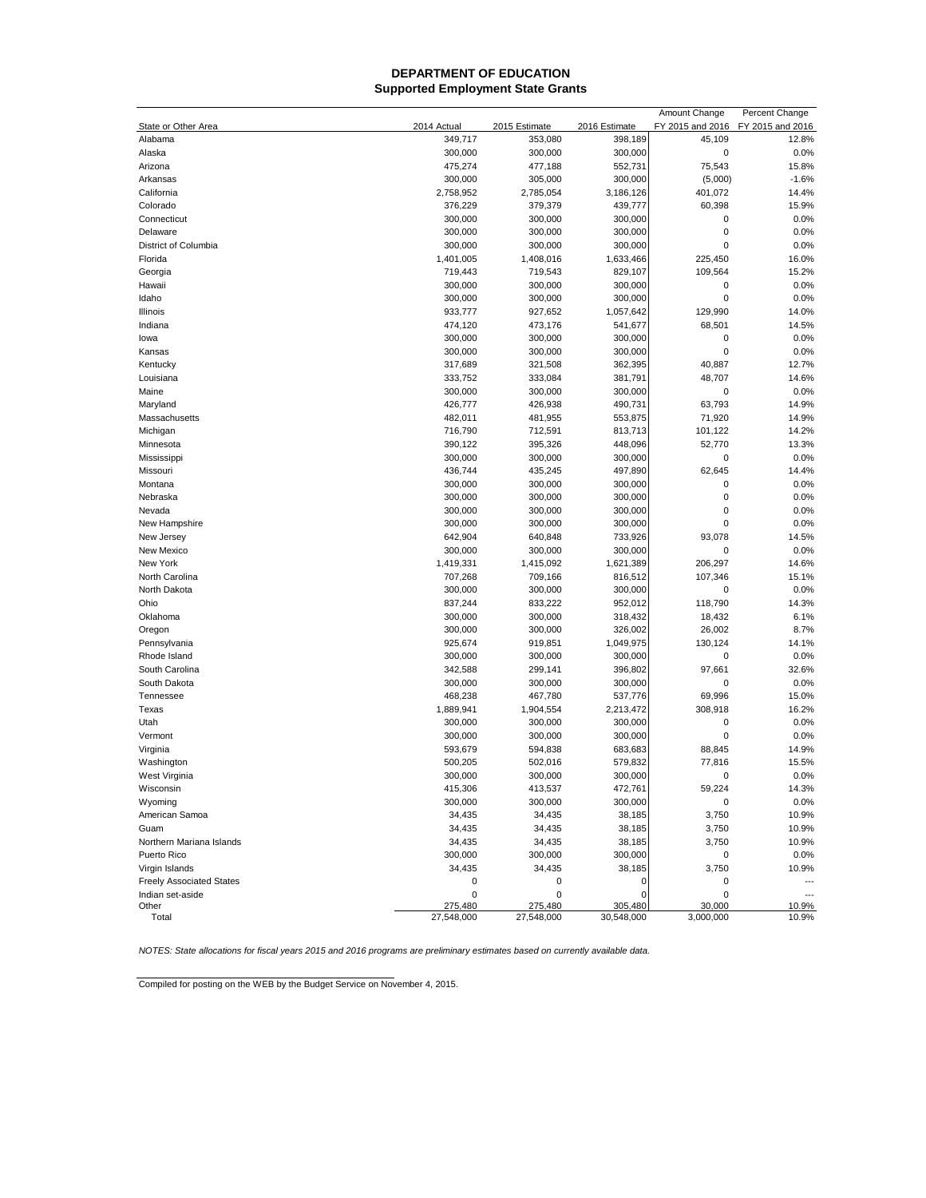## **Supported Employment State Grants DEPARTMENT OF EDUCATION**

|                                 |             |                    |                    | Amount Change    | Percent Change   |
|---------------------------------|-------------|--------------------|--------------------|------------------|------------------|
| State or Other Area             | 2014 Actual | 2015 Estimate      | 2016 Estimate      | FY 2015 and 2016 | FY 2015 and 2016 |
| Alabama                         | 349,717     | 353,080            | 398,189            | 45,109           | 12.8%            |
| Alaska                          | 300,000     | 300,000            | 300,000            | $\mathbf 0$      | 0.0%             |
| Arizona                         | 475,274     | 477,188            | 552,731            | 75,543           | 15.8%            |
| Arkansas                        | 300,000     | 305,000            | 300,000            | (5,000)          | $-1.6%$          |
| California                      | 2,758,952   | 2,785,054          | 3,186,126          | 401,072          | 14.4%            |
| Colorado                        | 376,229     | 379,379            | 439,777            | 60,398           | 15.9%            |
| Connecticut                     | 300,000     | 300,000            | 300,000            | 0                | 0.0%             |
| Delaware                        | 300,000     | 300,000            | 300,000            | $\mathbf 0$      | 0.0%             |
| District of Columbia            | 300,000     | 300,000            | 300,000            | 0                | 0.0%             |
| Florida                         | 1,401,005   | 1,408,016          | 1,633,466          | 225,450          | 16.0%            |
| Georgia                         | 719,443     | 719,543            | 829,107            | 109,564          | 15.2%            |
| Hawaii                          | 300,000     | 300,000            | 300,000            | $\mathbf 0$      | 0.0%             |
| Idaho                           | 300,000     | 300,000            | 300,000            | $\mathbf 0$      | 0.0%             |
| Illinois                        | 933,777     | 927,652            | 1,057,642          | 129,990          | 14.0%            |
| Indiana                         | 474,120     | 473,176            | 541,677            | 68,501           | 14.5%            |
| lowa                            | 300,000     | 300,000            | 300,000            | 0                | 0.0%             |
| Kansas                          | 300,000     | 300,000            | 300,000            | $\mathbf 0$      | 0.0%             |
| Kentucky                        | 317,689     | 321,508            | 362,395            | 40,887           | 12.7%            |
| Louisiana                       | 333,752     | 333,084            | 381,791            | 48,707           | 14.6%            |
| Maine                           | 300,000     | 300,000            | 300,000            | $\mathbf 0$      | 0.0%             |
| Maryland                        | 426,777     | 426,938            | 490,731            | 63,793           | 14.9%            |
| Massachusetts                   | 482,011     | 481,955            | 553,875            | 71,920           | 14.9%            |
| Michigan                        | 716,790     | 712,591            | 813,713            | 101,122          | 14.2%            |
| Minnesota                       | 390,122     | 395,326            | 448,096            | 52,770           | 13.3%            |
| Mississippi                     | 300,000     | 300,000            | 300,000            | $\mathbf 0$      | 0.0%             |
| Missouri                        | 436,744     | 435,245            | 497,890            | 62,645           | 14.4%            |
|                                 | 300,000     |                    |                    | 0                |                  |
| Montana                         |             | 300,000<br>300,000 | 300,000            | $\mathbf 0$      | 0.0%             |
| Nebraska<br>Nevada              | 300,000     |                    | 300,000            | $\mathbf 0$      | 0.0%<br>0.0%     |
| New Hampshire                   | 300,000     | 300,000            | 300,000            | 0                | 0.0%             |
|                                 | 300,000     | 300,000            | 300,000<br>733,926 | 93.078           |                  |
| New Jersey                      | 642,904     | 640,848            |                    | 0                | 14.5%            |
| New Mexico                      | 300,000     | 300,000            | 300,000            |                  | 0.0%             |
| New York                        | 1,419,331   | 1,415,092          | 1,621,389          | 206,297          | 14.6%            |
| North Carolina                  | 707,268     | 709,166            | 816,512            | 107,346          | 15.1%            |
| North Dakota                    | 300,000     | 300,000            | 300,000            | 0                | 0.0%             |
| Ohio                            | 837,244     | 833,222            | 952,012            | 118,790          | 14.3%            |
| Oklahoma                        | 300,000     | 300,000            | 318,432            | 18,432           | 6.1%             |
| Oregon                          | 300,000     | 300,000            | 326,002            | 26,002           | 8.7%             |
| Pennsylvania                    | 925,674     | 919,851            | 1,049,975          | 130,124          | 14.1%            |
| Rhode Island                    | 300,000     | 300,000            | 300,000            | 0                | 0.0%             |
| South Carolina                  | 342,588     | 299,141            | 396,802            | 97,661           | 32.6%            |
| South Dakota                    | 300,000     | 300,000            | 300,000            | 0                | 0.0%             |
| Tennessee                       | 468,238     | 467,780            | 537,776            | 69,996           | 15.0%            |
| Texas                           | 1,889,941   | 1,904,554          | 2,213,472          | 308,918          | 16.2%            |
| Utah                            | 300,000     | 300,000            | 300,000            | $\mathbf 0$      | 0.0%             |
| Vermont                         | 300,000     | 300,000            | 300,000            | $\mathbf 0$      | 0.0%             |
| Virginia                        | 593,679     | 594,838            | 683,683            | 88,845           | 14.9%            |
| Washington                      | 500,205     | 502,016            | 579,832            | 77,816           | 15.5%            |
| West Virginia                   | 300,000     | 300,000            | 300,000            | $\mathbf 0$      | 0.0%             |
| Wisconsin                       | 415,306     | 413,537            | 472,761            | 59,224           | 14.3%            |
| Wyoming                         | 300,000     | 300,000            | 300,000            | 0                | 0.0%             |
| American Samoa                  | 34,435      | 34,435             | 38,185             | 3,750            | 10.9%            |
| Guam                            | 34,435      | 34,435             | 38,185             | 3,750            | 10.9%            |
| Northern Mariana Islands        | 34,435      | 34,435             | 38,185             | 3,750            | 10.9%            |
| Puerto Rico                     | 300,000     | 300,000            | 300,000            | 0                | 0.0%             |
| Virgin Islands                  | 34,435      | 34,435             | 38,185             | 3,750            | 10.9%            |
| <b>Freely Associated States</b> | 0           | 0                  | 0                  | 0                |                  |
| Indian set-aside                | 0           | 0                  | O                  | 0                |                  |
| Other                           | 275,480     | 275,480            | 305,480            | 30,000           | 10.9%            |
| Total                           | 27,548,000  | 27,548,000         | 30,548,000         | 3,000,000        | 10.9%            |

*NOTES: State allocations for fiscal years 2015 and 2016 programs are preliminary estimates based on currently available data.*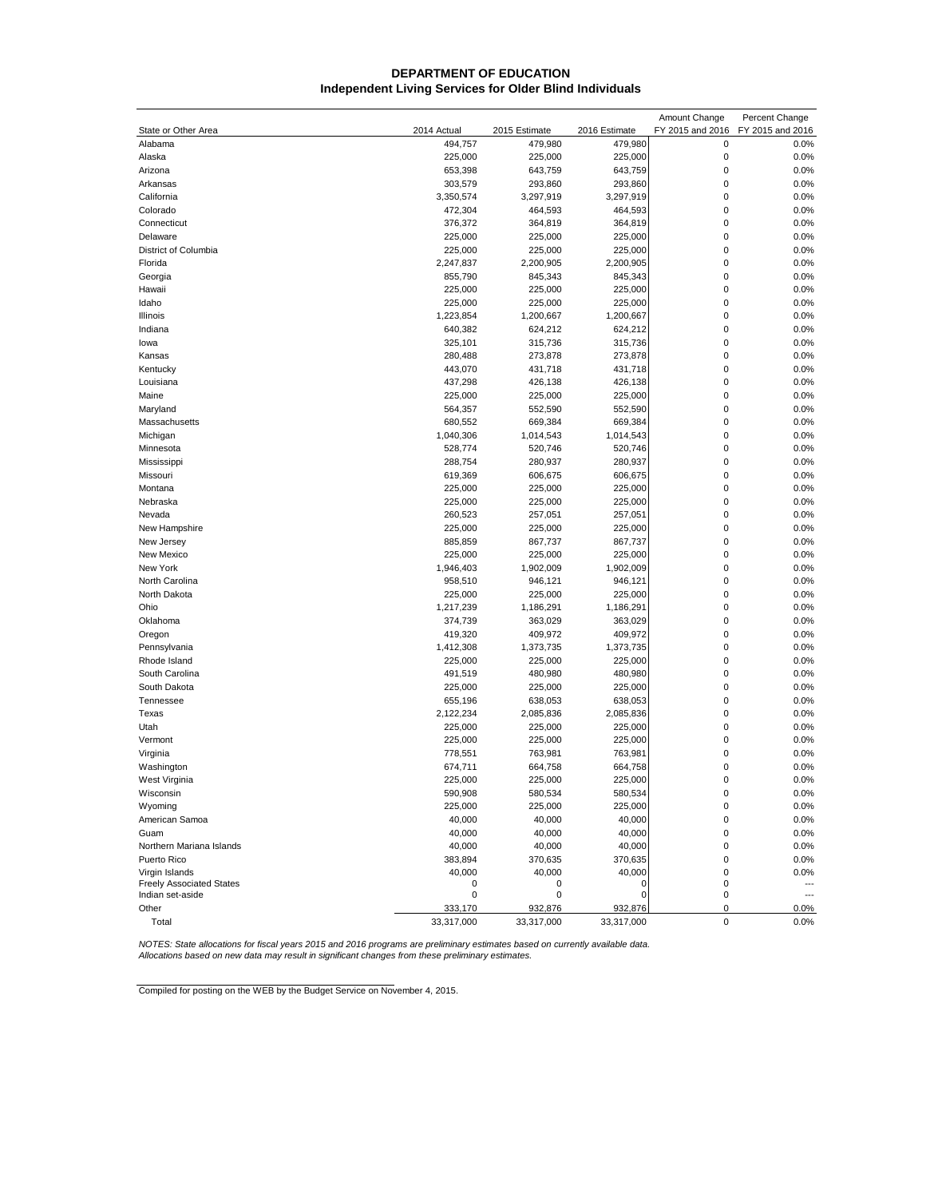## **Independent Living Services for Older Blind Individuals DEPARTMENT OF EDUCATION**

|                                                     |             |               |                      | Amount Change    | Percent Change                  |
|-----------------------------------------------------|-------------|---------------|----------------------|------------------|---------------------------------|
| State or Other Area                                 | 2014 Actual | 2015 Estimate | 2016 Estimate        | FY 2015 and 2016 | FY 2015 and 2016                |
| Alabama                                             | 494,757     | 479,980       | 479,980              | 0                | 0.0%                            |
| Alaska                                              | 225,000     | 225,000       | 225,000              | 0                | 0.0%                            |
| Arizona                                             | 653,398     | 643,759       | 643,759              | $\mathbf 0$      | 0.0%                            |
| Arkansas                                            | 303,579     | 293,860       | 293,860              | $\mathbf 0$      | 0.0%                            |
| California                                          | 3,350,574   | 3,297,919     | 3,297,919            | $\mathbf 0$      | 0.0%                            |
| Colorado                                            | 472,304     | 464,593       | 464,593              | 0                | 0.0%                            |
| Connecticut                                         | 376,372     | 364,819       | 364,819              | 0                | 0.0%                            |
| Delaware                                            | 225,000     | 225,000       | 225,000              | 0                | 0.0%                            |
| District of Columbia                                | 225,000     | 225,000       | 225,000              | 0                | 0.0%                            |
| Florida                                             | 2,247,837   | 2,200,905     | 2,200,905            | $\mathbf 0$      | 0.0%                            |
| Georgia                                             | 855,790     | 845,343       | 845,343              | $\mathbf 0$      | 0.0%                            |
| Hawaii                                              | 225,000     | 225,000       | 225,000              | $\mathbf 0$      | 0.0%                            |
| Idaho                                               | 225,000     | 225,000       | 225,000              | 0                | 0.0%                            |
| Illinois                                            | 1,223,854   | 1,200,667     | 1,200,667            | 0                | 0.0%                            |
| Indiana                                             | 640,382     | 624,212       | 624,212              | 0                | 0.0%                            |
| lowa                                                | 325,101     | 315,736       | 315,736              | $\mathbf 0$      | 0.0%                            |
| Kansas                                              | 280,488     | 273,878       | 273,878              | $\mathbf 0$      | 0.0%                            |
| Kentucky                                            | 443,070     | 431,718       | 431,718              | $\mathbf 0$      | 0.0%                            |
| Louisiana                                           | 437,298     | 426,138       | 426,138              | 0                | 0.0%                            |
| Maine                                               | 225,000     | 225,000       | 225,000              | 0                | 0.0%                            |
| Maryland                                            | 564,357     | 552,590       | 552,590              | 0                | 0.0%                            |
| Massachusetts                                       | 680,552     | 669,384       | 669,384              | 0                | 0.0%                            |
| Michigan                                            | 1,040,306   | 1,014,543     | 1,014,543            | $\mathbf 0$      | 0.0%                            |
| Minnesota                                           | 528,774     | 520,746       | 520,746              | 0                | 0.0%                            |
| Mississippi                                         | 288,754     | 280,937       | 280,937              | $\mathbf 0$      | 0.0%                            |
| Missouri                                            | 619,369     | 606,675       | 606,675              | 0                | 0.0%                            |
| Montana                                             | 225,000     | 225,000       | 225,000              | 0                | 0.0%                            |
| Nebraska                                            | 225,000     | 225,000       | 225,000              | 0                | 0.0%                            |
| Nevada                                              | 260,523     | 257,051       | 257,051              | 0                | 0.0%                            |
| New Hampshire                                       | 225,000     | 225,000       | 225,000              | $\mathbf 0$      | 0.0%                            |
| New Jersey                                          | 885,859     | 867,737       | 867,737              | $\mathbf 0$      | 0.0%                            |
| New Mexico                                          | 225,000     | 225,000       | 225,000              | 0                | 0.0%                            |
| New York                                            | 1,946,403   | 1,902,009     | 1,902,009            | 0                | 0.0%                            |
| North Carolina                                      | 958,510     | 946,121       | 946,121              | 0                | 0.0%                            |
| North Dakota                                        | 225,000     | 225,000       | 225,000              | 0                | 0.0%                            |
| Ohio                                                | 1,217,239   | 1,186,291     | 1,186,291            | 0                | 0.0%                            |
| Oklahoma                                            | 374,739     | 363,029       | 363,029              | $\mathbf 0$      | 0.0%                            |
| Oregon                                              | 419,320     | 409,972       | 409,972              | 0                | 0.0%                            |
| Pennsylvania                                        | 1,412,308   | 1,373,735     | 1,373,735            | $\mathbf 0$      | 0.0%                            |
| Rhode Island                                        | 225,000     | 225,000       | 225,000              | 0                | 0.0%                            |
| South Carolina                                      | 491,519     | 480,980       | 480,980              | 0                | 0.0%                            |
| South Dakota                                        | 225,000     | 225,000       | 225,000              | 0                | 0.0%                            |
| Tennessee                                           | 655,196     | 638,053       | 638,053              | $\mathbf 0$      | 0.0%                            |
|                                                     | 2,122,234   |               |                      | $\mathbf 0$      |                                 |
| Texas                                               | 225,000     | 2,085,836     | 2,085,836<br>225,000 | 0                | 0.0%<br>0.0%                    |
| Utah                                                |             | 225,000       |                      | 0                | 0.0%                            |
| Vermont<br>Virginia                                 | 225,000     | 225,000       | 225,000              | 0                |                                 |
|                                                     | 778,551     | 763,981       | 763,981              | 0                | 0.0%                            |
| Washington                                          | 674,711     | 664,758       | 664,758              | $\mathbf 0$      | 0.0%<br>0.0%                    |
| West Virginia                                       | 225,000     | 225,000       | 225,000              |                  |                                 |
| Wisconsin                                           | 590,908     | 580,534       | 580,534              | 0                | 0.0%                            |
| Wyoming                                             | 225,000     | 225,000       | 225,000              | 0                | 0.0%                            |
| American Samoa                                      | 40,000      | 40,000        | 40,000               | 0                | 0.0%                            |
| Guam                                                | 40,000      | 40,000        | 40,000               | 0                | 0.0%                            |
| Northern Mariana Islands                            | 40,000      | 40,000        | 40,000               | 0                | 0.0%                            |
| Puerto Rico                                         | 383,894     | 370,635       | 370,635              | 0                | 0.0%                            |
| Virgin Islands                                      | 40,000      | 40,000        | 40,000               | 0                | 0.0%                            |
| <b>Freely Associated States</b><br>Indian set-aside | 0<br>0      | 0<br>0        | 0<br>0               | 0<br>0           | $\overline{\phantom{a}}$<br>--- |
| Other                                               | 333,170     | 932,876       | 932,876              | 0                | 0.0%                            |
| Total                                               | 33,317,000  | 33,317,000    | 33,317,000           | 0                | 0.0%                            |
|                                                     |             |               |                      |                  |                                 |

NOTES: State allocations for fiscal years 2015 and 2016 programs are preliminary estimates based on currently available data.<br>Allocations based on new data may result in significant changes from these preliminary estimates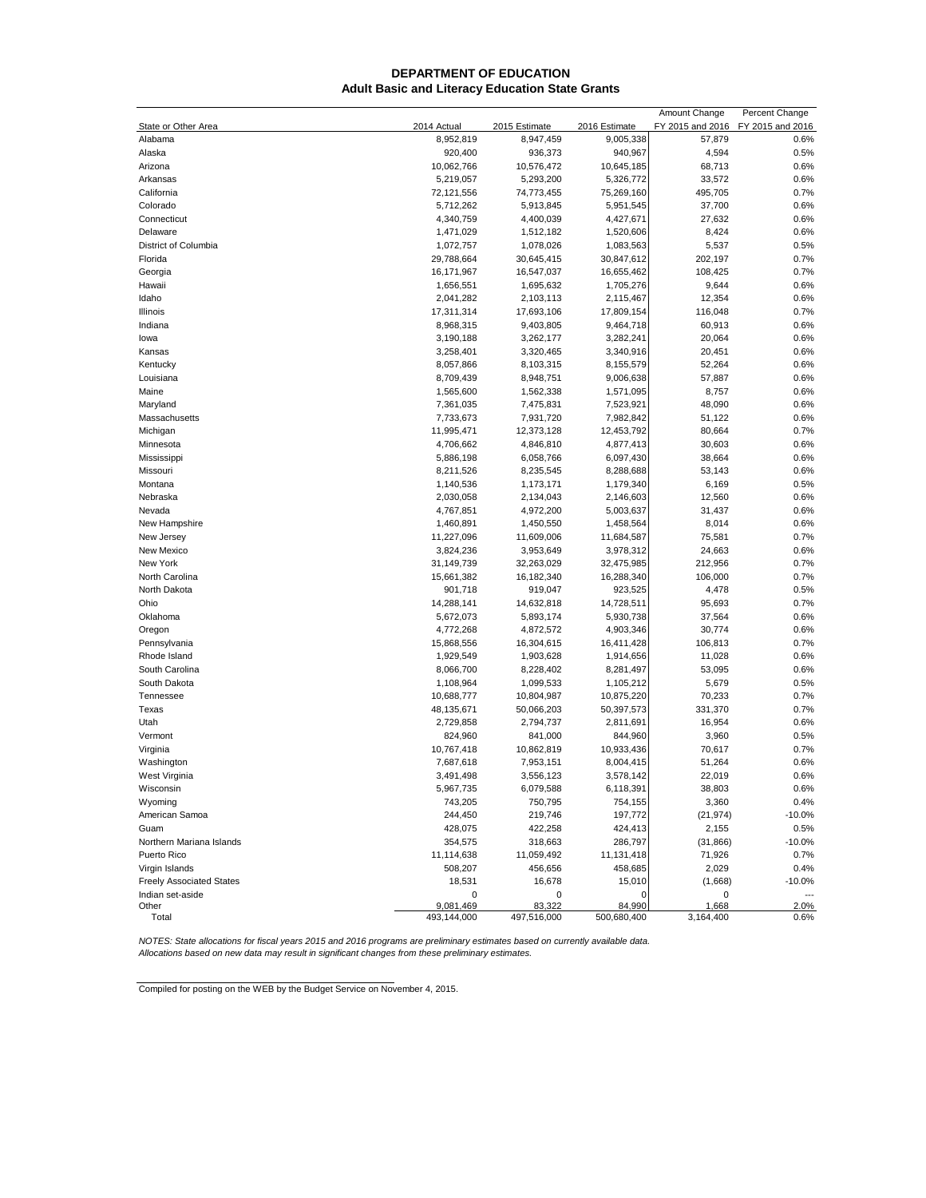## **DEPARTMENT OF EDUCATION Adult Basic and Literacy Education State Grants**

|                                 |                         |               |               | Amount Change    | Percent Change   |
|---------------------------------|-------------------------|---------------|---------------|------------------|------------------|
| State or Other Area             | 2014 Actual             | 2015 Estimate | 2016 Estimate | FY 2015 and 2016 | FY 2015 and 2016 |
| Alabama                         | 8,952,819               | 8,947,459     | 9,005,338     | 57,879           | 0.6%             |
| Alaska                          | 920,400                 | 936,373       | 940,967       | 4,594            | 0.5%             |
| Arizona                         | 10,062,766              | 10,576,472    | 10,645,185    | 68,713           | 0.6%             |
| Arkansas                        | 5,219,057               | 5,293,200     | 5,326,772     | 33,572           | 0.6%             |
| California                      | 72,121,556              | 74,773,455    | 75,269,160    | 495,705          | 0.7%             |
| Colorado                        | 5,712,262               | 5,913,845     | 5,951,545     | 37,700           | 0.6%             |
| Connecticut                     | 4,340,759               | 4,400,039     | 4,427,671     | 27,632           | 0.6%             |
| Delaware                        | 1,471,029               | 1,512,182     | 1,520,606     | 8,424            | 0.6%             |
| District of Columbia            | 1,072,757               | 1,078,026     | 1,083,563     | 5,537            | 0.5%             |
| Florida                         | 29,788,664              | 30,645,415    | 30,847,612    | 202,197          | 0.7%             |
| Georgia                         | 16,171,967              | 16,547,037    | 16,655,462    | 108,425          | 0.7%             |
| Hawaii                          | 1,656,551               | 1,695,632     | 1,705,276     | 9,644            | 0.6%             |
| Idaho                           | 2,041,282               | 2,103,113     | 2,115,467     | 12,354           | 0.6%             |
|                                 |                         |               | 17,809,154    | 116,048          | 0.7%             |
| Illinois                        | 17,311,314<br>8,968,315 | 17,693,106    |               |                  |                  |
| Indiana                         |                         | 9,403,805     | 9,464,718     | 60,913           | 0.6%             |
| lowa                            | 3,190,188               | 3,262,177     | 3,282,241     | 20,064           | 0.6%             |
| Kansas                          | 3,258,401               | 3,320,465     | 3,340,916     | 20,451           | 0.6%             |
| Kentucky                        | 8,057,866               | 8,103,315     | 8,155,579     | 52,264           | 0.6%             |
| Louisiana                       | 8,709,439               | 8,948,751     | 9,006,638     | 57,887           | 0.6%             |
| Maine                           | 1,565,600               | 1,562,338     | 1,571,095     | 8,757            | 0.6%             |
| Maryland                        | 7,361,035               | 7,475,831     | 7,523,921     | 48,090           | 0.6%             |
| Massachusetts                   | 7,733,673               | 7,931,720     | 7,982,842     | 51,122           | 0.6%             |
| Michigan                        | 11,995,471              | 12,373,128    | 12,453,792    | 80,664           | 0.7%             |
| Minnesota                       | 4,706,662               | 4,846,810     | 4,877,413     | 30,603           | 0.6%             |
| Mississippi                     | 5,886,198               | 6,058,766     | 6,097,430     | 38,664           | 0.6%             |
| Missouri                        | 8,211,526               | 8,235,545     | 8,288,688     | 53,143           | 0.6%             |
| Montana                         | 1,140,536               | 1,173,171     | 1,179,340     | 6,169            | 0.5%             |
| Nebraska                        | 2,030,058               | 2,134,043     | 2,146,603     | 12,560           | 0.6%             |
| Nevada                          | 4,767,851               | 4,972,200     | 5,003,637     | 31,437           | 0.6%             |
| New Hampshire                   | 1,460,891               | 1,450,550     | 1,458,564     | 8,014            | 0.6%             |
| New Jersey                      | 11,227,096              | 11,609,006    | 11,684,587    | 75,581           | 0.7%             |
| New Mexico                      | 3,824,236               | 3,953,649     | 3,978,312     | 24,663           | 0.6%             |
| New York                        | 31,149,739              | 32,263,029    | 32,475,985    | 212,956          | 0.7%             |
| North Carolina                  | 15,661,382              | 16,182,340    | 16,288,340    | 106,000          | 0.7%             |
| North Dakota                    | 901,718                 | 919,047       | 923,525       | 4,478            | 0.5%             |
| Ohio                            | 14,288,141              | 14,632,818    | 14,728,511    | 95,693           | 0.7%             |
| Oklahoma                        | 5,672,073               | 5,893,174     | 5,930,738     | 37,564           | 0.6%             |
| Oregon                          | 4,772,268               | 4,872,572     | 4,903,346     | 30,774           | 0.6%             |
| Pennsylvania                    | 15,868,556              | 16,304,615    | 16,411,428    | 106,813          | 0.7%             |
| Rhode Island                    | 1,929,549               | 1,903,628     | 1,914,656     | 11,028           | 0.6%             |
| South Carolina                  | 8,066,700               | 8,228,402     | 8,281,497     | 53,095           | 0.6%             |
| South Dakota                    | 1,108,964               | 1,099,533     | 1,105,212     | 5,679            | 0.5%             |
| Tennessee                       | 10,688,777              | 10,804,987    | 10,875,220    | 70,233           | 0.7%             |
|                                 | 48,135,671              |               |               |                  |                  |
| Texas                           |                         | 50,066,203    | 50,397,573    | 331,370          | 0.7%             |
| Utah                            | 2,729,858               | 2,794,737     | 2,811,691     | 16,954           | 0.6%             |
| Vermont                         | 824,960                 | 841,000       | 844,960       | 3,960            | 0.5%             |
| Virginia                        | 10,767,418              | 10,862,819    | 10,933,436    | 70,617           | 0.7%             |
| Washington                      | 7,687,618               | 7,953,151     | 8,004,415     | 51,264           | 0.6%             |
| West Virginia                   | 3,491,498               | 3,556,123     | 3,578,142     | 22,019           | 0.6%             |
| Wisconsin                       | 5,967,735               | 6,079,588     | 6,118,391     | 38,803           | $0.6\%$          |
| Wyoming                         | 743,205                 | 750,795       | 754,155       | 3,360            | 0.4%             |
| American Samoa                  | 244,450                 | 219,746       | 197,772       | (21, 974)        | $-10.0%$         |
| Guam                            | 428,075                 | 422,258       | 424,413       | 2,155            | 0.5%             |
| Northern Mariana Islands        | 354,575                 | 318,663       | 286,797       | (31, 866)        | $-10.0%$         |
| Puerto Rico                     | 11,114,638              | 11,059,492    | 11,131,418    | 71,926           | 0.7%             |
| Virgin Islands                  | 508,207                 | 456,656       | 458,685       | 2,029            | 0.4%             |
| <b>Freely Associated States</b> | 18,531                  | 16,678        | 15,010        | (1,668)          | $-10.0%$         |
| Indian set-aside                | 0                       | 0             | $\Omega$      | 0                |                  |
| Other                           | 9,081,469               | 83,322        | 84,990        | 1,668            | 2.0%             |
| Total                           | 493,144,000             | 497,516,000   | 500,680,400   | 3,164,400        | 0.6%             |

NOTES: State allocations for fiscal years 2015 and 2016 programs are preliminary estimates based on currently available data.<br>Allocations based on new data may result in significant changes from these preliminary estimates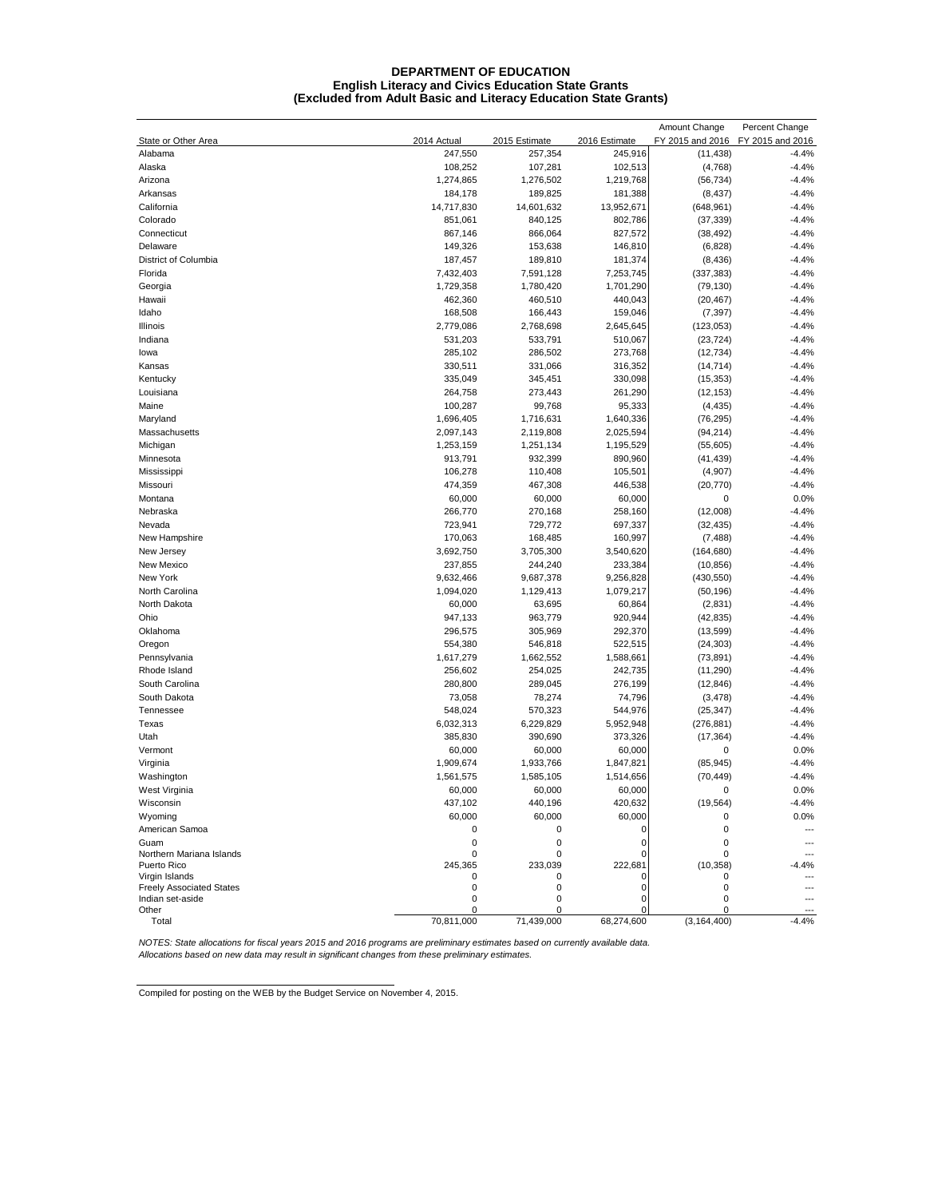#### **DEPARTMENT OF EDUCATION English Literacy and Civics Education State Grants (Excluded from Adult Basic and Literacy Education State Grants)**

|                                         |              |               |               | Amount Change    | Percent Change   |
|-----------------------------------------|--------------|---------------|---------------|------------------|------------------|
| State or Other Area                     | 2014 Actual  | 2015 Estimate | 2016 Estimate | FY 2015 and 2016 | FY 2015 and 2016 |
| Alabama                                 | 247,550      | 257,354       | 245,916       | (11, 438)        | $-4.4%$          |
| Alaska                                  | 108,252      | 107,281       | 102,513       | (4,768)          | $-4.4%$          |
| Arizona                                 | 1,274,865    | 1,276,502     | 1,219,768     | (56, 734)        | $-4.4%$          |
| Arkansas                                | 184,178      | 189,825       | 181,388       | (8, 437)         | $-4.4%$          |
| California                              | 14,717,830   | 14,601,632    | 13,952,671    | (648, 961)       | $-4.4%$          |
| Colorado                                | 851,061      | 840,125       | 802,786       | (37, 339)        | $-4.4%$          |
| Connecticut                             | 867,146      | 866,064       | 827,572       | (38, 492)        | $-4.4%$          |
| Delaware                                | 149,326      | 153,638       | 146,810       | (6,828)          | $-4.4%$          |
| District of Columbia                    | 187,457      | 189,810       | 181,374       | (8, 436)         | $-4.4%$          |
| Florida                                 | 7,432,403    | 7,591,128     | 7,253,745     | (337, 383)       | $-4.4%$          |
| Georgia                                 | 1,729,358    | 1,780,420     | 1,701,290     | (79, 130)        | $-4.4%$          |
| Hawaii                                  | 462,360      | 460,510       | 440,043       | (20, 467)        | $-4.4%$          |
| Idaho                                   | 168,508      | 166,443       | 159,046       | (7, 397)         | $-4.4%$          |
| Illinois                                | 2,779,086    | 2,768,698     | 2,645,645     | (123, 053)       | $-4.4%$          |
| Indiana                                 | 531,203      | 533,791       | 510,067       | (23, 724)        | $-4.4%$          |
| lowa                                    | 285,102      | 286,502       | 273,768       | (12, 734)        | $-4.4%$          |
| Kansas                                  | 330,511      | 331,066       | 316,352       | (14, 714)        | $-4.4%$          |
| Kentucky                                | 335,049      | 345,451       | 330,098       | (15, 353)        | $-4.4%$          |
| Louisiana                               | 264,758      | 273,443       | 261,290       | (12, 153)        | $-4.4%$          |
| Maine                                   | 100,287      | 99,768        | 95,333        | (4, 435)         | $-4.4%$          |
| Maryland                                | 1,696,405    | 1,716,631     | 1,640,336     | (76, 295)        | $-4.4%$          |
| Massachusetts                           | 2,097,143    | 2,119,808     | 2,025,594     | (94, 214)        | $-4.4%$          |
| Michigan                                | 1,253,159    | 1,251,134     | 1,195,529     | (55,605)         | $-4.4%$          |
| Minnesota                               | 913,791      | 932,399       | 890,960       | (41, 439)        | $-4.4%$          |
| Mississippi                             | 106,278      | 110,408       | 105,501       | (4,907)          | $-4.4%$          |
| Missouri                                | 474,359      | 467,308       | 446,538       | (20, 770)        | $-4.4%$          |
| Montana                                 | 60,000       | 60,000        | 60,000        | 0                | 0.0%             |
| Nebraska                                | 266,770      | 270,168       | 258,160       | (12,008)         | $-4.4%$          |
| Nevada                                  | 723,941      | 729,772       | 697,337       | (32, 435)        | $-4.4%$          |
| New Hampshire                           | 170,063      | 168,485       | 160,997       | (7, 488)         | $-4.4%$          |
| New Jersey                              | 3,692,750    | 3,705,300     | 3,540,620     | (164, 680)       | $-4.4%$          |
| New Mexico                              | 237,855      | 244,240       | 233,384       | (10, 856)        | $-4.4%$          |
| New York                                | 9,632,466    | 9,687,378     | 9,256,828     | (430, 550)       | $-4.4%$          |
| North Carolina                          | 1,094,020    | 1,129,413     | 1,079,217     | (50, 196)        | $-4.4%$          |
| North Dakota                            | 60,000       | 63,695        | 60,864        | (2,831)          | $-4.4%$          |
| Ohio                                    | 947,133      | 963,779       | 920,944       | (42, 835)        | $-4.4%$          |
| Oklahoma                                | 296,575      | 305,969       | 292,370       | (13, 599)        | $-4.4%$          |
| Oregon                                  | 554,380      | 546,818       | 522,515       | (24, 303)        | $-4.4%$          |
| Pennsylvania                            | 1,617,279    | 1,662,552     | 1,588,661     | (73, 891)        | $-4.4%$          |
| Rhode Island                            | 256,602      | 254,025       | 242,735       | (11, 290)        | $-4.4%$          |
| South Carolina                          | 280,800      | 289,045       | 276,199       | (12, 846)        | $-4.4%$          |
| South Dakota                            | 73,058       | 78,274        | 74,796        | (3, 478)         | $-4.4%$          |
| Tennessee                               | 548,024      | 570,323       | 544,976       | (25, 347)        | $-4.4%$          |
| Texas                                   | 6,032,313    | 6,229,829     | 5,952,948     | (276, 881)       | $-4.4%$          |
| Utah                                    | 385,830      | 390,690       | 373,326       | (17, 364)        | $-4.4%$          |
| Vermont                                 | 60,000       | 60,000        | 60,000        | 0                | 0.0%             |
| Virginia                                | 1,909,674    | 1,933,766     | 1,847,821     | (85, 945)        | $-4.4%$          |
| Washington                              | 1,561,575    | 1,585,105     | 1,514,656     | (70, 449)        | $-4.4%$          |
| West Virginia                           | 60,000       | 60,000        | 60,000        | 0                | 0.0%             |
| Wisconsin                               | 437,102      | 440,196       | 420,632       | (19, 564)        | -4.4%            |
| Wyoming                                 | 60,000       | 60,000        | 60,000        | 0                | 0.0%             |
| American Samoa                          | 0            | 0             | 0             | 0                | $\overline{a}$   |
| Guam                                    | 0            | 0             | 0             | 0                | $---$            |
| Northern Mariana Islands<br>Puerto Rico | 0<br>245,365 | 0<br>233,039  | 0<br>222,681  | 0<br>(10, 358)   | $-4.4%$          |
| Virgin Islands                          | 0            | 0             |               | 0                |                  |
| <b>Freely Associated States</b>         | 0            | 0             | 0             | 0                | $---$            |
| Indian set-aside                        | 0            | 0             | 0             | 0                | $---$            |
| Other                                   | 0            | 0             |               | 0                |                  |
| Total                                   | 70,811,000   | 71,439,000    | 68,274,600    | (3, 164, 400)    | $-4.4%$          |

NOTES: State allocations for fiscal years 2015 and 2016 programs are preliminary estimates based on currently available data.<br>Allocations based on new data may result in significant changes from these preliminary estimates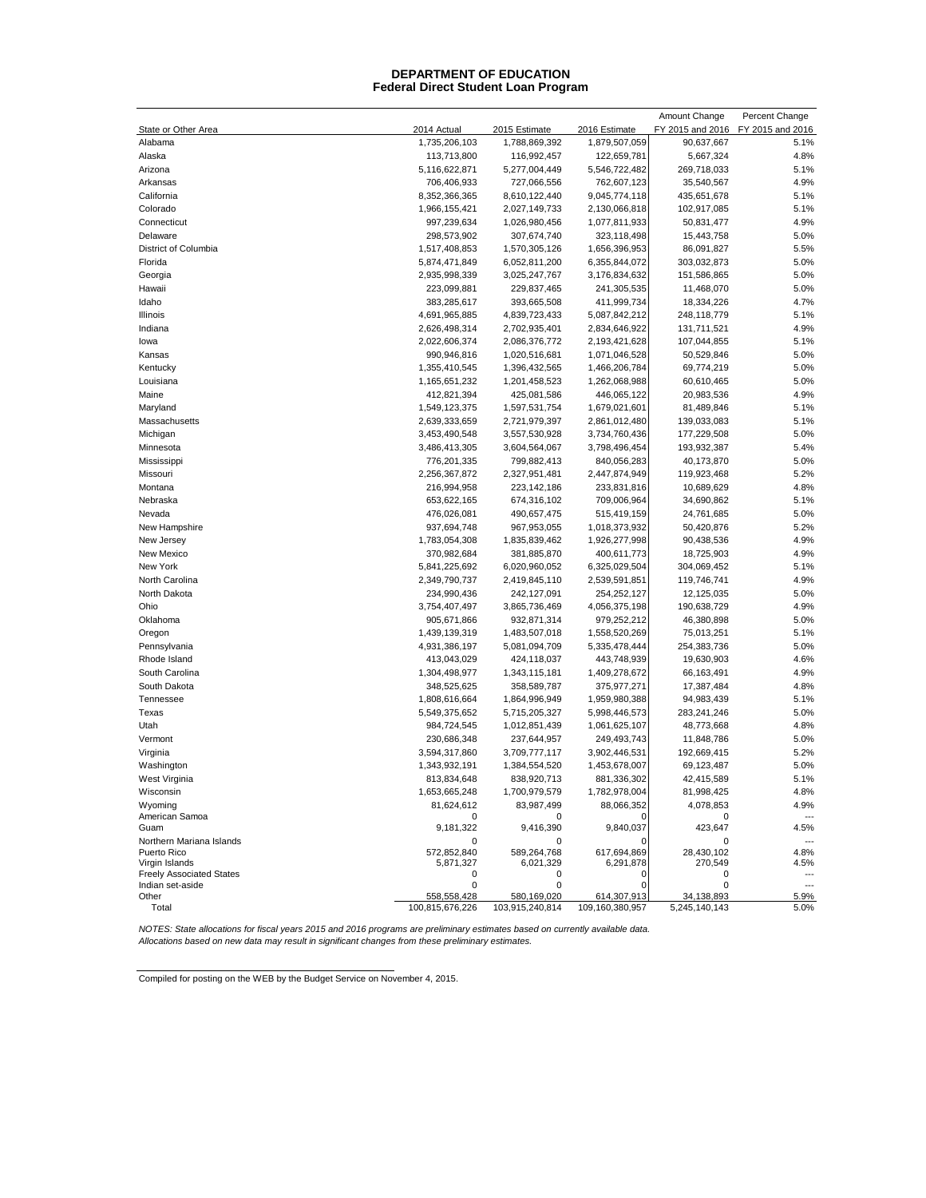#### **Federal Direct Student Loan Program DEPARTMENT OF EDUCATION**

| State or Other Area<br>2014 Actual<br>2015 Estimate<br>2016 Estimate<br>FY 2015 and 2016<br>FY 2015 and 2016<br>Alabama<br>1,735,206,103<br>1,788,869,392<br>1,879,507,059<br>90,637,667<br>5.1%<br>122,659,781<br>5,667,324<br>4.8%<br>Alaska<br>113,713,800<br>116,992,457<br>5.1%<br>Arizona<br>5,116,622,871<br>5,277,004,449<br>5,546,722,482<br>269,718,033<br>4.9%<br>706,406,933<br>727,066,556<br>762,607,123<br>35,540,567<br>Arkansas<br>California<br>8,352,366,365<br>8,610,122,440<br>9,045,774,118<br>435,651,678<br>5.1%<br>5.1%<br>Colorado<br>1,966,155,421<br>2,027,149,733<br>2,130,066,818<br>102,917,085<br>4.9%<br>Connecticut<br>997,239,634<br>1,026,980,456<br>1,077,811,933<br>50,831,477<br>Delaware<br>307,674,740<br>323,118,498<br>15,443,758<br>5.0%<br>298,573,902<br>5.5%<br>District of Columbia<br>1,517,408,853<br>1,570,305,126<br>1,656,396,953<br>86,091,827<br>5.0%<br>Florida<br>5,874,471,849<br>6,052,811,200<br>6,355,844,072<br>303,032,873<br>5.0%<br>Georgia<br>2,935,998,339<br>3,025,247,767<br>3,176,834,632<br>151,586,865<br>Hawaii<br>223,099,881<br>229,837,465<br>241,305,535<br>11,468,070<br>5.0%<br>Idaho<br>383,285,617<br>393,665,508<br>411,999,734<br>18,334,226<br>4.7%<br><b>Illinois</b><br>4,691,965,885<br>4,839,723,433<br>5,087,842,212<br>248,118,779<br>5.1%<br>4.9%<br>2,834,646,922<br>131,711,521<br>Indiana<br>2,626,498,314<br>2,702,935,401<br>5.1%<br>2,022,606,374<br>2,193,421,628<br>107,044,855<br>lowa<br>2,086,376,772<br>5.0%<br>990,946,816<br>1,020,516,681<br>1,071,046,528<br>50,529,846<br>Kansas<br>5.0%<br>Kentucky<br>1,355,410,545<br>1,396,432,565<br>1,466,206,784<br>69,774,219<br>Louisiana<br>1,165,651,232<br>1,201,458,523<br>1,262,068,988<br>60,610,465<br>5.0%<br>4.9%<br>Maine<br>412,821,394<br>425,081,586<br>446,065,122<br>20,983,536<br>1,679,021,601<br>81,489,846<br>5.1%<br>Maryland<br>1,549,123,375<br>1,597,531,754<br>5.1%<br>Massachusetts<br>2,721,979,397<br>2,861,012,480<br>139,033,083<br>2,639,333,659<br>5.0%<br>3,453,490,548<br>3,734,760,436<br>177,229,508<br>Michigan<br>3,557,530,928<br>3,486,413,305<br>3,604,564,067<br>3,798,496,454<br>193,932,387<br>5.4%<br>Minnesota<br>5.0%<br>776,201,335<br>799,882,413<br>840,056,283<br>40,173,870<br>Mississippi<br>Missouri<br>2,256,367,872<br>2,327,951,481<br>2,447,874,949<br>119,923,468<br>5.2%<br>4.8%<br>Montana<br>216,994,958<br>233,831,816<br>10,689,629<br>223, 142, 186<br>Nebraska<br>709,006,964<br>34,690,862<br>5.1%<br>653,622,165<br>674,316,102<br>5.0%<br>Nevada<br>476,026,081<br>515,419,159<br>24,761,685<br>490,657,475<br>5.2%<br>937,694,748<br>967,953,055<br>1,018,373,932<br>50,420,876<br>New Hampshire<br>4.9%<br>New Jersey<br>1,783,054,308<br>1,835,839,462<br>1,926,277,998<br>90,438,536<br>New Mexico<br>370,982,684<br>381,885,870<br>400,611,773<br>18,725,903<br>4.9%<br>New York<br>5.1%<br>5,841,225,692<br>6,020,960,052<br>6,325,029,504<br>304,069,452<br>North Carolina<br>2,349,790,737<br>2,419,845,110<br>2,539,591,851<br>119,746,741<br>4.9%<br>5.0%<br>North Dakota<br>234,990,436<br>242,127,091<br>254,252,127<br>12,125,035<br>4.9%<br>Ohio<br>3,754,407,497<br>3,865,736,469<br>4,056,375,198<br>190,638,729<br>5.0%<br>Oklahoma<br>905,671,866<br>932,871,314<br>979,252,212<br>46,380,898<br>Oregon<br>1,439,139,319<br>1,558,520,269<br>75,013,251<br>5.1%<br>1,483,507,018<br>5.0%<br>Pennsylvania<br>4,931,386,197<br>5,081,094,709<br>5,335,478,444<br>254,383,736<br>4.6%<br>Rhode Island<br>413,043,029<br>443,748,939<br>19,630,903<br>424,118,037<br>4.9%<br>South Carolina<br>1,304,498,977<br>1,409,278,672<br>66,163,491<br>1,343,115,181<br>4.8%<br>South Dakota<br>348,525,625<br>375,977,271<br>17,387,484<br>358,589,787<br>Tennessee<br>1,808,616,664<br>1,864,996,949<br>1,959,980,388<br>94,983,439<br>5.1%<br>5.0%<br>Texas<br>5,549,375,652<br>5,715,205,327<br>5,998,446,573<br>283,241,246<br>Utah<br>984,724,545<br>1,012,851,439<br>1,061,625,107<br>48,773,668<br>4.8%<br>5.0%<br>Vermont<br>230,686,348<br>249,493,743<br>11,848,786<br>237,644,957<br>5.2%<br>Virginia<br>3,594,317,860<br>3,709,777,117<br>3,902,446,531<br>192,669,415<br>5.0%<br>Washington<br>1,343,932,191<br>1,453,678,007<br>69,123,487<br>1,384,554,520<br>5.1%<br>West Virginia<br>813,834,648<br>838,920,713<br>881,336,302<br>42,415,589<br>Wisconsin<br>1,653,665,248<br>1,700,979,579<br>1,782,978,004<br>81,998,425<br>4.8%<br>88,066,352<br>4.9%<br>Wyoming<br>81,624,612<br>83,987,499<br>4,078,853<br>American Samoa<br>0<br>0<br>0<br>$\overline{a}$<br>9,840,037<br>4.5%<br>Guam<br>9,181,322<br>9,416,390<br>423,647<br>Northern Mariana Islands<br>0<br>0<br>O<br>0<br>---<br>572,852,840<br>617,694,869<br>28,430,102<br>Puerto Rico<br>589,264,768<br>4.8%<br>4.5%<br>Virgin Islands<br>5,871,327<br>6,021,329<br>6,291,878<br>270,549<br><b>Freely Associated States</b><br>0<br>0<br>0<br>0<br>Indian set-aside<br>0<br>0<br>0<br>0<br>$\overline{a}$<br>Other<br>558,558,428<br>580,169,020<br>614,307,913<br>34,138,893<br>5.9%<br>109,160,380,957<br>Total<br>100,815,676,226<br>103,915,240,814<br>5,245,140,143<br>5.0% |  |  | Amount Change | Percent Change |
|-------------------------------------------------------------------------------------------------------------------------------------------------------------------------------------------------------------------------------------------------------------------------------------------------------------------------------------------------------------------------------------------------------------------------------------------------------------------------------------------------------------------------------------------------------------------------------------------------------------------------------------------------------------------------------------------------------------------------------------------------------------------------------------------------------------------------------------------------------------------------------------------------------------------------------------------------------------------------------------------------------------------------------------------------------------------------------------------------------------------------------------------------------------------------------------------------------------------------------------------------------------------------------------------------------------------------------------------------------------------------------------------------------------------------------------------------------------------------------------------------------------------------------------------------------------------------------------------------------------------------------------------------------------------------------------------------------------------------------------------------------------------------------------------------------------------------------------------------------------------------------------------------------------------------------------------------------------------------------------------------------------------------------------------------------------------------------------------------------------------------------------------------------------------------------------------------------------------------------------------------------------------------------------------------------------------------------------------------------------------------------------------------------------------------------------------------------------------------------------------------------------------------------------------------------------------------------------------------------------------------------------------------------------------------------------------------------------------------------------------------------------------------------------------------------------------------------------------------------------------------------------------------------------------------------------------------------------------------------------------------------------------------------------------------------------------------------------------------------------------------------------------------------------------------------------------------------------------------------------------------------------------------------------------------------------------------------------------------------------------------------------------------------------------------------------------------------------------------------------------------------------------------------------------------------------------------------------------------------------------------------------------------------------------------------------------------------------------------------------------------------------------------------------------------------------------------------------------------------------------------------------------------------------------------------------------------------------------------------------------------------------------------------------------------------------------------------------------------------------------------------------------------------------------------------------------------------------------------------------------------------------------------------------------------------------------------------------------------------------------------------------------------------------------------------------------------------------------------------------------------------------------------------------------------------------------------------------------------------------------------------------------------------------------------------------------------------------------------------------------------------------------------------------------------------------------------------------------------------------------------------------------------------------------------------------------------------------------------------------------------------------------------------------------------------------------------------------------------------------------------------------------------------------------------------------------------|--|--|---------------|----------------|
|                                                                                                                                                                                                                                                                                                                                                                                                                                                                                                                                                                                                                                                                                                                                                                                                                                                                                                                                                                                                                                                                                                                                                                                                                                                                                                                                                                                                                                                                                                                                                                                                                                                                                                                                                                                                                                                                                                                                                                                                                                                                                                                                                                                                                                                                                                                                                                                                                                                                                                                                                                                                                                                                                                                                                                                                                                                                                                                                                                                                                                                                                                                                                                                                                                                                                                                                                                                                                                                                                                                                                                                                                                                                                                                                                                                                                                                                                                                                                                                                                                                                                                                                                                                                                                                                                                                                                                                                                                                                                                                                                                                                                                                                                                                                                                                                                                                                                                                                                                                                                                                                                                                                                                                                 |  |  |               |                |
|                                                                                                                                                                                                                                                                                                                                                                                                                                                                                                                                                                                                                                                                                                                                                                                                                                                                                                                                                                                                                                                                                                                                                                                                                                                                                                                                                                                                                                                                                                                                                                                                                                                                                                                                                                                                                                                                                                                                                                                                                                                                                                                                                                                                                                                                                                                                                                                                                                                                                                                                                                                                                                                                                                                                                                                                                                                                                                                                                                                                                                                                                                                                                                                                                                                                                                                                                                                                                                                                                                                                                                                                                                                                                                                                                                                                                                                                                                                                                                                                                                                                                                                                                                                                                                                                                                                                                                                                                                                                                                                                                                                                                                                                                                                                                                                                                                                                                                                                                                                                                                                                                                                                                                                                 |  |  |               |                |
|                                                                                                                                                                                                                                                                                                                                                                                                                                                                                                                                                                                                                                                                                                                                                                                                                                                                                                                                                                                                                                                                                                                                                                                                                                                                                                                                                                                                                                                                                                                                                                                                                                                                                                                                                                                                                                                                                                                                                                                                                                                                                                                                                                                                                                                                                                                                                                                                                                                                                                                                                                                                                                                                                                                                                                                                                                                                                                                                                                                                                                                                                                                                                                                                                                                                                                                                                                                                                                                                                                                                                                                                                                                                                                                                                                                                                                                                                                                                                                                                                                                                                                                                                                                                                                                                                                                                                                                                                                                                                                                                                                                                                                                                                                                                                                                                                                                                                                                                                                                                                                                                                                                                                                                                 |  |  |               |                |
|                                                                                                                                                                                                                                                                                                                                                                                                                                                                                                                                                                                                                                                                                                                                                                                                                                                                                                                                                                                                                                                                                                                                                                                                                                                                                                                                                                                                                                                                                                                                                                                                                                                                                                                                                                                                                                                                                                                                                                                                                                                                                                                                                                                                                                                                                                                                                                                                                                                                                                                                                                                                                                                                                                                                                                                                                                                                                                                                                                                                                                                                                                                                                                                                                                                                                                                                                                                                                                                                                                                                                                                                                                                                                                                                                                                                                                                                                                                                                                                                                                                                                                                                                                                                                                                                                                                                                                                                                                                                                                                                                                                                                                                                                                                                                                                                                                                                                                                                                                                                                                                                                                                                                                                                 |  |  |               |                |
|                                                                                                                                                                                                                                                                                                                                                                                                                                                                                                                                                                                                                                                                                                                                                                                                                                                                                                                                                                                                                                                                                                                                                                                                                                                                                                                                                                                                                                                                                                                                                                                                                                                                                                                                                                                                                                                                                                                                                                                                                                                                                                                                                                                                                                                                                                                                                                                                                                                                                                                                                                                                                                                                                                                                                                                                                                                                                                                                                                                                                                                                                                                                                                                                                                                                                                                                                                                                                                                                                                                                                                                                                                                                                                                                                                                                                                                                                                                                                                                                                                                                                                                                                                                                                                                                                                                                                                                                                                                                                                                                                                                                                                                                                                                                                                                                                                                                                                                                                                                                                                                                                                                                                                                                 |  |  |               |                |
|                                                                                                                                                                                                                                                                                                                                                                                                                                                                                                                                                                                                                                                                                                                                                                                                                                                                                                                                                                                                                                                                                                                                                                                                                                                                                                                                                                                                                                                                                                                                                                                                                                                                                                                                                                                                                                                                                                                                                                                                                                                                                                                                                                                                                                                                                                                                                                                                                                                                                                                                                                                                                                                                                                                                                                                                                                                                                                                                                                                                                                                                                                                                                                                                                                                                                                                                                                                                                                                                                                                                                                                                                                                                                                                                                                                                                                                                                                                                                                                                                                                                                                                                                                                                                                                                                                                                                                                                                                                                                                                                                                                                                                                                                                                                                                                                                                                                                                                                                                                                                                                                                                                                                                                                 |  |  |               |                |
|                                                                                                                                                                                                                                                                                                                                                                                                                                                                                                                                                                                                                                                                                                                                                                                                                                                                                                                                                                                                                                                                                                                                                                                                                                                                                                                                                                                                                                                                                                                                                                                                                                                                                                                                                                                                                                                                                                                                                                                                                                                                                                                                                                                                                                                                                                                                                                                                                                                                                                                                                                                                                                                                                                                                                                                                                                                                                                                                                                                                                                                                                                                                                                                                                                                                                                                                                                                                                                                                                                                                                                                                                                                                                                                                                                                                                                                                                                                                                                                                                                                                                                                                                                                                                                                                                                                                                                                                                                                                                                                                                                                                                                                                                                                                                                                                                                                                                                                                                                                                                                                                                                                                                                                                 |  |  |               |                |
|                                                                                                                                                                                                                                                                                                                                                                                                                                                                                                                                                                                                                                                                                                                                                                                                                                                                                                                                                                                                                                                                                                                                                                                                                                                                                                                                                                                                                                                                                                                                                                                                                                                                                                                                                                                                                                                                                                                                                                                                                                                                                                                                                                                                                                                                                                                                                                                                                                                                                                                                                                                                                                                                                                                                                                                                                                                                                                                                                                                                                                                                                                                                                                                                                                                                                                                                                                                                                                                                                                                                                                                                                                                                                                                                                                                                                                                                                                                                                                                                                                                                                                                                                                                                                                                                                                                                                                                                                                                                                                                                                                                                                                                                                                                                                                                                                                                                                                                                                                                                                                                                                                                                                                                                 |  |  |               |                |
|                                                                                                                                                                                                                                                                                                                                                                                                                                                                                                                                                                                                                                                                                                                                                                                                                                                                                                                                                                                                                                                                                                                                                                                                                                                                                                                                                                                                                                                                                                                                                                                                                                                                                                                                                                                                                                                                                                                                                                                                                                                                                                                                                                                                                                                                                                                                                                                                                                                                                                                                                                                                                                                                                                                                                                                                                                                                                                                                                                                                                                                                                                                                                                                                                                                                                                                                                                                                                                                                                                                                                                                                                                                                                                                                                                                                                                                                                                                                                                                                                                                                                                                                                                                                                                                                                                                                                                                                                                                                                                                                                                                                                                                                                                                                                                                                                                                                                                                                                                                                                                                                                                                                                                                                 |  |  |               |                |
|                                                                                                                                                                                                                                                                                                                                                                                                                                                                                                                                                                                                                                                                                                                                                                                                                                                                                                                                                                                                                                                                                                                                                                                                                                                                                                                                                                                                                                                                                                                                                                                                                                                                                                                                                                                                                                                                                                                                                                                                                                                                                                                                                                                                                                                                                                                                                                                                                                                                                                                                                                                                                                                                                                                                                                                                                                                                                                                                                                                                                                                                                                                                                                                                                                                                                                                                                                                                                                                                                                                                                                                                                                                                                                                                                                                                                                                                                                                                                                                                                                                                                                                                                                                                                                                                                                                                                                                                                                                                                                                                                                                                                                                                                                                                                                                                                                                                                                                                                                                                                                                                                                                                                                                                 |  |  |               |                |
|                                                                                                                                                                                                                                                                                                                                                                                                                                                                                                                                                                                                                                                                                                                                                                                                                                                                                                                                                                                                                                                                                                                                                                                                                                                                                                                                                                                                                                                                                                                                                                                                                                                                                                                                                                                                                                                                                                                                                                                                                                                                                                                                                                                                                                                                                                                                                                                                                                                                                                                                                                                                                                                                                                                                                                                                                                                                                                                                                                                                                                                                                                                                                                                                                                                                                                                                                                                                                                                                                                                                                                                                                                                                                                                                                                                                                                                                                                                                                                                                                                                                                                                                                                                                                                                                                                                                                                                                                                                                                                                                                                                                                                                                                                                                                                                                                                                                                                                                                                                                                                                                                                                                                                                                 |  |  |               |                |
|                                                                                                                                                                                                                                                                                                                                                                                                                                                                                                                                                                                                                                                                                                                                                                                                                                                                                                                                                                                                                                                                                                                                                                                                                                                                                                                                                                                                                                                                                                                                                                                                                                                                                                                                                                                                                                                                                                                                                                                                                                                                                                                                                                                                                                                                                                                                                                                                                                                                                                                                                                                                                                                                                                                                                                                                                                                                                                                                                                                                                                                                                                                                                                                                                                                                                                                                                                                                                                                                                                                                                                                                                                                                                                                                                                                                                                                                                                                                                                                                                                                                                                                                                                                                                                                                                                                                                                                                                                                                                                                                                                                                                                                                                                                                                                                                                                                                                                                                                                                                                                                                                                                                                                                                 |  |  |               |                |
|                                                                                                                                                                                                                                                                                                                                                                                                                                                                                                                                                                                                                                                                                                                                                                                                                                                                                                                                                                                                                                                                                                                                                                                                                                                                                                                                                                                                                                                                                                                                                                                                                                                                                                                                                                                                                                                                                                                                                                                                                                                                                                                                                                                                                                                                                                                                                                                                                                                                                                                                                                                                                                                                                                                                                                                                                                                                                                                                                                                                                                                                                                                                                                                                                                                                                                                                                                                                                                                                                                                                                                                                                                                                                                                                                                                                                                                                                                                                                                                                                                                                                                                                                                                                                                                                                                                                                                                                                                                                                                                                                                                                                                                                                                                                                                                                                                                                                                                                                                                                                                                                                                                                                                                                 |  |  |               |                |
|                                                                                                                                                                                                                                                                                                                                                                                                                                                                                                                                                                                                                                                                                                                                                                                                                                                                                                                                                                                                                                                                                                                                                                                                                                                                                                                                                                                                                                                                                                                                                                                                                                                                                                                                                                                                                                                                                                                                                                                                                                                                                                                                                                                                                                                                                                                                                                                                                                                                                                                                                                                                                                                                                                                                                                                                                                                                                                                                                                                                                                                                                                                                                                                                                                                                                                                                                                                                                                                                                                                                                                                                                                                                                                                                                                                                                                                                                                                                                                                                                                                                                                                                                                                                                                                                                                                                                                                                                                                                                                                                                                                                                                                                                                                                                                                                                                                                                                                                                                                                                                                                                                                                                                                                 |  |  |               |                |
|                                                                                                                                                                                                                                                                                                                                                                                                                                                                                                                                                                                                                                                                                                                                                                                                                                                                                                                                                                                                                                                                                                                                                                                                                                                                                                                                                                                                                                                                                                                                                                                                                                                                                                                                                                                                                                                                                                                                                                                                                                                                                                                                                                                                                                                                                                                                                                                                                                                                                                                                                                                                                                                                                                                                                                                                                                                                                                                                                                                                                                                                                                                                                                                                                                                                                                                                                                                                                                                                                                                                                                                                                                                                                                                                                                                                                                                                                                                                                                                                                                                                                                                                                                                                                                                                                                                                                                                                                                                                                                                                                                                                                                                                                                                                                                                                                                                                                                                                                                                                                                                                                                                                                                                                 |  |  |               |                |
|                                                                                                                                                                                                                                                                                                                                                                                                                                                                                                                                                                                                                                                                                                                                                                                                                                                                                                                                                                                                                                                                                                                                                                                                                                                                                                                                                                                                                                                                                                                                                                                                                                                                                                                                                                                                                                                                                                                                                                                                                                                                                                                                                                                                                                                                                                                                                                                                                                                                                                                                                                                                                                                                                                                                                                                                                                                                                                                                                                                                                                                                                                                                                                                                                                                                                                                                                                                                                                                                                                                                                                                                                                                                                                                                                                                                                                                                                                                                                                                                                                                                                                                                                                                                                                                                                                                                                                                                                                                                                                                                                                                                                                                                                                                                                                                                                                                                                                                                                                                                                                                                                                                                                                                                 |  |  |               |                |
|                                                                                                                                                                                                                                                                                                                                                                                                                                                                                                                                                                                                                                                                                                                                                                                                                                                                                                                                                                                                                                                                                                                                                                                                                                                                                                                                                                                                                                                                                                                                                                                                                                                                                                                                                                                                                                                                                                                                                                                                                                                                                                                                                                                                                                                                                                                                                                                                                                                                                                                                                                                                                                                                                                                                                                                                                                                                                                                                                                                                                                                                                                                                                                                                                                                                                                                                                                                                                                                                                                                                                                                                                                                                                                                                                                                                                                                                                                                                                                                                                                                                                                                                                                                                                                                                                                                                                                                                                                                                                                                                                                                                                                                                                                                                                                                                                                                                                                                                                                                                                                                                                                                                                                                                 |  |  |               |                |
|                                                                                                                                                                                                                                                                                                                                                                                                                                                                                                                                                                                                                                                                                                                                                                                                                                                                                                                                                                                                                                                                                                                                                                                                                                                                                                                                                                                                                                                                                                                                                                                                                                                                                                                                                                                                                                                                                                                                                                                                                                                                                                                                                                                                                                                                                                                                                                                                                                                                                                                                                                                                                                                                                                                                                                                                                                                                                                                                                                                                                                                                                                                                                                                                                                                                                                                                                                                                                                                                                                                                                                                                                                                                                                                                                                                                                                                                                                                                                                                                                                                                                                                                                                                                                                                                                                                                                                                                                                                                                                                                                                                                                                                                                                                                                                                                                                                                                                                                                                                                                                                                                                                                                                                                 |  |  |               |                |
|                                                                                                                                                                                                                                                                                                                                                                                                                                                                                                                                                                                                                                                                                                                                                                                                                                                                                                                                                                                                                                                                                                                                                                                                                                                                                                                                                                                                                                                                                                                                                                                                                                                                                                                                                                                                                                                                                                                                                                                                                                                                                                                                                                                                                                                                                                                                                                                                                                                                                                                                                                                                                                                                                                                                                                                                                                                                                                                                                                                                                                                                                                                                                                                                                                                                                                                                                                                                                                                                                                                                                                                                                                                                                                                                                                                                                                                                                                                                                                                                                                                                                                                                                                                                                                                                                                                                                                                                                                                                                                                                                                                                                                                                                                                                                                                                                                                                                                                                                                                                                                                                                                                                                                                                 |  |  |               |                |
|                                                                                                                                                                                                                                                                                                                                                                                                                                                                                                                                                                                                                                                                                                                                                                                                                                                                                                                                                                                                                                                                                                                                                                                                                                                                                                                                                                                                                                                                                                                                                                                                                                                                                                                                                                                                                                                                                                                                                                                                                                                                                                                                                                                                                                                                                                                                                                                                                                                                                                                                                                                                                                                                                                                                                                                                                                                                                                                                                                                                                                                                                                                                                                                                                                                                                                                                                                                                                                                                                                                                                                                                                                                                                                                                                                                                                                                                                                                                                                                                                                                                                                                                                                                                                                                                                                                                                                                                                                                                                                                                                                                                                                                                                                                                                                                                                                                                                                                                                                                                                                                                                                                                                                                                 |  |  |               |                |
|                                                                                                                                                                                                                                                                                                                                                                                                                                                                                                                                                                                                                                                                                                                                                                                                                                                                                                                                                                                                                                                                                                                                                                                                                                                                                                                                                                                                                                                                                                                                                                                                                                                                                                                                                                                                                                                                                                                                                                                                                                                                                                                                                                                                                                                                                                                                                                                                                                                                                                                                                                                                                                                                                                                                                                                                                                                                                                                                                                                                                                                                                                                                                                                                                                                                                                                                                                                                                                                                                                                                                                                                                                                                                                                                                                                                                                                                                                                                                                                                                                                                                                                                                                                                                                                                                                                                                                                                                                                                                                                                                                                                                                                                                                                                                                                                                                                                                                                                                                                                                                                                                                                                                                                                 |  |  |               |                |
|                                                                                                                                                                                                                                                                                                                                                                                                                                                                                                                                                                                                                                                                                                                                                                                                                                                                                                                                                                                                                                                                                                                                                                                                                                                                                                                                                                                                                                                                                                                                                                                                                                                                                                                                                                                                                                                                                                                                                                                                                                                                                                                                                                                                                                                                                                                                                                                                                                                                                                                                                                                                                                                                                                                                                                                                                                                                                                                                                                                                                                                                                                                                                                                                                                                                                                                                                                                                                                                                                                                                                                                                                                                                                                                                                                                                                                                                                                                                                                                                                                                                                                                                                                                                                                                                                                                                                                                                                                                                                                                                                                                                                                                                                                                                                                                                                                                                                                                                                                                                                                                                                                                                                                                                 |  |  |               |                |
|                                                                                                                                                                                                                                                                                                                                                                                                                                                                                                                                                                                                                                                                                                                                                                                                                                                                                                                                                                                                                                                                                                                                                                                                                                                                                                                                                                                                                                                                                                                                                                                                                                                                                                                                                                                                                                                                                                                                                                                                                                                                                                                                                                                                                                                                                                                                                                                                                                                                                                                                                                                                                                                                                                                                                                                                                                                                                                                                                                                                                                                                                                                                                                                                                                                                                                                                                                                                                                                                                                                                                                                                                                                                                                                                                                                                                                                                                                                                                                                                                                                                                                                                                                                                                                                                                                                                                                                                                                                                                                                                                                                                                                                                                                                                                                                                                                                                                                                                                                                                                                                                                                                                                                                                 |  |  |               |                |
|                                                                                                                                                                                                                                                                                                                                                                                                                                                                                                                                                                                                                                                                                                                                                                                                                                                                                                                                                                                                                                                                                                                                                                                                                                                                                                                                                                                                                                                                                                                                                                                                                                                                                                                                                                                                                                                                                                                                                                                                                                                                                                                                                                                                                                                                                                                                                                                                                                                                                                                                                                                                                                                                                                                                                                                                                                                                                                                                                                                                                                                                                                                                                                                                                                                                                                                                                                                                                                                                                                                                                                                                                                                                                                                                                                                                                                                                                                                                                                                                                                                                                                                                                                                                                                                                                                                                                                                                                                                                                                                                                                                                                                                                                                                                                                                                                                                                                                                                                                                                                                                                                                                                                                                                 |  |  |               |                |
|                                                                                                                                                                                                                                                                                                                                                                                                                                                                                                                                                                                                                                                                                                                                                                                                                                                                                                                                                                                                                                                                                                                                                                                                                                                                                                                                                                                                                                                                                                                                                                                                                                                                                                                                                                                                                                                                                                                                                                                                                                                                                                                                                                                                                                                                                                                                                                                                                                                                                                                                                                                                                                                                                                                                                                                                                                                                                                                                                                                                                                                                                                                                                                                                                                                                                                                                                                                                                                                                                                                                                                                                                                                                                                                                                                                                                                                                                                                                                                                                                                                                                                                                                                                                                                                                                                                                                                                                                                                                                                                                                                                                                                                                                                                                                                                                                                                                                                                                                                                                                                                                                                                                                                                                 |  |  |               |                |
|                                                                                                                                                                                                                                                                                                                                                                                                                                                                                                                                                                                                                                                                                                                                                                                                                                                                                                                                                                                                                                                                                                                                                                                                                                                                                                                                                                                                                                                                                                                                                                                                                                                                                                                                                                                                                                                                                                                                                                                                                                                                                                                                                                                                                                                                                                                                                                                                                                                                                                                                                                                                                                                                                                                                                                                                                                                                                                                                                                                                                                                                                                                                                                                                                                                                                                                                                                                                                                                                                                                                                                                                                                                                                                                                                                                                                                                                                                                                                                                                                                                                                                                                                                                                                                                                                                                                                                                                                                                                                                                                                                                                                                                                                                                                                                                                                                                                                                                                                                                                                                                                                                                                                                                                 |  |  |               |                |
|                                                                                                                                                                                                                                                                                                                                                                                                                                                                                                                                                                                                                                                                                                                                                                                                                                                                                                                                                                                                                                                                                                                                                                                                                                                                                                                                                                                                                                                                                                                                                                                                                                                                                                                                                                                                                                                                                                                                                                                                                                                                                                                                                                                                                                                                                                                                                                                                                                                                                                                                                                                                                                                                                                                                                                                                                                                                                                                                                                                                                                                                                                                                                                                                                                                                                                                                                                                                                                                                                                                                                                                                                                                                                                                                                                                                                                                                                                                                                                                                                                                                                                                                                                                                                                                                                                                                                                                                                                                                                                                                                                                                                                                                                                                                                                                                                                                                                                                                                                                                                                                                                                                                                                                                 |  |  |               |                |
|                                                                                                                                                                                                                                                                                                                                                                                                                                                                                                                                                                                                                                                                                                                                                                                                                                                                                                                                                                                                                                                                                                                                                                                                                                                                                                                                                                                                                                                                                                                                                                                                                                                                                                                                                                                                                                                                                                                                                                                                                                                                                                                                                                                                                                                                                                                                                                                                                                                                                                                                                                                                                                                                                                                                                                                                                                                                                                                                                                                                                                                                                                                                                                                                                                                                                                                                                                                                                                                                                                                                                                                                                                                                                                                                                                                                                                                                                                                                                                                                                                                                                                                                                                                                                                                                                                                                                                                                                                                                                                                                                                                                                                                                                                                                                                                                                                                                                                                                                                                                                                                                                                                                                                                                 |  |  |               |                |
|                                                                                                                                                                                                                                                                                                                                                                                                                                                                                                                                                                                                                                                                                                                                                                                                                                                                                                                                                                                                                                                                                                                                                                                                                                                                                                                                                                                                                                                                                                                                                                                                                                                                                                                                                                                                                                                                                                                                                                                                                                                                                                                                                                                                                                                                                                                                                                                                                                                                                                                                                                                                                                                                                                                                                                                                                                                                                                                                                                                                                                                                                                                                                                                                                                                                                                                                                                                                                                                                                                                                                                                                                                                                                                                                                                                                                                                                                                                                                                                                                                                                                                                                                                                                                                                                                                                                                                                                                                                                                                                                                                                                                                                                                                                                                                                                                                                                                                                                                                                                                                                                                                                                                                                                 |  |  |               |                |
|                                                                                                                                                                                                                                                                                                                                                                                                                                                                                                                                                                                                                                                                                                                                                                                                                                                                                                                                                                                                                                                                                                                                                                                                                                                                                                                                                                                                                                                                                                                                                                                                                                                                                                                                                                                                                                                                                                                                                                                                                                                                                                                                                                                                                                                                                                                                                                                                                                                                                                                                                                                                                                                                                                                                                                                                                                                                                                                                                                                                                                                                                                                                                                                                                                                                                                                                                                                                                                                                                                                                                                                                                                                                                                                                                                                                                                                                                                                                                                                                                                                                                                                                                                                                                                                                                                                                                                                                                                                                                                                                                                                                                                                                                                                                                                                                                                                                                                                                                                                                                                                                                                                                                                                                 |  |  |               |                |
|                                                                                                                                                                                                                                                                                                                                                                                                                                                                                                                                                                                                                                                                                                                                                                                                                                                                                                                                                                                                                                                                                                                                                                                                                                                                                                                                                                                                                                                                                                                                                                                                                                                                                                                                                                                                                                                                                                                                                                                                                                                                                                                                                                                                                                                                                                                                                                                                                                                                                                                                                                                                                                                                                                                                                                                                                                                                                                                                                                                                                                                                                                                                                                                                                                                                                                                                                                                                                                                                                                                                                                                                                                                                                                                                                                                                                                                                                                                                                                                                                                                                                                                                                                                                                                                                                                                                                                                                                                                                                                                                                                                                                                                                                                                                                                                                                                                                                                                                                                                                                                                                                                                                                                                                 |  |  |               |                |
|                                                                                                                                                                                                                                                                                                                                                                                                                                                                                                                                                                                                                                                                                                                                                                                                                                                                                                                                                                                                                                                                                                                                                                                                                                                                                                                                                                                                                                                                                                                                                                                                                                                                                                                                                                                                                                                                                                                                                                                                                                                                                                                                                                                                                                                                                                                                                                                                                                                                                                                                                                                                                                                                                                                                                                                                                                                                                                                                                                                                                                                                                                                                                                                                                                                                                                                                                                                                                                                                                                                                                                                                                                                                                                                                                                                                                                                                                                                                                                                                                                                                                                                                                                                                                                                                                                                                                                                                                                                                                                                                                                                                                                                                                                                                                                                                                                                                                                                                                                                                                                                                                                                                                                                                 |  |  |               |                |
|                                                                                                                                                                                                                                                                                                                                                                                                                                                                                                                                                                                                                                                                                                                                                                                                                                                                                                                                                                                                                                                                                                                                                                                                                                                                                                                                                                                                                                                                                                                                                                                                                                                                                                                                                                                                                                                                                                                                                                                                                                                                                                                                                                                                                                                                                                                                                                                                                                                                                                                                                                                                                                                                                                                                                                                                                                                                                                                                                                                                                                                                                                                                                                                                                                                                                                                                                                                                                                                                                                                                                                                                                                                                                                                                                                                                                                                                                                                                                                                                                                                                                                                                                                                                                                                                                                                                                                                                                                                                                                                                                                                                                                                                                                                                                                                                                                                                                                                                                                                                                                                                                                                                                                                                 |  |  |               |                |
|                                                                                                                                                                                                                                                                                                                                                                                                                                                                                                                                                                                                                                                                                                                                                                                                                                                                                                                                                                                                                                                                                                                                                                                                                                                                                                                                                                                                                                                                                                                                                                                                                                                                                                                                                                                                                                                                                                                                                                                                                                                                                                                                                                                                                                                                                                                                                                                                                                                                                                                                                                                                                                                                                                                                                                                                                                                                                                                                                                                                                                                                                                                                                                                                                                                                                                                                                                                                                                                                                                                                                                                                                                                                                                                                                                                                                                                                                                                                                                                                                                                                                                                                                                                                                                                                                                                                                                                                                                                                                                                                                                                                                                                                                                                                                                                                                                                                                                                                                                                                                                                                                                                                                                                                 |  |  |               |                |
|                                                                                                                                                                                                                                                                                                                                                                                                                                                                                                                                                                                                                                                                                                                                                                                                                                                                                                                                                                                                                                                                                                                                                                                                                                                                                                                                                                                                                                                                                                                                                                                                                                                                                                                                                                                                                                                                                                                                                                                                                                                                                                                                                                                                                                                                                                                                                                                                                                                                                                                                                                                                                                                                                                                                                                                                                                                                                                                                                                                                                                                                                                                                                                                                                                                                                                                                                                                                                                                                                                                                                                                                                                                                                                                                                                                                                                                                                                                                                                                                                                                                                                                                                                                                                                                                                                                                                                                                                                                                                                                                                                                                                                                                                                                                                                                                                                                                                                                                                                                                                                                                                                                                                                                                 |  |  |               |                |
|                                                                                                                                                                                                                                                                                                                                                                                                                                                                                                                                                                                                                                                                                                                                                                                                                                                                                                                                                                                                                                                                                                                                                                                                                                                                                                                                                                                                                                                                                                                                                                                                                                                                                                                                                                                                                                                                                                                                                                                                                                                                                                                                                                                                                                                                                                                                                                                                                                                                                                                                                                                                                                                                                                                                                                                                                                                                                                                                                                                                                                                                                                                                                                                                                                                                                                                                                                                                                                                                                                                                                                                                                                                                                                                                                                                                                                                                                                                                                                                                                                                                                                                                                                                                                                                                                                                                                                                                                                                                                                                                                                                                                                                                                                                                                                                                                                                                                                                                                                                                                                                                                                                                                                                                 |  |  |               |                |
|                                                                                                                                                                                                                                                                                                                                                                                                                                                                                                                                                                                                                                                                                                                                                                                                                                                                                                                                                                                                                                                                                                                                                                                                                                                                                                                                                                                                                                                                                                                                                                                                                                                                                                                                                                                                                                                                                                                                                                                                                                                                                                                                                                                                                                                                                                                                                                                                                                                                                                                                                                                                                                                                                                                                                                                                                                                                                                                                                                                                                                                                                                                                                                                                                                                                                                                                                                                                                                                                                                                                                                                                                                                                                                                                                                                                                                                                                                                                                                                                                                                                                                                                                                                                                                                                                                                                                                                                                                                                                                                                                                                                                                                                                                                                                                                                                                                                                                                                                                                                                                                                                                                                                                                                 |  |  |               |                |
|                                                                                                                                                                                                                                                                                                                                                                                                                                                                                                                                                                                                                                                                                                                                                                                                                                                                                                                                                                                                                                                                                                                                                                                                                                                                                                                                                                                                                                                                                                                                                                                                                                                                                                                                                                                                                                                                                                                                                                                                                                                                                                                                                                                                                                                                                                                                                                                                                                                                                                                                                                                                                                                                                                                                                                                                                                                                                                                                                                                                                                                                                                                                                                                                                                                                                                                                                                                                                                                                                                                                                                                                                                                                                                                                                                                                                                                                                                                                                                                                                                                                                                                                                                                                                                                                                                                                                                                                                                                                                                                                                                                                                                                                                                                                                                                                                                                                                                                                                                                                                                                                                                                                                                                                 |  |  |               |                |
|                                                                                                                                                                                                                                                                                                                                                                                                                                                                                                                                                                                                                                                                                                                                                                                                                                                                                                                                                                                                                                                                                                                                                                                                                                                                                                                                                                                                                                                                                                                                                                                                                                                                                                                                                                                                                                                                                                                                                                                                                                                                                                                                                                                                                                                                                                                                                                                                                                                                                                                                                                                                                                                                                                                                                                                                                                                                                                                                                                                                                                                                                                                                                                                                                                                                                                                                                                                                                                                                                                                                                                                                                                                                                                                                                                                                                                                                                                                                                                                                                                                                                                                                                                                                                                                                                                                                                                                                                                                                                                                                                                                                                                                                                                                                                                                                                                                                                                                                                                                                                                                                                                                                                                                                 |  |  |               |                |
|                                                                                                                                                                                                                                                                                                                                                                                                                                                                                                                                                                                                                                                                                                                                                                                                                                                                                                                                                                                                                                                                                                                                                                                                                                                                                                                                                                                                                                                                                                                                                                                                                                                                                                                                                                                                                                                                                                                                                                                                                                                                                                                                                                                                                                                                                                                                                                                                                                                                                                                                                                                                                                                                                                                                                                                                                                                                                                                                                                                                                                                                                                                                                                                                                                                                                                                                                                                                                                                                                                                                                                                                                                                                                                                                                                                                                                                                                                                                                                                                                                                                                                                                                                                                                                                                                                                                                                                                                                                                                                                                                                                                                                                                                                                                                                                                                                                                                                                                                                                                                                                                                                                                                                                                 |  |  |               |                |
|                                                                                                                                                                                                                                                                                                                                                                                                                                                                                                                                                                                                                                                                                                                                                                                                                                                                                                                                                                                                                                                                                                                                                                                                                                                                                                                                                                                                                                                                                                                                                                                                                                                                                                                                                                                                                                                                                                                                                                                                                                                                                                                                                                                                                                                                                                                                                                                                                                                                                                                                                                                                                                                                                                                                                                                                                                                                                                                                                                                                                                                                                                                                                                                                                                                                                                                                                                                                                                                                                                                                                                                                                                                                                                                                                                                                                                                                                                                                                                                                                                                                                                                                                                                                                                                                                                                                                                                                                                                                                                                                                                                                                                                                                                                                                                                                                                                                                                                                                                                                                                                                                                                                                                                                 |  |  |               |                |
|                                                                                                                                                                                                                                                                                                                                                                                                                                                                                                                                                                                                                                                                                                                                                                                                                                                                                                                                                                                                                                                                                                                                                                                                                                                                                                                                                                                                                                                                                                                                                                                                                                                                                                                                                                                                                                                                                                                                                                                                                                                                                                                                                                                                                                                                                                                                                                                                                                                                                                                                                                                                                                                                                                                                                                                                                                                                                                                                                                                                                                                                                                                                                                                                                                                                                                                                                                                                                                                                                                                                                                                                                                                                                                                                                                                                                                                                                                                                                                                                                                                                                                                                                                                                                                                                                                                                                                                                                                                                                                                                                                                                                                                                                                                                                                                                                                                                                                                                                                                                                                                                                                                                                                                                 |  |  |               |                |
|                                                                                                                                                                                                                                                                                                                                                                                                                                                                                                                                                                                                                                                                                                                                                                                                                                                                                                                                                                                                                                                                                                                                                                                                                                                                                                                                                                                                                                                                                                                                                                                                                                                                                                                                                                                                                                                                                                                                                                                                                                                                                                                                                                                                                                                                                                                                                                                                                                                                                                                                                                                                                                                                                                                                                                                                                                                                                                                                                                                                                                                                                                                                                                                                                                                                                                                                                                                                                                                                                                                                                                                                                                                                                                                                                                                                                                                                                                                                                                                                                                                                                                                                                                                                                                                                                                                                                                                                                                                                                                                                                                                                                                                                                                                                                                                                                                                                                                                                                                                                                                                                                                                                                                                                 |  |  |               |                |
|                                                                                                                                                                                                                                                                                                                                                                                                                                                                                                                                                                                                                                                                                                                                                                                                                                                                                                                                                                                                                                                                                                                                                                                                                                                                                                                                                                                                                                                                                                                                                                                                                                                                                                                                                                                                                                                                                                                                                                                                                                                                                                                                                                                                                                                                                                                                                                                                                                                                                                                                                                                                                                                                                                                                                                                                                                                                                                                                                                                                                                                                                                                                                                                                                                                                                                                                                                                                                                                                                                                                                                                                                                                                                                                                                                                                                                                                                                                                                                                                                                                                                                                                                                                                                                                                                                                                                                                                                                                                                                                                                                                                                                                                                                                                                                                                                                                                                                                                                                                                                                                                                                                                                                                                 |  |  |               |                |
|                                                                                                                                                                                                                                                                                                                                                                                                                                                                                                                                                                                                                                                                                                                                                                                                                                                                                                                                                                                                                                                                                                                                                                                                                                                                                                                                                                                                                                                                                                                                                                                                                                                                                                                                                                                                                                                                                                                                                                                                                                                                                                                                                                                                                                                                                                                                                                                                                                                                                                                                                                                                                                                                                                                                                                                                                                                                                                                                                                                                                                                                                                                                                                                                                                                                                                                                                                                                                                                                                                                                                                                                                                                                                                                                                                                                                                                                                                                                                                                                                                                                                                                                                                                                                                                                                                                                                                                                                                                                                                                                                                                                                                                                                                                                                                                                                                                                                                                                                                                                                                                                                                                                                                                                 |  |  |               |                |
|                                                                                                                                                                                                                                                                                                                                                                                                                                                                                                                                                                                                                                                                                                                                                                                                                                                                                                                                                                                                                                                                                                                                                                                                                                                                                                                                                                                                                                                                                                                                                                                                                                                                                                                                                                                                                                                                                                                                                                                                                                                                                                                                                                                                                                                                                                                                                                                                                                                                                                                                                                                                                                                                                                                                                                                                                                                                                                                                                                                                                                                                                                                                                                                                                                                                                                                                                                                                                                                                                                                                                                                                                                                                                                                                                                                                                                                                                                                                                                                                                                                                                                                                                                                                                                                                                                                                                                                                                                                                                                                                                                                                                                                                                                                                                                                                                                                                                                                                                                                                                                                                                                                                                                                                 |  |  |               |                |
|                                                                                                                                                                                                                                                                                                                                                                                                                                                                                                                                                                                                                                                                                                                                                                                                                                                                                                                                                                                                                                                                                                                                                                                                                                                                                                                                                                                                                                                                                                                                                                                                                                                                                                                                                                                                                                                                                                                                                                                                                                                                                                                                                                                                                                                                                                                                                                                                                                                                                                                                                                                                                                                                                                                                                                                                                                                                                                                                                                                                                                                                                                                                                                                                                                                                                                                                                                                                                                                                                                                                                                                                                                                                                                                                                                                                                                                                                                                                                                                                                                                                                                                                                                                                                                                                                                                                                                                                                                                                                                                                                                                                                                                                                                                                                                                                                                                                                                                                                                                                                                                                                                                                                                                                 |  |  |               |                |
|                                                                                                                                                                                                                                                                                                                                                                                                                                                                                                                                                                                                                                                                                                                                                                                                                                                                                                                                                                                                                                                                                                                                                                                                                                                                                                                                                                                                                                                                                                                                                                                                                                                                                                                                                                                                                                                                                                                                                                                                                                                                                                                                                                                                                                                                                                                                                                                                                                                                                                                                                                                                                                                                                                                                                                                                                                                                                                                                                                                                                                                                                                                                                                                                                                                                                                                                                                                                                                                                                                                                                                                                                                                                                                                                                                                                                                                                                                                                                                                                                                                                                                                                                                                                                                                                                                                                                                                                                                                                                                                                                                                                                                                                                                                                                                                                                                                                                                                                                                                                                                                                                                                                                                                                 |  |  |               |                |
|                                                                                                                                                                                                                                                                                                                                                                                                                                                                                                                                                                                                                                                                                                                                                                                                                                                                                                                                                                                                                                                                                                                                                                                                                                                                                                                                                                                                                                                                                                                                                                                                                                                                                                                                                                                                                                                                                                                                                                                                                                                                                                                                                                                                                                                                                                                                                                                                                                                                                                                                                                                                                                                                                                                                                                                                                                                                                                                                                                                                                                                                                                                                                                                                                                                                                                                                                                                                                                                                                                                                                                                                                                                                                                                                                                                                                                                                                                                                                                                                                                                                                                                                                                                                                                                                                                                                                                                                                                                                                                                                                                                                                                                                                                                                                                                                                                                                                                                                                                                                                                                                                                                                                                                                 |  |  |               |                |
|                                                                                                                                                                                                                                                                                                                                                                                                                                                                                                                                                                                                                                                                                                                                                                                                                                                                                                                                                                                                                                                                                                                                                                                                                                                                                                                                                                                                                                                                                                                                                                                                                                                                                                                                                                                                                                                                                                                                                                                                                                                                                                                                                                                                                                                                                                                                                                                                                                                                                                                                                                                                                                                                                                                                                                                                                                                                                                                                                                                                                                                                                                                                                                                                                                                                                                                                                                                                                                                                                                                                                                                                                                                                                                                                                                                                                                                                                                                                                                                                                                                                                                                                                                                                                                                                                                                                                                                                                                                                                                                                                                                                                                                                                                                                                                                                                                                                                                                                                                                                                                                                                                                                                                                                 |  |  |               |                |
|                                                                                                                                                                                                                                                                                                                                                                                                                                                                                                                                                                                                                                                                                                                                                                                                                                                                                                                                                                                                                                                                                                                                                                                                                                                                                                                                                                                                                                                                                                                                                                                                                                                                                                                                                                                                                                                                                                                                                                                                                                                                                                                                                                                                                                                                                                                                                                                                                                                                                                                                                                                                                                                                                                                                                                                                                                                                                                                                                                                                                                                                                                                                                                                                                                                                                                                                                                                                                                                                                                                                                                                                                                                                                                                                                                                                                                                                                                                                                                                                                                                                                                                                                                                                                                                                                                                                                                                                                                                                                                                                                                                                                                                                                                                                                                                                                                                                                                                                                                                                                                                                                                                                                                                                 |  |  |               |                |
|                                                                                                                                                                                                                                                                                                                                                                                                                                                                                                                                                                                                                                                                                                                                                                                                                                                                                                                                                                                                                                                                                                                                                                                                                                                                                                                                                                                                                                                                                                                                                                                                                                                                                                                                                                                                                                                                                                                                                                                                                                                                                                                                                                                                                                                                                                                                                                                                                                                                                                                                                                                                                                                                                                                                                                                                                                                                                                                                                                                                                                                                                                                                                                                                                                                                                                                                                                                                                                                                                                                                                                                                                                                                                                                                                                                                                                                                                                                                                                                                                                                                                                                                                                                                                                                                                                                                                                                                                                                                                                                                                                                                                                                                                                                                                                                                                                                                                                                                                                                                                                                                                                                                                                                                 |  |  |               |                |
|                                                                                                                                                                                                                                                                                                                                                                                                                                                                                                                                                                                                                                                                                                                                                                                                                                                                                                                                                                                                                                                                                                                                                                                                                                                                                                                                                                                                                                                                                                                                                                                                                                                                                                                                                                                                                                                                                                                                                                                                                                                                                                                                                                                                                                                                                                                                                                                                                                                                                                                                                                                                                                                                                                                                                                                                                                                                                                                                                                                                                                                                                                                                                                                                                                                                                                                                                                                                                                                                                                                                                                                                                                                                                                                                                                                                                                                                                                                                                                                                                                                                                                                                                                                                                                                                                                                                                                                                                                                                                                                                                                                                                                                                                                                                                                                                                                                                                                                                                                                                                                                                                                                                                                                                 |  |  |               |                |
|                                                                                                                                                                                                                                                                                                                                                                                                                                                                                                                                                                                                                                                                                                                                                                                                                                                                                                                                                                                                                                                                                                                                                                                                                                                                                                                                                                                                                                                                                                                                                                                                                                                                                                                                                                                                                                                                                                                                                                                                                                                                                                                                                                                                                                                                                                                                                                                                                                                                                                                                                                                                                                                                                                                                                                                                                                                                                                                                                                                                                                                                                                                                                                                                                                                                                                                                                                                                                                                                                                                                                                                                                                                                                                                                                                                                                                                                                                                                                                                                                                                                                                                                                                                                                                                                                                                                                                                                                                                                                                                                                                                                                                                                                                                                                                                                                                                                                                                                                                                                                                                                                                                                                                                                 |  |  |               |                |
|                                                                                                                                                                                                                                                                                                                                                                                                                                                                                                                                                                                                                                                                                                                                                                                                                                                                                                                                                                                                                                                                                                                                                                                                                                                                                                                                                                                                                                                                                                                                                                                                                                                                                                                                                                                                                                                                                                                                                                                                                                                                                                                                                                                                                                                                                                                                                                                                                                                                                                                                                                                                                                                                                                                                                                                                                                                                                                                                                                                                                                                                                                                                                                                                                                                                                                                                                                                                                                                                                                                                                                                                                                                                                                                                                                                                                                                                                                                                                                                                                                                                                                                                                                                                                                                                                                                                                                                                                                                                                                                                                                                                                                                                                                                                                                                                                                                                                                                                                                                                                                                                                                                                                                                                 |  |  |               |                |
|                                                                                                                                                                                                                                                                                                                                                                                                                                                                                                                                                                                                                                                                                                                                                                                                                                                                                                                                                                                                                                                                                                                                                                                                                                                                                                                                                                                                                                                                                                                                                                                                                                                                                                                                                                                                                                                                                                                                                                                                                                                                                                                                                                                                                                                                                                                                                                                                                                                                                                                                                                                                                                                                                                                                                                                                                                                                                                                                                                                                                                                                                                                                                                                                                                                                                                                                                                                                                                                                                                                                                                                                                                                                                                                                                                                                                                                                                                                                                                                                                                                                                                                                                                                                                                                                                                                                                                                                                                                                                                                                                                                                                                                                                                                                                                                                                                                                                                                                                                                                                                                                                                                                                                                                 |  |  |               |                |
|                                                                                                                                                                                                                                                                                                                                                                                                                                                                                                                                                                                                                                                                                                                                                                                                                                                                                                                                                                                                                                                                                                                                                                                                                                                                                                                                                                                                                                                                                                                                                                                                                                                                                                                                                                                                                                                                                                                                                                                                                                                                                                                                                                                                                                                                                                                                                                                                                                                                                                                                                                                                                                                                                                                                                                                                                                                                                                                                                                                                                                                                                                                                                                                                                                                                                                                                                                                                                                                                                                                                                                                                                                                                                                                                                                                                                                                                                                                                                                                                                                                                                                                                                                                                                                                                                                                                                                                                                                                                                                                                                                                                                                                                                                                                                                                                                                                                                                                                                                                                                                                                                                                                                                                                 |  |  |               |                |
|                                                                                                                                                                                                                                                                                                                                                                                                                                                                                                                                                                                                                                                                                                                                                                                                                                                                                                                                                                                                                                                                                                                                                                                                                                                                                                                                                                                                                                                                                                                                                                                                                                                                                                                                                                                                                                                                                                                                                                                                                                                                                                                                                                                                                                                                                                                                                                                                                                                                                                                                                                                                                                                                                                                                                                                                                                                                                                                                                                                                                                                                                                                                                                                                                                                                                                                                                                                                                                                                                                                                                                                                                                                                                                                                                                                                                                                                                                                                                                                                                                                                                                                                                                                                                                                                                                                                                                                                                                                                                                                                                                                                                                                                                                                                                                                                                                                                                                                                                                                                                                                                                                                                                                                                 |  |  |               |                |
|                                                                                                                                                                                                                                                                                                                                                                                                                                                                                                                                                                                                                                                                                                                                                                                                                                                                                                                                                                                                                                                                                                                                                                                                                                                                                                                                                                                                                                                                                                                                                                                                                                                                                                                                                                                                                                                                                                                                                                                                                                                                                                                                                                                                                                                                                                                                                                                                                                                                                                                                                                                                                                                                                                                                                                                                                                                                                                                                                                                                                                                                                                                                                                                                                                                                                                                                                                                                                                                                                                                                                                                                                                                                                                                                                                                                                                                                                                                                                                                                                                                                                                                                                                                                                                                                                                                                                                                                                                                                                                                                                                                                                                                                                                                                                                                                                                                                                                                                                                                                                                                                                                                                                                                                 |  |  |               |                |
|                                                                                                                                                                                                                                                                                                                                                                                                                                                                                                                                                                                                                                                                                                                                                                                                                                                                                                                                                                                                                                                                                                                                                                                                                                                                                                                                                                                                                                                                                                                                                                                                                                                                                                                                                                                                                                                                                                                                                                                                                                                                                                                                                                                                                                                                                                                                                                                                                                                                                                                                                                                                                                                                                                                                                                                                                                                                                                                                                                                                                                                                                                                                                                                                                                                                                                                                                                                                                                                                                                                                                                                                                                                                                                                                                                                                                                                                                                                                                                                                                                                                                                                                                                                                                                                                                                                                                                                                                                                                                                                                                                                                                                                                                                                                                                                                                                                                                                                                                                                                                                                                                                                                                                                                 |  |  |               |                |

NOTES: State allocations for fiscal years 2015 and 2016 programs are preliminary estimates based on currently available data.<br>Allocations based on new data may result in significant changes from these preliminary estimates